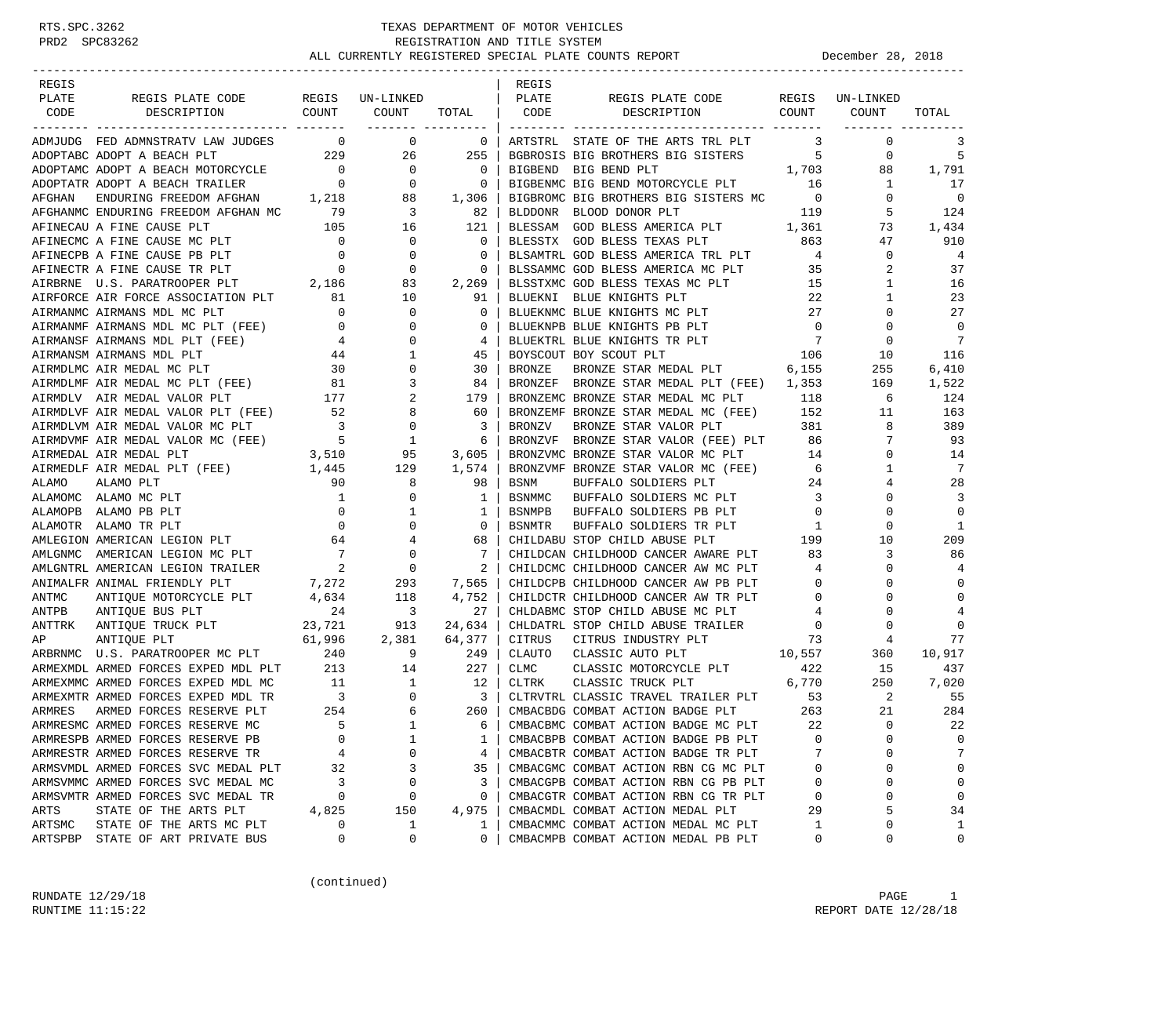| REGIS   |                                                                                                                                                                                                                                                                                                          |                |                                  |                          | REGIS          |                                                                                |                                                       |                 |                |
|---------|----------------------------------------------------------------------------------------------------------------------------------------------------------------------------------------------------------------------------------------------------------------------------------------------------------|----------------|----------------------------------|--------------------------|----------------|--------------------------------------------------------------------------------|-------------------------------------------------------|-----------------|----------------|
| PLATE   | REGIS PLATE CODE                                                                                                                                                                                                                                                                                         |                | REGIS UN-LINKED                  |                          | PLATE          | REGIS PLATE CODE                                                               |                                                       | REGIS UN-LINKED |                |
| CODE    | DESCRIPTION COUNT                                                                                                                                                                                                                                                                                        |                | COUNT                            | TOTAL CODE               |                | DESCRIPTION COUNT                                                              |                                                       | COUNT           | TOTAL          |
|         |                                                                                                                                                                                                                                                                                                          |                | ________ ______                  |                          |                |                                                                                |                                                       |                 |                |
|         | ADMJUDG FED ADMNSTRATV LAW JUDGES 0 0 0                                                                                                                                                                                                                                                                  |                |                                  | $\overline{\phantom{0}}$ |                | ARTSTRL STATE OF THE ARTS TRL PLT                                              | $\overline{\mathbf{3}}$                               | 0               | 3              |
|         | 229<br>ADOPTABC ADOPT A BEACH PLT                                                                                                                                                                                                                                                                        |                | 26                               | 255                      |                | BGBROSIS BIG BROTHERS BIG SISTERS 5                                            |                                                       | 0               | 5              |
|         | $\begin{tabular}{lllllllllll} \textsc{ADOPT} & \textsc{ADOPT} & \textsc{BEGCH} & \textsc{MOTORCYCLE} & \textsc{O} & \textsc{O} & \textsc{O} & \textsc{O} \\ \textsc{ADOPTATR} & \textsc{ADOPT} & \textsc{BEGCH} & \textsc{TRAILER} & \textsc{O} & \textsc{O} & \textsc{O} & \textsc{O} \\ \end{tabular}$ |                |                                  | $\overline{0}$           |                | 1,703<br>BIGBEND BIG BEND PLT                                                  |                                                       | 88              | 1,791          |
|         |                                                                                                                                                                                                                                                                                                          |                |                                  | $\overline{\phantom{0}}$ |                | BIGBENMC BIG BEND MOTORCYCLE PLT 16                                            |                                                       | $\mathbf{1}$    | 17             |
| AFGHAN  | ENDURI A DEALL INGLESS.<br>ENDURING FREEDOM AFGHAN 1,218 88<br>ENDURING FREEDOM AFGHAN MC 79 3                                                                                                                                                                                                           |                |                                  | 1,306                    |                | BIGBROMC BIG BROTHERS BIG SISTERS MC 0                                         |                                                       | $\mathbf{0}$    | $\overline{0}$ |
|         | AFGHANMC ENDURING FREEDOM AFGHAN MC 79<br>AFINECAU A FINE CAUSE PLT 105 1<br>AFINECMC A FINE CAUSE MC PLT 0<br>AFINECPB A FINE CAUSE PB PLT 0<br>AFINECTR A FINE CAUSE TR PLT 0<br>AIRBRNE U.S. PARATROOPER PLT 2,186                                                                                    |                |                                  | 82                       | BLDDONR        | 119<br>BLOOD DONOR PLT                                                         |                                                       | 5               | 124            |
|         |                                                                                                                                                                                                                                                                                                          |                | 16                               | 121                      | BLESSAM        | GOD BLESS AMERICA PLT 1,361                                                    |                                                       | 73              | 1,434          |
|         |                                                                                                                                                                                                                                                                                                          |                | $\overline{0}$                   | $\overline{0}$           |                | BLESSTX GOD BLESS TEXAS PLT                                                    | 863                                                   | 47              | 910            |
|         |                                                                                                                                                                                                                                                                                                          |                | 0                                | 0                        |                | BLSAMTRL GOD BLESS AMERICA TRL PLT 4                                           |                                                       | $\mathbf{0}$    | $\overline{4}$ |
|         |                                                                                                                                                                                                                                                                                                          |                | 0                                | 0                        |                |                                                                                |                                                       | 2               | 37             |
|         |                                                                                                                                                                                                                                                                                                          |                | 83                               | 2,269                    |                | BLSSAMMC GOD BLESS AMERICA MC PLT 35<br>BLSSTXMC GOD BLESS TEXAS MC PLT 15     |                                                       | $\mathbf{1}$    | 16             |
|         | AIRFORCE AIR FORCE ASSOCIATION PLT 81                                                                                                                                                                                                                                                                    |                | 10                               | 91                       | BLUEKNI        | BLUE KNIGHTS PLT                                                               | 22                                                    | 1               | 23             |
|         | AIRMANMC AIRMANS MDL MC PLT                                                                                                                                                                                                                                                                              | $\overline{0}$ | $\mathbf 0$                      | $\mathbf 0$              |                | BLUEKNMC BLUE KNIGHTS MC PLT                                                   | 27                                                    | 0               | 27             |
|         | AIRMANMF AIRMANS MDL MC PLT (FEE) 0                                                                                                                                                                                                                                                                      |                | $\mathbf 0$                      | $\Omega$                 |                | BLUEKNPB BLUE KNIGHTS PB PLT                                                   | $\overline{0}$                                        | $\mathbf 0$     | $\Omega$       |
|         | AIRMANSF AIRMANS MDL PLT (FEE)                                                                                                                                                                                                                                                                           |                | $\mathbf 0$                      | 4                        |                | BLUEKTRL BLUE KNIGHTS TR PLT 7<br>POVCCOUT POV SCOUT PLT 106                   | $\overline{7}$                                        | 0               | 7              |
|         | AIRMANSM AIRMANS MDL PLT                                                                                                                                                                                                                                                                                 | $\frac{4}{44}$ | 1                                | 45                       |                |                                                                                |                                                       | 10              | 116            |
|         | AIRMDLMC AIR MEDAL MC PLT                                                                                                                                                                                                                                                                                |                | 0                                | 30                       | BRONZE         | BRONZE STAR MEDAL PLT 6,155                                                    |                                                       | 255             | 6,410          |
|         | $\begin{array}{ccc} 30 & 30 \\ \text{FEE} & 81 \\ \text{.} & 177 \end{array}$<br>AIRMDLMF AIR MEDAL MC PLT (FEE)                                                                                                                                                                                         |                | 3                                | 84                       |                | BRONZEF BRONZE STAR MEDAL PLT (FEE) 1,353                                      |                                                       | 169             | 1,522          |
|         | AIRMDLV AIR MEDAL VALOR PLT                                                                                                                                                                                                                                                                              |                | 2                                | 179                      |                | BRONZEMC BRONZE STAR MEDAL MC PLT 118                                          |                                                       | 6               | 124            |
|         |                                                                                                                                                                                                                                                                                                          |                |                                  | 60                       |                |                                                                                |                                                       | 11              | 163            |
|         | -----<br>AIRMDLVF AIR MEDAL VALOR PLT (FEE) 52 8<br>AIRMDLVM AIR MEDAL VALOR MC PLT 3 0                                                                                                                                                                                                                  |                |                                  | $\overline{\mathbf{3}}$  |                | BRONZEMF BRONZE STAR MEDAL MC (FEE) 152<br>BRONZV BRONZE STAR VALOR PLT 381    |                                                       | 8               | 389            |
|         |                                                                                                                                                                                                                                                                                                          |                |                                  | -6                       | <b>BRONZVF</b> | BRONZE STAR VALOR (FEE) PLT 86                                                 |                                                       | 7               | 93             |
|         |                                                                                                                                                                                                                                                                                                          |                |                                  | 3,605                    |                | BRONZVMC BRONZE STAR VALOR MC PLT                                              | 14                                                    | 0               | 14             |
|         | AIRMDVMF AIR MEDAL VALOR MC (FEE) $5$ 1<br>AIRMEDAL AIR MEDAL PLT 3,510 95<br>AIRMEDLF AIR MEDAL PLT (FEE) 1,445 129                                                                                                                                                                                     |                |                                  | 1,574                    |                | BRONZVMF BRONZE STAR VALOR MC (FEE) 6                                          |                                                       | 1               | 7              |
| ALAMO   | ALAMO PLT                                                                                                                                                                                                                                                                                                | 90             | 8                                | 98                       | BSNM           |                                                                                |                                                       | 4               | 28             |
|         |                                                                                                                                                                                                                                                                                                          | $\overline{1}$ | 0                                | $\mathbf{1}$             | BSNMMC         | BUFFALO SOLDIERS PLT 24<br>BUFFALO SOLDIERS MC PLT 3                           |                                                       | $\Omega$        | 3              |
|         | ALAMOMC ALAMO MC PLT                                                                                                                                                                                                                                                                                     |                | 1                                | 1                        | BSNMPB         |                                                                                | $\overline{0}$                                        | $\mathbf 0$     | $\mathbf 0$    |
|         | ALAMOPB ALAMO PB PLT 0<br>ALAMOTR ALAMO TR PLT 0<br>AMLEGION AMERICAN LEGION PLT 64                                                                                                                                                                                                                      |                | $\mathbf{0}$                     | $\overline{0}$           | BSNMTR         | BUFFALO SOLDIERS PB PLT                                                        |                                                       | $\mathbf 0$     | $\mathbf{1}$   |
|         |                                                                                                                                                                                                                                                                                                          |                | 4                                |                          |                | BUFFALO SOLDIERS TR PLT                                                        | $\begin{array}{ccc}\n & & 1 \\  & & 199\n\end{array}$ | 10              | 209            |
|         |                                                                                                                                                                                                                                                                                                          |                |                                  | 68<br>7                  |                | CHILDABU STOP CHILD ABUSE PLT                                                  | 83                                                    | 3               | 86             |
|         | AMLGNMC AMERICAN LEGION MC PLT                                                                                                                                                                                                                                                                           | $\frac{7}{2}$  | $\begin{matrix}0\\0\end{matrix}$ |                          |                | CHILDCAN CHILDHOOD CANCER AWARE PLT<br>CHILDCMC CHILDHOOD CANCER AW MC PLT     |                                                       |                 |                |
|         | AMLGNTRL AMERICAN LEGION TRAILER                                                                                                                                                                                                                                                                         |                |                                  | 2                        |                |                                                                                | $\overline{4}$                                        | $\mathbf 0$     | 4              |
|         | ANIMALFR ANIMAL FRIENDLY PLT                                                                                                                                                                                                                                                                             |                | 293                              | 7,565                    |                | CHILDCPB CHILDHOOD CANCER AW PB PLT                                            | $\overline{\phantom{0}}$                              | 0               | $\mathbf 0$    |
| ANTMC   | ARENAL PRIENDLY PLT 7,272<br>ANTIQUE MOTORCYCLE PLT 4,634<br>ANTIQUE BUS PLT 24                                                                                                                                                                                                                          |                | 118<br>$\overline{\phantom{a}}$  | 4,752                    |                | CHILDCTR CHILDHOOD CANCER AW TR PLT                                            | $\begin{array}{ccc}\n & & 0 \\  & & 4\n\end{array}$   | $\Omega$        | $\Omega$       |
| ANTPB   |                                                                                                                                                                                                                                                                                                          |                |                                  | 27                       |                | CHLDABMC STOP CHILD ABUSE MC PLT                                               |                                                       | $\Omega$        | 4              |
| ANTTRK  | AN'ILQUE BUS FILE<br>ANTIQUE TRUCK PLT 23,721 913<br>ANTIONE PLT 61,996 2,381                                                                                                                                                                                                                            |                |                                  | 24,634                   |                | CHLDATRL STOP CHILD ABUSE TRAILER 0<br>CITRUS CITRUS INDUSTRY PLT 673          |                                                       | 0               | $\mathbf 0$    |
| ΑP      |                                                                                                                                                                                                                                                                                                          |                |                                  | 64,377                   |                |                                                                                |                                                       | 4               | 77             |
|         | ARBRNMC U.S. PARATROOPER MC PLT 240 9<br>ARMEXMDL ARMED FORCES EXPED MDL PLT 213 14<br>ARMEXMMC ARMED FORCES EXPED MDL MC 11 1<br>ARMEXMTR ARMED FORCES EXPED MDL TR 3 0<br>ARMES ARMED FORCES RESERVE PLT 254 6<br>6                                                                                    |                |                                  | 249                      | CLAUTO         | CLASSIC AUTO PLT $10,557$                                                      |                                                       | 360             | 10,917         |
|         |                                                                                                                                                                                                                                                                                                          |                |                                  | 227                      | CLMC           | CLASSIC MOTORCYCLE PLT                                                         | 422                                                   | 15              | 437            |
|         |                                                                                                                                                                                                                                                                                                          |                |                                  | 12                       | CLTRK          | 6,770<br>CLASSIC TRUCK PLT                                                     |                                                       | 250             | 7,020          |
|         |                                                                                                                                                                                                                                                                                                          |                |                                  | $\overline{\phantom{a}}$ |                | CLTRVTRL CLASSIC TRAVEL TRAILER PLT 53<br>CMBACBDG COMBAT ACTION BADGE PLT 263 |                                                       | $\overline{2}$  | -55            |
|         |                                                                                                                                                                                                                                                                                                          |                |                                  | 260                      |                |                                                                                |                                                       | 21              | 284            |
|         | ARMRESMC ARMED FORCES RESERVE MC                                                                                                                                                                                                                                                                         | $5^{\circ}$    | $\overline{1}$                   | 6                        |                | CMBACBMC COMBAT ACTION BADGE MC PLT                                            | 22                                                    | $\Omega$        | 22             |
|         | ARMRESPB ARMED FORCES RESERVE PB                                                                                                                                                                                                                                                                         | 0              | 1                                | 1                        |                | CMBACBPB COMBAT ACTION BADGE PB PLT                                            | 0                                                     | $\Omega$        | $\Omega$       |
|         | ARMRESTR ARMED FORCES RESERVE TR                                                                                                                                                                                                                                                                         | 4              | $\Omega$                         | 4                        |                | CMBACBTR COMBAT ACTION BADGE TR PLT                                            |                                                       | U               | 7              |
|         | ARMSVMDL ARMED FORCES SVC MEDAL PLT                                                                                                                                                                                                                                                                      | 32             | 3                                | 35                       |                | CMBACGMC COMBAT ACTION RBN CG MC PLT                                           | 0                                                     | 0               | 0              |
|         | ARMSVMMC ARMED FORCES SVC MEDAL MC                                                                                                                                                                                                                                                                       | 3              | 0                                | 3                        |                | CMBACGPB COMBAT ACTION RBN CG PB PLT                                           | 0                                                     | $\Omega$        | 0              |
|         | ARMSVMTR ARMED FORCES SVC MEDAL TR                                                                                                                                                                                                                                                                       | 0              | 0                                | 0                        |                | CMBACGTR COMBAT ACTION RBN CG TR PLT                                           | 0                                                     | 0               | 0              |
| ARTS    | STATE OF THE ARTS PLT                                                                                                                                                                                                                                                                                    | 4,825          | 150                              | 4,975                    |                | CMBACMDL COMBAT ACTION MEDAL PLT                                               | 29                                                    | 5               | 34             |
| ARTSMC  | STATE OF THE ARTS MC PLT                                                                                                                                                                                                                                                                                 | 0              | 1                                | 1                        |                | CMBACMMC COMBAT ACTION MEDAL MC PLT                                            | 1                                                     | $\Omega$        | 1              |
| ARTSPBP | STATE OF ART PRIVATE BUS                                                                                                                                                                                                                                                                                 | 0              | 0                                | 0                        |                | CMBACMPB COMBAT ACTION MEDAL PB PLT                                            | 0                                                     | 0               | 0              |

(continued)

RUNDATE  $12/29/18$  PAGE 1 RUNTIME  $11:15:22$  REPORT DATE  $12/28/18$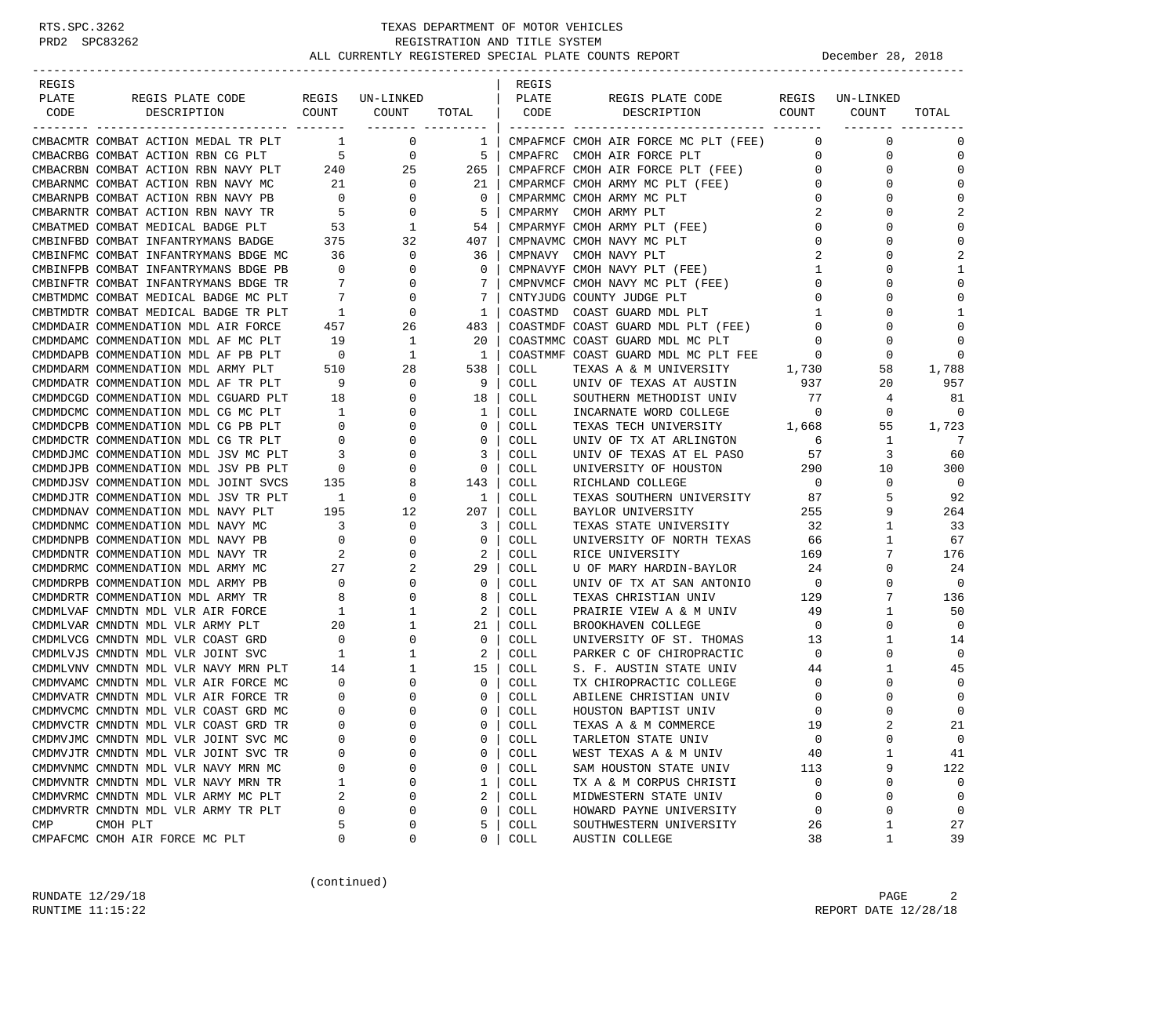| REGIS                                   |                            |                          |                | REGIS       |                                      |                          |                 |              |
|-----------------------------------------|----------------------------|--------------------------|----------------|-------------|--------------------------------------|--------------------------|-----------------|--------------|
| PLATE<br>REGIS PLATE CODE               |                            | REGIS UN-LINKED          |                | PLATE       | REGIS PLATE CODE                     |                          | REGIS UN-LINKED |              |
| COUNT<br>CODE<br>DESCRIPTION            |                            | COUNT                    | TOTAL          | CODE        | DESCRIPTION                          | COUNT                    | COUNT           | TOTAL        |
|                                         |                            | ________ _______         |                |             |                                      |                          | -------- ----   |              |
| CMBACMTR COMBAT ACTION MEDAL TR PLT     | $\overline{1}$             | 0                        | $\mathbf{1}$   |             | CMPAFMCF CMOH AIR FORCE MC PLT (FEE) | $\circ$                  | $\mathbf 0$     | $\Omega$     |
| CMBACRBG COMBAT ACTION RBN CG PLT       | $\overline{5}$             | 0                        | $5^{\circ}$    | CMPAFRC     | CMOH AIR FORCE PLT                   | $\mathbf{0}$             | 0               | $\Omega$     |
| CMBACRBN COMBAT ACTION RBN NAVY PLT 240 |                            | 25                       | 265            |             | CMPAFRCF CMOH AIR FORCE PLT (FEE)    | $\overline{0}$           | $\mathbf 0$     | $\Omega$     |
| CMBARNMC COMBAT ACTION RBN NAVY MC      | 21                         | $\overline{\phantom{0}}$ | 21             |             | CMPARMCF CMOH ARMY MC PLT (FEE)      | $\mathbf 0$              | 0               | $\Omega$     |
| CMBARNPB COMBAT ACTION RBN NAVY PB      | $\overline{0}$             | $\overline{0}$           | $\circ$        |             | CMPARMMC CMOH ARMY MC PLT            | $\mathbf 0$              | 0               | $\Omega$     |
| CMBARNTR COMBAT ACTION RBN NAVY TR      | 5 <sub>5</sub>             | $\overline{0}$           | -5             |             | CMPARMY CMOH ARMY PLT                | 2                        | $\Omega$        | 2            |
| CMBATMED COMBAT MEDICAL BADGE PLT       | 53                         | $\mathbf{1}$             | 54             |             | CMPARMYF CMOH ARMY PLT (FEE)         | $\mathbf 0$              | 0               | $\Omega$     |
| CMBINFBD COMBAT INFANTRYMANS BADGE      | 375                        | 32                       | 407            |             | CMPNAVMC CMOH NAVY MC PLT            | $\mathbf 0$              | $\Omega$        | $\Omega$     |
| CMBINFMC COMBAT INFANTRYMANS BDGE MC    | 36                         | $\mathbf 0$              | 36             |             | CMPNAVY CMOH NAVY PLT                | 2                        | $\Omega$        |              |
| CMBINFPB COMBAT INFANTRYMANS BDGE PB    | $\overline{\phantom{0}}$   | 0                        | $\mathbf 0$    |             | CMPNAVYF CMOH NAVY PLT (FEE)         | 1                        | 0               | 1            |
| CMBINFTR COMBAT INFANTRYMANS BDGE TR    | $\overline{7}$             | $\mathbf{0}$             | 7              |             | CMPNVMCF CMOH NAVY MC PLT (FEE)      | $\mathbf 0$              | 0               | $\Omega$     |
| CMBTMDMC COMBAT MEDICAL BADGE MC PLT    | $\overline{7}$             | $\mathbf{0}$             | 7              |             | CNTYJUDG COUNTY JUDGE PLT            | $\mathbf 0$              | $\Omega$        |              |
| CMBTMDTR COMBAT MEDICAL BADGE TR PLT    | $\overline{1}$             | $\mathbf 0$              | 1              | COASTMD     | COAST GUARD MDL PLT                  | 1                        | $\Omega$        | $\mathbf{1}$ |
| CMDMDAIR COMMENDATION MDL AIR FORCE     | 457                        | 26                       | 483            |             | COASTMDF COAST GUARD MDL PLT (FEE)   | $\overline{0}$           | $\Omega$        | $\Omega$     |
|                                         | 19                         |                          |                |             |                                      | $\mathbf{0}$             | 0               | $\Omega$     |
| CMDMDAMC COMMENDATION MDL AF MC PLT     |                            | $\mathbf{1}$             | 20             |             | COASTMMC COAST GUARD MDL MC PLT      |                          |                 | $\Omega$     |
| CMDMDAPB COMMENDATION MDL AF PB PLT     | $\overline{\phantom{0}}$   | 1                        | $\mathbf{1}$   |             | COASTMMF COAST GUARD MDL MC PLT FEE  | - 0                      | $\mathbf 0$     |              |
| CMDMDARM COMMENDATION MDL ARMY PLT      | 510                        | 28                       | 538            | <b>COLL</b> | TEXAS A & M UNIVERSITY               | 1,730                    | 58              | 1,788        |
| CMDMDATR COMMENDATION MDL AF TR PLT     | 9                          | $\mathbf{0}$             | 9              | <b>COLL</b> | UNIV OF TEXAS AT AUSTIN              | 937                      | 20              | 957          |
| CMDMDCGD COMMENDATION MDL CGUARD PLT    | 18                         | 0                        | 18             | <b>COLL</b> | SOUTHERN METHODIST UNIV              | 77                       | 4               | 81           |
| CMDMDCMC COMMENDATION MDL CG MC PLT     | $\overline{1}$             | 0                        | 1              | COLL        | INCARNATE WORD COLLEGE               | $\overline{0}$           | 0               | $\Omega$     |
| CMDMDCPB COMMENDATION MDL CG PB PLT     | $\overline{0}$             | $\mathbf 0$              | $\overline{0}$ | COLL        | TEXAS TECH UNIVERSITY 1,668          |                          | 55              | 1,723        |
| CMDMDCTR COMMENDATION MDL CG TR PLT     | $\overline{0}$             | 0                        | $\overline{0}$ | COLL        | UNIV OF TX AT ARLINGTON              | $6\overline{6}$          | $\mathbf{1}$    | 7            |
| CMDMDJMC COMMENDATION MDL JSV MC PLT    | 3                          | 0                        | 3              | COLL        | UNIV OF TEXAS AT EL PASO             | 57                       | 3               | 60           |
| CMDMDJPB COMMENDATION MDL JSV PB PLT    | $\overline{0}$             | 0                        | $\mathbf{0}$   | COLL        | UNIVERSITY OF HOUSTON                | 290                      | 10              | 300          |
| CMDMDJSV COMMENDATION MDL JOINT SVCS    | 135                        | 8                        | 143            | COLL        | RICHLAND COLLEGE                     | $\overline{0}$           | $\mathbf 0$     | $\mathbf 0$  |
| CMDMDJTR COMMENDATION MDL JSV TR PLT    | $\mathbf{1}$               | 0                        | $\overline{1}$ | COLL        | TEXAS SOUTHERN UNIVERSITY            | 87                       | 5               | 92           |
| CMDMDNAV COMMENDATION MDL NAVY PLT      | 195                        | 12                       | 207            | <b>COLL</b> | BAYLOR UNIVERSITY                    | 255                      | 9               | 264          |
| CMDMDNMC COMMENDATION MDL NAVY MC       | $\overline{\phantom{a}}$ 3 | $\mathbf 0$              | $\mathbf{3}$   | COLL        | TEXAS STATE UNIVERSITY               | 32                       | $\mathbf{1}$    | 33           |
| CMDMDNPB COMMENDATION MDL NAVY PB       | $\overline{\phantom{0}}$   | $\mathbf 0$              | $\mathbf 0$    | COLL        | UNIVERSITY OF NORTH TEXAS            | 66                       | 1               | 67           |
| CMDMDNTR COMMENDATION MDL NAVY TR       | $\overline{2}$             | 0                        | 2              | COLL        | RICE UNIVERSITY                      | 169                      | 7               | 176          |
| CMDMDRMC COMMENDATION MDL ARMY MC       | 27                         | 2                        | 29             | COLL        | U OF MARY HARDIN-BAYLOR              | 24                       | $\mathbf 0$     | 24           |
| CMDMDRPB COMMENDATION MDL ARMY PB       | $\sim$ 0                   | $\mathbf{0}$             | $\overline{0}$ | <b>COLL</b> | UNIV OF TX AT SAN ANTONIO            | $\overline{\phantom{0}}$ | 0               | $\Omega$     |
| CMDMDRTR COMMENDATION MDL ARMY TR       | 8                          | $\mathbf 0$              | 8              | COLL        | TEXAS CHRISTIAN UNIV                 | 129                      | 7               | 136          |
| CMDMLVAF CMNDTN MDL VLR AIR FORCE       | $\mathbf{1}$               | 1                        | 2              | COLL        | PRAIRIE VIEW A & M UNIV              | 49                       | 1               | 50           |
| CMDMLVAR CMNDTN MDL VLR ARMY PLT        | 20                         | $\mathbf{1}$             | 21             | COLL        | BROOKHAVEN COLLEGE                   | $\overline{0}$           | 0               | $\Omega$     |
| CMDMLVCG CMNDTN MDL VLR COAST GRD       | $\overline{\phantom{0}}$   | $\mathbf 0$              | $\overline{0}$ | COLL        | UNIVERSITY OF ST. THOMAS             | 13                       | 1               | 14           |
| CMDMLVJS CMNDTN MDL VLR JOINT SVC       | $\overline{1}$             | $\mathbf{1}$             | 2              | <b>COLL</b> | PARKER C OF CHIROPRACTIC             | $\overline{0}$           | $\mathbf 0$     | $\Omega$     |
| CMDMLVNV CMNDTN MDL VLR NAVY MRN PLT    | 14                         | $\mathbf{1}$             | 15             | COLL        | S. F. AUSTIN STATE UNIV              | 44                       | $\mathbf 1$     | 45           |
| CMDMVAMC CMNDTN MDL VLR AIR FORCE MC    | $\mathbf 0$                | 0                        | $\overline{0}$ | COLL        | TX CHIROPRACTIC COLLEGE              | $\mathbf{0}$             | $\mathbf 0$     | $\Omega$     |
| CMDMVATR CMNDTN MDL VLR AIR FORCE TR    | 0                          | 0                        | $\mathbf{0}$   | COLL        | ABILENE CHRISTIAN UNIV               | 0                        | 0               | $\mathbf 0$  |
| CMDMVCMC CMNDTN MDL VLR COAST GRD MC    | $\mathbf 0$                | $\mathbf 0$              | $\Omega$       | COLL        | HOUSTON BAPTIST UNIV                 | 0                        | $\Omega$        | $\mathbf 0$  |
| CMDMVCTR CMNDTN MDL VLR COAST GRD TR    | $\Omega$                   | $\Omega$                 | $\Omega$       | <b>COLL</b> | TEXAS A & M COMMERCE                 | 19                       | $\mathfrak{D}$  | 21           |
| CMDMVJMC CMNDTN MDL VLR JOINT SVC MC    | $\Omega$                   | $\Omega$                 | 0              | COLL        | TARLETON STATE UNIV                  | $\mathbf 0$              | 0               | $\mathbf 0$  |
| CMDMVJTR CMNDTN MDL VLR JOINT SVC TR    | 0                          | n                        | 0              | COLL        | WEST TEXAS A & M UNIV                | 40                       | 1               | 41           |
| CMDMVNMC CMNDTN MDL VLR NAVY MRN MC     | 0                          | 0                        | 0              | COLL        | SAM HOUSTON STATE UNIV               | 113                      | 9               | 122          |
| CMDMVNTR CMNDTN MDL VLR NAVY MRN TR     | 1                          | $\Omega$                 | 1              | COLL        | TX A & M CORPUS CHRISTI              | $\Omega$                 | 0               | 0            |
| CMDMVRMC CMNDTN MDL VLR ARMY MC PLT     | 2                          | $\Omega$                 | 2              | COLL        | MIDWESTERN STATE UNIV                | $\Omega$                 | $\Omega$        | $\mathbf{0}$ |
| CMDMVRTR CMNDTN MDL VLR ARMY TR PLT     | 0                          | $\Omega$                 | 0              | COLL        | HOWARD PAYNE UNIVERSITY              | 0                        | 0               | $\mathbf 0$  |
| CMOH PLT                                | 5                          | $\Omega$                 | 5              |             | SOUTHWESTERN UNIVERSITY              |                          |                 | 27           |
| CMP                                     | 0                          | 0                        | 0              | COLL        |                                      | 26                       | 1               | 39           |
| CMPAFCMC CMOH AIR FORCE MC PLT          |                            |                          |                | COLL        | AUSTIN COLLEGE                       | 38                       | 1               |              |

(continued)

RUNDATE  $12/29/18$  PAGE 2 RUNTIME 11:15:22 REPORT DATE 12/28/18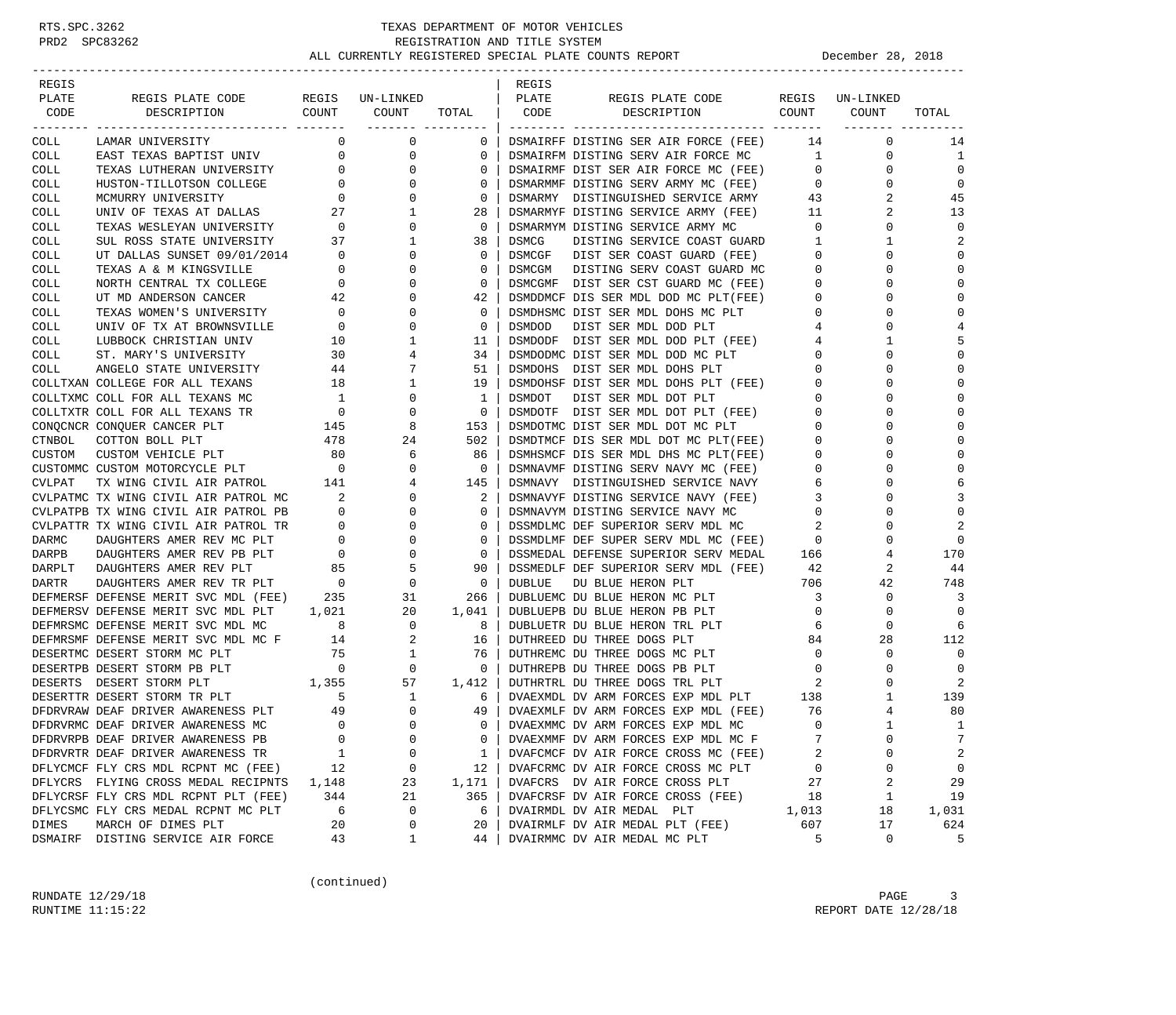| REGIS  |                                       |                          |                                  |              | REGIS         |                                      |                |              |                |
|--------|---------------------------------------|--------------------------|----------------------------------|--------------|---------------|--------------------------------------|----------------|--------------|----------------|
| PLATE  | REGIS PLATE CODE                      | REGIS                    | UN-LINKED                        |              | PLATE         | REGIS PLATE CODE                     | REGIS          | UN-LINKED    |                |
| CODE   | DESCRIPTION                           | COUNT                    | COUNT                            | TOTAL        | CODE          | DESCRIPTION                          | COUNT          | COUNT        | TOTAL          |
| COLL   | LAMAR UNIVERSITY                      | 0                        | ------- ---------<br>$\mathbf 0$ | $\mathbf{0}$ |               | DSMAIRFF DISTING SER AIR FORCE (FEE) | 14             | $\mathbf 0$  | 14             |
| COLL   | EAST TEXAS BAPTIST UNIV               | 0                        | 0                                | 0            |               | DSMAIRFM DISTING SERV AIR FORCE MC   | $\mathbf{1}$   | $\mathbf 0$  | 1              |
| COLL   | TEXAS LUTHERAN UNIVERSITY             | $\mathbf{0}$             | 0                                | $\mathbf 0$  |               | DSMAIRMF DIST SER AIR FORCE MC (FEE) | $\mathbf{0}$   | $\mathbf 0$  | $\Omega$       |
| COLL   | HUSTON-TILLOTSON COLLEGE              | $\mathbf{0}$             | $\Omega$                         | 0            |               | DSMARMMF DISTING SERV ARMY MC (FEE)  | $\mathbf 0$    | $\Omega$     | $\Omega$       |
| COLL   | MCMURRY UNIVERSITY                    | $\mathbf{0}$             | 0                                | 0            |               | DSMARMY DISTINGUISHED SERVICE ARMY   | 43             | 2            | 45             |
| COLL   | UNIV OF TEXAS AT DALLAS               | 27                       | 1                                | 28           |               | DSMARMYF DISTING SERVICE ARMY (FEE)  | 11             | 2            | 13             |
| COLL   | TEXAS WESLEYAN UNIVERSITY 0           |                          | 0                                | $\mathbf 0$  |               | DSMARMYM DISTING SERVICE ARMY MC     | $\mathbf 0$    | $\mathbf 0$  | $\mathbf 0$    |
| COLL   | SUL ROSS STATE UNIVERSITY             | 37                       | 1                                | 38           | DSMCG         | DISTING SERVICE COAST GUARD          | 1              | 1            | 2              |
| COLL   | UT DALLAS SUNSET 09/01/2014           | $\overline{\phantom{0}}$ | $\Omega$                         | 0            | DSMCGF        | DIST SER COAST GUARD (FEE)           | 0              | $\Omega$     | $\Omega$       |
| COLL   | TEXAS A & M KINGSVILLE                | $\mathbf{0}$             | 0                                | 0            | DSMCGM        | DISTING SERV COAST GUARD MC          | 0              | 0            | $\mathbf 0$    |
| COLL   | NORTH CENTRAL TX COLLEGE              | $\mathbf 0$              | $\Omega$                         | 0            |               | DSMCGMF DIST SER CST GUARD MC (FEE)  | 0              | $\Omega$     | $\mathbf 0$    |
| COLL   | UT MD ANDERSON CANCER                 | 42                       | 0                                | 42           |               | DSMDDMCF DIS SER MDL DOD MC PLT(FEE) | 0              | $\Omega$     | $\mathbf 0$    |
| COLL   | TEXAS WOMEN'S UNIVERSITY              | $\overline{0}$           | O                                | $\mathbf 0$  |               | DSMDHSMC DIST SER MDL DOHS MC PLT    | 0              | $\Omega$     | $\Omega$       |
| COLL   | UNIV OF TX AT BROWNSVILLE             | $\mathbf 0$              | $\Omega$                         | 0            | <b>DSMDOD</b> | DIST SER MDL DOD PLT                 | 4              | $\Omega$     | 4              |
| COLL   | LUBBOCK CHRISTIAN UNIV                | 10                       | 1                                | 11           |               | DSMDODF DIST SER MDL DOD PLT (FEE)   | 4              | 1            | 5              |
| COLL   | ST. MARY'S UNIVERSITY                 | 30                       | 4                                | 34           |               | DSMDODMC DIST SER MDL DOD MC PLT     | 0              | $\Omega$     | $\mathbf 0$    |
| COLL   | ANGELO STATE UNIVERSITY               | 44                       | 7                                | 51           | DSMDOHS       | DIST SER MDL DOHS PLT                | 0              | $\Omega$     | $\mathbf 0$    |
|        | COLLTXAN COLLEGE FOR ALL TEXANS       | 18                       | 1                                | 19           |               | DSMDOHSF DIST SER MDL DOHS PLT (FEE) | 0              | $\Omega$     | $\Omega$       |
|        | COLLTXMC COLL FOR ALL TEXANS MC       | $\mathbf{1}$             | 0                                | 1            | DSMDOT        | DIST SER MDL DOT PLT                 | 0              | $\Omega$     | $\Omega$       |
|        | COLLTXTR COLL FOR ALL TEXANS TR       | $\overline{\phantom{0}}$ | 0                                | 0            |               | DSMDOTF DIST SER MDL DOT PLT (FEE)   | 0              | $\Omega$     | $\mathbf 0$    |
|        | CONQCNCR CONQUER CANCER PLT           | 145                      | 8                                | 153          |               | DSMDOTMC DIST SER MDL DOT MC PLT     | 0              | $\Omega$     | $\mathbf 0$    |
| CTNBOL | COTTON BOLL PLT                       | 478                      | 24                               | 502          |               | DSMDTMCF DIS SER MDL DOT MC PLT(FEE) | $\mathbf 0$    | $\Omega$     | $\Omega$       |
| CUSTOM | CUSTOM VEHICLE PLT                    | 80                       | 6                                | 86           |               | DSMHSMCF DIS SER MDL DHS MC PLT(FEE) | 0              | $\Omega$     | $\Omega$       |
|        | CUSTOMMC CUSTOM MOTORCYCLE PLT        | $\overline{0}$           | $\Omega$                         | $\Omega$     |               | DSMNAVMF DISTING SERV NAVY MC (FEE)  | $\Omega$       | ∩            | $\Omega$       |
| CVLPAT | TX WING CIVIL AIR PATROL              | 141                      | 4                                | 145          |               | DSMNAVY DISTINGUISHED SERVICE NAVY   | 6              | $\Omega$     | 6              |
|        | CVLPATMC TX WING CIVIL AIR PATROL MC  | 2                        | $\Omega$                         | 2            |               | DSMNAVYF DISTING SERVICE NAVY (FEE)  | 3              | $\Omega$     | 3              |
|        | CVLPATPB TX WING CIVIL AIR PATROL PB  | $\mathbf{0}$             | 0                                | 0            |               | DSMNAVYM DISTING SERVICE NAVY MC     | 0              | $\Omega$     | $\mathbf 0$    |
|        | CVLPATTR TX WING CIVIL AIR PATROL TR  | $\mathbf{0}$             | 0                                | $\mathbf 0$  |               | DSSMDLMC DEF SUPERIOR SERV MDL MC    | 2              | $\Omega$     | $\overline{2}$ |
| DARMC  | DAUGHTERS AMER REV MC PLT             | $\overline{0}$           | 0                                | 0            |               | DSSMDLMF DEF SUPER SERV MDL MC (FEE) | $\circ$        | $\Omega$     | $\mathbf 0$    |
| DARPB  | DAUGHTERS AMER REV PB PLT             | $\overline{0}$           | 0                                | 0            |               | DSSMEDAL DEFENSE SUPERIOR SERV MEDAL | 166            | 4            | 170            |
| DARPLT | DAUGHTERS AMER REV PLT                | 85                       | 5                                | 90           |               | DSSMEDLF DEF SUPERIOR SERV MDL (FEE) | 42             | 2            | 44             |
| DARTR  | DAUGHTERS AMER REV TR PLT             | $\sim$ 0                 | $\mathbf 0$                      | $\mathbf 0$  | <b>DUBLUE</b> | DU BLUE HERON PLT                    | 706            | 42           | 748            |
|        | DEFMERSF DEFENSE MERIT SVC MDL (FEE)  | 235                      | 31                               | 266          |               | DUBLUEMC DU BLUE HERON MC PLT        | $\overline{3}$ | $\mathbf 0$  | 3              |
|        | DEFMERSV DEFENSE MERIT SVC MDL PLT    | 1,021                    | 20                               | 1,041        |               | DUBLUEPB DU BLUE HERON PB PLT        | $\circ$        | 0            | $\mathbf 0$    |
|        | DEFMRSMC DEFENSE MERIT SVC MDL MC     | 8                        | 0                                | 8            |               | DUBLUETR DU BLUE HERON TRL PLT       | 6              | 0            | 6              |
|        | DEFMRSMF DEFENSE MERIT SVC MDL MC F   | 14                       | 2                                | 16           |               | DUTHREED DU THREE DOGS PLT           | 84             | 28           | 112            |
|        | DESERTMC DESERT STORM MC PLT          | 75                       | 1                                | 76           |               | DUTHREMC DU THREE DOGS MC PLT        | 0              | $\mathbf 0$  | $\mathbf 0$    |
|        | DESERTPB DESERT STORM PB PLT          | $\overline{0}$           | 0                                | $\mathbf 0$  |               | DUTHREPB DU THREE DOGS PB PLT        | $\mathbf 0$    | $\Omega$     | $\mathbf 0$    |
|        | 1,355<br>DESERTS DESERT STORM PLT     |                          | 57                               | 1,412        |               | DUTHRTRL DU THREE DOGS TRL PLT       | 2              | $\Omega$     | 2              |
|        | DESERTTR DESERT STORM TR PLT          | 5                        | 1                                | 6            |               | DVAEXMDL DV ARM FORCES EXP MDL PLT   | 138            | 1            | 139            |
|        | DFDRVRAW DEAF DRIVER AWARENESS PLT 49 |                          | $\mathbf 0$                      | 49           |               | DVAEXMLF DV ARM FORCES EXP MDL (FEE) | 76             | 4            | 80             |
|        | DFDRVRMC DEAF DRIVER AWARENESS MC     | $\Omega$                 | $\Omega$                         | $\Omega$     |               | DVAEXMMC DV ARM FORCES EXP MDL MC    | $\Omega$       | $\mathbf{1}$ | 1              |
|        | DFDRVRPB DEAF DRIVER AWARENESS PB     | $\mathbf 0$              | $\Omega$                         | 0            |               | DVAEXMMF DV ARM FORCES EXP MDL MC F  | 7              | 0            | 7              |
|        | DFDRVRTR DEAF DRIVER AWARENESS TR     | 1                        | 0                                | 1            |               | DVAFCMCF DV AIR FORCE CROSS MC (FEE) | 2              | Ω            | 2              |
|        | DFLYCMCF FLY CRS MDL RCPNT MC (FEE)   | 12                       | 0                                | 12           |               | DVAFCRMC DV AIR FORCE CROSS MC PLT   | 0              | 0            | $\mathbf 0$    |
|        | DFLYCRS FLYING CROSS MEDAL RECIPNTS   | 1,148                    | 23                               | 1,171        |               | DVAFCRS DV AIR FORCE CROSS PLT       | 27             | 2            | 29             |
|        | DFLYCRSF FLY CRS MDL RCPNT PLT (FEE)  | 344                      | 21                               | 365          |               | DVAFCRSF DV AIR FORCE CROSS (FEE)    | 18             | 1            | 19             |
|        | DFLYCSMC FLY CRS MEDAL RCPNT MC PLT   | 6                        | 0                                | 6            |               | DVAIRMDL DV AIR MEDAL PLT            | 1,013          | 18           | 1,031          |
| DIMES  | MARCH OF DIMES PLT                    | 20                       | 0                                | 20           |               | DVAIRMLF DV AIR MEDAL PLT (FEE)      | 607            | 17           | 624            |
|        | DSMAIRF DISTING SERVICE AIR FORCE     | 43                       | 1                                | 44           |               | DVAIRMMC DV AIR MEDAL MC PLT         | 5              | 0            | 5              |

(continued)

RUNDATE  $12/29/18$  PAGE 3 RUNTIME  $11:15:22$  REPORT DATE  $12/28/18$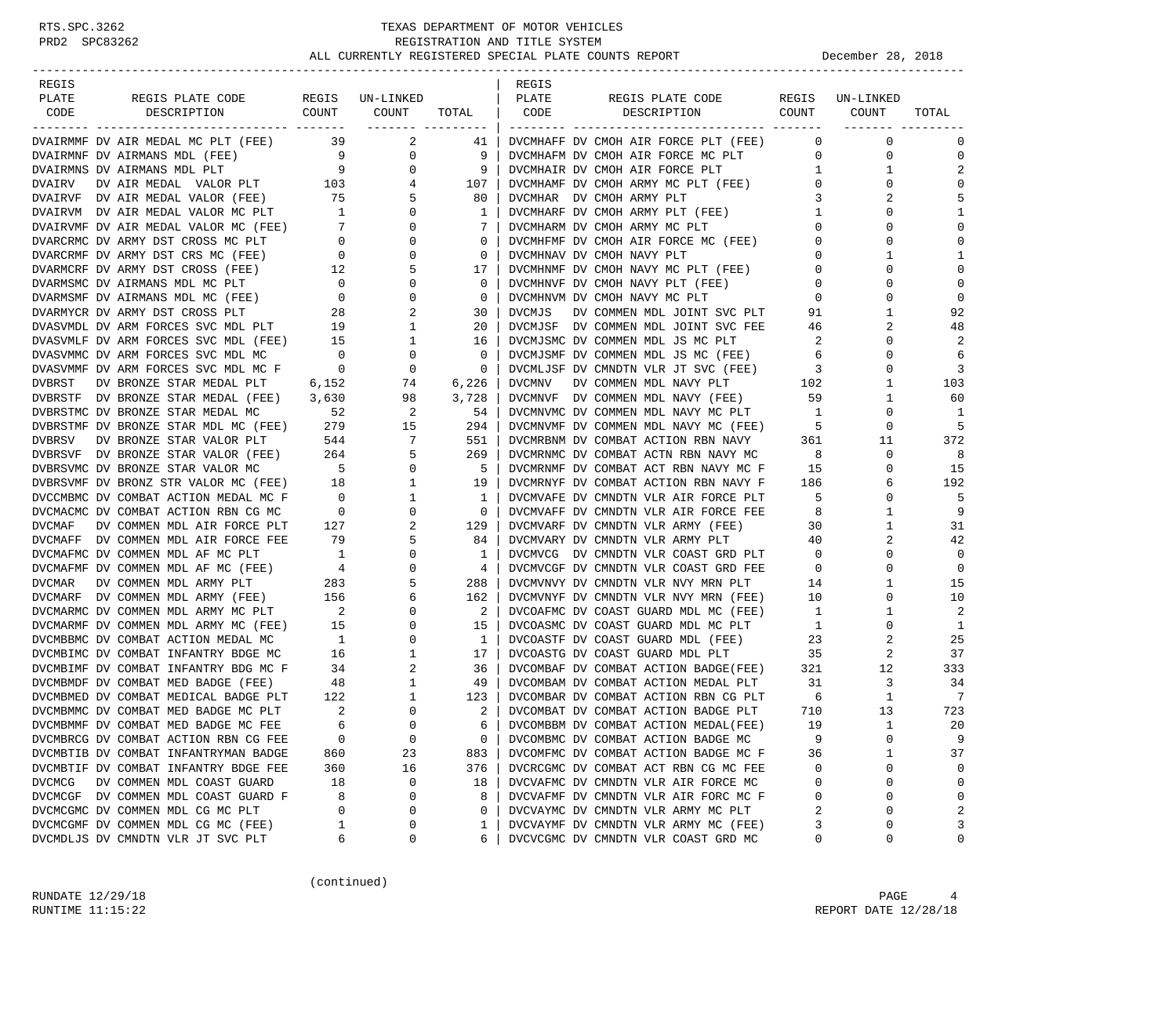| REGIS         |                                                                            |                                        |                          |                             | REGIS         |                                                            |                          |                 |                |
|---------------|----------------------------------------------------------------------------|----------------------------------------|--------------------------|-----------------------------|---------------|------------------------------------------------------------|--------------------------|-----------------|----------------|
| PLATE<br>CODE | REGIS PLATE CODE<br>COUNT                                                  |                                        | REGIS UN-LINKED<br>COUNT |                             | PLATE<br>CODE | REGIS PLATE CODE<br>COUNT                                  |                          | REGIS UN-LINKED | TOTAL          |
|               | DESCRIPTION                                                                |                                        |                          | TOTAL  <br>_______ ________ |               | DESCRIPTION                                                |                          | COUNT           |                |
|               | DVAIRMMF DV AIR MEDAL MC PLT (FEE) 39                                      |                                        | 2                        | 41                          |               | DVCMHAFF DV CMOH AIR FORCE PLT (FEE)                       | $\circ$                  | $\mathbf 0$     | $\Omega$       |
|               | DVAIRMNF DV AIRMANS MDL (FEE)                                              | $\overline{9}$                         | 0                        | 9                           |               | DVCMHAFM DV CMOH AIR FORCE MC PLT                          | $\mathbf 0$              | 0               | $\Omega$       |
|               | DVAIRMNS DV AIRMANS MDL PLT                                                | 9                                      | $\mathbf 0$              | 9                           |               | DVCMHAIR DV CMOH AIR FORCE PLT                             | $\mathbf{1}$             | 1               | $\overline{2}$ |
| DVAIRV        | DV AIR MEDAL VALOR PLT 103                                                 |                                        | 4                        | 107                         |               | DVCMHAMF DV CMOH ARMY MC PLT (FEE)                         | $\overline{0}$           | 0               | $\Omega$       |
|               | DVAIRVF DV AIR MEDAL VALOR (FEE)                                           | 75                                     | 5                        | 80                          |               | DVCMHAR DV CMOH ARMY PLT                                   | 3                        | 2               | 5              |
|               | DVAIRVM DV AIR MEDAL VALOR MC PLT                                          | $\overline{1}$                         | $\circ$                  | 1                           |               | DVCMHARF DV CMOH ARMY PLT (FEE)                            | 1                        | $\Omega$        | 1              |
|               | DVAIRVMF DV AIR MEDAL VALOR MC (FEE) 7                                     |                                        | 0                        | 7                           |               | DVCMHARM DV CMOH ARMY MC PLT                               | $\mathbf{0}$             | $\Omega$        | $\Omega$       |
|               | DVARCRMC DV ARMY DST CROSS MC PLT                                          | $\overline{0}$                         | $\mathbf 0$              | 0                           |               | DVCMHFMF DV CMOH AIR FORCE MC (FEE)                        | $\mathbf 0$              | 0               | $\Omega$       |
|               | DVARCRMF DV ARMY DST CRS MC (FEE)                                          | $\overline{0}$                         | $\circ$                  | $\mathbf 0$                 |               | DVCMHNAV DV CMOH NAVY PLT                                  | $\mathbf 0$              | 1               | 1              |
|               | DVARMCRF DV ARMY DST CROSS (FEE)                                           | $\begin{array}{c} 12 \\ 0 \end{array}$ | 5                        | 17                          |               | DVCMHNMF DV CMOH NAVY MC PLT (FEE)                         | $\overline{0}$           | 0               | $\Omega$       |
|               | DVARMSMC DV AIRMANS MDL MC PLT                                             |                                        | 0                        | 0                           |               | DVCMHNVF DV CMOH NAVY PLT (FEE)                            | $\mathbf 0$              | $\Omega$        | $\mathbf 0$    |
|               | DVARMSMF DV AIRMANS MDL MC (FEE)                                           | $\overline{0}$                         | 0                        | $\mathbf 0$                 |               | DVCMHNVM DV CMOH NAVY MC PLT                               | $\mathbf 0$              | 0               | $\mathbf 0$    |
|               | DVARMYCR DV ARMY DST CROSS PLT                                             | 28                                     | 2                        | 30                          | <b>DVCMJS</b> | DV COMMEN MDL JOINT SVC PLT                                | 91                       | 1               | 92             |
|               | DVASVMDL DV ARM FORCES SVC MDL PLT 19                                      |                                        | 1                        | 20                          |               | DVCMJSF DV COMMEN MDL JOINT SVC FEE                        | 46                       | 2               | 48             |
|               | DVASVMLF DV ARM FORCES SVC MDL (FEE) 15                                    |                                        | 1                        | 16                          |               | DVCMJSMC DV COMMEN MDL JS MC PLT                           | - 2                      | 0               | 2              |
|               | DVASVMMC DV ARM FORCES SVC MDL MC                                          | $\overline{0}$                         | 0                        | $\mathbf 0$                 |               | DVCMJSMF DV COMMEN MDL JS MC (FEE)                         | 6                        | $\Omega$        | 6              |
|               | DVASVMMF DV ARM FORCES SVC MDL MC F 0                                      |                                        | 0                        | $\mathbf 0$                 |               | DVCMLJSF DV CMNDTN VLR JT SVC (FEE)                        | $\overline{\phantom{a}}$ | 0               | 3              |
| DVBRST        | DV BRONZE STAR MEDAL PLT 6,152<br>DVBRSTF DV BRONZE STAR MEDAL (FEE) 3,630 |                                        | 74                       | 6,226                       | <b>DVCMNV</b> | DV COMMEN MDL NAVY PLT<br>DVCMNVF DV COMMEN MDL NAVY (FEE) | 102                      | 1<br>1          | 103<br>60      |
|               | DVBRSTMC DV BRONZE STAR MEDAL MC                                           | 52                                     | 98<br>2                  | 3,728<br>54                 |               | DVCMNVMC DV COMMEN MDL NAVY MC PLT                         | 59<br>$\mathbf{1}$       | 0               | -1             |
|               | DVBRSTMF DV BRONZE STAR MDL MC (FEE) 279                                   |                                        | 15                       | 294                         |               | DVCMNVMF DV COMMEN MDL NAVY MC (FEE)                       | - 5                      | 0               | 5              |
| <b>DVBRSV</b> | DV BRONZE STAR VALOR PLT                                                   | 544                                    | 7                        | 551                         |               | DVCMRBNM DV COMBAT ACTION RBN NAVY                         | 361                      | 11              | 372            |
|               | DVBRSVF DV BRONZE STAR VALOR (FEE)                                         | 264                                    | 5                        | 269                         |               | DVCMRNMC DV COMBAT ACTN RBN NAVY MC                        | 8                        | 0               | 8              |
|               | DVBRSVMC DV BRONZE STAR VALOR MC                                           | $5^{\circ}$                            | 0                        | 5                           |               | DVCMRNMF DV COMBAT ACT RBN NAVY MC F                       | 15                       | 0               | 15             |
|               | DVBRSVMF DV BRONZ STR VALOR MC (FEE) 18                                    |                                        | 1                        | 19                          |               | DVCMRNYF DV COMBAT ACTION RBN NAVY F                       | 186                      | 6               | 192            |
|               | DVCCMBMC DV COMBAT ACTION MEDAL MC F                                       | $\overline{0}$                         | 1                        | 1                           |               | DVCMVAFE DV CMNDTN VLR AIR FORCE PLT                       | $-5$                     | $\mathbf 0$     | 5              |
|               | DVCMACMC DV COMBAT ACTION RBN CG MC                                        | $\sim$ 0                               | 0                        | 0                           |               | DVCMVAFF DV CMNDTN VLR AIR FORCE FEE                       | - 8                      | 1               | 9              |
| DVCMAF        | DV COMMEN MDL AIR FORCE PLT                                                | 127                                    | 2                        | 129                         |               | DVCMVARF DV CMNDTN VLR ARMY (FEE)                          | 30                       | 1               | 31             |
|               | DVCMAFF DV COMMEN MDL AIR FORCE FEE                                        | 79                                     | 5                        | 84                          |               | DVCMVARY DV CMNDTN VLR ARMY PLT                            | 40                       | 2               | 42             |
|               | DVCMAFMC DV COMMEN MDL AF MC PLT                                           | $\overline{1}$                         | 0                        | 1                           |               | DVCMVCG DV CMNDTN VLR COAST GRD PLT                        | $\overline{0}$           | 0               | $\Omega$       |
|               | DVCMAFMF DV COMMEN MDL AF MC (FEE)                                         | 4                                      | 0                        | 4                           |               | DVCMVCGF DV CMNDTN VLR COAST GRD FEE                       | $\overline{0}$           | $\mathbf 0$     | $\mathbf 0$    |
| <b>DVCMAR</b> | DV COMMEN MDL ARMY PLT                                                     | 283                                    | 5                        | 288                         |               | DVCMVNVY DV CMNDTN VLR NVY MRN PLT                         | 14                       | 1               | 15             |
|               | DVCMARF DV COMMEN MDL ARMY (FEE)                                           | 156                                    | 6                        | 162                         |               | DVCMVNYF DV CMNDTN VLR NVY MRN (FEE)                       | 10                       | 0               | 10             |
|               | DVCMARMC DV COMMEN MDL ARMY MC PLT                                         | $\overline{\phantom{a}}^2$             | 0                        | 2                           |               | DVCOAFMC DV COAST GUARD MDL MC (FEE)                       | $\mathbf{1}$             | 1               | 2              |
|               | DVCMARMF DV COMMEN MDL ARMY MC (FEE)                                       | 15                                     | 0                        | 15                          |               | DVCOASMC DV COAST GUARD MDL MC PLT                         | $\mathbf{1}$             | 0               | 1              |
|               | DVCMBBMC DV COMBAT ACTION MEDAL MC                                         | $\overline{1}$                         | 0                        | 1                           |               | DVCOASTF DV COAST GUARD MDL (FEE)                          | 23                       | 2               | 25             |
|               | DVCMBIMC DV COMBAT INFANTRY BDGE MC                                        | 16                                     | 1                        | 17                          |               | DVCOASTG DV COAST GUARD MDL PLT                            | 35                       | 2               | 37             |
|               | DVCMBIMF DV COMBAT INFANTRY BDG MC F                                       | 34                                     | 2                        | 36                          |               | DVCOMBAF DV COMBAT ACTION BADGE(FEE)                       | 321                      | 12              | 333            |
|               | DVCMBMDF DV COMBAT MED BADGE (FEE)                                         | 48                                     | 1                        | 49                          |               | DVCOMBAM DV COMBAT ACTION MEDAL PLT                        | 31                       | 3               | 34             |
|               | DVCMBMED DV COMBAT MEDICAL BADGE PLT                                       | 122                                    | 1                        | 123                         |               | DVCOMBAR DV COMBAT ACTION RBN CG PLT                       | 6                        | $\mathbf{1}$    | -7             |
|               | DVCMBMMC DV COMBAT MED BADGE MC PLT                                        | 2                                      | 0                        | 2                           |               | DVCOMBAT DV COMBAT ACTION BADGE PLT                        | 710                      | 13              | 723            |
|               | DVCMBMMF DV COMBAT MED BADGE MC FEE                                        | 6                                      | $\Omega$                 | 6                           |               | DVCOMBBM DV COMBAT ACTION MEDAL(FEE)                       | 19                       | $\mathbf{1}$    | 20             |
|               | DVCMBRCG DV COMBAT ACTION RBN CG FEE                                       | 0                                      | $\mathbf 0$              | 0                           |               | DVCOMBMC DV COMBAT ACTION BADGE MC                         | 9                        | $\mathbf 0$     | 9              |
|               | DVCMBTIB DV COMBAT INFANTRYMAN BADGE                                       | 860                                    | 23                       | 883                         |               | DVCOMFMC DV COMBAT ACTION BADGE MC F                       | 36                       | 1               | 37             |
|               | DVCMBTIF DV COMBAT INFANTRY BDGE FEE                                       | 360                                    | 16                       | 376                         |               | DVCRCGMC DV COMBAT ACT RBN CG MC FEE                       | 0                        | 0               | 0              |
| DVCMCG        | DV COMMEN MDL COAST GUARD                                                  | 18                                     | 0                        | 18                          |               | DVCVAFMC DV CMNDTN VLR AIR FORCE MC                        | 0                        | $\mathbf 0$     | $\Omega$       |
|               | DVCMCGF DV COMMEN MDL COAST GUARD F                                        | 8                                      | 0                        | 8                           |               | DVCVAFMF DV CMNDTN VLR AIR FORC MC F                       | 0                        | 0               | $\Omega$       |
|               | DVCMCGMC DV COMMEN MDL CG MC PLT                                           | 0                                      | 0                        | 0                           |               | DVCVAYMC DV CMNDTN VLR ARMY MC PLT                         | 2                        | 0               | 2              |
|               | DVCMCGMF DV COMMEN MDL CG MC (FEE)                                         | 1                                      | 0                        | 1                           |               | DVCVAYMF DV CMNDTN VLR ARMY MC (FEE)                       | 3                        | 0               | 3              |
|               | DVCMDLJS DV CMNDTN VLR JT SVC PLT                                          | 6                                      | 0                        | 6                           |               | DVCVCGMC DV CMNDTN VLR COAST GRD MC                        | 0                        | 0               | 0              |

(continued)

RUNDATE  $12/29/18$  PAGE 4 RUNTIME 11:15:22 REPORT DATE 12/28/18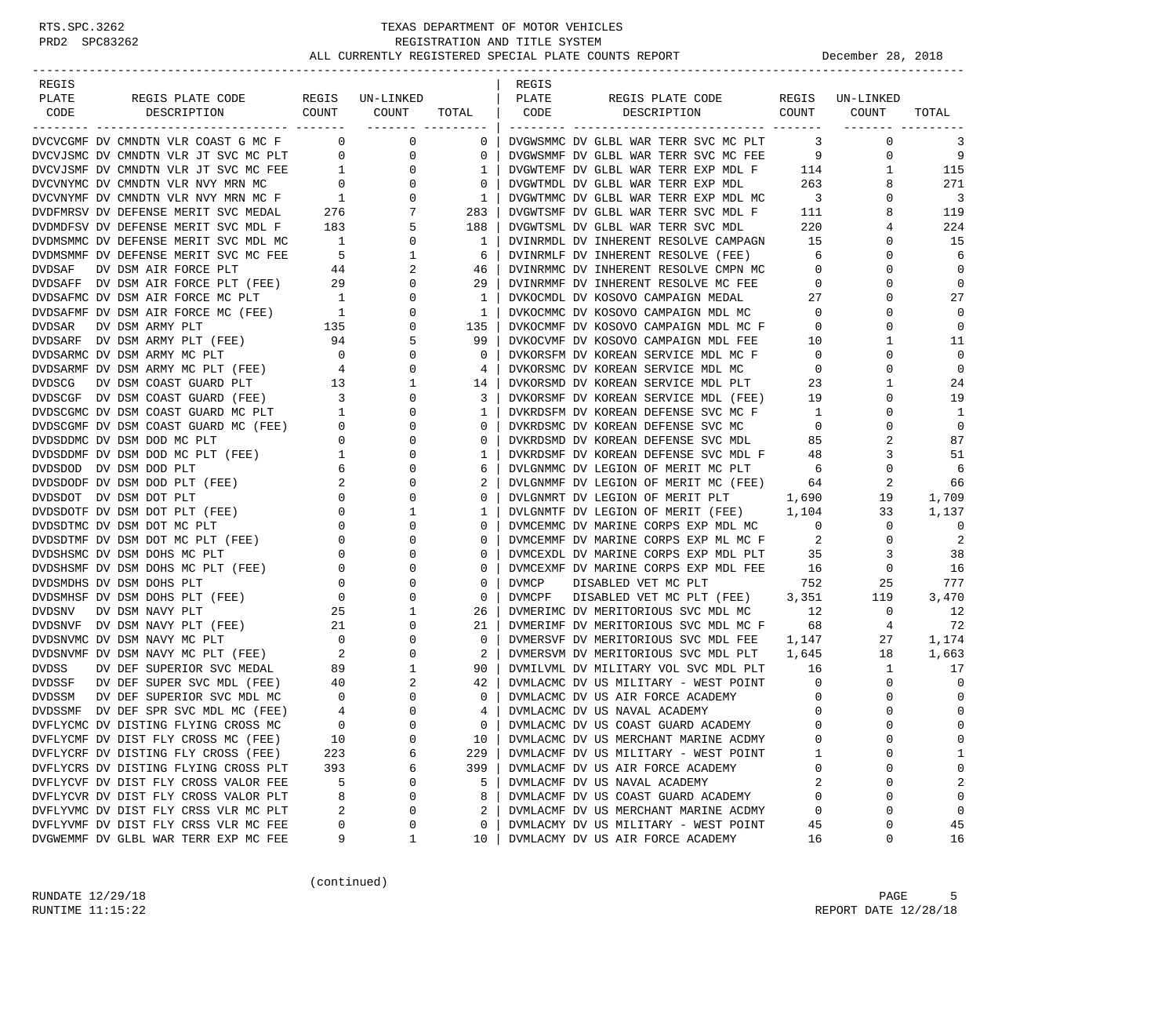| REGIS         |                                                                                                                                                                   |                                                                                |                                                   |                    | REGIS |                                                                                   |                          |                    |                         |
|---------------|-------------------------------------------------------------------------------------------------------------------------------------------------------------------|--------------------------------------------------------------------------------|---------------------------------------------------|--------------------|-------|-----------------------------------------------------------------------------------|--------------------------|--------------------|-------------------------|
| PLATE         | REGIS PLATE CODE                                                                                                                                                  |                                                                                | REGIS UN-LINKED                                   |                    | PLATE | REGIS PLATE CODE                                                                  | REGIS                    | UN-LINKED          |                         |
| CODE          | COUNT<br>DESCRIPTION                                                                                                                                              |                                                                                | COUNT                                             | TOTAL   CODE       |       | COUNT<br>DESCRIPTION                                                              |                          | COUNT              | TOTAL                   |
|               | ----------------<br>----------- -------                                                                                                                           |                                                                                |                                                   |                    |       |                                                                                   |                          |                    |                         |
|               | DVCVCGMF DV CMNDTN VLR COAST G MC F 0<br>DVCVCGMF DV CMNDTN VLR UCASI G PLT 0<br>DVCVJSMC DV CMNDTN VLR JT SVC MC PLT 0<br>DVCVJSMC DV CMNDTN VLR JT SVC MC FEE 1 |                                                                                | $\overline{0}$                                    | $\mathbf{0}$       |       | DVGWSMMC DV GLBL WAR TERR SVC MC PLT 3                                            |                          | $\mathbf 0$        | 3                       |
|               |                                                                                                                                                                   |                                                                                | $\overline{0}$                                    | $\mathbf{0}$       |       | DVGWSMMF DV GLBL WAR TERR SVC MC FEE                                              | 9                        | $\mathbf{0}$       | 9                       |
|               |                                                                                                                                                                   |                                                                                | $\overline{0}$                                    | $\mathbf{1}$       |       | DVGWTEMF DV GLBL WAR TERR EXP MDL F 114                                           |                          | 1                  | 115                     |
|               | DVCVNYMC DV CMNDTN VLR NVY MRN MC                                                                                                                                 | $\begin{array}{ccc} & & & 0 \\ \text{F} & & 1 \\ \text{L} & & 276 \end{array}$ | $\overline{0}$                                    | $\mathbf{0}$       |       | DVGWTMDL DV GLBL WAR TERR EXP MDL                                                 | 263                      | 8                  | 271                     |
|               | DVCVNYMF DV CMNDTN VLR NVY MRN MC F                                                                                                                               |                                                                                | $\mathbf{0}$                                      | $\mathbf{1}$       |       | DVGWTMMC DV GLBL WAR TERR EXP MDL MC                                              | $\overline{\mathbf{3}}$  | $\Omega$           | $\overline{\mathbf{3}}$ |
|               | DVDFMRSV DV DEFENSE MERIT SVC MEDAL                                                                                                                               |                                                                                | 7                                                 | 283                |       | DVGWTSMF DV GLBL WAR TERR SVC MDL F                                               | 111                      | 8                  | 119                     |
|               | DVDMDFSV DV DEFENSE MERIT SVC MDL F 183                                                                                                                           |                                                                                | 5                                                 | 188                |       | DVGWTSML DV GLBL WAR TERR SVC MDL                                                 | 220                      | 4                  | 224                     |
|               | DVDMSMMC DV DEFENSE MERIT SVC MDL MC                                                                                                                              | $\overline{1}$                                                                 | $\mathbf{0}$                                      | $\mathbf{1}$       |       | DVINRMDL DV INHERENT RESOLVE CAMPAGN                                              | 15                       | $\Omega$           | 15                      |
|               | DVDMSMMF DV DEFENSE MERIT SVC MC FEE 5<br>DVDSAF DV DSM AIR FORCE PLT 44<br>DVDSAFF DV DSM AIR FORCE PLT (FEE) 29                                                 |                                                                                | 1                                                 | 6                  |       | DVINRMLF DV INHERENT RESOLVE (FEE)                                                | 6                        | 0                  | 6                       |
|               |                                                                                                                                                                   |                                                                                | 2                                                 | 46                 |       | DVINRMMC DV INHERENT RESOLVE CMPN MC                                              | $\overline{0}$           | $\Omega$           | $\mathbf 0$             |
|               |                                                                                                                                                                   |                                                                                | 0                                                 | 29                 |       | DVINRMMF DV INHERENT RESOLVE MC FEE                                               | $\overline{0}$           | $\Omega$           | $\mathbf 0$             |
|               |                                                                                                                                                                   |                                                                                | 0                                                 | 1                  |       | DVKOCMDL DV KOSOVO CAMPAIGN MEDAL 27                                              |                          | 0                  | 27                      |
|               |                                                                                                                                                                   |                                                                                | $\mathbf 0$                                       | 1                  |       | DVKOCMMC DV KOSOVO CAMPAIGN MDL MC                                                | $\overline{0}$           | $\Omega$           | 0                       |
|               | DVDSAFMC DV DSM AIR FORCE MC PLT 1<br>DVDSAFMF DV DSM AIR FORCE MC (FEE) 1<br>DVDSAR DV DSM ARMY PLT 135<br>DVDSAR DV DSM ARMY PLT 135                            |                                                                                | 0                                                 | 135                |       | DVKOCMMF DV KOSOVO CAMPAIGN MDL MC F                                              | $\overline{0}$           | 0                  | $\mathbf 0$             |
|               | DVDSARF DV DSM ARMY PLT (FEE)                                                                                                                                     | 94                                                                             | 5                                                 | 99                 |       | DVKOCVMF DV KOSOVO CAMPAIGN MDL FEE                                               | 10                       | 1                  | 11                      |
|               | DVDSARMC DV DSM ARMY MC PLT                                                                                                                                       | $\overline{\phantom{0}}$                                                       | 0                                                 | $\circ$            |       | DVKORSFM DV KOREAN SERVICE MDL MC F                                               | $\overline{0}$           | $\Omega$           | $\mathbf 0$             |
|               | DVDSARMF DV DSM ARMY MC PLT (FEE)                                                                                                                                 |                                                                                | 0                                                 | 4                  |       | DVKORSMC DV KOREAN SERVICE MDL MC                                                 | $\overline{0}$           | 0                  | $\mathbf 0$             |
| <b>DVDSCG</b> | DV DSM COAST GUARD PLT                                                                                                                                            | $\begin{array}{c} 4 \\ 13 \end{array}$                                         | 1                                                 | 14                 |       | DVKORSMD DV KOREAN SERVICE MDL PLT                                                | 23                       | 1                  | 24                      |
|               | DVDSCGF DV DSM COAST GUARD (FEE) 3                                                                                                                                |                                                                                | 0                                                 | 3                  |       | DVKORSMF DV KOREAN SERVICE MDL (FEE)                                              | 19                       | 0                  | 19                      |
|               | DVDSCGMC DV DSM COAST GUARD MC PLT                                                                                                                                | $\overline{1}$                                                                 | $\mathbf 0$                                       | 1                  |       | DVKRDSFM DV KOREAN DEFENSE SVC MC F                                               | $\overline{1}$           | 0                  | 1                       |
|               | DVDSCGMF DV DSM COAST GUARD MC (FEE) 0                                                                                                                            |                                                                                | $\mathbf 0$                                       | $\circ$            |       | DVKRDSMC DV KOREAN DEFENSE SVC MC                                                 | $\circ$                  | 0                  | $\mathbf 0$             |
|               | DVDSDDMC DV DSM DOD MC PLT                                                                                                                                        |                                                                                | $\mathbf 0$                                       | $\circ$            |       |                                                                                   | 85                       | 2                  | 87                      |
|               | DVDSDDMF DV DSM DOD MC PLT (FEE)                                                                                                                                  | $\begin{array}{c} 0 \\ 1 \end{array}$                                          | $\mathbf 0$                                       | 1                  |       | DVKRDSMD DV KOREAN DEFENSE SVC MDL<br>DVKRDSMF DV KOREAN DEFENSE SVC MDL F        | 48                       | 3                  | 51                      |
|               | DVDSDOD DV DSM DOD PLT                                                                                                                                            | 6                                                                              | $\mathbf 0$                                       | 6                  |       | DVLGNMMC DV LEGION OF MERIT MC PLT 6                                              |                          | 0                  | 6                       |
|               | DVDSDODF DV DSM DOD PLT (FEE)                                                                                                                                     |                                                                                | 0                                                 | 2                  |       | DVLGNMMF DV LEGION OF MERIT MC (FEE)                                              | 64                       | 2                  | 66                      |
|               | DVDSDOT DV DSM DOT PLT                                                                                                                                            | $\begin{array}{c} 2 \\ 0 \end{array}$                                          | $\mathbf 0$                                       | 0                  |       | DVLGNMRT DV LEGION OF MERIT PLT 1,690                                             |                          | 19                 | 1,709                   |
|               | DVDSDOTF DV DSM DOT PLT (FEE)                                                                                                                                     |                                                                                | 1                                                 | 1                  |       | DVLGNMTF DV LEGION OF MERIT (FEE) 1,104                                           |                          | 33                 | 1,137                   |
|               | DVDSDTMC DV DSM DOT MC PLT                                                                                                                                        |                                                                                | $\frac{0}{2}$<br>$0 \qquad \qquad$<br>$\mathbf 0$ | 0                  |       | DVMCEMMC DV MARINE CORPS EXP MDL MC                                               | $\sim$ 0                 | $\mathbf{0}$       | $\overline{0}$          |
|               | DVDSDTMF DV DSM DOT MC PLT (FEE)                                                                                                                                  | $\overline{0}$                                                                 | $\mathbf 0$                                       | 0                  |       | DVMCEMMF DV MARINE CORPS EXP ML MC F                                              | 2                        | 0                  | 2                       |
|               | DVDSHSMC DV DSM DOHS MC PLT                                                                                                                                       | $\mathbf{0}$                                                                   | $\mathbf 0$                                       | 0                  |       | DVMCEXDL DV MARINE CORPS EXP MDL PLT                                              | 35                       | 3                  | 38                      |
|               | DVDSHSMF DV DSM DOHS MC PLT (FEE)                                                                                                                                 | $\mathbf{0}$                                                                   | $\mathbf 0$                                       | 0                  |       | DVMCEXMF DV MARINE CORPS EXP MDL FEE                                              | 16                       | $\mathbf{0}$       | 16                      |
|               | DVDSMDHS DV DSM DOHS PLT                                                                                                                                          |                                                                                | $\mathbf 0$                                       | 0                  | DVMCP | DISABLED VET MC PLT                                                               | 752                      | 25                 | 777                     |
|               | DVDSMHSF DV DSM DOHS PLT (FEE)                                                                                                                                    |                                                                                | $\mathbf 0$                                       | $\circ$            |       |                                                                                   |                          | 119                | 3,470                   |
| <b>DVDSNV</b> | DV DSM NAVY PLT                                                                                                                                                   | $\frac{1}{2}$<br>25                                                            | 1                                                 | 26                 |       | DVMCPF DISABLED VET MC PLT (FEE) $3,351$<br>DVMERIMC DV MERITORIOUS SVC MDL MC 12 |                          | $\mathbf{0}$       | 12                      |
|               | DVDSNVF DV DSM NAVY PLT (FEE)                                                                                                                                     | 21                                                                             | $\mathbf 0$                                       | 21                 |       | DVMERIMF DV MERITORIOUS SVC MDL MC F                                              | 68                       | 4                  | 72                      |
|               |                                                                                                                                                                   | $\overline{0}$                                                                 | $\mathbf 0$                                       | $\circ$            |       |                                                                                   |                          | 27                 |                         |
|               | DVDSNVMC DV DSM NAVY MC PLT                                                                                                                                       |                                                                                |                                                   |                    |       | DVMERSVF DV MERITORIOUS SVC MDL FEE 1,147                                         |                          |                    | 1,174                   |
|               | DVDSNVMF DV DSM NAVY MC PLT (FEE) 2<br>DVDSS DV DEF SUPERIOR SVC MEDAL 89                                                                                         |                                                                                | 0<br>$\mathbf{1}$                                 | 2                  |       | DVMERSVM DV MERITORIOUS SVC MDL PLT 1,645                                         |                          | 18<br>$\mathbf{1}$ | 1,663                   |
|               |                                                                                                                                                                   |                                                                                |                                                   | 90                 |       | DVMILVML DV MILITARY VOL SVC MDL PLT                                              | 16                       |                    | - 17<br>$\mathbf 0$     |
| DVDSSF        | DV DEF SUPER SVC MDL (FEE)                                                                                                                                        | 40<br>$\overline{0}$                                                           | 2<br>$\mathbf 0$                                  | 42<br>$\mathbf{0}$ |       | DVMLACMC DV US MILITARY - WEST POINT                                              | $\overline{0}$           | $\mathbf{0}$<br>0  | $\mathbf 0$             |
| DVDSSM        | DV DEF SUPERIOR SVC MDL MC                                                                                                                                        | $\overline{4}$                                                                 | $\mathbf 0$                                       |                    |       | DVMLACMC DV US AIR FORCE ACADEMY                                                  | $\overline{0}$           | $\Omega$           |                         |
|               | DVDSSMF DV DEF SPR SVC MDL MC (FEE)                                                                                                                               |                                                                                | $\Omega$                                          | 4                  |       | DVMLACMC DV US NAVAL ACADEMY                                                      | $\mathbf{0}$<br>$\Omega$ |                    | $\mathbf 0$             |
|               | DVFLYCMC DV DISTING FLYING CROSS MC                                                                                                                               | $\Omega$                                                                       |                                                   | $\Omega$           |       | DVMLACMC DV US COAST GUARD ACADEMY                                                |                          | $\Omega$           | $\Omega$                |
|               | DVFLYCMF DV DIST FLY CROSS MC (FEE)                                                                                                                               | 10                                                                             | 0                                                 | 10                 |       | DVMLACMC DV US MERCHANT MARINE ACDMY                                              | 0                        | 0                  | 0                       |
|               | DVFLYCRF DV DISTING FLY CROSS (FEE)                                                                                                                               | 223                                                                            | 6                                                 | 229                |       | DVMLACMF DV US MILITARY - WEST POINT                                              | 1                        | 0                  | 1                       |
|               | DVFLYCRS DV DISTING FLYING CROSS PLT                                                                                                                              | 393                                                                            | 6                                                 | 399                |       | DVMLACMF DV US AIR FORCE ACADEMY                                                  | 0                        | $\Omega$           | 0                       |
|               | DVFLYCVF DV DIST FLY CROSS VALOR FEE                                                                                                                              | 5                                                                              | 0                                                 | 5                  |       | DVMLACMF DV US NAVAL ACADEMY                                                      | 2                        | 0                  | 2                       |
|               | DVFLYCVR DV DIST FLY CROSS VALOR PLT                                                                                                                              | 8                                                                              | 0                                                 | 8                  |       | DVMLACMF DV US COAST GUARD ACADEMY                                                | 0                        | 0                  | $\mathbf 0$             |
|               | DVFLYVMC DV DIST FLY CRSS VLR MC PLT                                                                                                                              | 2                                                                              | $\mathsf 0$                                       | 2                  |       | DVMLACMF DV US MERCHANT MARINE ACDMY                                              | 0                        | 0                  | 0                       |
|               | DVFLYVMF DV DIST FLY CRSS VLR MC FEE                                                                                                                              | 0                                                                              | 0                                                 | $\mathbf{0}$       |       | DVMLACMY DV US MILITARY - WEST POINT                                              | 45                       | 0                  | 45                      |
|               | DVGWEMMF DV GLBL WAR TERR EXP MC FEE                                                                                                                              | 9                                                                              | 1                                                 | 10                 |       | DVMLACMY DV US AIR FORCE ACADEMY                                                  | 16                       | 0                  | 16                      |

(continued)

RUNDATE  $12/29/18$  PAGE 5 RUNTIME 11:15:22 REPORT DATE 12/28/18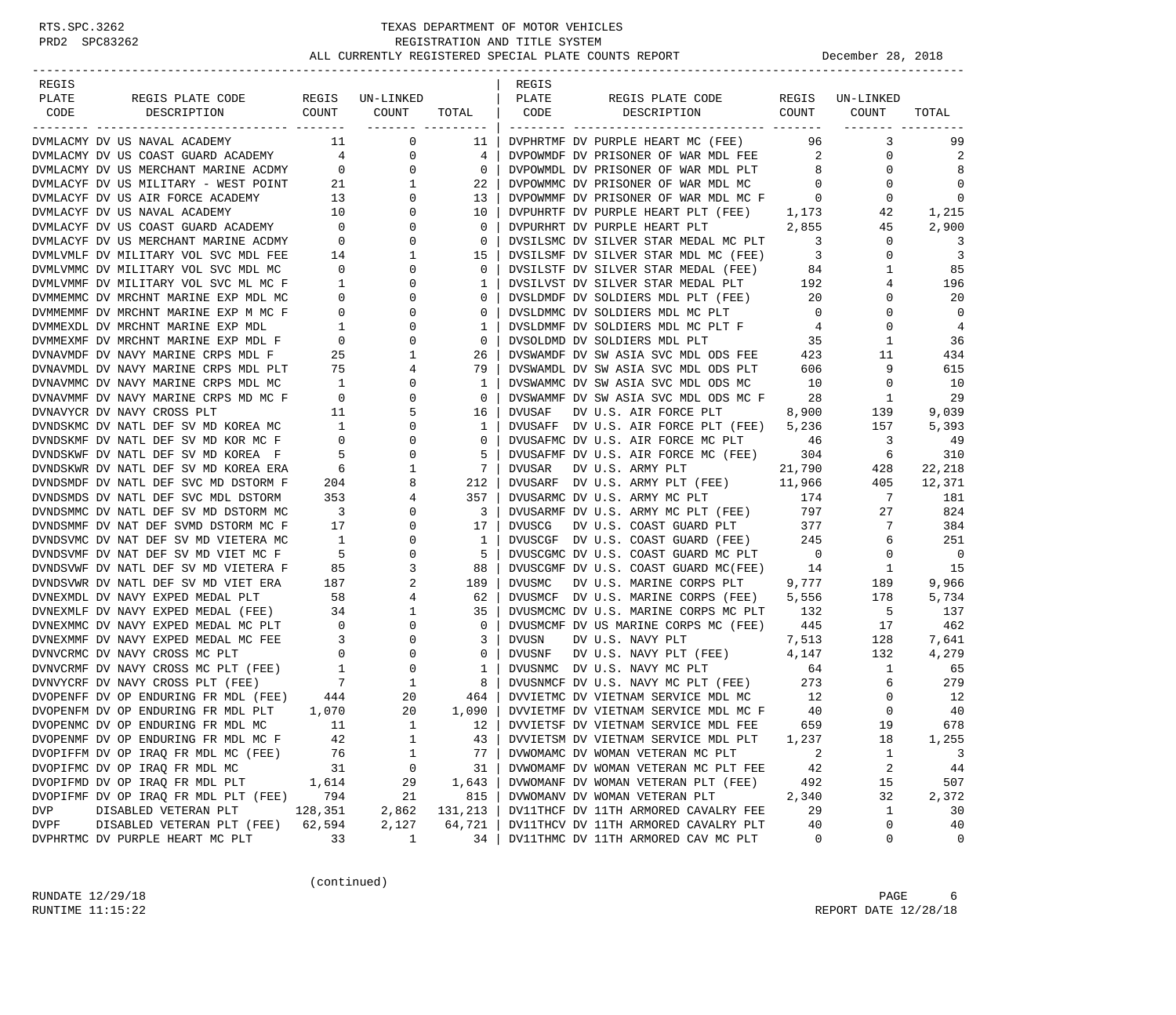| REGIS                                                                                                                                                                                                                                       |                                         |                                                         |                               | REGIS         |                                                                                  |                            |                 |             |
|---------------------------------------------------------------------------------------------------------------------------------------------------------------------------------------------------------------------------------------------|-----------------------------------------|---------------------------------------------------------|-------------------------------|---------------|----------------------------------------------------------------------------------|----------------------------|-----------------|-------------|
| PLATE<br>REGIS PLATE CODE                                                                                                                                                                                                                   |                                         | REGIS UN-LINKED                                         |                               | PLATE         | REGIS PLATE CODE                                                                 |                            | REGIS UN-LINKED |             |
| CODE<br>DESCRIPTION                                                                                                                                                                                                                         | COUNT                                   | COUNT                                                   | TOTAL                         | CODE          | COUNT<br>DESCRIPTION                                                             |                            | COUNT           | TOTAL       |
|                                                                                                                                                                                                                                             |                                         | ___________________                                     |                               |               |                                                                                  |                            |                 |             |
| DVMLACMY DV US NAVAL ACADEMY                                                                                                                                                                                                                |                                         | 0                                                       | -11                           |               | DVPHRTMF DV PURPLE HEART MC (FEE)                                                | 96 —                       | 3               | 99          |
|                                                                                                                                                                                                                                             |                                         | $\mathbf 0$                                             | 4                             |               | DVPOWMDF DV PRISONER OF WAR MDL FEE 2                                            |                            | 0               | 2           |
| DVMLACMY DV US COAST GUARD ACADEMY 4<br>DVMLACMY DV US MERCHANT MARINE ACDMY 0                                                                                                                                                              |                                         | $\overline{0}$                                          | $\overline{0}$                |               | DVPOWMDL DV PRISONER OF WAR MDL PLT                                              | 8 <sup>8</sup>             | $\mathbf 0$     | 8           |
| DVMLACYF DV US MILITARY - WEST POINT 21                                                                                                                                                                                                     |                                         | 1                                                       | 22                            |               | DVPOWMMC DV PRISONER OF WAR MDL MC 0                                             |                            | 0               | 0           |
| DVMLACYF DV US AIR FORCE ACADEMY                                                                                                                                                                                                            |                                         | $\overline{0}$                                          | 13                            |               | DVPOWMMF DV PRISONER OF WAR MDL MC F 0                                           |                            | 0               | $\mathbf 0$ |
| DVMLACYF DV US NAVAL ACADEMY                                                                                                                                                                                                                | $\begin{array}{c} 13 \\ 10 \end{array}$ | $\mathsf{O}$                                            | 10                            |               | DVPUHRTF DV PURPLE HEART PLT (FEE) 1,173                                         |                            | 42              | 1,215       |
|                                                                                                                                                                                                                                             |                                         | $\overline{0}$                                          | $\mathbf{0}$                  |               | DVPURHRT DV PURPLE HEART PLT                                                     | 2,855                      | 45              | 2,900       |
|                                                                                                                                                                                                                                             |                                         | $\mathsf{O}$                                            | $\overline{0}$                |               | DVSILSMC DV SILVER STAR MEDAL MC PLT                                             | $\overline{\mathbf{3}}$    | $\mathbf 0$     | 3           |
| DVMLACYF DV US COAST GUARD ACADEMY 0<br>DVMLACYF DV US MERCHANT MARINE ACDMY 0<br>DVMLVMLF DV MILITARY VOL SVC MDL FEE 14                                                                                                                   |                                         | $\mathbf{1}$                                            | 15                            |               | DVSILSMF DV SILVER STAR MDL MC (FEE)                                             | $\overline{\phantom{a}}$ 3 | $\mathbf 0$     | 3           |
| DVMLVMMC DV MILITARY VOL SVC MDL MC                                                                                                                                                                                                         | $\overline{0}$                          | $\overline{0}$                                          | $\mathbf{0}$                  |               |                                                                                  |                            | 1               | 85          |
| DVMLVMMF DV MILITARY VOL SVC ML MC F                                                                                                                                                                                                        | $\overline{1}$                          | $\mathbf 0$                                             | $\mathbf{1}$                  |               | DVSILSTF DV SILVER STAR MEDAL (FEE) 84<br>DVSILVST DV SILVER STAR MEDAL PLT 192  |                            | 4               | 196         |
| DVMMEMMC DV MRCHNT MARINE EXP MDL MC                                                                                                                                                                                                        |                                         | $\overline{0}$                                          | $\circ$                       |               | DVSLDMDF DV SOLDIERS MDL PLT (FEE) 20                                            |                            | 0               | 20          |
| DVMMEMMF DV MRCHNT MARINE EXP M MC F                                                                                                                                                                                                        |                                         | $\mathbf{0}$                                            | $\mathbf{0}$                  |               | DVSLDMMC DV SOLDIERS MDL MC PLT                                                  | $\overline{0}$             | $\mathbf 0$     | $\mathbf 0$ |
| DVMMEXDL DV MRCHNT MARINE EXP MDL                                                                                                                                                                                                           |                                         | $\begin{bmatrix} 0 \\ 0 \\ 0 \\ 1 \end{bmatrix}$<br>0   | $\mathbf{1}$                  |               | DVSLDMMF DV SOLDIERS MDL MC PLT F 4                                              |                            | $\mathbf 0$     | 4           |
| DVMMEXMF DV MRCHNT MARINE EXP MDL F                                                                                                                                                                                                         | $\overline{0}$                          | $\overline{0}$                                          | $\mathbf{0}$                  |               |                                                                                  | 35                         | 1               | 36          |
| DVNAVMDF DV NAVY MARINE CRPS MDL F                                                                                                                                                                                                          | 25                                      | $\mathbf{1}$                                            | 26                            |               | DVSOLDMD DV SOLDIERS MDL PLT<br>DVSWAMDF DV SW ASIA SVC MDL ODS FEE              | 423                        | 11              | 434         |
| DVNAVMDL DV NAVY MARINE CRPS MDL PLT                                                                                                                                                                                                        | 75                                      | 4                                                       | 79                            |               | DVSWAMDL DV SW ASIA SVC MDL ODS PLT                                              | 606                        | 9               | 615         |
| DVNAVMMC DV NAVY MARINE CRPS MDL MC                                                                                                                                                                                                         | $\overline{1}$                          | $\mathbf 0$                                             | 1                             |               | DVSWAMMC DV SW ASIA SVC MDL ODS MC                                               | 10                         | $\mathbf 0$     | 10          |
| DVNAVMMF DV NAVY MARINE CRPS MD MC F                                                                                                                                                                                                        | $\overline{\phantom{0}}$                | 0                                                       | $\mathbf{0}$                  |               | DVSWAMMF DV SW ASIA SVC MDL ODS MC F 28                                          |                            | 1               | 29          |
| DVNAVYCR DV NAVY CROSS PLT                                                                                                                                                                                                                  | 11                                      | 5                                                       | 16                            | DVUSAF        | DV U.S. AIR FORCE PLT                                                            | 8,900                      | 139             | 9,039       |
| DVNDSKMC DV NATL DEF SV MD KOREA MC                                                                                                                                                                                                         | 1                                       | $\mathbf 0$                                             | $\mathbf{1}$                  |               | DVUSAFF DV U.S. AIR FORCE PLT (FEE) 5,236                                        |                            | 157             | 5,393       |
| DVNDSKMF DV NATL DEF SV MD KOR MC F                                                                                                                                                                                                         | $\overline{0}$                          | 0                                                       | $\mathbf{0}$                  |               | DVUSAFMC DV U.S. AIR FORCE MC PLT 46                                             |                            | 3               | - 49        |
| DVNDSKWF DV NATL DEF SV MD KOREA F                                                                                                                                                                                                          | 5 <sup>5</sup>                          | $\mathbf{0}$                                            | 5                             |               | DVUSAFMF DV U.S. AIR FORCE MC (FEE)                                              | 304                        | 6               | 310         |
| DVNDSKWR DV NATL DEF SV MD KOREA ERA                                                                                                                                                                                                        | 6                                       | 1                                                       | $7\phantom{.0}$               | DVUSAR        | DV U.S. ARMY PLT                                                                 | 21,790                     | 428             | 22,218      |
| DVNDSMDF DV NATL DEF SVC MD DSTORM F                                                                                                                                                                                                        | 204                                     | 8                                                       | 212                           |               |                                                                                  |                            | 405             | 12,371      |
|                                                                                                                                                                                                                                             | 353                                     | $\overline{4}$                                          | 357                           |               | DVUSARF DV U.S. ARMY PLT (FEE) $11,966$                                          | 174                        | $7\overline{ }$ |             |
| DVNDSMDS DV NATL DEF SVC MDL DSTORM                                                                                                                                                                                                         |                                         |                                                         |                               |               | DVUSARMC DV U.S. ARMY MC PLT                                                     |                            |                 | 181         |
| DVNDSMMC DV NATL DEF SV MD DSTORM MC                                                                                                                                                                                                        | $\overline{\mathbf{3}}$<br>17           | $\overline{0}$<br>$\mathsf{O}$                          | $\overline{\mathbf{3}}$<br>17 |               | DVUSARMF DV U.S. ARMY MC PLT (FEE)                                               | 797                        | 27<br>7         | 824         |
| DVNDSMMF DV NAT DEF SVMD DSTORM MC F                                                                                                                                                                                                        |                                         |                                                         |                               | DVUSCG        | DV U.S. COAST GUARD PLT<br>DVUSCGF DV U.S. COAST GUARD (FEE) 245                 | 377                        |                 | 384         |
| DVNDSVMC DV NAT DEF SV MD VIETERA MC                                                                                                                                                                                                        | $\overline{1}$                          | 0                                                       | $\mathbf{1}$                  |               |                                                                                  |                            | 6               | 251         |
| DVNDSVMF DV NAT DEF SV MD VIET MC F                                                                                                                                                                                                         | 5 <sup>5</sup>                          | 0                                                       | 5                             |               | DVUSCGMC DV U.S. COAST GUARD MC PLT 0<br>NVUSCGMF DV U.S. COAST GUARD MC(FEE) 14 |                            | $\mathbf 0$     | 0           |
| DVNDSVWF DV NATL DEF SV MD VIETERA F                                                                                                                                                                                                        | 85                                      | $\overline{3}$                                          | 88                            |               |                                                                                  |                            | 1               | 15          |
| DVNDSVWR DV NATL DEF SV MD VIET ERA                                                                                                                                                                                                         | 187                                     | 2                                                       | 189                           | <b>DVUSMC</b> | DV U.S. MARINE CORPS PLT 9,777                                                   |                            | 189             | 9,966       |
| DVNEXMDL DV NAVY EXPED MEDAL PLT                                                                                                                                                                                                            | 58                                      | 4                                                       | 62                            |               | DVUSMCF DV U.S. MARINE CORPS (FEE)                                               | 5,556                      | 178             | 5,734       |
| DVNEXMLF DV NAVY EXPED MEDAL (FEE) 34                                                                                                                                                                                                       |                                         | $\mathbf{1}$                                            | 35                            |               | DVUSMCMC DV U.S. MARINE CORPS MC PLT 132                                         |                            | - 5             | 137         |
| DVNEXMMC DV NAVY EXPED MEDAL MC PLT                                                                                                                                                                                                         |                                         | $\begin{array}{c} 0 \\ 3 \end{array}$<br>$\overline{0}$ | $\overline{0}$                |               | DVUSMCMF DV US MARINE CORPS MC (FEE) 445                                         |                            | 17              | 462         |
| DVNEXMMF DV NAVY EXPED MEDAL MC FEE                                                                                                                                                                                                         |                                         | $\mathsf{O}$                                            | 3                             | DVUSN         | DV U.S. NAVY PLT                                                                 | 7,513                      | 128             | 7,641       |
| DVNEAPINE DV NAVY CROSS MC PLT<br>DVNVCRME DV NAVY CROSS MC PLT<br>DVNVCRE DV NAVY CROSS MC PLT (FEE) 1<br>0<br>DVNVCRE DV NAVY CROSS PLT (FEE) 7<br>1<br>DVOPENFE DV OP ENDURING FR MDL (FEE) 444 20<br>DVOPENFE DV OP ENDURING FR MDL PLT |                                         |                                                         | $\overline{0}$                | DVUSNF        | DV U.S. NAVY PLT (FEE) $4,147$                                                   |                            | 132             | 4,279       |
|                                                                                                                                                                                                                                             |                                         |                                                         | $\mathbf{1}$                  |               | DVUSNMC DV U.S. NAVY MC PLT                                                      | 64                         | $\mathbf{1}$    | 65          |
|                                                                                                                                                                                                                                             |                                         |                                                         | 8                             |               | DVUSNMCF DV U.S. NAVY MC PLT (FEE) 273                                           |                            | 6               | 279         |
|                                                                                                                                                                                                                                             |                                         |                                                         | 464                           |               | DVVIETMC DV VIETNAM SERVICE MDL MC 12                                            |                            | $\overline{0}$  | 12          |
| DVOPENFM DV OP ENDURING FR MDL PLT 1,070                                                                                                                                                                                                    |                                         | 20                                                      | 1,090                         |               | DVVIETMF DV VIETNAM SERVICE MDL MC F                                             | 40                         | $\mathbf 0$     | 40          |
| DVOPENMC DV OP ENDURING FR MDL MC                                                                                                                                                                                                           | 11                                      | $\mathbf{1}$                                            | 12                            |               | DVVIETSF DV VIETNAM SERVICE MDL FEE                                              | 659                        | 19              | 678         |
| DVOPENMF DV OP ENDURING FR MDL MC F                                                                                                                                                                                                         | 42                                      | 1                                                       | 43                            |               | DVVIETSM DV VIETNAM SERVICE MDL PLT                                              | 1,237                      | 18              | 1,255       |
| DVOPIFFM DV OP IRAQ FR MDL MC (FEE)                                                                                                                                                                                                         | 76                                      | 1                                                       | 77                            |               | DVWOMAMC DV WOMAN VETERAN MC PLT                                                 | 2                          | 1               | 3           |
| DVOPIFMC DV OP IRAQ FR MDL MC                                                                                                                                                                                                               | 31                                      | 0                                                       | 31                            |               | DVWOMAMF DV WOMAN VETERAN MC PLT FEE                                             | 42                         | 2               | $4\,4$      |
| DVOPIFMD DV OP IRAQ FR MDL PLT                                                                                                                                                                                                              | 1,614                                   | 29                                                      | 1,643                         |               | DVWOMANF DV WOMAN VETERAN PLT (FEE)                                              | 492                        | 15              | 507         |
| DVOPIFMF DV OP IRAQ FR MDL PLT (FEE)                                                                                                                                                                                                        | 794                                     | 21                                                      | 815                           |               | DVWOMANV DV WOMAN VETERAN PLT                                                    | 2,340                      | 32              | 2,372       |
| DISABLED VETERAN PLT<br><b>DVP</b>                                                                                                                                                                                                          | 128,351                                 | 2,862                                                   | 131,213                       |               | DV11THCF DV 11TH ARMORED CAVALRY FEE                                             | 29                         | 1               | 30          |
| DVPF<br>DISABLED VETERAN PLT (FEE)                                                                                                                                                                                                          | 62,594                                  | 2,127                                                   | 64,721                        |               | DV11THCV DV 11TH ARMORED CAVALRY PLT                                             | 40                         | 0               | 40          |
| DVPHRTMC DV PURPLE HEART MC PLT                                                                                                                                                                                                             | 33                                      | 1                                                       | 34                            |               | DV11THMC DV 11TH ARMORED CAV MC PLT                                              | 0                          | 0               | 0           |

(continued)

RUNDATE  $12/29/18$  PAGE 6 RUNTIME 11:15:22 REPORT DATE 12/28/18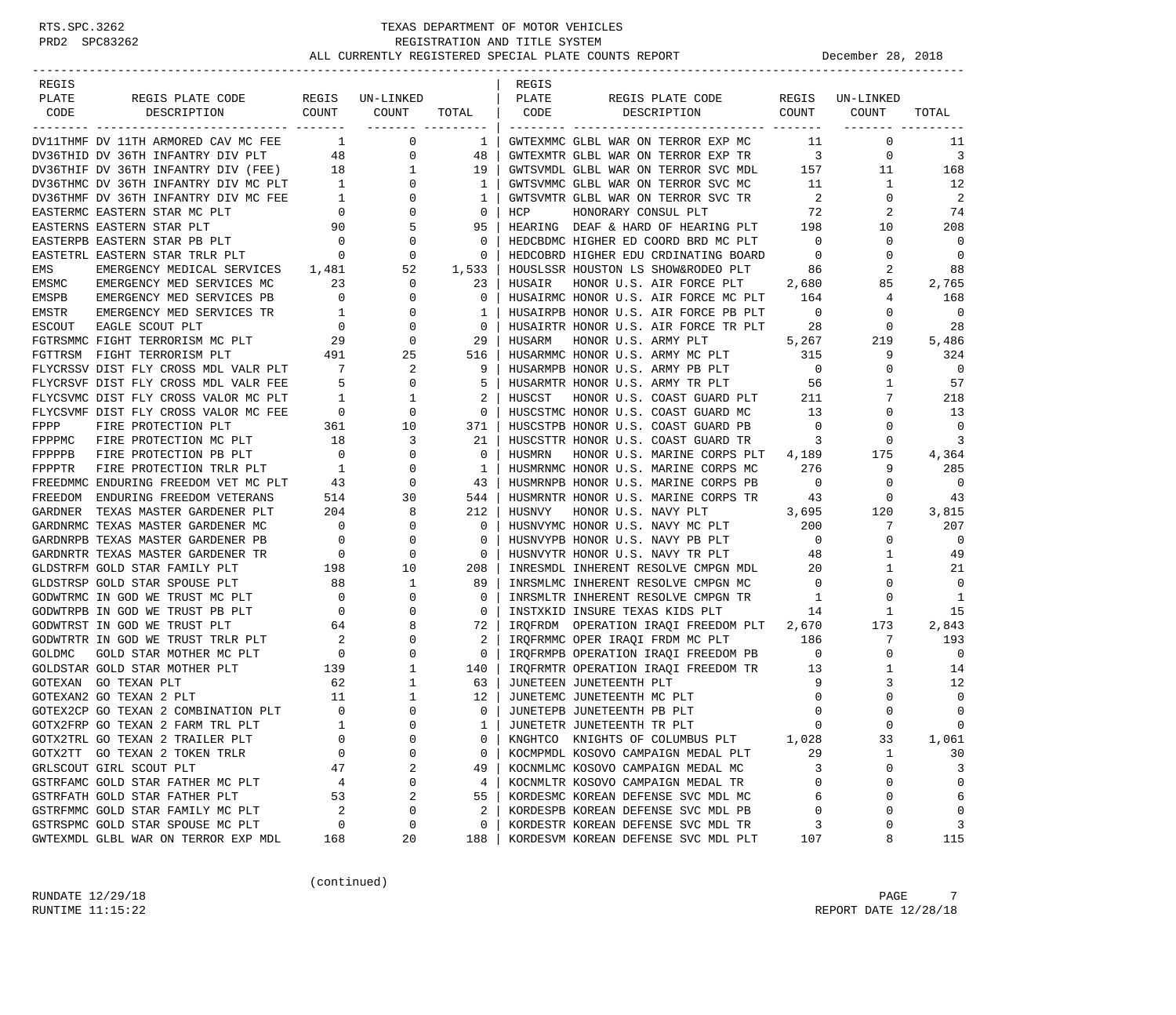| REGIS         |                                                                                                                        |                                                        |                            |              | REGIS  |                                           |                          |                 |             |
|---------------|------------------------------------------------------------------------------------------------------------------------|--------------------------------------------------------|----------------------------|--------------|--------|-------------------------------------------|--------------------------|-----------------|-------------|
| PLATE         | REGIS PLATE CODE                                                                                                       |                                                        | REGIS UN-LINKED            |              | PLATE  | REGIS PLATE CODE                          |                          | REGIS UN-LINKED |             |
| CODE          | COUNT<br>DESCRIPTION                                                                                                   |                                                        | COUNT<br>------- --------- | TOTAL        | CODE   | DESCRIPTION                               | COUNT                    | COUNT           | TOTAL       |
|               | DV11THMF DV 11TH ARMORED CAV MC FEE                                                                                    |                                                        | 0<br>$1 \quad \cdots$      | $\mathbf{1}$ |        | GWTEXMMC GLBL WAR ON TERROR EXP MC        | - 11                     | $\mathbf{0}$    | 11          |
|               | DV36THID DV 36TH INFANTRY DIV PLT                                                                                      | 48                                                     | 0                          | 48           |        | GWTEXMTR GLBL WAR ON TERROR EXP TR        | $\overline{\mathbf{3}}$  | $\mathbf 0$     | 3           |
|               | DV36THIF DV 36TH INFANTRY DIV (FEE) 18                                                                                 |                                                        | $\mathbf{1}$               | 19           |        | GWTSVMDL GLBL WAR ON TERROR SVC MDL       | 157                      | 11              | 168         |
|               | DV36THMC DV 36TH INFANTRY DIV MC PLT 1                                                                                 |                                                        | $\mathbf{0}$               | 1            |        | GWTSVMMC GLBL WAR ON TERROR SVC MC        | 11                       | 1               | - 12        |
|               | DV36THMF DV 36TH INFANTRY DIV MC FEE                                                                                   | $\frac{1}{2}$                                          | 0                          | 1            |        | GWTSVMTR GLBL WAR ON TERROR SVC TR        | $\overline{2}$           | 0               | 2           |
|               | EASTERMC EASTERN STAR MC PLT                                                                                           | $\overline{0}$                                         | 0                          | $\mathbf 0$  | HCP    | HONORARY CONSUL PLT                       | 72                       | 2               | 74          |
|               | EASTERNS EASTERN STAR PLT                                                                                              | 90                                                     | 5                          | 95           |        | HEARING DEAF & HARD OF HEARING PLT        | 198                      | 10              | 208         |
|               | EASTERPB EASTERN STAR PB PLT                                                                                           | $\overline{\phantom{0}}$                               | 0                          | 0            |        | HEDCBDMC HIGHER ED COORD BRD MC PLT       | $\overline{0}$           | $\mathbf 0$     | 0           |
|               | EASTETRL EASTERN STAR TRLR PLT                                                                                         | $\overline{a}$                                         | 0                          | $\Omega$     |        | HEDCOBRD HIGHER EDU CRDINATING BOARD      | $\overline{0}$           | 0               | 0           |
| EMS           | EMERGENCY MEDICAL SERVICES 1,481                                                                                       |                                                        | 52                         | 1,533        |        | HOUSLSSR HOUSTON LS SHOW&RODEO PLT        | 86                       | 2               | 88          |
| EMSMC         | EMERGENCY MED SERVICES MC                                                                                              | 23                                                     | $\mathbf{0}$               | 23           | HUSAIR | HONOR U.S. AIR FORCE PLT                  | 2,680                    | 85              | 2,765       |
| EMSPB         | EMERGENCY MED SERVICES PB                                                                                              | $\overline{0}$                                         | 0                          | $\mathbf{0}$ |        | HUSAIRMC HONOR U.S. AIR FORCE MC PLT      | 164                      | 4               | 168         |
| EMSTR         | EMERGENCY MED SERVICES TR                                                                                              | $\overline{1}$                                         | $\mathbf 0$                | 1            |        | HUSAIRPB HONOR U.S. AIR FORCE PB PLT      | $\overline{0}$           | 0               | 0           |
| ESCOUT        | EAGLE SCOUT PLT                                                                                                        | $\overline{0}$                                         | $\mathbf 0$                | $\mathbf 0$  |        | HUSAIRTR HONOR U.S. AIR FORCE TR PLT      | -28                      | 0               | 28          |
|               | FGTRSMMC FIGHT TERRORISM MC PLT                                                                                        | $\frac{29}{101}$                                       | $\mathbf{0}$               | 29           | HUSARM | HONOR U.S. ARMY PLT                       | 5,267                    | 219             | 5,486       |
|               | FGTTRSM FIGHT TERRORISM PLT                                                                                            | 491                                                    | 25                         | 516          |        | HUSARMMC HONOR U.S. ARMY MC PLT           | 315                      | 9               | 324         |
|               | FLYCRSSV DIST FLY CROSS MDL VALR PLT                                                                                   | $\overline{7}$                                         | 2                          | 9            |        | HUSARMPB HONOR U.S. ARMY PB PLT           | $\overline{0}$           | 0               | 0           |
|               | FLYCRSVF DIST FLY CROSS MDL VALR FEE                                                                                   | $5^{\circ}$                                            | $\mathbf{0}$               | 5            |        | HUSARMTR HONOR U.S. ARMY TR PLT           | 56                       | 1               | 57          |
|               | FLYCSVMC DIST FLY CROSS VALOR MC PLT                                                                                   | $\overline{\phantom{a}}$                               | 1                          | 2            | HUSCST | HONOR U.S. COAST GUARD PLT                | 211                      | 7               | 218         |
|               | FLYCSVMF DIST FLY CROSS VALOR MC FEE                                                                                   |                                                        | $\mathbf{0}$               | $\mathbf{0}$ |        | HUSCSTMC HONOR U.S. COAST GUARD MC        | 13                       | 0               | 13          |
| FPPP          | FIRE PROTECTION PLT                                                                                                    | $\begin{tabular}{cc} \bf FEE & 0 \\ 361 \end{tabular}$ | 10                         | 371          |        | HUSCSTPB HONOR U.S. COAST GUARD PB        | $\overline{0}$           | 0               | 0           |
| FPPPMC        | FIRE PROTECTION MC PLT                                                                                                 | 18                                                     | 3                          | 21           |        | HUSCSTTR HONOR U.S. COAST GUARD TR        | $\overline{\phantom{a}}$ | 0               | 3           |
| FPPPPB        | FIRE PROTECTION PB PLT                                                                                                 | $\overline{0}$                                         | 0                          | 0            | HUSMRN | HONOR U.S. MARINE CORPS PLT 4,189         |                          | 175             | 4,364       |
| FPPPTR        | FIRE PROTECTION TRLR PLT 1                                                                                             |                                                        | $\mathbf 0$                | 1            |        | HUSMRNMC HONOR U.S. MARINE CORPS MC       | 276                      | 9               | 285         |
|               |                                                                                                                        |                                                        | 0                          | 43           |        | HUSMRNPB HONOR U.S. MARINE CORPS PB       | $\overline{0}$           | 0               | 0           |
|               | FREEDMMC ENDURING FREEDOM VET MC PLT 43<br>FREEDMMC ENDIRTNG FREEDOM VETERANS 514<br>FREEDOM ENDURING FREEDOM VETERANS |                                                        | 30                         | 544          |        | HUSMRNTR HONOR U.S. MARINE CORPS TR       | 43                       | $\circ$         | 43          |
|               | GARDNER TEXAS MASTER GARDENER PLT                                                                                      | 204                                                    | 8                          | 212          | HUSNVY | HONOR U.S. NAVY PLT                       | 3,695                    | 120             | 3,815       |
|               | GARDNRMC TEXAS MASTER GARDENER MC                                                                                      | $\overline{0}$                                         | $\mathbf 0$                | 0            |        | HUSNVYMC HONOR U.S. NAVY MC PLT           | 200                      | 7               | 207         |
|               | GARDNRPB TEXAS MASTER GARDENER PB                                                                                      | $\overline{\phantom{0}}$                               | 0                          | $\Omega$     |        | HUSNVYPB HONOR U.S. NAVY PB PLT           | $\overline{0}$           | $\mathbf 0$     | 0           |
|               | GARDNRTR TEXAS MASTER GARDENER TR                                                                                      |                                                        | 0                          | 0            |        | HUSNVYTR HONOR U.S. NAVY TR PLT           | 48                       | 1               | 49          |
|               | GLDSTRFM GOLD STAR FAMILY PLT                                                                                          | $\begin{array}{c}0\\198\end{array}$                    | 10                         | 208          |        | INRESMDL INHERENT RESOLVE CMPGN MDL       | 20                       | 1               | 21          |
|               | GLDSTRSP GOLD STAR SPOUSE PLT                                                                                          | 88                                                     | 1                          | 89           |        | INRSMLMC INHERENT RESOLVE CMPGN MC        | $\overline{0}$           | 0               | 0           |
|               | GODWTRMC IN GOD WE TRUST MC PLT                                                                                        | $\overline{0}$                                         | $\mathbf 0$                | 0            |        | INRSMLTR INHERENT RESOLVE CMPGN TR        | $\mathbf{1}$             | 0               | 1           |
|               | GODWTRPB IN GOD WE TRUST PB PLT                                                                                        | $\overline{\phantom{0}}$                               | $\Omega$                   | $\Omega$     |        | INSTXKID INSURE TEXAS KIDS PLT            | 14                       | 1               | 15          |
|               | GODWTRST IN GOD WE TRUST PLT                                                                                           | 64                                                     | 8                          | 72           |        | IRQFRDM OPERATION IRAQI FREEDOM PLT 2,670 |                          | 173             | 2,843       |
|               | GODWTRTR IN GOD WE TRUST TRLR PLT                                                                                      | $\overline{\phantom{a}}$                               | 0                          | 2            |        | IRQFRMMC OPER IRAQI FRDM MC PLT           | 186                      | 7               | 193         |
| <b>GOLDMC</b> | GOLD STAR MOTHER MC PLT                                                                                                | $\overline{0}$                                         | 0                          | 0            |        | IRQFRMPB OPERATION IRAQI FREEDOM PB 0     |                          | $\mathbf 0$     | 0           |
|               | GOLDSTAR GOLD STAR MOTHER PLT                                                                                          | 139                                                    | 1                          | 140          |        | IRQFRMTR OPERATION IRAQI FREEDOM TR 13    |                          | 1               | 14          |
|               | GOTEXAN GO TEXAN PLT                                                                                                   | 62                                                     | 1                          | 63           |        | JUNETEEN JUNETEENTH PLT                   | - 9                      | 3               | 12          |
|               | GOTEXAN2 GO TEXAN 2 PLT                                                                                                | 11                                                     | 1                          | 12           |        | JUNETEMC JUNETEENTH MC PLT                | $\mathbf 0$              | 0               | $\mathbf 0$ |
|               | GOTEX2CP GO TEXAN 2 COMBINATION PLT                                                                                    | $\overline{0}$                                         | $\mathbf 0$                | 0            |        | JUNETEPB JUNETEENTH PB PLT                | $\mathbf 0$              | $\Omega$        | $\mathbf 0$ |
|               | GOTX2FRP GO TEXAN 2 FARM TRL PLT                                                                                       | <sup>1</sup>                                           | $\Omega$                   | $1 \vert$    |        | JUNETETR JUNETEENTH TR PLT                | $\Omega$                 | $\cap$          | $\Omega$    |
|               | GOTX2TRL GO TEXAN 2 TRAILER PLT                                                                                        | $\mathbf 0$                                            | 0                          | 0            |        | KNGHTCO KNIGHTS OF COLUMBUS PLT           | 1,028                    | 33              | 1,061       |
|               | GOTX2TT GO TEXAN 2 TOKEN TRLR                                                                                          | 0                                                      | 0                          | 0            |        | KOCMPMDL KOSOVO CAMPAIGN MEDAL PLT        | 29                       | 1               | 30          |
|               | GRLSCOUT GIRL SCOUT PLT                                                                                                | 47                                                     | 2                          | 49           |        | KOCNMLMC KOSOVO CAMPAIGN MEDAL MC         | 3                        | 0               | 3           |
|               | GSTRFAMC GOLD STAR FATHER MC PLT                                                                                       | 4                                                      | 0                          | 4            |        | KOCNMLTR KOSOVO CAMPAIGN MEDAL TR         | 0                        | 0               | $\mathbf 0$ |
|               | GSTRFATH GOLD STAR FATHER PLT                                                                                          | 53                                                     | 2                          | 55           |        | KORDESMC KOREAN DEFENSE SVC MDL MC        | 6                        | 0               | 6           |
|               | GSTRFMMC GOLD STAR FAMILY MC PLT                                                                                       | $\overline{c}$                                         | 0                          | 2            |        | KORDESPB KOREAN DEFENSE SVC MDL PB        | $\mathbf 0$              | $\Omega$        | $\Omega$    |
|               | GSTRSPMC GOLD STAR SPOUSE MC PLT                                                                                       | 0                                                      | 0                          | 0            |        | KORDESTR KOREAN DEFENSE SVC MDL TR        | 3                        | 0               | 3           |
|               | GWTEXMDL GLBL WAR ON TERROR EXP MDL                                                                                    | 168                                                    | 20                         | 188          |        | KORDESVM KOREAN DEFENSE SVC MDL PLT       | 107                      | 8               | 115         |
|               |                                                                                                                        |                                                        |                            |              |        |                                           |                          |                 |             |

(continued)

RUNDATE  $12/29/18$  PAGE 7 RUNTIME 11:15:22 REPORT DATE 12/28/18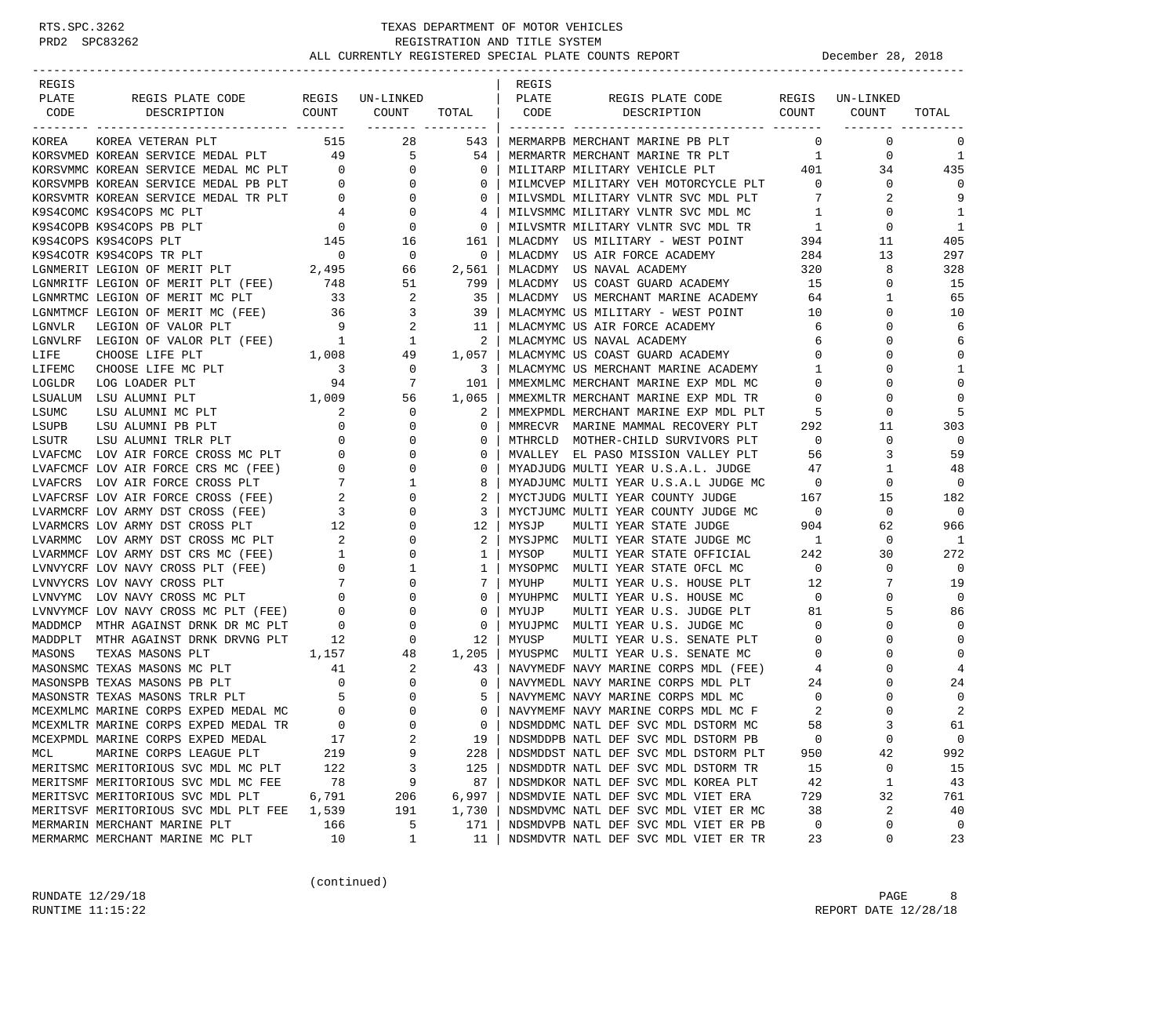| REGIS  |                                                                                    |                                            |                                                                                                 |                              | REGIS |                                                                                        |                          |                  |                   |
|--------|------------------------------------------------------------------------------------|--------------------------------------------|-------------------------------------------------------------------------------------------------|------------------------------|-------|----------------------------------------------------------------------------------------|--------------------------|------------------|-------------------|
| PLATE  | REGIS PLATE CODE<br>COUNT                                                          |                                            | REGIS UN-LINKED                                                                                 |                              | PLATE | REGIS PLATE CODE<br>COUNT                                                              |                          | REGIS UN-LINKED  | TOTAL             |
| CODE   | DESCRIPTION                                                                        |                                            | COUNT                                                                                           | TOTAL  <br>------- --------- | CODE  | DESCRIPTION                                                                            |                          | COUNT            |                   |
| KOREA  | KOREA VETERAN PLT                                                                  | 515                                        | 28                                                                                              | 543                          |       | MERMARPB MERCHANT MARINE PB PLT                                                        | $\overline{0}$           | $\mathbf 0$      | 0                 |
|        | KORSVMED KOREAN SERVICE MEDAL PLT 49 5                                             |                                            |                                                                                                 | 54                           |       | MERMARTR MERCHANT MARINE TR PLT                                                        | $\overline{1}$           | 0                | 1                 |
|        | KORSVMMC KOREAN SERVICE MEDAL MC PLT                                               | $\overline{0}$                             | $\mathbf{0}$                                                                                    | $\mathbf{0}$                 |       | MILITARP MILITARY VEHICLE PLT                                                          | 401                      | 34               | 435               |
|        | KORSVMPB KOREAN SERVICE MEDAL PB PLT                                               | $\overline{0}$                             | $\overline{0}$                                                                                  | 0                            |       | MILMCVEP MILITARY VEH MOTORCYCLE PLT                                                   | $\overline{0}$           | $\mathbf{0}$     | $\Omega$          |
|        | KORSVMTR KOREAN SERVICE MEDAL TR PLT                                               | $\begin{array}{c} 0 \\ 4 \end{array}$      | $\overline{0}$                                                                                  | 0                            |       | MILVSMDL MILITARY VLNTR SVC MDL PLT                                                    | 7                        | 2                | 9                 |
|        | K9S4COMC K9S4COPS MC PLT                                                           |                                            | $\overline{0}$                                                                                  | 4                            |       | MILVSMMC MILITARY VLNTR SVC MDL MC                                                     | $\overline{1}$           | $\mathbf 0$      | 1                 |
|        | K9S4COPB K9S4COPS PB PLT                                                           | $\overline{0}$                             | $\begin{array}{c} 0 \\ 16 \end{array}$                                                          | $\mathbf 0$                  |       | MILVSMTR MILITARY VLNTR SVC MDL TR                                                     | $\overline{1}$           | $\mathbf{0}$     | 1                 |
|        | K9S4COPS K9S4COPS PLT                                                              | 145                                        |                                                                                                 | 161                          |       | MLACDMY US MILITARY - WEST POINT                                                       | 394                      | 11               | 405               |
|        | K9S4COTR K9S4COPS TR PLT                                                           | $\overline{\phantom{0}}$                   | $\overline{\phantom{0}}$                                                                        | 0                            |       | MLACDMY US AIR FORCE ACADEMY                                                           | 284                      | 13               | 297               |
|        | LGNMERIT LEGION OF MERIT PLT (FEE) 2,495<br>LGNMRITF LEGION OF MERIT PLT (FEE) 748 |                                            | 66                                                                                              | 2,561                        |       | MLACDMY US NAVAL ACADEMY<br>MLACDMY US NAVAL ACADEMY<br>MLACDMY US COAST GUARD ACADEMY | 320                      | 8                | 328               |
|        |                                                                                    |                                            | 51                                                                                              | 799                          |       |                                                                                        | 15                       | $\mathbf 0$      | 15                |
|        | LGNMRTMC LEGION OF MERIT MC PLT                                                    | 33                                         | 2                                                                                               | 35                           |       | MLACDMY US MERCHANT MARINE ACADEMY                                                     | 64                       | 1                | 65                |
|        | LGNMTMCF LEGION OF MERIT MC (FEE)                                                  |                                            | $\begin{array}{cccc} & 36 & & & 3 \\ & 9 & & & 2 \\ & 1 & & 1 \\ 1\,, 008 & & & 49 \end{array}$ | 39                           |       | MLACMYMC US MILITARY - WEST POINT                                                      | 10                       | 0                | 10                |
| LGNVLR | LEGION OF VALOR PLT                                                                |                                            |                                                                                                 | 11                           |       | MLACMYMC US AIR FORCE ACADEMY                                                          | 6                        | 0                | 6                 |
|        | LGNVLRF LEGION OF VALOR PLT (FEE) 1<br>LIFE CHOOSE LIFE PLT 1,008                  |                                            |                                                                                                 | 2                            |       | MLACMYMC US NAVAL ACADEMY<br>MLACMYMC US COAST GUARD ACADEMY 0                         | -6                       | 0                | 6                 |
|        |                                                                                    |                                            |                                                                                                 | 1,057                        |       |                                                                                        |                          | $\Omega$         | $\mathbf 0$       |
| LIFEMC | CHOOSE LIFE MC PLT                                                                 | $\overline{\mathbf{3}}$                    | $\overline{0}$                                                                                  | 3                            |       | MLACMYMC US MERCHANT MARINE ACADEMY 1                                                  |                          | 0                | 1                 |
| LOGLDR | LOG LOADER PLT                                                                     | 94                                         | 7                                                                                               | 101                          |       | MMEXMLMC MERCHANT MARINE EXP MDL MC                                                    | $\mathbf{0}$             | $\Omega$         | $\mathbf{0}$      |
|        | 1,009<br>LSUALUM LSU ALUMNI PLT                                                    |                                            | 56                                                                                              | 1,065                        |       | MMEXMLTR MERCHANT MARINE EXP MDL TR                                                    | $\overline{0}$           | 0                | $\Omega$          |
| LSUMC  | LSU ALUMNI MC PLT                                                                  | $\overline{\phantom{a}}^2$                 | 0                                                                                               | 2                            |       | MMEXPMDL MERCHANT MARINE EXP MDL PLT                                                   | - 5                      | 0                | 5                 |
| LSUPB  | LSU ALUMNI PB PLT                                                                  |                                            | $\mathbf 0$                                                                                     | 0                            |       | MMRECVR MARINE MAMMAL RECOVERY PLT                                                     | 292                      | 11               | 303               |
| LSUTR  | LSU ALUMNI TRLR PLT<br>LVAFCMC LOV AIR FORCE CROSS MC PLT                          |                                            | $\mathbf 0$<br>$\mathbf 0$                                                                      | 0<br>0                       |       | MTHRCLD MOTHER-CHILD SURVIVORS PLT<br>MVALLEY EL PASO MISSION VALLEY PLT               | $\overline{0}$<br>56     | $\mathbf 0$<br>3 | $\mathbf 0$<br>59 |
|        | LVAFCMCF LOV AIR FORCE CRS MC (FEE)                                                |                                            | $\overline{0}$                                                                                  | 0                            |       |                                                                                        | 47                       | 1                | 48                |
|        | LVAFCRS LOV AIR FORCE CROSS PLT                                                    |                                            | 1                                                                                               | 8                            |       | MYADJUDG MULTI IBAR U.S.A.L JUDGE MC<br>MYADJUMC MULTI YEAR U.S.A.L JUDGE MC           | $\overline{\phantom{0}}$ | 0                | 0                 |
|        | LVAFCRSF LOV AIR FORCE CROSS (FEE)                                                 |                                            | $\mathbf 0$                                                                                     | 2                            |       | MYCTJUDG MULTI YEAR COUNTY JUDGE                                                       | 167                      | 15               | 182               |
|        | LVARMCRF LOV ARMY DST CROSS (FEE)                                                  |                                            | $\circ$                                                                                         | 3                            |       | MYCTJUMC MULTI YEAR COUNTY JUDGE MC                                                    | $\overline{0}$           | $\mathbf 0$      | $\mathbf 0$       |
|        | LVARMCRS LOV ARMY DST CROSS PLT                                                    |                                            | $\mathbf 0$                                                                                     | 12                           | MYSJP | MULTI YEAR STATE JUDGE                                                                 | 904                      | 62               | 966               |
|        | LVARMMC LOV ARMY DST CROSS MC PLT                                                  |                                            | 0                                                                                               | 2                            |       | MYSJPMC MULTI YEAR STATE JUDGE MC                                                      | $\overline{\phantom{1}}$ | $\mathbf 0$      | -1                |
|        | LVARMMCF LOV ARMY DST CRS MC (FEE)                                                 |                                            | $\begin{array}{c}\n2 \\ 1 \\ 0\n\end{array}$<br>0                                               | 1                            | MYSOP | MULTI YEAR STATE OFFICIAL                                                              | 242                      | 30               | 272               |
|        | LVNVYCRF LOV NAVY CROSS PLT (FEE)                                                  |                                            | 1                                                                                               | 1                            |       | MYSOPMC MULTI YEAR STATE OFCL MC                                                       | $\overline{0}$           | 0                | $\mathbf{0}$      |
|        | LVNVYCRS LOV NAVY CROSS PLT                                                        | $\begin{array}{c} 0 \\ 7 \\ 0 \end{array}$ | $\mathbf 0$                                                                                     | 7                            | MYUHP | MULTI YEAR U.S. HOUSE PLT                                                              | 12                       | 7                | 19                |
|        | LVNVYMC LOV NAVY CROSS MC PLT                                                      |                                            | $\mathbf 0$                                                                                     | 0                            |       | MYUHPMC MULTI YEAR U.S. HOUSE MC                                                       | $\overline{0}$           | 0                | $\mathbf 0$       |
|        | LVNVYMCF LOV NAVY CROSS MC PLT (FEE) 0                                             |                                            | 0                                                                                               | $\mathbf 0$                  | MYUJP | MULTI YEAR U.S. JUDGE PLT                                                              | 81                       | 5                | 86                |
|        | MADDMCP MTHR AGAINST DRNK DR MC PLT                                                | $\overline{0}$                             | 0                                                                                               | 0                            |       | MYUJPMC MULTI YEAR U.S. JUDGE MC                                                       | $\circ$                  | 0                | $\Omega$          |
|        | MADDPLT MTHR AGAINST DRNK DRVNG PLT                                                | 12                                         | $\overline{0}$                                                                                  | 12                           | MYUSP | MULTI YEAR U.S. SENATE PLT                                                             | $\overline{0}$           | $\mathbf 0$      | $\mathbf{0}$      |
| MASONS | TEXAS MASONS PLT<br>1,157                                                          |                                            | 48                                                                                              | 1,205                        |       | MYUSPMC MULTI YEAR U.S. SENATE MC                                                      | $\circ$                  | 0                | $\mathbf 0$       |
|        | MASONSMC TEXAS MASONS MC PLT                                                       | 41                                         | 2                                                                                               | 43                           |       | NAVYMEDF NAVY MARINE CORPS MDL (FEE)                                                   | 4                        | 0                | $\overline{4}$    |
|        | MASONSPB TEXAS MASONS PB PLT                                                       | $\overline{0}$                             | 0                                                                                               | $\mathbf 0$                  |       | NAVYMEDL NAVY MARINE CORPS MDL PLT                                                     | 24                       | $\Omega$         | 24                |
|        | MASONSTR TEXAS MASONS TRLR PLT                                                     | $5^{\circ}$                                | 0                                                                                               | 5                            |       | NAVYMEMC NAVY MARINE CORPS MDL MC                                                      | $\overline{0}$           | 0                | $\mathbf 0$       |
|        | MCEXMLMC MARINE CORPS EXPED MEDAL MC                                               | $\overline{0}$                             | $\mathbf 0$                                                                                     | $\Omega$                     |       | NAVYMEMF NAVY MARINE CORPS MDL MC F                                                    | 2                        | $\Omega$         | 2                 |
|        | MCEXMLTR MARINE CORPS EXPED MEDAL TR                                               | $\Omega$                                   | $\Omega$                                                                                        | $\Omega$                     |       | NDSMDDMC NATL DEF SVC MDL DSTORM MC                                                    | 58                       |                  | 61                |
|        | MCEXPMDL MARINE CORPS EXPED MEDAL                                                  | 17                                         | 2                                                                                               | 19                           |       | NDSMDDPB NATL DEF SVC MDL DSTORM PB                                                    | 0                        | 0                | $\mathbf 0$       |
| MCL    | MARINE CORPS LEAGUE PLT                                                            | 219                                        | 9                                                                                               | 228                          |       | NDSMDDST NATL DEF SVC MDL DSTORM PLT                                                   | 950                      | 42               | 992               |
|        | MERITSMC MERITORIOUS SVC MDL MC PLT                                                | 122                                        | 3                                                                                               | 125                          |       | NDSMDDTR NATL DEF SVC MDL DSTORM TR                                                    | 15                       | 0                | 15                |
|        | MERITSMF MERITORIOUS SVC MDL MC FEE                                                | 78                                         | 9                                                                                               | 87                           |       | NDSMDKOR NATL DEF SVC MDL KOREA PLT                                                    | 42                       | 1                | 43                |
|        | MERITSVC MERITORIOUS SVC MDL PLT                                                   | 6,791                                      | 206                                                                                             | 6,997                        |       | NDSMDVIE NATL DEF SVC MDL VIET ERA                                                     | 729                      | 32               | 761               |
|        | MERITSVF MERITORIOUS SVC MDL PLT FEE                                               | 1,539                                      | 191                                                                                             | 1,730                        |       | NDSMDVMC NATL DEF SVC MDL VIET ER MC                                                   | 38                       | 2                | 40                |
|        | MERMARIN MERCHANT MARINE PLT                                                       | 166                                        | 5                                                                                               | 171                          |       | NDSMDVPB NATL DEF SVC MDL VIET ER PB                                                   | 0                        | 0                | 0                 |
|        | MERMARMC MERCHANT MARINE MC PLT                                                    | 10                                         | $\mathbf{1}$                                                                                    | 11                           |       | NDSMDVTR NATL DEF SVC MDL VIET ER TR                                                   | 23                       | 0                | 23                |

(continued)

RUNDATE  $12/29/18$  PAGE 8 RUNTIME 11:15:22 REPORT DATE 12/28/18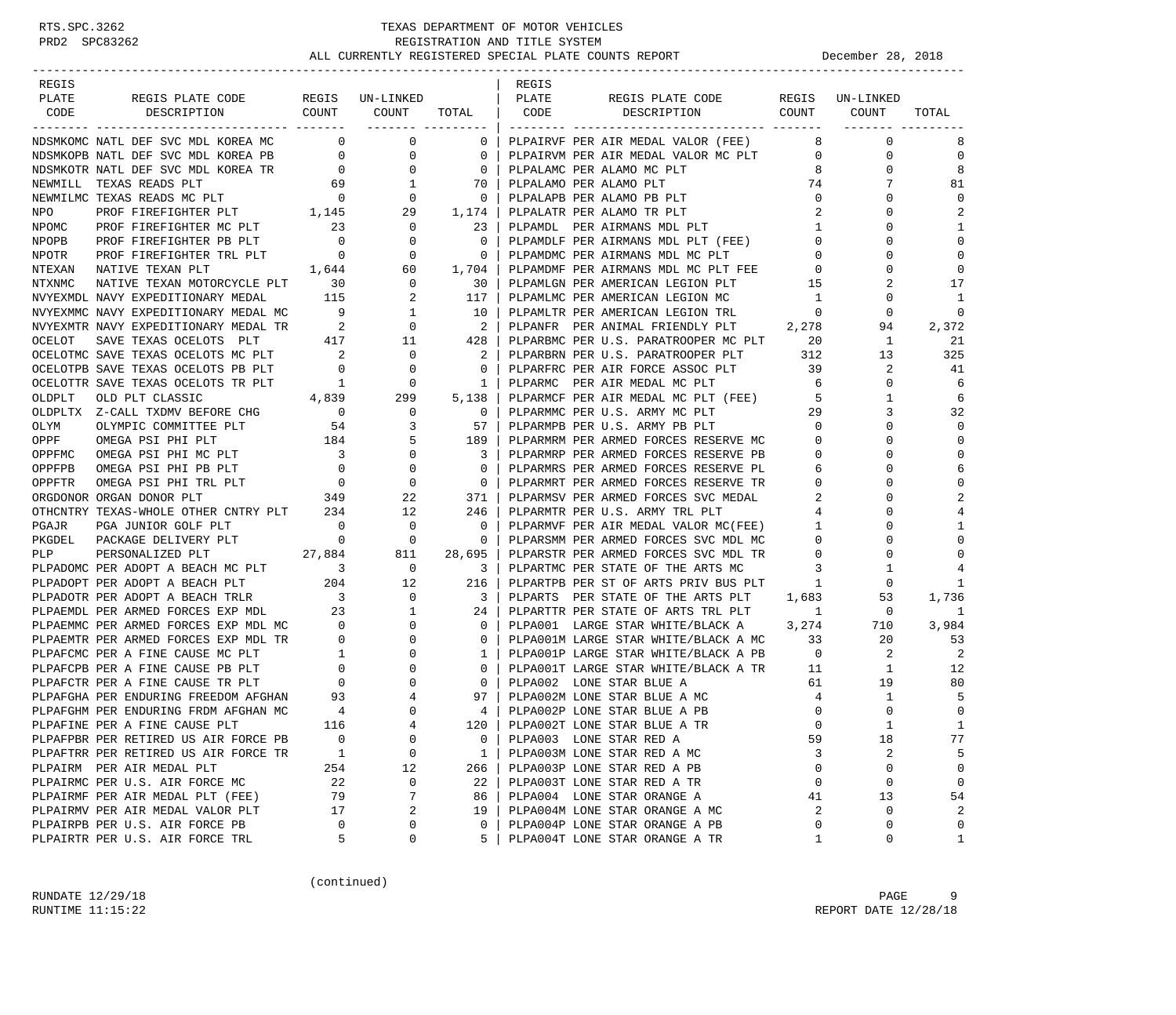| REGIS           |                                                                                                                                                                                                                                                                                                                                                                                                                                                                                                               |                                           |                                        |                            | REGIS |                                                                                  |                   |                      |              |
|-----------------|---------------------------------------------------------------------------------------------------------------------------------------------------------------------------------------------------------------------------------------------------------------------------------------------------------------------------------------------------------------------------------------------------------------------------------------------------------------------------------------------------------------|-------------------------------------------|----------------------------------------|----------------------------|-------|----------------------------------------------------------------------------------|-------------------|----------------------|--------------|
| PLATE           | REGIS PLATE CODE REGIS UN-LINKED                                                                                                                                                                                                                                                                                                                                                                                                                                                                              |                                           |                                        |                            | PLATE | REGIS PLATE CODE                                                                 |                   | REGIS UN-LINKED      |              |
| CODE            | COUNT<br>DESCRIPTION                                                                                                                                                                                                                                                                                                                                                                                                                                                                                          |                                           | COUNT                                  | TOTAL                      | CODE  | COUNT<br>DESCRIPTION                                                             |                   | COUNT                | TOTAL        |
|                 | NDSMKOMC NATL DEF SVC MDL KOREA MC                                                                                                                                                                                                                                                                                                                                                                                                                                                                            |                                           | $\overline{0}$<br>$\mathsf{O}$         | $\mathbf 0$                |       | PLPAIRVF PER AIR MEDAL VALOR (FEE)                                               | 8                 | $\mathbf 0$          | 8            |
|                 |                                                                                                                                                                                                                                                                                                                                                                                                                                                                                                               |                                           |                                        | $\mathbf 0$                |       | PLPAIRVM PER AIR MEDAL VALOR MC PLT                                              | $\overline{0}$    | 0                    | $\mathbf 0$  |
|                 |                                                                                                                                                                                                                                                                                                                                                                                                                                                                                                               |                                           |                                        | $\overline{0}$             |       | PLPALAMC PER ALAMO MC PLT                                                        | 8                 | 0                    | 8            |
|                 |                                                                                                                                                                                                                                                                                                                                                                                                                                                                                                               |                                           |                                        | 70                         |       | PLPALAMO PER ALAMO PLT                                                           | 74                | 7                    | 81           |
|                 |                                                                                                                                                                                                                                                                                                                                                                                                                                                                                                               |                                           |                                        | $\overline{\phantom{0}}$   |       | PLPALAPB PER ALAMO PB PLT                                                        | $\mathbf{0}$      | 0                    | $\Omega$     |
|                 |                                                                                                                                                                                                                                                                                                                                                                                                                                                                                                               |                                           |                                        | 1,174                      |       | PLPALATR PER ALAMO TR PLT                                                        | 2                 |                      | 2            |
| NPOMC           | PROF FIREFIGHTER MC PLT 23                                                                                                                                                                                                                                                                                                                                                                                                                                                                                    |                                           | $\mathbf 0$                            | 23                         |       | PLPAMDL PER AIRMANS MDL PLT                                                      | $\mathbf{1}$      | $\Omega$             | 1            |
| NPOPB           | PROF FIREFIGHTER PB PLT                                                                                                                                                                                                                                                                                                                                                                                                                                                                                       | $\overline{\phantom{0}}$                  | 0                                      | $\mathbf 0$                |       | PLPAMDLF PER AIRMANS MDL PLT (FEE)                                               | $\overline{0}$    | $\Omega$             | $\mathbf 0$  |
| NPOTR           | PROF FIREFIGHTER TRL PLT                                                                                                                                                                                                                                                                                                                                                                                                                                                                                      | $\overline{0}$                            | $\overline{0}$                         | 0                          |       | PLPAMDMC PER AIRMANS MDL MC PLT                                                  | $\mathbf{0}$      | $\Omega$             | $\mathbf 0$  |
| NTEXAN          | NATIVE TEXAN PLT                                                                                                                                                                                                                                                                                                                                                                                                                                                                                              | 1,644                                     | $\begin{array}{c} 60 \\ 0 \end{array}$ | 1,704                      |       | PLPAMDMF PER AIRMANS MDL MC PLT FEE 0<br>DLPAMLCN DER AMERICAN LEGION PLT 15     | $\mathbf 0$       | 0                    | $\mathbf 0$  |
| NTXNMC          | NATIVE TEXAN MOTORCYCLE PLT 30                                                                                                                                                                                                                                                                                                                                                                                                                                                                                |                                           |                                        | 30                         |       |                                                                                  |                   | 2                    | 17           |
|                 | NVYEXMDL NAVY EXPEDITIONARY MEDAL                                                                                                                                                                                                                                                                                                                                                                                                                                                                             | 115                                       | 2                                      | 117                        |       | PLPAMLMC PER AMERICAN LEGION MC                                                  | $\overline{1}$    | 0                    | 1            |
|                 | NVYEXMMC NAVY EXPEDITIONARY MEDAL MC                                                                                                                                                                                                                                                                                                                                                                                                                                                                          | 9                                         | $\mathbf{1}$                           | 10                         |       | PLPAMLTR PER AMERICAN LEGION TRL                                                 | $\mathbf{0}$      | 0                    | $\mathbf 0$  |
|                 | $\begin{minipage}{0.9\linewidth} \textsc{NVY} \textsc{EXPEDITIONARY MEDAL} \textsc{TR} \end{minipage} \begin{minipage}{0.9\linewidth} \begin{minipage}{0.9\linewidth} \textsc{NVY} \textsc{EXMTR} \end{minipage} \begin{minipage}{0.9\linewidth} \begin{minipage}{0.9\linewidth} \textsc{NVY} \textsc{EXMTR} \end{minipage} \begin{minipage}{0.9\linewidth} \begin{minipage}{0.9\linewidth} \textsc{NVY} \textsc{EXMTR} \end{minipage} \begin{minipage}{0.9\linewidth} \begin{minipage}{0.9\linewidth} \text$ |                                           | $\overline{0}$                         | $\overline{\phantom{0}}$   |       | PLPANFR PER ANIMAL FRIENDLY PLT 2,278                                            |                   | 94                   | 2,372        |
| OCELOT          | SAVE TEXAS OCELOTS PLT                                                                                                                                                                                                                                                                                                                                                                                                                                                                                        |                                           | $417$ $11$                             | 428                        |       | PLPARBMC PER U.S. PARATROOPER MC PLT 20<br>PLPARBRN PER U.S. PARATROOPER PLT 312 |                   | 1                    | 21           |
|                 | OCELOTMC SAVE TEXAS OCELOTS MC PLT                                                                                                                                                                                                                                                                                                                                                                                                                                                                            | $\overline{\phantom{a}}$ 2                | 0                                      | $\overline{\phantom{a}}^2$ |       |                                                                                  |                   | 13                   | 325          |
|                 | OCELOTPB SAVE TEXAS OCELOTS PB PLT                                                                                                                                                                                                                                                                                                                                                                                                                                                                            | $\overline{0}$                            | 0                                      | $\overline{0}$             |       | PLPARFRC PER AIR FORCE ASSOC PLT 39                                              |                   | 2                    | 41           |
|                 | OCELOTTR SAVE TEXAS OCELOTS TR PLT<br>R PLT 1<br>4,839                                                                                                                                                                                                                                                                                                                                                                                                                                                        | $\overline{1}$                            | $\overline{0}$                         | 1                          |       | PLPARMC PER AIR MEDAL MC PLT                                                     | 6                 | 0                    | 6            |
| OLDPLT          | OLD PLT CLASSIC                                                                                                                                                                                                                                                                                                                                                                                                                                                                                               |                                           | 299                                    | 5,138                      |       | PLPARMCF PER AIR MEDAL MC PLT (FEE)                                              | -5                | 1                    | 6            |
|                 | OLDPLTX Z-CALL TXDMV BEFORE CHG 0<br>OLYM OLYMPIC COMMITTEE PLT 54                                                                                                                                                                                                                                                                                                                                                                                                                                            |                                           | $\overline{0}$                         | $\overline{\phantom{0}}$   |       | PLPARMMC PER U.S. ARMY MC PLT                                                    | 29                | 3                    | 32           |
|                 |                                                                                                                                                                                                                                                                                                                                                                                                                                                                                                               |                                           | 3                                      | 57                         |       | PLPARMPB PER U.S. ARMY PB PLT                                                    | $\mathbf{0}$      | $\Omega$             | $\mathbf 0$  |
| OPPF            | 184<br>OMEGA PSI PHI PLT                                                                                                                                                                                                                                                                                                                                                                                                                                                                                      |                                           | 5                                      | 189                        |       | PLPARMRM PER ARMED FORCES RESERVE MC                                             | $\mathbf 0$       | $\Omega$             | $\mathbf 0$  |
| OPPFMC          | OMEGA PSI PHI MC PLT                                                                                                                                                                                                                                                                                                                                                                                                                                                                                          | $\overline{\mathbf{3}}$<br>$\overline{0}$ | 0                                      | 3                          |       | PLPARMRP PER ARMED FORCES RESERVE PB                                             | $\mathbf{0}$      | $\Omega$             | $\mathbf 0$  |
| OPPFPB          | OMEGA PSI PHI PB PLT                                                                                                                                                                                                                                                                                                                                                                                                                                                                                          |                                           | 0                                      | $\Omega$                   |       | PLPARMRS PER ARMED FORCES RESERVE PL                                             | 6                 | $\Omega$             | 6            |
| OPPFTR          | OMEGA PSI PHI TRL PLT                                                                                                                                                                                                                                                                                                                                                                                                                                                                                         | $\begin{array}{c}0\\349\end{array}$       | 0                                      | $\overline{\phantom{0}}$   |       | PLPARMRT PER ARMED FORCES RESERVE TR                                             | $\mathbf 0$       | 0                    | $\mathbf 0$  |
|                 | ORGDONOR ORGAN DONOR PLT                                                                                                                                                                                                                                                                                                                                                                                                                                                                                      |                                           | 22                                     | 371                        |       | PLPARMSV PER ARMED FORCES SVC MEDAL                                              | 2                 |                      | 2            |
|                 | OTHCNTRY TEXAS-WHOLE OTHER CNTRY PLT 234<br>$\sim$ 0.000 $\sim$ 0.000 $\sim$ 0.000 $\sim$ 0.000 $\sim$ 0.000 $\sim$ 0.000 $\sim$ 0.000 $\sim$ 0.000 $\sim$ 0.000 $\sim$ 0.000 $\sim$ 0.000 $\sim$ 0.000 $\sim$ 0.000 $\sim$ 0.000 $\sim$ 0.000 $\sim$ 0.000 $\sim$ 0.000 $\sim$ 0.000 $\sim$ 0.000 $\sim$ 0.000                                                                                                                                                                                               |                                           | 12<br>$\mathbf{0}$                     | 246<br>0                   |       | PLPARMTR PER U.S. ARMY TRL PLT<br>PLPARMVF PER AIR MEDAL VALOR MC(FEE)           | 4<br>$\mathbf{1}$ | $\Omega$<br>$\Omega$ | 4<br>1       |
| PGAJR<br>PKGDEL | PGA JUNIOR GOLF PLT<br>PACKAGE DELIVERY PLT 0                                                                                                                                                                                                                                                                                                                                                                                                                                                                 |                                           | $\overline{0}$                         | $\overline{0}$             |       | PLPARSMM PER ARMED FORCES SVC MDL MC                                             | $\overline{0}$    | $\Omega$             | $\Omega$     |
|                 |                                                                                                                                                                                                                                                                                                                                                                                                                                                                                                               |                                           | 811                                    | 28,695                     |       | PLPARSTR PER ARMED FORCES SVC MDL TR                                             | $\mathbf 0$       | 0                    | $\Omega$     |
|                 |                                                                                                                                                                                                                                                                                                                                                                                                                                                                                                               |                                           | $\overline{\phantom{0}}$               | $\overline{\mathbf{3}}$    |       | PLPARTMC PER STATE OF THE ARTS MC                                                | 3                 | 1                    | 4            |
|                 | PLPADOPT PER ADOPT A BEACH PLT                                                                                                                                                                                                                                                                                                                                                                                                                                                                                | 204                                       | 12                                     | 216                        |       | PLPARTPB PER ST OF ARTS PRIV BUS PLT                                             | 1                 | 0                    | 1            |
|                 | PLPADOTR PER ADOPT A BEACH TRLR                                                                                                                                                                                                                                                                                                                                                                                                                                                                               |                                           | $\mathbf{0}$                           | 3                          |       | PLPARTS PER STATE OF THE ARTS PLT 1,683                                          |                   | 53                   | 1,736        |
|                 | PLPAEMDL PER ARMED FORCES EXP MDL                                                                                                                                                                                                                                                                                                                                                                                                                                                                             | $\begin{array}{c} 3 \\ 23 \end{array}$    | 1                                      | 24                         |       | PLPARTTR PER STATE OF ARTS TRL PLT                                               | $\mathbf{1}$      | $\mathbf 0$          | 1            |
|                 |                                                                                                                                                                                                                                                                                                                                                                                                                                                                                                               |                                           | 0                                      | $\overline{0}$             |       | PLPA001 LARGE STAR WHITE/BLACK A 3,274                                           |                   | 710                  | 3,984        |
|                 | PLPAEMMC PER ARMED FORCES EXP MDL MC 0<br>PLPAEMTR PER ARMED FORCES EXP MDL TR 0                                                                                                                                                                                                                                                                                                                                                                                                                              |                                           | $\mathbf{0}$                           | $\mathbf{0}$               |       | PLPA001M LARGE STAR WHITE/BLACK A MC                                             | 33                | 20                   | 53           |
|                 | PLPAFCMC PER A FINE CAUSE MC PLT                                                                                                                                                                                                                                                                                                                                                                                                                                                                              |                                           | $\mathsf{O}$                           | 1                          |       | PLPA001P LARGE STAR WHITE/BLACK A PB                                             | $\overline{0}$    | 2                    | 2            |
|                 | PLPAFCPB PER A FINE CAUSE PB PLT                                                                                                                                                                                                                                                                                                                                                                                                                                                                              |                                           | 0                                      | $\mathbf{0}$               |       | PLPA001T LARGE STAR WHITE/BLACK A TR                                             | 11                | $\mathbf{1}$         | 12           |
|                 | PLPAFCTR PER A FINE CAUSE TR PLT                                                                                                                                                                                                                                                                                                                                                                                                                                                                              |                                           | 0                                      | $\overline{0}$             |       | PLPA002 LONE STAR BLUE A                                                         | 61                | 19                   | 80           |
|                 | PLPAFGHA PER ENDURING FREEDOM AFGHAN 93                                                                                                                                                                                                                                                                                                                                                                                                                                                                       |                                           | 4                                      | 97                         |       | PLPA002M LONE STAR BLUE A MC                                                     | $\overline{4}$    | $\mathbf{1}$         | 5            |
|                 | PLPAFGHM PER ENDURING FRDM AFGHAN MC                                                                                                                                                                                                                                                                                                                                                                                                                                                                          |                                           | $\mathbf 0$                            | 4                          |       | PLPA002P LONE STAR BLUE A PB                                                     | $\mathbf 0$       | $\Omega$             | $\mathbf 0$  |
|                 | PLPAFINE PER A FINE CAUSE PLT                                                                                                                                                                                                                                                                                                                                                                                                                                                                                 | 116                                       | $\overline{4}$                         | $120$                      |       | PLPA002T LONE STAR BLUE A TR                                                     | $\Omega$          |                      | $\mathbf{1}$ |
|                 | PLPAFPBR PER RETIRED US AIR FORCE PB                                                                                                                                                                                                                                                                                                                                                                                                                                                                          | $\mathbf 0$                               | $\mathbf 0$                            | 0                          |       | PLPA003 LONE STAR RED A                                                          | 59                | 18                   | 77           |
|                 | PLPAFTRR PER RETIRED US AIR FORCE TR                                                                                                                                                                                                                                                                                                                                                                                                                                                                          | 1                                         | 0                                      | 1                          |       | PLPA003M LONE STAR RED A MC                                                      | 3                 | 2                    | 5            |
|                 | PLPAIRM PER AIR MEDAL PLT                                                                                                                                                                                                                                                                                                                                                                                                                                                                                     | 254                                       | 12                                     | 266                        |       | PLPA003P LONE STAR RED A PB                                                      | 0                 | 0                    | 0            |
|                 | PLPAIRMC PER U.S. AIR FORCE MC                                                                                                                                                                                                                                                                                                                                                                                                                                                                                | 22                                        | 0                                      | 22                         |       | PLPA003T LONE STAR RED A TR                                                      | 0                 | 0                    | 0            |
|                 | PLPAIRMF PER AIR MEDAL PLT (FEE)                                                                                                                                                                                                                                                                                                                                                                                                                                                                              | 79                                        | 7                                      | 86                         |       | PLPA004 LONE STAR ORANGE A                                                       | 41                | 13                   | 54           |
|                 | PLPAIRMV PER AIR MEDAL VALOR PLT                                                                                                                                                                                                                                                                                                                                                                                                                                                                              | 17                                        | 2                                      | 19                         |       | PLPA004M LONE STAR ORANGE A MC                                                   | 2                 | 0                    | 2            |
|                 | PLPAIRPB PER U.S. AIR FORCE PB                                                                                                                                                                                                                                                                                                                                                                                                                                                                                | 0                                         | 0                                      | 0                          |       | PLPA004P LONE STAR ORANGE A PB                                                   | 0                 | $\Omega$             | 0            |
|                 | PLPAIRTR PER U.S. AIR FORCE TRL                                                                                                                                                                                                                                                                                                                                                                                                                                                                               | 5                                         | 0                                      | 5                          |       | PLPA004T LONE STAR ORANGE A TR                                                   | 1                 | 0                    | $\mathbf{1}$ |

(continued)

RUNDATE  $12/29/18$  PAGE 9 RUNTIME 11:15:22 REPORT DATE 12/28/18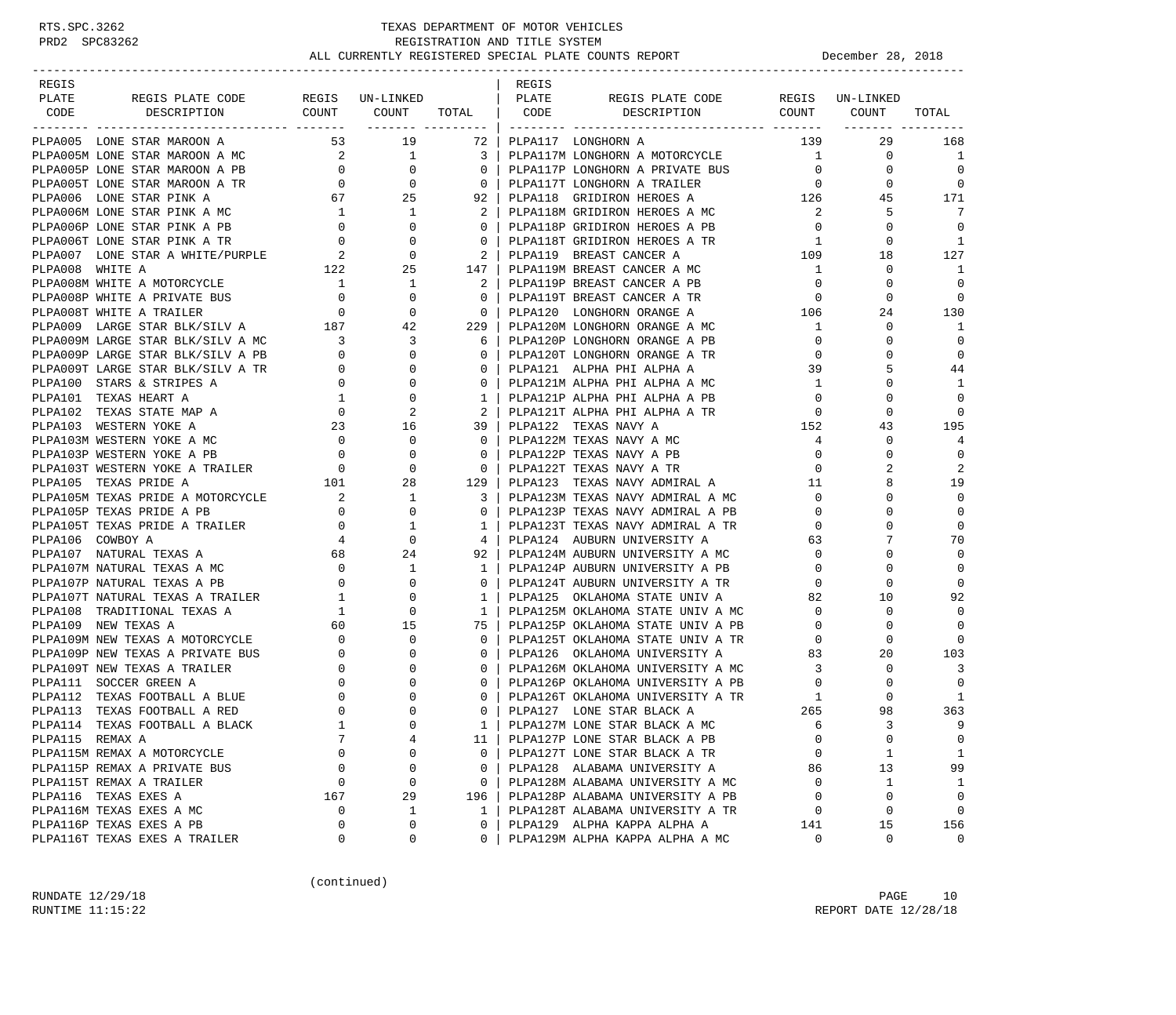## RTS.SPC.3262 TEXAS DEPARTMENT OF MOTOR VEHICLES<br>PRD2 SPC83262 TEXAS REGISTRATION AND TITLE SYSTEM<br>ALL CURRENTLY REGISTERED SPECIAL PLATE COUNTS REGISTRATION AND TITLE SYSTEM ALL CURRENTLY REGISTERED SPECIAL PLATE COUNTS REPORT BELLET DECEMber 28, 2018

| REGIS                                                                                                                                                                                                                                        |                                                            |                |                                                     | REGIS |                                                                    |                                        |                                                    |                          |
|----------------------------------------------------------------------------------------------------------------------------------------------------------------------------------------------------------------------------------------------|------------------------------------------------------------|----------------|-----------------------------------------------------|-------|--------------------------------------------------------------------|----------------------------------------|----------------------------------------------------|--------------------------|
| REGIS PLATE CODE REGIS UN-LINKED   PLATE<br>PLATE                                                                                                                                                                                            |                                                            |                |                                                     |       | REGIS PLATE CODE REGIS UN-LINKED                                   |                                        |                                                    |                          |
| DESCRIPTION<br>CODE<br>________________                                                                                                                                                                                                      | COUNT                                                      |                |                                                     |       | COUNT TOTAL   CODE DESCRIPTION COUNT COUNT<br>----------- -------  |                                        |                                                    | TOTAL                    |
| PLPA005 LONE STAR MAROON A                                                                                                                                                                                                                   |                                                            |                |                                                     |       | 53 19 72   PLPA117 LONGHORN A                                      | 139                                    | 29                                                 | 168                      |
| PLPA005 LONE STAR MAROON A MC<br>PLPA005 LONE STAR MAROON A MC<br>PLPA005 LONE STAR MAROON A PB<br>PLPA005 LONE STAR MAROON A PB<br>PLPA005 LONE STAR PLNK A MC<br>PLPA006 LONE STAR PLNK A MC<br>PLPA006 LONE STAR PLNK A MC<br>PLPA006 LON |                                                            |                |                                                     |       |                                                                    |                                        | $\mathbf 0$                                        | $\overline{\phantom{0}}$ |
|                                                                                                                                                                                                                                              |                                                            |                |                                                     |       |                                                                    |                                        | $\mathbf 0$                                        | $\overline{0}$           |
|                                                                                                                                                                                                                                              |                                                            |                |                                                     |       |                                                                    |                                        | $\mathbf{0}$                                       | $\overline{0}$           |
|                                                                                                                                                                                                                                              |                                                            |                |                                                     |       |                                                                    |                                        | $\begin{array}{ccc} 0 & 0 \\ 126 & 45 \end{array}$ | 171                      |
|                                                                                                                                                                                                                                              |                                                            |                |                                                     |       |                                                                    |                                        | 5                                                  | -7                       |
|                                                                                                                                                                                                                                              |                                                            |                |                                                     |       |                                                                    |                                        | $\mathbf 0$                                        | $\overline{0}$           |
|                                                                                                                                                                                                                                              |                                                            |                |                                                     |       |                                                                    |                                        | $\mathbf 0$                                        | 1                        |
|                                                                                                                                                                                                                                              |                                                            |                |                                                     |       |                                                                    | 109                                    | 18                                                 | 127                      |
|                                                                                                                                                                                                                                              |                                                            |                |                                                     |       |                                                                    |                                        | $\mathbf 0$                                        | 1                        |
|                                                                                                                                                                                                                                              |                                                            |                |                                                     |       |                                                                    |                                        | 0                                                  | $\overline{0}$           |
|                                                                                                                                                                                                                                              |                                                            |                | $\begin{array}{ccc} & 0 & \end{array}$              |       | PLPA119T BREAST CANCER A TR 0<br>pt.pa120  I.ONGHORN ORANGE A 106  |                                        | $\mathbf 0$                                        | $\mathbf{0}$             |
|                                                                                                                                                                                                                                              |                                                            |                |                                                     |       | 0   PLPA120 LONGHORN ORANGE A                                      |                                        | 24                                                 | 130                      |
| PLPA008P WHITE A PRIVATE BUS<br>PLPA008P WHITE A PRIVATE BUS<br>PLPA009 LARGE STAR BLK/SILV A 187 42                                                                                                                                         |                                                            |                | 229                                                 |       | PLPA120M LONGHORN ORANGE A MC                                      | $\mathbf{1}$                           | $\mathbf 0$                                        | -1                       |
|                                                                                                                                                                                                                                              |                                                            |                |                                                     |       | 6   PLPA120P LONGHORN ORANGE A PB                                  | $\circ$                                | $\Omega$                                           | $\overline{0}$           |
|                                                                                                                                                                                                                                              |                                                            |                | $0-1$                                               |       | PLPA120T LONGHORN ORANGE A TR                                      | $\mathbf 0$                            | $\mathbf 0$                                        | $\overline{0}$           |
|                                                                                                                                                                                                                                              |                                                            |                | 0 <sup>1</sup>                                      |       | PLPA121 ALPHA PHI ALPHA A                                          | 39                                     | 5                                                  | 44                       |
| PLPA009M LARGE STAR BLK/SILV A MC<br>PLPA009M LARGE STAR BLK/SILV A MC<br>PLPA009P LARGE STAR BLK/SILV A PB<br>PLPA009T LARGE STAR BLK/SILV A TR<br>PLPA100 STARS & STRIPES A<br>PLPA101 TEXAS STATE MAP A<br>PLPA102 TEXAS STATE MAP A<br>P |                                                            |                | 0 <sup>1</sup>                                      |       | PLPA121M ALPHA PHI ALPHA A MC                                      | $\overline{1}$                         | $\Omega$                                           | 1                        |
|                                                                                                                                                                                                                                              |                                                            |                | 1 <sup>1</sup>                                      |       | PLPA121P ALPHA PHI ALPHA A PB                                      | $\overline{0}$                         | $\mathbf 0$                                        | $\mathbf{0}$             |
|                                                                                                                                                                                                                                              |                                                            |                |                                                     |       | 2   PLPA121T ALPHA PHI ALPHA A TR                                  | $\mathbf 0$                            | $\mathbf 0$                                        | $\mathbf 0$              |
|                                                                                                                                                                                                                                              |                                                            |                | 39                                                  |       | PLPA122 TEXAS NAVY A                                               | 152                                    | 43                                                 | 195                      |
|                                                                                                                                                                                                                                              |                                                            |                | 0 <sup>1</sup>                                      |       | PLPA122M TEXAS NAVY A MC                                           | 4                                      | 0                                                  | $\overline{4}$           |
|                                                                                                                                                                                                                                              |                                                            |                | $0-1$                                               |       | PLPA122P TEXAS NAVY A PB                                           | 0                                      | $\Omega$                                           | $\mathbf{0}$             |
|                                                                                                                                                                                                                                              |                                                            |                | $\overline{\phantom{0}}$ 0 $\overline{\phantom{0}}$ |       | PLPA122T TEXAS NAVY A TR                                           | $\mathbf 0$                            |                                                    | 2                        |
|                                                                                                                                                                                                                                              |                                                            |                |                                                     |       | 129   PLPA123  TEXAS NAVY ADMIRAL A                                |                                        |                                                    | 19                       |
|                                                                                                                                                                                                                                              |                                                            |                | 3 I                                                 |       | PLPA123M TEXAS NAVY ADMIRAL A MC                                   | $\begin{array}{c} 11 \\ 0 \end{array}$ | $\Omega$                                           | $\Omega$                 |
|                                                                                                                                                                                                                                              |                                                            |                | $\circ$                                             |       | PLPA123P TEXAS NAVY ADMIRAL A PB                                   | $\overline{0}$                         | $\mathbf 0$                                        | 0                        |
|                                                                                                                                                                                                                                              |                                                            |                | 1 <sup>1</sup>                                      |       | PLPA123T TEXAS NAVY ADMIRAL A TR                                   | $\overline{0}$                         | $\Omega$                                           | $\Omega$                 |
|                                                                                                                                                                                                                                              |                                                            |                | $4 \vert$                                           |       | PLPA124 AUBURN UNIVERSITY A                                        | 63                                     | 7                                                  | 70                       |
|                                                                                                                                                                                                                                              |                                                            |                |                                                     |       | 92   PLPA124M AUBURN UNIVERSITY A MC                               | $\mathbf 0$                            | $\Omega$                                           | $\overline{0}$           |
|                                                                                                                                                                                                                                              |                                                            |                | 1 <sup>1</sup>                                      |       | PLPA124P AUBURN UNIVERSITY A PB                                    | $\overline{0}$                         | $\Omega$                                           | $\Omega$                 |
|                                                                                                                                                                                                                                              |                                                            |                | $0-1$                                               |       | PLPAL24T AUBURN UNIVERSITY A TR<br>PLPAL24T AUBURN UNIVERSITY A TR | $\mathbf{0}$                           | $\mathbf 0$                                        | 0                        |
|                                                                                                                                                                                                                                              |                                                            |                | 1 <sup>1</sup>                                      |       |                                                                    | 82                                     | 10                                                 | 92                       |
|                                                                                                                                                                                                                                              |                                                            |                | 1 <sup>1</sup>                                      |       | PLPA125M OKLAHOMA STATE UNIV A MC                                  | $\overline{0}$                         | $\mathbf 0$                                        | $\overline{0}$           |
|                                                                                                                                                                                                                                              |                                                            |                |                                                     |       | 75   PLPA125P OKLAHOMA STATE UNIV A PB                             | $\mathbf{0}$                           | 0                                                  | $\Omega$                 |
|                                                                                                                                                                                                                                              |                                                            |                | $\Omega$                                            |       | PLPA125T OKLAHOMA STATE UNIV A TR                                  | $\mathbf 0$                            | 0                                                  | $\Omega$                 |
| PLPA109P NEW TEXAS A PRIVATE BUS                                                                                                                                                                                                             |                                                            | $\overline{0}$ | $\mathbf{0}$                                        |       | PLPA126 OKLAHOMA UNIVERSITY A                                      |                                        | 20                                                 | 103                      |
| PLPA109T NEW TEXAS A TRAILER                                                                                                                                                                                                                 | $\begin{bmatrix} 0 \\ 0 \\ 0 \\ 0 \\ 0 \\ 1 \end{bmatrix}$ | $\overline{0}$ | $\overline{0}$                                      |       | PLPA126M OKLAHOMA UNIVERSITY A MC                                  | $\begin{array}{c} 83 \\ 3 \end{array}$ | $\Omega$                                           | $\overline{3}$           |
| PLPA111 SOCCER GREEN A                                                                                                                                                                                                                       |                                                            | $\mathbf 0$    | $0-1$                                               |       | PLPA126P OKLAHOMA UNIVERSITY A PB                                  | $\overline{0}$                         | 0                                                  | $\overline{0}$           |
| PLPA112 TEXAS FOOTBALL A BLUE                                                                                                                                                                                                                |                                                            | $\mathbf 0$    | $\overline{0}$                                      |       | PLPA126T OKLAHOMA UNIVERSITY A TR                                  | 1                                      | $\Omega$                                           | 1                        |
| PLPA113 TEXAS FOOTBALL A RED                                                                                                                                                                                                                 | $\begin{matrix}0\\0\\1\end{matrix}$                        | $\Omega$       | $\Omega$                                            |       | PLPA127 LONE STAR BLACK A                                          | 265                                    | 98                                                 | 363                      |
| PLPA114 TEXAS FOOTBALL A BLACK                                                                                                                                                                                                               |                                                            | $\Omega$       | $\mathbf{1}$                                        |       | PLPA127M LONE STAR BLACK A MC                                      | 6                                      | 3                                                  | 9                        |
| PLPA115 REMAX A                                                                                                                                                                                                                              | 7                                                          | 4              | 11                                                  |       | PLPA127P LONE STAR BLACK A PB                                      | 0                                      | $\mathsf 0$                                        | 0                        |
| PLPA115M REMAX A MOTORCYCLE                                                                                                                                                                                                                  | 0                                                          | 0              | $\mathbf{0}$                                        |       | PLPA127T LONE STAR BLACK A TR                                      | $\mathbf 0$                            | $\mathbf{1}$                                       | 1                        |
| PLPA115P REMAX A PRIVATE BUS                                                                                                                                                                                                                 | 0                                                          | 0              | $\mathbf{0}$                                        |       | PLPA128 ALABAMA UNIVERSITY A                                       | 86                                     | 13                                                 | 99                       |
| PLPA115T REMAX A TRAILER                                                                                                                                                                                                                     | $\Omega$                                                   | 0              | $\Omega$                                            |       | PLPA128M ALABAMA UNIVERSITY A MC                                   | 0                                      | 1                                                  | 1                        |
| PLPA116 TEXAS EXES A                                                                                                                                                                                                                         | 167                                                        | 29             | 196                                                 |       | PLPA128P ALABAMA UNIVERSITY A PB                                   | $\mathbf 0$                            | $\mathbf 0$                                        | $\mathbf 0$              |
| PLPA116M TEXAS EXES A MC                                                                                                                                                                                                                     | 0                                                          | 1              | $\mathbf{1}$                                        |       | PLPA128T ALABAMA UNIVERSITY A TR                                   | 0                                      | $\mathbf 0$                                        | 0                        |
| PLPA116P TEXAS EXES A PB                                                                                                                                                                                                                     | $\mathbf 0$                                                | 0              | $\Omega$                                            |       | PLPA129 ALPHA KAPPA ALPHA A                                        | 141                                    | 15                                                 | 156                      |
| PLPA116T TEXAS EXES A TRAILER                                                                                                                                                                                                                | 0                                                          | 0              | 0                                                   |       | PLPA129M ALPHA KAPPA ALPHA A MC                                    | 0                                      | 0                                                  | $\mathbf 0$              |

(continued)

RUNDATE  $12/29/18$  PAGE 10 RUNTIME 11:15:22 REPORT DATE 12/28/18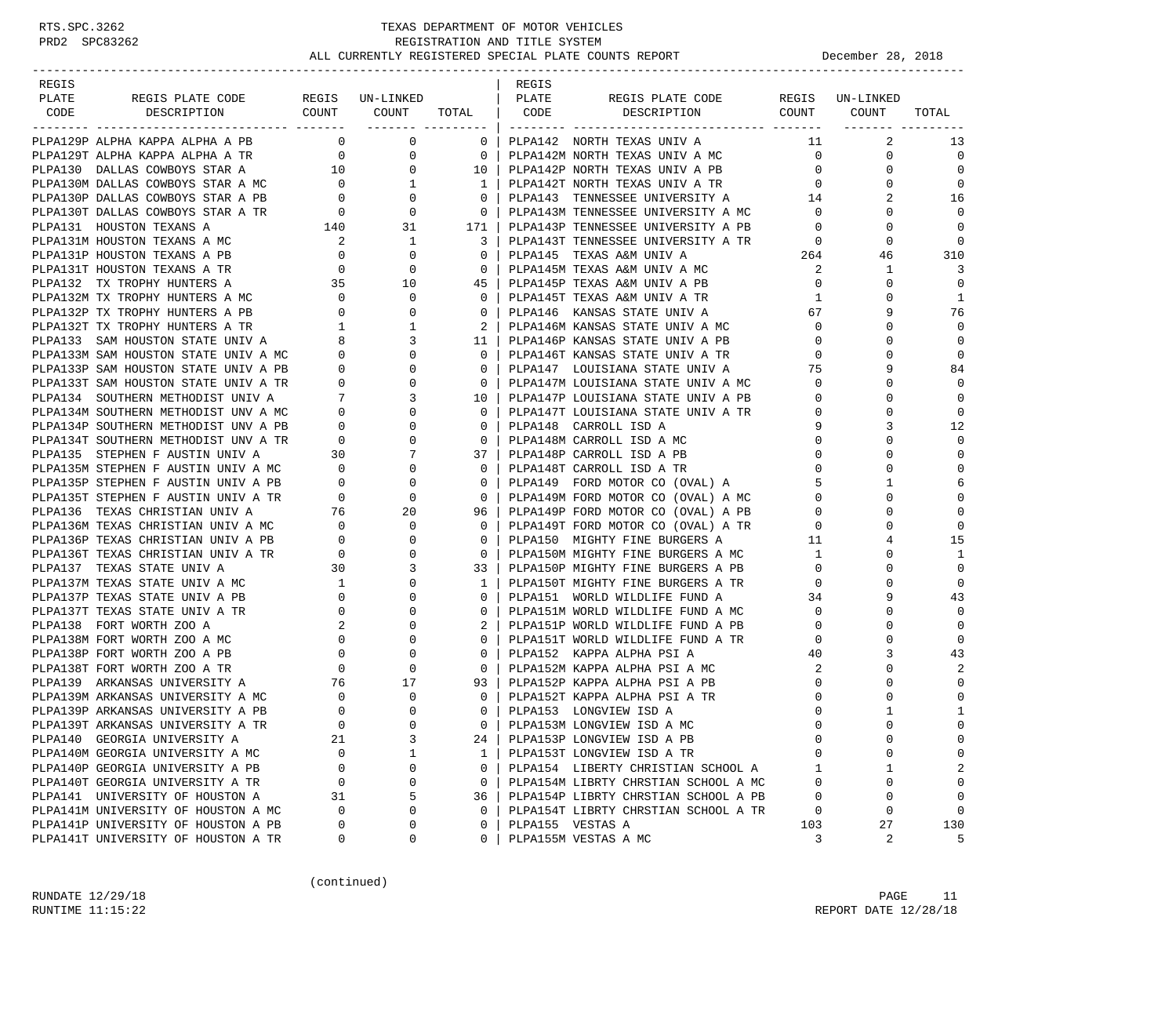-----------------------------------------------------------------------------------------------------------------------------------

| REGIS |  |  | REGIS |                                                                                                                                                                                                                                     |  |                           |
|-------|--|--|-------|-------------------------------------------------------------------------------------------------------------------------------------------------------------------------------------------------------------------------------------|--|---------------------------|
| PLATE |  |  |       |                                                                                                                                                                                                                                     |  |                           |
|       |  |  |       |                                                                                                                                                                                                                                     |  |                           |
|       |  |  |       | <b>POINT SERIES CONFIDENTIAL CONFIDENTIAL CONFIDENTIAL CONFIDENTIAL CONFIDENTIAL CONFIDENTIAL CONFIDENTIAL CONFIDENTIAL CONFIDENTIAL CONFIDENTIAL CONFIDENTIAL CONFIDENTIAL CONFIDENTIAL CONFIDENTIAL CONFIDENTIAL CONFIDENTIAL</b> |  | 13                        |
|       |  |  |       |                                                                                                                                                                                                                                     |  | $\overline{0}$            |
|       |  |  |       |                                                                                                                                                                                                                                     |  | $\Omega$                  |
|       |  |  |       |                                                                                                                                                                                                                                     |  | $\overline{\phantom{0}}$  |
|       |  |  |       |                                                                                                                                                                                                                                     |  | 16                        |
|       |  |  |       |                                                                                                                                                                                                                                     |  | $\Omega$                  |
|       |  |  |       |                                                                                                                                                                                                                                     |  | $\Omega$                  |
|       |  |  |       |                                                                                                                                                                                                                                     |  |                           |
|       |  |  |       |                                                                                                                                                                                                                                     |  | 310                       |
|       |  |  |       |                                                                                                                                                                                                                                     |  | - 3                       |
|       |  |  |       |                                                                                                                                                                                                                                     |  | $\Omega$                  |
|       |  |  |       |                                                                                                                                                                                                                                     |  | $\mathbf{1}$              |
|       |  |  |       |                                                                                                                                                                                                                                     |  | 76                        |
|       |  |  |       |                                                                                                                                                                                                                                     |  | $\Omega$                  |
|       |  |  |       |                                                                                                                                                                                                                                     |  | $\mathbf 0$               |
|       |  |  |       |                                                                                                                                                                                                                                     |  | $\Omega$                  |
|       |  |  |       |                                                                                                                                                                                                                                     |  | 84                        |
|       |  |  |       |                                                                                                                                                                                                                                     |  | $\Omega$                  |
|       |  |  |       |                                                                                                                                                                                                                                     |  | $\Omega$                  |
|       |  |  |       |                                                                                                                                                                                                                                     |  | $\Omega$                  |
|       |  |  |       |                                                                                                                                                                                                                                     |  | 12                        |
|       |  |  |       |                                                                                                                                                                                                                                     |  | $\Omega$                  |
|       |  |  |       |                                                                                                                                                                                                                                     |  | $\Omega$                  |
|       |  |  |       |                                                                                                                                                                                                                                     |  | $\Omega$                  |
|       |  |  |       |                                                                                                                                                                                                                                     |  |                           |
|       |  |  |       |                                                                                                                                                                                                                                     |  | $\mathbf 0$               |
|       |  |  |       |                                                                                                                                                                                                                                     |  |                           |
|       |  |  |       |                                                                                                                                                                                                                                     |  | $\Omega$                  |
|       |  |  |       |                                                                                                                                                                                                                                     |  | 15                        |
|       |  |  |       |                                                                                                                                                                                                                                     |  | 1                         |
|       |  |  |       |                                                                                                                                                                                                                                     |  | $\Omega$                  |
|       |  |  |       |                                                                                                                                                                                                                                     |  | $\Omega$                  |
|       |  |  |       |                                                                                                                                                                                                                                     |  | 43                        |
|       |  |  |       |                                                                                                                                                                                                                                     |  | $\Omega$                  |
|       |  |  |       |                                                                                                                                                                                                                                     |  | $\Omega$                  |
|       |  |  |       |                                                                                                                                                                                                                                     |  | $\mathbf 0$               |
|       |  |  |       |                                                                                                                                                                                                                                     |  | 43                        |
|       |  |  |       |                                                                                                                                                                                                                                     |  |                           |
|       |  |  |       |                                                                                                                                                                                                                                     |  | $\Omega$                  |
|       |  |  |       |                                                                                                                                                                                                                                     |  | $\Omega$                  |
|       |  |  |       |                                                                                                                                                                                                                                     |  | 1                         |
|       |  |  |       |                                                                                                                                                                                                                                     |  |                           |
|       |  |  |       |                                                                                                                                                                                                                                     |  | $\mathbf 0$               |
|       |  |  |       |                                                                                                                                                                                                                                     |  |                           |
|       |  |  |       |                                                                                                                                                                                                                                     |  |                           |
|       |  |  |       |                                                                                                                                                                                                                                     |  |                           |
|       |  |  |       |                                                                                                                                                                                                                                     |  | $\mathbf 0$<br>$\bigcirc$ |
|       |  |  |       |                                                                                                                                                                                                                                     |  | 130                       |
|       |  |  |       |                                                                                                                                                                                                                                     |  | - 5                       |
|       |  |  |       |                                                                                                                                                                                                                                     |  |                           |

(continued)

RUNDATE  $12/29/18$  PAGE 11 RUNTIME 11:15:22 REPORT DATE 12/28/18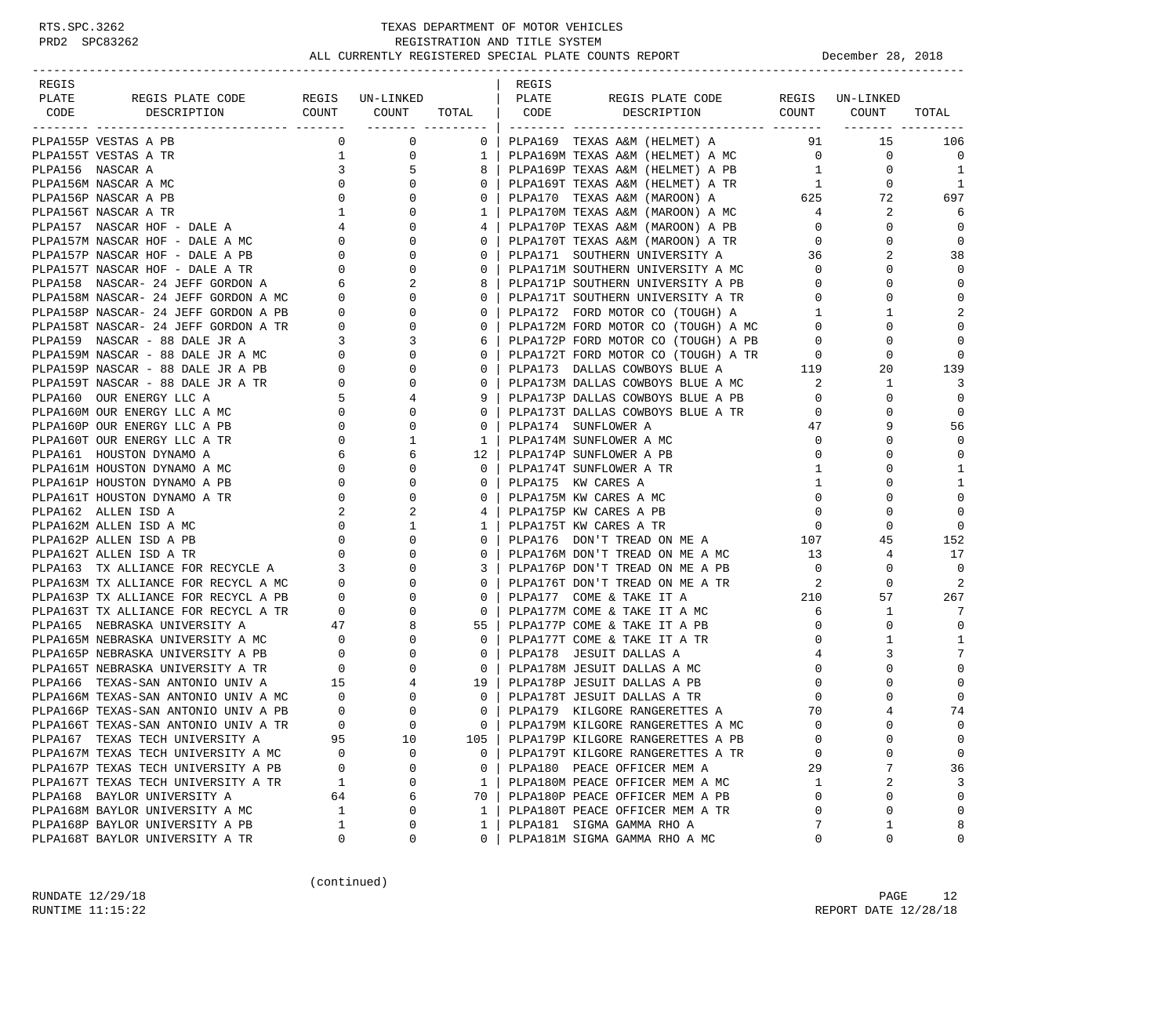| REGIS                                                                                                                                                                                                                                          |                                       |                          |                 | REGIS |                                                                                                                                                                                                 |                 |                 |                |
|------------------------------------------------------------------------------------------------------------------------------------------------------------------------------------------------------------------------------------------------|---------------------------------------|--------------------------|-----------------|-------|-------------------------------------------------------------------------------------------------------------------------------------------------------------------------------------------------|-----------------|-----------------|----------------|
| REGIS PLATE CODE REGIS UN-LINKED<br>PLATE                                                                                                                                                                                                      |                                       |                          |                 | PLATE | REGIS PLATE CODE                                                                                                                                                                                |                 | REGIS UN-LINKED |                |
| CODE DESCRIPTION                                                                                                                                                                                                                               |                                       | COUNT COUNT TOTAL   CODE |                 |       | DESCRIPTION COUNT COUNT                                                                                                                                                                         |                 |                 | TOTAL          |
|                                                                                                                                                                                                                                                |                                       |                          |                 |       |                                                                                                                                                                                                 |                 |                 |                |
| PLPA155P VESTAS A PB                                                                                                                                                                                                                           | $\mathbf{0}$                          | $\mathbf 0$              |                 |       | 0   PLPA169 TEXAS A&M (HELMET) A                                                                                                                                                                | 91              | 15              | 106            |
| PLPA155T VESTAS A TR                                                                                                                                                                                                                           |                                       | 0<br>$\mathbf 1$         | 1 <sup>1</sup>  |       | PLPA169M TEXAS A&M (HELMET) A MC 0                                                                                                                                                              |                 | 0               | $\overline{0}$ |
| PLPA156 NASCAR A                                                                                                                                                                                                                               | $\overline{\mathbf{3}}$               | 5                        | 8 I             |       | PLPA169P TEXAS A&M (HELMET) A PB                                                                                                                                                                | $\mathbf{1}$    | $\mathbf{0}$    | 1              |
| PLPA156M NASCAR A MC                                                                                                                                                                                                                           | $\overline{0}$                        | $\mathbf{0}$             | $\Omega$        |       | PLPA169T TEXAS A&M (HELMET) A TR<br>1                                                                                                                                                           |                 | $\mathbf{0}$    | 1              |
|                                                                                                                                                                                                                                                |                                       |                          | $\mathbf{0}$    |       | PLPA170 TEXAS A&M (MAROON) A 625<br>PLPA170M TEXAS A&M (MAROON) A MC 4                                                                                                                          |                 | 72              | 697            |
|                                                                                                                                                                                                                                                |                                       |                          | 1               |       |                                                                                                                                                                                                 |                 | 2               | 6              |
|                                                                                                                                                                                                                                                |                                       |                          | 4               |       | PLPA170P TEXAS A&M (MAROON) A PB                                                                                                                                                                | $\overline{0}$  | 0               | $\mathbf 0$    |
|                                                                                                                                                                                                                                                |                                       |                          | 0 <sup>1</sup>  |       | PLPA170T TEXAS A&M (MAROON) A TR<br>PLPA171 SOUTHERN UNIVERSITY A 36                                                                                                                            | $\overline{0}$  | 0               | $\mathbf 0$    |
|                                                                                                                                                                                                                                                |                                       |                          | $\Omega$        |       |                                                                                                                                                                                                 |                 | 2               | 38             |
|                                                                                                                                                                                                                                                |                                       |                          | $\mathbf{0}$    |       | PLPA171M SOUTHERN UNIVERSITY A MC<br>PLPA171P SOUTHERN UNIVERSITY A PB                                                                                                                          | $\overline{0}$  | 0               | $\Omega$       |
|                                                                                                                                                                                                                                                |                                       |                          | 8 <sup>1</sup>  |       |                                                                                                                                                                                                 | $\overline{0}$  | $\Omega$        | 0              |
|                                                                                                                                                                                                                                                |                                       |                          | $0-1$           |       | PLPA171T SOUTHERN UNIVERSITY A TR                                                                                                                                                               | $\overline{0}$  | 0               | $\mathbf 0$    |
|                                                                                                                                                                                                                                                |                                       |                          |                 |       | 0   PLPA172 FORD MOTOR CO (TOUGH) A<br>FLPAI72 FORD MOTOR CO (TOUGH) A<br>PLPAI72M FORD MOTOR CO (TOUGH) A MC 0<br>PLPAI72D FORD MOTOR 20 (TOUGH) A MC 0                                        |                 | $\mathbf{1}$    | 2              |
|                                                                                                                                                                                                                                                |                                       |                          | $\mathbf{0}$    |       |                                                                                                                                                                                                 |                 | $\Omega$        | $\mathbf 0$    |
|                                                                                                                                                                                                                                                |                                       |                          | 6               |       |                                                                                                                                                                                                 | $\overline{0}$  | 0               | $\mathbf 0$    |
|                                                                                                                                                                                                                                                |                                       |                          | $\mathbf{0}$    |       |                                                                                                                                                                                                 |                 | 0               | $\mathbf 0$    |
|                                                                                                                                                                                                                                                |                                       |                          | $\mathbf{0}$    |       | PLPA172P FORD MOTOR CO (TOUGH) A PB<br>PLPA172T FORD MOTOR CO (TOUGH) A TR 0<br>PLPA173 DALLAS COWBOYS BLUE A 119<br>PLPA173M DALLAS COWBOYS BLUE A MC 2<br>PLPA173M DALLAS COWBOYS BLUE A PB 0 |                 | 20              | 139            |
|                                                                                                                                                                                                                                                |                                       |                          | $\mathbf{0}$    |       |                                                                                                                                                                                                 |                 | $\mathbf{1}$    | 3              |
|                                                                                                                                                                                                                                                |                                       |                          | 9               |       |                                                                                                                                                                                                 |                 | $\mathbf 0$     | $\mathbf 0$    |
|                                                                                                                                                                                                                                                |                                       |                          | $\mathbf{0}$    |       | PLPA173T DALLAS COWBOYS BLUE A TR                                                                                                                                                               | $\circ$         | 0               | $\mathbf 0$    |
| PLPA160 OUR ENERGY LLC A<br>PLPA160M OUR ENERGY LLC A MC 0<br>THEREADY LLC A MC 0<br>THEREADY LLC A PR                                                                                                                                         |                                       | $\mathbf{0}$             | $\mathbf{0}$    |       | PLPA174 SUNFLOWER A                                                                                                                                                                             | 47              | 9               | 56             |
| PLPA160T OUR ENERGY LLC A TR                                                                                                                                                                                                                   | $\overline{0}$                        | $\mathbf{1}$             | 1 <sup>1</sup>  |       | PLPA174M SUNFLOWER A MC                                                                                                                                                                         | $\overline{0}$  | 0               | $\mathbf 0$    |
| PLPA161 HOUSTON DYNAMO A                                                                                                                                                                                                                       |                                       | 6                        |                 |       | 12   PLPA174P SUNFLOWER A PB                                                                                                                                                                    | $\overline{0}$  | $\Omega$        | $\mathbf 0$    |
| PLPA161M HOUSTON DYNAMO A MC                                                                                                                                                                                                                   | $\begin{array}{c} 6 \\ 0 \end{array}$ | $\mathbf{0}$             | $\Omega$        |       | PLPA174T SUNFLOWER A TR                                                                                                                                                                         | $\mathbf{1}$    | $\Omega$        | 1              |
|                                                                                                                                                                                                                                                |                                       | $\mathbf{0}$             | $0-1$           |       | PLPA175 KW CARES A                                                                                                                                                                              | $\mathbf{1}$    | 0               | 1              |
|                                                                                                                                                                                                                                                |                                       | $\mathbf{0}$             |                 |       | 0   PLPA175M KW CARES A MC                                                                                                                                                                      | $\mathbf 0$     | $\Omega$        | $\mathbf 0$    |
|                                                                                                                                                                                                                                                |                                       | 2                        | 4               |       | PLPA175P KW CARES A PB                                                                                                                                                                          | $\mathbf 0$     | 0               | $\mathbf 0$    |
| PLPA161P HOUSTON DYNAMO A PB<br>PLPA161P HOUSTON DYNAMO A TR 0<br>PLPA162 ALLEN ISD A<br>2<br>PLPA162P ALLEN ISD A MC 0<br>PLPA162P ALLEN ISD A PB 0<br>PLPA162P ALLEN ISD A PB 0<br>PLPA162P ALLEN ISD A TR 0<br>PLPA163 TX ALLIANCE FOR RECY |                                       | $\mathbf{1}$             |                 |       | 1   PLPA175T KW CARES A TR                                                                                                                                                                      | $\overline{0}$  | 0               | $\mathbf 0$    |
|                                                                                                                                                                                                                                                |                                       | $\overline{0}$           | $\Omega$        |       | PLPA176 DON'T TREAD ON ME A 107                                                                                                                                                                 |                 | 45              | 152            |
|                                                                                                                                                                                                                                                |                                       | $\overline{0}$           | $\mathbf{0}$    |       | PLPA176M DON'T TREAD ON ME A MC                                                                                                                                                                 | 13              | 4               | 17             |
|                                                                                                                                                                                                                                                |                                       | $\mathbf{0}$             | 3 I             |       | PLPA176P DON'T TREAD ON ME A PB                                                                                                                                                                 | $\overline{0}$  | $\mathbf 0$     | $\overline{0}$ |
|                                                                                                                                                                                                                                                |                                       | $\mathbf{0}$             | $\Omega$        |       | PLPA176T DON'T TREAD ON ME A TR                                                                                                                                                                 | $\overline{a}$  | 0               | 2              |
|                                                                                                                                                                                                                                                |                                       | $\mathbf 0$              | $\mathbf{0}$    |       | PLPA177 COME & TAKE IT A                                                                                                                                                                        | 210             | 57              | 267            |
|                                                                                                                                                                                                                                                |                                       | $\mathbf 0$              | $\circ$         |       | PLPA177M COME & TAKE IT A MC                                                                                                                                                                    | 6               | $\mathbf{1}$    | -7             |
|                                                                                                                                                                                                                                                |                                       | 8                        | 55              |       | PLPA177P COME & TAKE IT A PB                                                                                                                                                                    | $\overline{0}$  | 0               | $\mathbf 0$    |
| PLPAI63 TX ALLIANCE FOR RECYCLE A<br>PLPAI63M TX ALLIANCE FOR RECYCL A MC<br>PLPAI63P TX ALLIANCE FOR RECYCL A PB<br>0<br>PLPAI63T TX ALLIANCE FOR RECYCL A TR<br>0<br>PLPAI65 NEBRASKA UNIVERSITY A MC<br>0<br>PLPAI65P NEBRASKA UNIVERSITY A |                                       | $\overline{0}$           | $\circ$         |       | PLPA177T COME & TAKE IT A TR                                                                                                                                                                    | $\mathbf{0}$    | $\mathbf{1}$    | 1              |
|                                                                                                                                                                                                                                                |                                       | $\overline{0}$           | $\circ$         |       | PLPA178 JESUIT DALLAS A                                                                                                                                                                         | $4\overline{ }$ | 3               | 7              |
|                                                                                                                                                                                                                                                |                                       | $\overline{0}$           | $\overline{0}$  |       | PLPA178M JESUIT DALLAS A MC                                                                                                                                                                     | $\overline{0}$  | $\Omega$        | $\mathbf 0$    |
|                                                                                                                                                                                                                                                |                                       | 4                        | 19 <sup>1</sup> |       | PLPA178P JESUIT DALLAS A PB                                                                                                                                                                     | $\mathbf 0$     | $\Omega$        | $\mathbf 0$    |
|                                                                                                                                                                                                                                                |                                       | $\overline{0}$           |                 |       | 0   PLPA178T JESUIT DALLAS A TR                                                                                                                                                                 | $\mathbf{0}$    | 0               | $\mathbf 0$    |
| PLPA166M TEXAS-SAN ANTONIO UNIV A MC 0<br>PLPA166P TEXAS-SAN ANTONIO UNIV A PB 0                                                                                                                                                               |                                       | $\mathbf 0$              | $\Omega$        |       | PLPA179 KILGORE RANGERETTES A                                                                                                                                                                   | 70              | $\overline{4}$  | 74             |
| PLPA166T TEXAS-SAN ANTONIO UNIV A TR                                                                                                                                                                                                           | $\Omega$                              | $\Omega$                 | 0 <sup>1</sup>  |       | PLPA179M KILGORE RANGERETTES A MC                                                                                                                                                               | $\Omega$        | $\Omega$        | $\Omega$       |
| PLPA167 TEXAS TECH UNIVERSITY A                                                                                                                                                                                                                | 95                                    | 10                       | 105             |       | PLPA179P KILGORE RANGERETTES A PB                                                                                                                                                               | $\mathbf 0$     | 0               | 0              |
| PLPA167M TEXAS TECH UNIVERSITY A MC                                                                                                                                                                                                            | 0                                     | 0                        | $\Omega$        |       | PLPA179T KILGORE RANGERETTES A TR                                                                                                                                                               | $\mathbf 0$     | $\Omega$        | 0              |
| PLPA167P TEXAS TECH UNIVERSITY A PB                                                                                                                                                                                                            | 0                                     | 0                        | $\mathbf{0}$    |       | PLPA180 PEACE OFFICER MEM A                                                                                                                                                                     | 29              | 7               | 36             |
| PLPA167T TEXAS TECH UNIVERSITY A TR                                                                                                                                                                                                            | $\mathbf 1$                           | 0                        | $\mathbf{1}$    |       | PLPA180M PEACE OFFICER MEM A MC                                                                                                                                                                 | $\mathbf{1}$    | 2               | 3              |
| PLPA168 BAYLOR UNIVERSITY A                                                                                                                                                                                                                    | 64                                    | 6                        | 70              |       | PLPA180P PEACE OFFICER MEM A PB                                                                                                                                                                 | $\mathbf 0$     | 0               | 0              |
| PLPA168M BAYLOR UNIVERSITY A MC                                                                                                                                                                                                                | $\mathbf 1$                           | 0                        | $\mathbf{1}$    |       | PLPA180T PEACE OFFICER MEM A TR                                                                                                                                                                 | $\mathbf 0$     | 0               | $\mathbf 0$    |
| PLPA168P BAYLOR UNIVERSITY A PB                                                                                                                                                                                                                | 1                                     | 0                        | 1               |       | PLPA181 SIGMA GAMMA RHO A                                                                                                                                                                       | 7               | 1               | 8              |
| PLPA168T BAYLOR UNIVERSITY A TR                                                                                                                                                                                                                | 0                                     | 0                        | $\Omega$        |       | PLPA181M SIGMA GAMMA RHO A MC                                                                                                                                                                   | $\mathbf 0$     | 0               | 0              |
|                                                                                                                                                                                                                                                |                                       |                          |                 |       |                                                                                                                                                                                                 |                 |                 |                |

(continued)

RUNDATE 12/29/18 PAGE 12 RUNTIME 11:15:22 REPORT DATE 12/28/18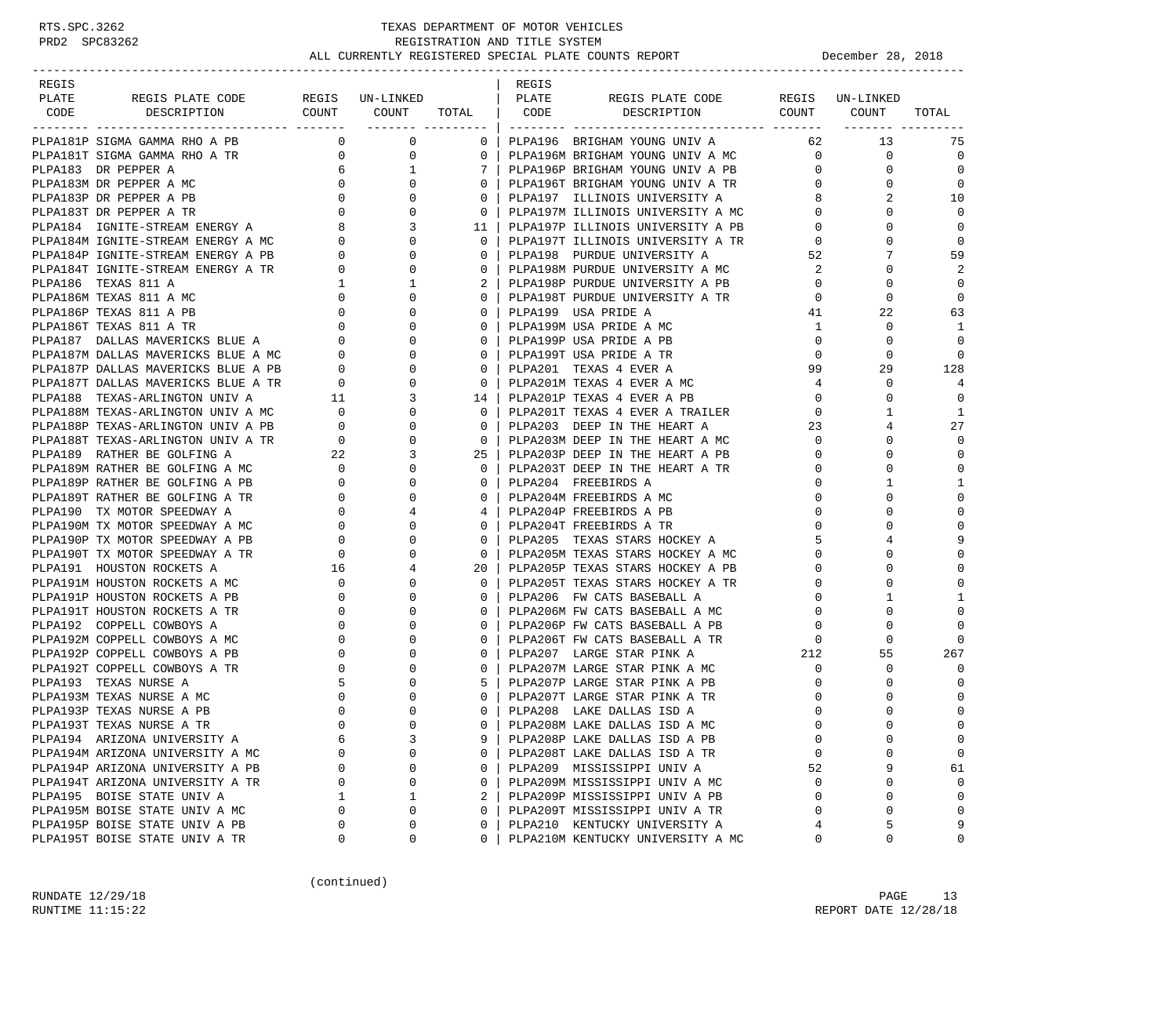| REGIS                                                        |             |                                         |                                                     | REGIS |                                                                                                                |                          |                                  |              |
|--------------------------------------------------------------|-------------|-----------------------------------------|-----------------------------------------------------|-------|----------------------------------------------------------------------------------------------------------------|--------------------------|----------------------------------|--------------|
| REGIS PLATE CODE REGIS UN-LINKED   PLATE<br>PLATE            |             |                                         |                                                     |       | REGIS PLATE CODE                                                                                               |                          | REGIS UN-LINKED                  |              |
| DESCRIPTION<br>CODE                                          |             |                                         |                                                     |       | COUNT COUNT TOTAL   CODE DESCRIPTION COUNT COUNT TOTAL                                                         |                          |                                  |              |
|                                                              |             |                                         |                                                     |       |                                                                                                                |                          |                                  |              |
| PLPA181P SIGMA GAMMA RHO A PB                                |             | $\begin{matrix} 0 & 0 & 0 \end{matrix}$ |                                                     |       | 0   PLPA196 BRIGHAM YOUNG UNIV A                                                                               |                          | 62 13                            | -75          |
|                                                              |             |                                         | $0$ 0 $\vert$                                       |       |                                                                                                                |                          | $\mathbf 0$                      | $\mathbf 0$  |
|                                                              |             |                                         | 7 I                                                 |       |                                                                                                                |                          | $\mathbf{0}$                     | $\Omega$     |
|                                                              |             |                                         | $0-1$                                               |       | PLPA196T BRIGHAM YOUNG UNIV A TR 0                                                                             |                          | $\Omega$                         | $\Omega$     |
|                                                              |             |                                         | $0-1$                                               |       |                                                                                                                |                          | 8<br>2                           | 10           |
|                                                              |             |                                         | $\overline{\phantom{0}}$ 0 $\overline{\phantom{0}}$ |       | FIFALI I ILLINOIS UNIVERSITY A<br>PLPA197M ILLINOIS UNIVERSITY A MC<br>--- --                                  | $\mathbf{0}$             | $\Omega$                         | $\Omega$     |
|                                                              |             |                                         | 11 <sup>1</sup>                                     |       | PLPA197P ILLINOIS UNIVERSITY A PB                                                                              |                          | $0 \qquad \qquad$<br>$\mathbf 0$ | $\mathbf 0$  |
|                                                              |             |                                         | 0 <sup>1</sup>                                      |       |                                                                                                                | $\overline{0}$           | $\mathbf 0$                      | $\mathbf 0$  |
|                                                              |             |                                         | $0-1$                                               |       | PLPA197T ILLINOIS UNIVERSITY A TR<br>PLPA198 PURDUE UNIVERSITY A                                               | 52                       | 7                                | 59           |
|                                                              |             |                                         | 0 <sup>1</sup>                                      |       |                                                                                                                |                          | $\mathbf 0$                      | 2            |
|                                                              |             |                                         | 2 <sup>1</sup>                                      |       | PLPA198P PURDUE UNIVERSITY A PB                                                                                | $\overline{0}$           | $\Omega$                         | $\mathbf 0$  |
|                                                              |             |                                         | $\Omega$                                            |       | PLPA198T PURDUE UNIVERSITY A TR                                                                                | $\overline{0}$           | $\mathbf 0$                      | $\mathbf 0$  |
|                                                              |             |                                         | $0-1$                                               |       | PLPA199 USA PRIDE A                                                                                            |                          | 41<br>22                         | 63           |
|                                                              |             |                                         | $0-1$                                               |       | PLPA199M USA PRIDE A MC                                                                                        | $\mathbf{1}$             | $\mathbf 0$                      | 1            |
|                                                              |             |                                         | $0-1$                                               |       | PLPA199P USA PRIDE A PB                                                                                        | $\overline{0}$           |                                  | $\mathbf 0$  |
|                                                              |             |                                         |                                                     |       |                                                                                                                |                          | 0                                |              |
|                                                              |             |                                         | $0-1$                                               |       | PLPA199T USA PRIDE A TR                                                                                        | $\overline{0}$           | $\Omega$                         | $\mathbf 0$  |
|                                                              |             |                                         | $\overline{0}$                                      |       | PLPA201 TEXAS 4 EVER A                                                                                         | 99                       | 29                               | 128          |
|                                                              |             |                                         | $0-1$                                               |       | PLPA201M TEXAS 4 EVER A MC<br>PLPA201P TEXAS 4 EVER A PB                                                       | $\overline{4}$           | $\mathbf 0$                      | 4            |
|                                                              |             |                                         | 14 l                                                |       |                                                                                                                | $\overline{0}$           | $\Omega$                         | $\Omega$     |
|                                                              |             |                                         | $\overline{\phantom{0}}$ 0 $\overline{\phantom{0}}$ |       | PLPA201T TEXAS 4 EVER A TRAILER<br>PLPA203 DEEP IN THE HEART A                                                 | $\overline{0}$           | 1                                | 1            |
|                                                              |             |                                         | $\overline{\phantom{0}}$ 0 $\overline{\phantom{0}}$ |       | PLPA203 DEEP IN THE HEART A                                                                                    | 23                       | 4                                | 27           |
|                                                              |             |                                         | $\overline{0}$                                      |       | PLPA203M DEEP IN THE HEART A MC                                                                                | $\overline{0}$           | $\mathbf 0$                      | $\mathbf 0$  |
|                                                              |             |                                         | $25 \quad$                                          |       | PLPA203P DEEP IN THE HEART A PB                                                                                | $\overline{0}$           | $\mathbf 0$                      | $\Omega$     |
|                                                              |             |                                         | $\Omega$                                            |       | PLPA203T DEEP IN THE HEART A TR                                                                                | $\overline{0}$           | $\Omega$                         | $\Omega$     |
|                                                              |             |                                         | $\mathbf{0}$                                        |       | PLPA204 FREEBIRDS A                                                                                            | $\overline{0}$           | 1                                | 1            |
|                                                              |             |                                         | $0-1$                                               |       | PLPA204M FREEBIRDS A MC                                                                                        | $\overline{0}$           | $\Omega$                         | $\mathbf{0}$ |
|                                                              |             |                                         | 4                                                   |       | PLPA204P FREEBIRDS A PB                                                                                        | $\overline{0}$           | $\Omega$                         | $\mathbf{0}$ |
|                                                              |             |                                         | $0-1$                                               |       | PLPA204T FREEBIRDS A TR                                                                                        | $\overline{0}$           | $\Omega$                         | $\Omega$     |
|                                                              |             |                                         | $0-1$                                               |       | PLPA205 TEXAS STARS HOCKEY A                                                                                   | -5                       | 4                                | 9            |
|                                                              |             |                                         | $0-1$                                               |       | PLPA205M TEXAS STARS HOCKEY A MC<br>PLPA205P TEXAS STARS HOCKEY A PB                                           | $\overline{0}$           | 0                                | $\Omega$     |
|                                                              |             |                                         | 20 <sub>1</sub>                                     |       | PLPA205P TEXAS STARS HOCKEY A PB                                                                               | $\overline{0}$           | $\Omega$                         | $\mathbf{0}$ |
|                                                              |             |                                         | $\Omega$                                            |       | PLPA205T TEXAS STARS HOCKEY A TR                                                                               | $\overline{0}$           | $\mathbf 0$                      | $\Omega$     |
|                                                              |             |                                         | $\Omega$                                            |       | PLPA206 FW CATS BASEBALL A $\qquad \qquad \qquad 0$<br>PLPA206M FW CATS BASEBALL A MC $\qquad \qquad \qquad 0$ |                          | 1                                | $\mathbf{1}$ |
|                                                              |             |                                         | $\Omega$                                            |       |                                                                                                                |                          | $\mathbf 0$                      | $\Omega$     |
|                                                              |             |                                         | $\mathbf{0}$                                        |       |                                                                                                                | $\overline{0}$           | $\mathbf 0$                      | $\Omega$     |
|                                                              |             |                                         | $\Omega$                                            |       | PLPA206P FW CATS BASEBALL A PB<br>PLPA206T FW CATS BASEBALL A TR                                               | $\overline{\phantom{0}}$ | $\Omega$                         | $\mathbf{0}$ |
|                                                              |             |                                         | $\Omega$                                            |       | PLPA207 LARGE STAR PINK A                                                                                      | 212                      | 55                               | 267          |
|                                                              |             |                                         | $0-1$                                               |       | PLPA207M LARGE STAR PINK A MC                                                                                  | $\overline{0}$           | $\mathbf 0$                      | $\Omega$     |
|                                                              |             |                                         | $5-1$                                               |       | PLPA207P LARGE STAR PINK A PB                                                                                  | $\Omega$                 | 0                                | $\Omega$     |
| PLPA193M TEXAS NURSE A MC                                    | $\mathbf 0$ | $\mathbf 0$                             | $0-1$                                               |       | PLPA207T LARGE STAR PINK A TR                                                                                  | 0                        | 0                                | $\Omega$     |
| PLPA193P TEXAS NURSE A PB                                    | $\mathbf 0$ | $\Omega$                                | $\Omega$                                            |       | PLPA208 LAKE DALLAS ISD A                                                                                      | $\circ$                  | $\Omega$                         | $\mathbf{0}$ |
| PLPA193T TEXAS NURSE A TR                                    | $\Omega$    | $\Omega$                                | $\Omega$                                            |       | PLPA208M LAKE DALLAS ISD A MC                                                                                  | $\Omega$                 |                                  | $\Omega$     |
| PLPA194 ARIZONA UNIVERSITY A                                 | 6           | 3                                       |                                                     |       | PLPA208P LAKE DALLAS ISD A PB                                                                                  | $\mathbf 0$              | $\mathbf 0$                      | $\mathbf 0$  |
| PLPA194M ARIZONA UNIVERSITY A MC                             | $\Omega$    | 0                                       | $\Omega$                                            |       | PLPA208T LAKE DALLAS ISD A TR                                                                                  | $\Omega$                 | $\Omega$                         | 0            |
| PLPA194P ARIZONA UNIVERSITY A PB                             | 0           | 0                                       | $\mathbf{0}$                                        |       | PLPA209 MISSISSIPPI UNIV A                                                                                     | 52                       | 9                                | 61           |
| PLPA194T ARIZONA UNIVERSITY A TR                             | $\Omega$    | 0                                       | $\Omega$                                            |       | PLPA209M MISSISSIPPI UNIV A MC                                                                                 | $\Omega$                 | 0                                | $\mathbf 0$  |
|                                                              |             | 1                                       | 2                                                   |       | PLPA209P MISSISSIPPI UNIV A PB                                                                                 | $\Omega$                 | 0                                | $\mathbf 0$  |
| PLPA195 BOISE STATE UNIV A<br>PLPA195M BOISE STATE UNIV A MC | $\Omega$    | 0                                       | $\Omega$                                            |       |                                                                                                                |                          | 0                                | $\mathbf 0$  |
|                                                              |             |                                         |                                                     |       | PLPA209T MISSISSIPPI UNIV A TR                                                                                 | 0                        |                                  |              |
| PLPA195P BOISE STATE UNIV A PB                               | 0           | 0                                       | $\Omega$                                            |       | PLPA210 KENTUCKY UNIVERSITY A                                                                                  | 4                        | 5                                | 9            |
| PLPA195T BOISE STATE UNIV A TR                               | 0           | 0                                       | $\Omega$                                            |       | PLPA210M KENTUCKY UNIVERSITY A MC                                                                              | 0                        | $\mathbf 0$                      | $\mathbf 0$  |

(continued)

RUNDATE  $12/29/18$  PAGE 13 RUNTIME 11:15:22 REPORT DATE 12/28/18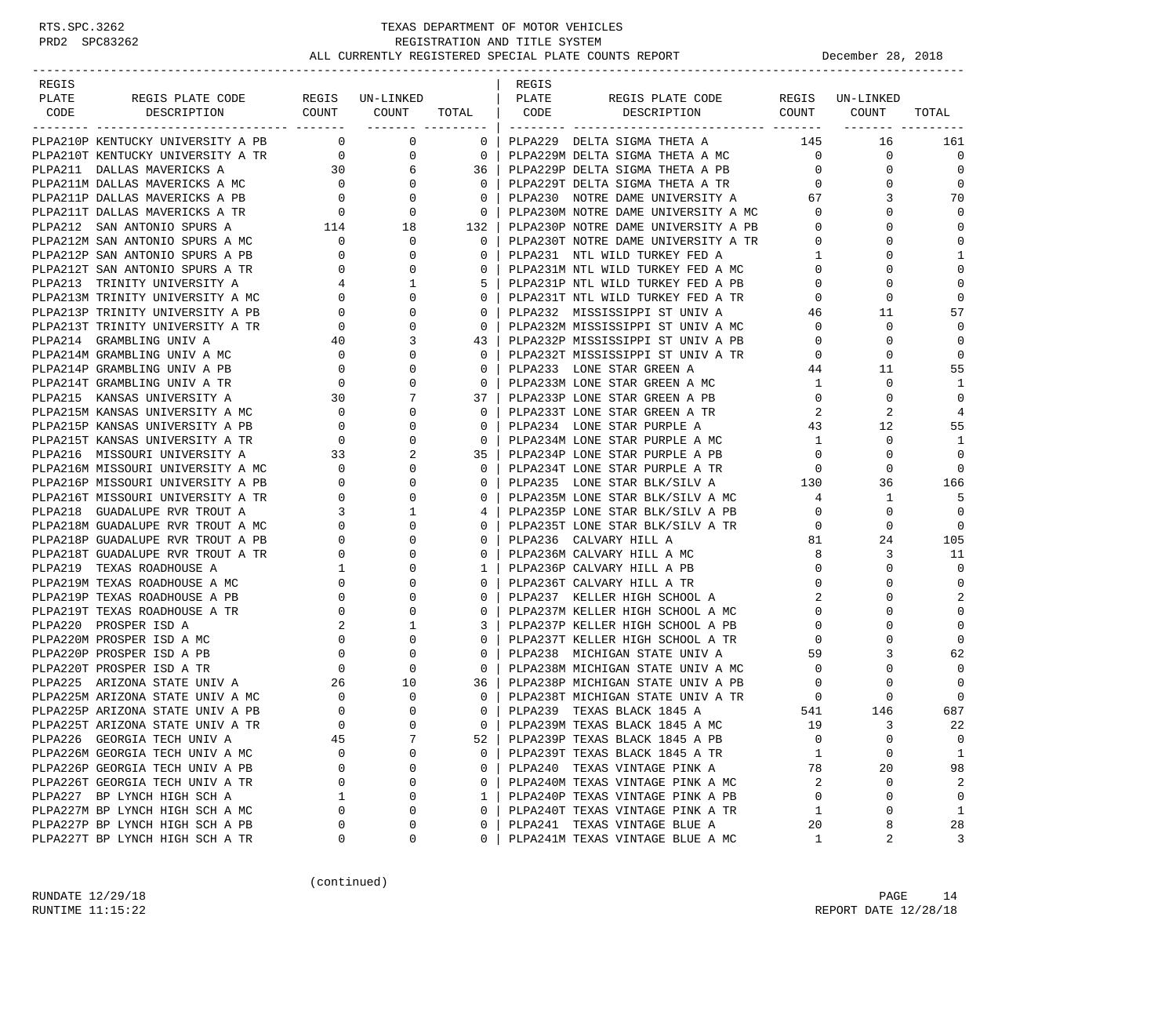### RTS.SPC.3262 TEXAS DEPARTMENT OF MOTOR VEHICLES<br>PRD2 SPC83262 REGISTRATION AND TITLE SYSTEM REGISTRATION AND TITLE SYSTEM ALL CURRENTLY REGISTERED SPECIAL PLATE COUNTS REPORT **DECEMBER 28, 2018**

| REGIS<br>REGIS<br>PLATE<br>REGIS UN-LINKED   PLATE<br>REGIS PLATE CODE<br>REGIS PLATE CODE REGIS UN-LINKED<br>DESCRIPTION COUNT COUNT TOTAL CODE DESCRIPTION COUNT COUNT<br>TOTAL<br>CODE<br>PLPA210P KENTUCKY UNIVERSITY A PB 0 0 0<br>0   PLPA229 DELTA SIGMA THETA A<br>145<br>16<br>161<br>PIPA210T KENTUCKY UNIVERSITY A TR<br>PIPA211 DALLAS MAVERICKS A 30 6<br>PIPA211M DALLAS MAVERICKS A MC 0 0<br>PIPA211P DALLAS MAVERICKS A PB 0 0<br>PIPA211T DALLAS MAVERICKS A TR 0 0<br>PIPA211T DALLAS MAVERICKS A TR 0 0<br>PIPA212 SA<br>$\begin{array}{ccc} 0 & \hspace{1.5cm} & 0 \hspace{1.5cm} \end{array}$<br>0<br>$\mathbf 0$<br>$\Omega$<br>0<br>$\Omega$<br>$\Omega$<br>70<br>$\overline{\phantom{0}}$ 0 $\overline{\phantom{0}}$<br>3<br>$\mathbf 0$<br>$\overline{\phantom{0}}$ 0 $\overline{\phantom{0}}$<br>PLPA230P NOTRE DAME UNIVERSITY A PB 0<br>132<br>0<br>$\mathbf 0$<br>PLPA212M SAN ANTONIO SPURS A MC 0<br>PLPA212P SAN ANTONIO SPURS A PB 0<br>$\mathbf 0$<br>$\mathbf{0}$<br>$\overline{0}$<br>PLPA230T NOTRE DAME UNIVERSITY A TR<br>PLPA231 NTL WILD TURKEY FED A 1<br>$\Omega$<br>$\Omega$<br>1<br>$\Omega$<br>$\Omega$<br>$\begin{bmatrix} 0 \\ 4 \\ 0 \\ 0 \\ 0 \\ 0 \\ 0 \end{bmatrix}$<br>$\mathbf 0$<br>PLPA212T SAN ANTONIO SPURS A TR<br>PLPA231M NTL WILD TURKEY FED A MC 0<br>PLPA231P NTL WILD TURKEY FED A PR<br>$\mathbf{0}$<br>$\mathbf{0}$<br>0<br>$\mathbf 0$<br>1<br>5  <br>$\overline{0}$<br>$\Omega$<br>PLPA213 TRINITY UNIVERSITY A<br>PLPA231P NTL WILD TURKEY FED A PB<br>PLPA213M TRINITY UNIVERSITY A MC<br>$\overline{0}$<br>PLPA231T NTL WILD TURKEY FED A TR<br>$\mathbf 0$<br>$\mathbf 0$<br>0 <sup>1</sup><br>$\mathbf{0}$<br>57<br>PLPA213P TRINITY UNIVERSITY A PB<br>$\mathbf{0}$<br>0 <sup>1</sup><br>11<br>PLPA232 MISSISSIPPI ST UNIV A<br>46<br>PLPA232M MISSISSIPPI ST UNIV A MC<br>$\mathbf{0}$<br>0<br>$\Omega$<br>PLPA213T TRINITY UNIVERSITY A TR<br>0 <sup>1</sup><br>$\overline{0}$<br>$\begin{array}{c} 40 \\ 0 \end{array}$<br>PLPA214 GRAMBLING UNIV A<br>PLPA232P MISSISSIPPI ST UNIV A PB<br>PLPA232T MISSISSIPPI ST UNIV A TR<br>$\mathbf 0$<br>3<br>43  <br>$\overline{0}$<br>0<br>$\mathbf 0$<br>$\mathbf 0$<br>$\overline{0}$<br>$\mathbf 0$<br>PLPA214M GRAMBLING UNIV A MC<br>$\Omega$<br>$\begin{array}{c} 0 \\ 0 \\ 30 \end{array}$<br>55<br>PLPA214P GRAMBLING UNIV A PB<br>$\mathbf{0}$<br>PLPA233 LONE STAR GREEN A<br>44<br>11<br>$\mathbf{0}$<br>$\mathbf{1}$<br>PLPA214T GRAMBLING UNIV A TR<br>0<br>$\mathbf{0}$<br>PLPA233M LONE STAR GREEN A MC<br>1<br>0<br>PLPA215 KANSAS UNIVERSITY A<br>PLPA233P LONE STAR GREEN A PB<br>$\overline{0}$<br>$\mathbf 0$<br>7<br>37 <sub>1</sub><br>0<br>PIPA215 KANSAS UNIVERSITY A MC<br>PIPA215M KANSAS UNIVERSITY A MC<br>PIPA215F KANSAS UNIVERSITY A PB<br>0<br>PIPA215T KANSAS UNIVERSITY A TR<br>0<br>PIPA216 MISSOURI UNIVERSITY A MC<br>23<br>PIPA216M MISSOURI UNIVERSITY A MC<br>0<br>PIPA216 G<br>PLPA233T LONE STAR GREEN A TR<br>2<br>$\overline{4}$<br>$\mathbf{0}$<br>$\overline{0}$<br>2<br>$\mathbf 0$<br>55<br>$\mathbf{0}$<br>PLPA234 LONE STAR PURPLE A<br>43<br>12<br>$\mathbf{0}$<br>$\overline{0}$<br>PLPA234M LONE STAR PURPLE A MC<br>$\mathbf{1}$<br>$\mathbf 0$<br>1<br>2<br>$\mathbf 0$<br>35 <sub>1</sub><br>PLPA234P LONE STAR PURPLE A PB<br>$\overline{0}$<br>$\Omega$<br>PLPA234T LONE STAR PURPLE A TR<br>$\Omega$<br>$\Omega$<br>$\Omega$<br>$\overline{0}$<br>$\Omega$<br>PLPA235M LONE STAR BLK/SILV A MC 130<br>PLPA235M LONE STAR BLK/SILV A MC 4<br>PLPA235D LONE CELLE<br>$\mathbf{0}$<br>166<br>$\mathbf{0}$<br>36<br>$\mathbf 0$<br>$4\overline{4}$<br>1<br>5<br>0 <sup>1</sup><br>PLPA235P LONE STAR BLK/SILV A PB 0<br>$\mathbf{1}$<br>$\overline{0}$<br>4<br>0<br>$\mathbf{0}$<br>$0-1$<br>PLPA235T LONE STAR BLK/SILV A TR<br>$\overline{0}$<br>$\mathbf 0$<br>0<br>81<br>$\Omega$<br>105<br>$\Omega$<br>PLPA236 CALVARY HILL A<br>24<br>$\begin{array}{c} 0 \\ 0 \end{array}$<br>$\mathbf{0}$<br>8<br>11<br>PLPA218T GUADALUPE RVR TROUT A TR<br>$0-1$<br>PLPA236M CALVARY HILL A MC<br>3<br>$\Omega$<br>$\overline{0}$<br>$\Omega$<br>$\mathbf 0$<br>PLPA219 TEXAS ROADHOUSE A<br>1 <sup>1</sup><br>PLPA236P CALVARY HILL A PB<br>PLPA219M TEXAS ROADHOUSE A MC<br>$\mathbf{0}$<br>$\mathbf{0}$<br>$0-1$<br>PLPA236T CALVARY HILL A TR<br>$\Omega$<br>$\mathbf 0$<br>$\Omega$<br>2<br>2<br>$\overline{0}$<br>0<br>$\mathbf{0}$<br>PLPA219P TEXAS ROADHOUSE A PB<br>PLPA237 KELLER HIGH SCHOOL A<br>$\Omega$<br>$\overline{0}$<br>PLPA237M KELLER HIGH SCHOOL A MC<br>PLPA219T TEXAS ROADHOUSE A TR<br>$\Omega$<br>$\overline{0}$<br>$\mathbf 0$<br>$\Omega$<br>$\Omega$<br>PLPA220 PROSPER ISD A<br>$\overline{2}$<br>$\mathbf 0$<br>1<br>3<br>PLPA237P KELLER HIGH SCHOOL A PB<br>$\mathbf{0}$<br>0<br>$\mathbf 0$<br>PLPA220M PROSPER ISD A MC<br>$\overline{\phantom{0}}$<br>PLPA237T KELLER HIGH SCHOOL A TR<br>$\circ$<br>$\Omega$<br>$\mathbf 0$<br>$\mathbf{0}$<br>$\begin{array}{ccc} 0 & & & 0 \\ & & 0 & \\ 0 & & & \\ 26 & & & \end{array}$<br>62<br>PLPA220P PROSPER ISD A PB<br>$\mathbf{0}$<br>PLPA238 MICHIGAN STATE UNIV A<br>59<br>3<br>$\overline{0}$<br>$\overline{0}$<br>$\Omega$<br>PLPA220T PROSPER ISD A TR<br>$\mathbf 0$<br>$0-1$<br>PLPA238M MICHIGAN STATE UNIV A MC<br>$\Omega$<br>PLPA238P MICHIGAN STATE UNIV A MC<br>PLPA238P MICHIGAN STATE UNIV A PB<br>PLPA225 ARIZONA STATE UNIV A 26<br>10<br>$\mathbf 0$<br>36  <br>$\overline{0}$<br>0<br>PLPA225M ARIZONA STATE UNIV A MC<br>pr.pa225M ARIZONA STATE UNIV A PB<br>0<br>PLPA238T MICHIGAN STATE UNIV A TR<br>PLPA239   TEXAS BLACK 1845 A<br>$\mathbf{0}$<br>$\Omega$<br>0 <sup>1</sup><br>$\overline{0}$<br>0<br>$\Omega$<br>687<br>$\Omega$<br>541<br>146<br>$\Omega$<br>$\Omega$<br>$\Omega$<br>PLPA239M TEXAS BLACK 1845 A MC<br>3<br>22<br>PLPA225T ARIZONA STATE UNIV A TR<br>19<br>7<br>PLPA226 GEORGIA TECH UNIV A<br>PLPA239P TEXAS BLACK 1845 A PB<br>0<br>0<br>0<br>45<br>52<br>PLPA226M GEORGIA TECH UNIV A MC<br>0<br>PLPA239T TEXAS BLACK 1845 A TR<br>0<br>$\Omega$<br>1<br>$\Omega$<br>1<br>98<br>PLPA226P GEORGIA TECH UNIV A PB<br>PLPA240 TEXAS VINTAGE PINK A<br>20<br>0<br>0<br>0<br>78<br>PLPA226T GEORGIA TECH UNIV A TR<br>0<br>0<br>PLPA240M TEXAS VINTAGE PINK A MC<br>2<br>0<br>2<br>0<br>PLPA227 BP LYNCH HIGH SCH A<br>PLPA240P TEXAS VINTAGE PINK A PB<br>1<br>$\mathbf 0$<br>0<br>1<br>$\Omega$<br>0<br>PLPA240T TEXAS VINTAGE PINK A TR<br>PLPA227M BP LYNCH HIGH SCH A MC<br>0<br>0<br>0<br>1<br>1<br>$\Omega$<br>PLPA227P BP LYNCH HIGH SCH A PB<br>PLPA241 TEXAS VINTAGE BLUE A<br>28<br>0<br>0<br>0<br>20<br>8<br>PLPA227T BP LYNCH HIGH SCH A TR<br>PLPA241M TEXAS VINTAGE BLUE A MC |  |   |   |   |  |   |   |   |
|-----------------------------------------------------------------------------------------------------------------------------------------------------------------------------------------------------------------------------------------------------------------------------------------------------------------------------------------------------------------------------------------------------------------------------------------------------------------------------------------------------------------------------------------------------------------------------------------------------------------------------------------------------------------------------------------------------------------------------------------------------------------------------------------------------------------------------------------------------------------------------------------------------------------------------------------------------------------------------------------------------------------------------------------------------------------------------------------------------------------------------------------------------------------------------------------------------------------------------------------------------------------------------------------------------------------------------------------------------------------------------------------------------------------------------------------------------------------------------------------------------------------------------------------------------------------------------------------------------------------------------------------------------------------------------------------------------------------------------------------------------------------------------------------------------------------------------------------------------------------------------------------------------------------------------------------------------------------------------------------------------------------------------------------------------------------------------------------------------------------------------------------------------------------------------------------------------------------------------------------------------------------------------------------------------------------------------------------------------------------------------------------------------------------------------------------------------------------------------------------------------------------------------------------------------------------------------------------------------------------------------------------------------------------------------------------------------------------------------------------------------------------------------------------------------------------------------------------------------------------------------------------------------------------------------------------------------------------------------------------------------------------------------------------------------------------------------------------------------------------------------------------------------------------------------------------------------------------------------------------------------------------------------------------------------------------------------------------------------------------------------------------------------------------------------------------------------------------------------------------------------------------------------------------------------------------------------------------------------------------------------------------------------------------------------------------------------------------------------------------------------------------------------------------------------------------------------------------------------------------------------------------------------------------------------------------------------------------------------------------------------------------------------------------------------------------------------------------------------------------------------------------------------------------------------------------------------------------------------------------------------------------------------------------------------------------------------------------------------------------------------------------------------------------------------------------------------------------------------------------------------------------------------------------------------------------------------------------------------------------------------------------------------------------------------------------------------------------------------------------------------------------------------------------------------------------------------------------------------------------------------------------------------------------------------------------------------------------------------------------------------------------------------------------------------------------------------------------------------------------------------------------------------------------------------------------------------------------------------------------------------------------------------------------------------------------------------------------------------------------------------------------------------------------------------------------------------------------------------------------------------------------------------------------------------------------------------------------------------------------------------------------------------------------------------------------------------------------------------------------------------------------------------------------------------------------------------------------------------------------------------------------------------------------------------------------------------------------------------------------------------------------------------------------------------------------------------------------------------------------------------------------------------------------------------------------------------------------------------------------------------------------------------------------------------------------------------------------------------------------------------------------------------------------------------------------------------------------------------------------------------------------------------------------------------------------------------------------------------------------------------------------------------------------------------------------------------|--|---|---|---|--|---|---|---|
|                                                                                                                                                                                                                                                                                                                                                                                                                                                                                                                                                                                                                                                                                                                                                                                                                                                                                                                                                                                                                                                                                                                                                                                                                                                                                                                                                                                                                                                                                                                                                                                                                                                                                                                                                                                                                                                                                                                                                                                                                                                                                                                                                                                                                                                                                                                                                                                                                                                                                                                                                                                                                                                                                                                                                                                                                                                                                                                                                                                                                                                                                                                                                                                                                                                                                                                                                                                                                                                                                                                                                                                                                                                                                                                                                                                                                                                                                                                                                                                                                                                                                                                                                                                                                                                                                                                                                                                                                                                                                                                                                                                                                                                                                                                                                                                                                                                                                                                                                                                                                                                                                                                                                                                                                                                                                                                                                                                                                                                                                                                                                                                                                                                                                                                                                                                                                                                                                                                                                                                                                                                                                                                                                                                                                                                                                                                                                                                                                                                                                                                                                                                                                                                                                                     |  |   |   |   |  |   |   |   |
|                                                                                                                                                                                                                                                                                                                                                                                                                                                                                                                                                                                                                                                                                                                                                                                                                                                                                                                                                                                                                                                                                                                                                                                                                                                                                                                                                                                                                                                                                                                                                                                                                                                                                                                                                                                                                                                                                                                                                                                                                                                                                                                                                                                                                                                                                                                                                                                                                                                                                                                                                                                                                                                                                                                                                                                                                                                                                                                                                                                                                                                                                                                                                                                                                                                                                                                                                                                                                                                                                                                                                                                                                                                                                                                                                                                                                                                                                                                                                                                                                                                                                                                                                                                                                                                                                                                                                                                                                                                                                                                                                                                                                                                                                                                                                                                                                                                                                                                                                                                                                                                                                                                                                                                                                                                                                                                                                                                                                                                                                                                                                                                                                                                                                                                                                                                                                                                                                                                                                                                                                                                                                                                                                                                                                                                                                                                                                                                                                                                                                                                                                                                                                                                                                                     |  |   |   |   |  |   |   |   |
|                                                                                                                                                                                                                                                                                                                                                                                                                                                                                                                                                                                                                                                                                                                                                                                                                                                                                                                                                                                                                                                                                                                                                                                                                                                                                                                                                                                                                                                                                                                                                                                                                                                                                                                                                                                                                                                                                                                                                                                                                                                                                                                                                                                                                                                                                                                                                                                                                                                                                                                                                                                                                                                                                                                                                                                                                                                                                                                                                                                                                                                                                                                                                                                                                                                                                                                                                                                                                                                                                                                                                                                                                                                                                                                                                                                                                                                                                                                                                                                                                                                                                                                                                                                                                                                                                                                                                                                                                                                                                                                                                                                                                                                                                                                                                                                                                                                                                                                                                                                                                                                                                                                                                                                                                                                                                                                                                                                                                                                                                                                                                                                                                                                                                                                                                                                                                                                                                                                                                                                                                                                                                                                                                                                                                                                                                                                                                                                                                                                                                                                                                                                                                                                                                                     |  |   |   |   |  |   |   |   |
|                                                                                                                                                                                                                                                                                                                                                                                                                                                                                                                                                                                                                                                                                                                                                                                                                                                                                                                                                                                                                                                                                                                                                                                                                                                                                                                                                                                                                                                                                                                                                                                                                                                                                                                                                                                                                                                                                                                                                                                                                                                                                                                                                                                                                                                                                                                                                                                                                                                                                                                                                                                                                                                                                                                                                                                                                                                                                                                                                                                                                                                                                                                                                                                                                                                                                                                                                                                                                                                                                                                                                                                                                                                                                                                                                                                                                                                                                                                                                                                                                                                                                                                                                                                                                                                                                                                                                                                                                                                                                                                                                                                                                                                                                                                                                                                                                                                                                                                                                                                                                                                                                                                                                                                                                                                                                                                                                                                                                                                                                                                                                                                                                                                                                                                                                                                                                                                                                                                                                                                                                                                                                                                                                                                                                                                                                                                                                                                                                                                                                                                                                                                                                                                                                                     |  |   |   |   |  |   |   |   |
|                                                                                                                                                                                                                                                                                                                                                                                                                                                                                                                                                                                                                                                                                                                                                                                                                                                                                                                                                                                                                                                                                                                                                                                                                                                                                                                                                                                                                                                                                                                                                                                                                                                                                                                                                                                                                                                                                                                                                                                                                                                                                                                                                                                                                                                                                                                                                                                                                                                                                                                                                                                                                                                                                                                                                                                                                                                                                                                                                                                                                                                                                                                                                                                                                                                                                                                                                                                                                                                                                                                                                                                                                                                                                                                                                                                                                                                                                                                                                                                                                                                                                                                                                                                                                                                                                                                                                                                                                                                                                                                                                                                                                                                                                                                                                                                                                                                                                                                                                                                                                                                                                                                                                                                                                                                                                                                                                                                                                                                                                                                                                                                                                                                                                                                                                                                                                                                                                                                                                                                                                                                                                                                                                                                                                                                                                                                                                                                                                                                                                                                                                                                                                                                                                                     |  |   |   |   |  |   |   |   |
|                                                                                                                                                                                                                                                                                                                                                                                                                                                                                                                                                                                                                                                                                                                                                                                                                                                                                                                                                                                                                                                                                                                                                                                                                                                                                                                                                                                                                                                                                                                                                                                                                                                                                                                                                                                                                                                                                                                                                                                                                                                                                                                                                                                                                                                                                                                                                                                                                                                                                                                                                                                                                                                                                                                                                                                                                                                                                                                                                                                                                                                                                                                                                                                                                                                                                                                                                                                                                                                                                                                                                                                                                                                                                                                                                                                                                                                                                                                                                                                                                                                                                                                                                                                                                                                                                                                                                                                                                                                                                                                                                                                                                                                                                                                                                                                                                                                                                                                                                                                                                                                                                                                                                                                                                                                                                                                                                                                                                                                                                                                                                                                                                                                                                                                                                                                                                                                                                                                                                                                                                                                                                                                                                                                                                                                                                                                                                                                                                                                                                                                                                                                                                                                                                                     |  |   |   |   |  |   |   |   |
|                                                                                                                                                                                                                                                                                                                                                                                                                                                                                                                                                                                                                                                                                                                                                                                                                                                                                                                                                                                                                                                                                                                                                                                                                                                                                                                                                                                                                                                                                                                                                                                                                                                                                                                                                                                                                                                                                                                                                                                                                                                                                                                                                                                                                                                                                                                                                                                                                                                                                                                                                                                                                                                                                                                                                                                                                                                                                                                                                                                                                                                                                                                                                                                                                                                                                                                                                                                                                                                                                                                                                                                                                                                                                                                                                                                                                                                                                                                                                                                                                                                                                                                                                                                                                                                                                                                                                                                                                                                                                                                                                                                                                                                                                                                                                                                                                                                                                                                                                                                                                                                                                                                                                                                                                                                                                                                                                                                                                                                                                                                                                                                                                                                                                                                                                                                                                                                                                                                                                                                                                                                                                                                                                                                                                                                                                                                                                                                                                                                                                                                                                                                                                                                                                                     |  |   |   |   |  |   |   |   |
|                                                                                                                                                                                                                                                                                                                                                                                                                                                                                                                                                                                                                                                                                                                                                                                                                                                                                                                                                                                                                                                                                                                                                                                                                                                                                                                                                                                                                                                                                                                                                                                                                                                                                                                                                                                                                                                                                                                                                                                                                                                                                                                                                                                                                                                                                                                                                                                                                                                                                                                                                                                                                                                                                                                                                                                                                                                                                                                                                                                                                                                                                                                                                                                                                                                                                                                                                                                                                                                                                                                                                                                                                                                                                                                                                                                                                                                                                                                                                                                                                                                                                                                                                                                                                                                                                                                                                                                                                                                                                                                                                                                                                                                                                                                                                                                                                                                                                                                                                                                                                                                                                                                                                                                                                                                                                                                                                                                                                                                                                                                                                                                                                                                                                                                                                                                                                                                                                                                                                                                                                                                                                                                                                                                                                                                                                                                                                                                                                                                                                                                                                                                                                                                                                                     |  |   |   |   |  |   |   |   |
|                                                                                                                                                                                                                                                                                                                                                                                                                                                                                                                                                                                                                                                                                                                                                                                                                                                                                                                                                                                                                                                                                                                                                                                                                                                                                                                                                                                                                                                                                                                                                                                                                                                                                                                                                                                                                                                                                                                                                                                                                                                                                                                                                                                                                                                                                                                                                                                                                                                                                                                                                                                                                                                                                                                                                                                                                                                                                                                                                                                                                                                                                                                                                                                                                                                                                                                                                                                                                                                                                                                                                                                                                                                                                                                                                                                                                                                                                                                                                                                                                                                                                                                                                                                                                                                                                                                                                                                                                                                                                                                                                                                                                                                                                                                                                                                                                                                                                                                                                                                                                                                                                                                                                                                                                                                                                                                                                                                                                                                                                                                                                                                                                                                                                                                                                                                                                                                                                                                                                                                                                                                                                                                                                                                                                                                                                                                                                                                                                                                                                                                                                                                                                                                                                                     |  |   |   |   |  |   |   |   |
|                                                                                                                                                                                                                                                                                                                                                                                                                                                                                                                                                                                                                                                                                                                                                                                                                                                                                                                                                                                                                                                                                                                                                                                                                                                                                                                                                                                                                                                                                                                                                                                                                                                                                                                                                                                                                                                                                                                                                                                                                                                                                                                                                                                                                                                                                                                                                                                                                                                                                                                                                                                                                                                                                                                                                                                                                                                                                                                                                                                                                                                                                                                                                                                                                                                                                                                                                                                                                                                                                                                                                                                                                                                                                                                                                                                                                                                                                                                                                                                                                                                                                                                                                                                                                                                                                                                                                                                                                                                                                                                                                                                                                                                                                                                                                                                                                                                                                                                                                                                                                                                                                                                                                                                                                                                                                                                                                                                                                                                                                                                                                                                                                                                                                                                                                                                                                                                                                                                                                                                                                                                                                                                                                                                                                                                                                                                                                                                                                                                                                                                                                                                                                                                                                                     |  |   |   |   |  |   |   |   |
|                                                                                                                                                                                                                                                                                                                                                                                                                                                                                                                                                                                                                                                                                                                                                                                                                                                                                                                                                                                                                                                                                                                                                                                                                                                                                                                                                                                                                                                                                                                                                                                                                                                                                                                                                                                                                                                                                                                                                                                                                                                                                                                                                                                                                                                                                                                                                                                                                                                                                                                                                                                                                                                                                                                                                                                                                                                                                                                                                                                                                                                                                                                                                                                                                                                                                                                                                                                                                                                                                                                                                                                                                                                                                                                                                                                                                                                                                                                                                                                                                                                                                                                                                                                                                                                                                                                                                                                                                                                                                                                                                                                                                                                                                                                                                                                                                                                                                                                                                                                                                                                                                                                                                                                                                                                                                                                                                                                                                                                                                                                                                                                                                                                                                                                                                                                                                                                                                                                                                                                                                                                                                                                                                                                                                                                                                                                                                                                                                                                                                                                                                                                                                                                                                                     |  |   |   |   |  |   |   |   |
|                                                                                                                                                                                                                                                                                                                                                                                                                                                                                                                                                                                                                                                                                                                                                                                                                                                                                                                                                                                                                                                                                                                                                                                                                                                                                                                                                                                                                                                                                                                                                                                                                                                                                                                                                                                                                                                                                                                                                                                                                                                                                                                                                                                                                                                                                                                                                                                                                                                                                                                                                                                                                                                                                                                                                                                                                                                                                                                                                                                                                                                                                                                                                                                                                                                                                                                                                                                                                                                                                                                                                                                                                                                                                                                                                                                                                                                                                                                                                                                                                                                                                                                                                                                                                                                                                                                                                                                                                                                                                                                                                                                                                                                                                                                                                                                                                                                                                                                                                                                                                                                                                                                                                                                                                                                                                                                                                                                                                                                                                                                                                                                                                                                                                                                                                                                                                                                                                                                                                                                                                                                                                                                                                                                                                                                                                                                                                                                                                                                                                                                                                                                                                                                                                                     |  |   |   |   |  |   |   |   |
|                                                                                                                                                                                                                                                                                                                                                                                                                                                                                                                                                                                                                                                                                                                                                                                                                                                                                                                                                                                                                                                                                                                                                                                                                                                                                                                                                                                                                                                                                                                                                                                                                                                                                                                                                                                                                                                                                                                                                                                                                                                                                                                                                                                                                                                                                                                                                                                                                                                                                                                                                                                                                                                                                                                                                                                                                                                                                                                                                                                                                                                                                                                                                                                                                                                                                                                                                                                                                                                                                                                                                                                                                                                                                                                                                                                                                                                                                                                                                                                                                                                                                                                                                                                                                                                                                                                                                                                                                                                                                                                                                                                                                                                                                                                                                                                                                                                                                                                                                                                                                                                                                                                                                                                                                                                                                                                                                                                                                                                                                                                                                                                                                                                                                                                                                                                                                                                                                                                                                                                                                                                                                                                                                                                                                                                                                                                                                                                                                                                                                                                                                                                                                                                                                                     |  |   |   |   |  |   |   |   |
|                                                                                                                                                                                                                                                                                                                                                                                                                                                                                                                                                                                                                                                                                                                                                                                                                                                                                                                                                                                                                                                                                                                                                                                                                                                                                                                                                                                                                                                                                                                                                                                                                                                                                                                                                                                                                                                                                                                                                                                                                                                                                                                                                                                                                                                                                                                                                                                                                                                                                                                                                                                                                                                                                                                                                                                                                                                                                                                                                                                                                                                                                                                                                                                                                                                                                                                                                                                                                                                                                                                                                                                                                                                                                                                                                                                                                                                                                                                                                                                                                                                                                                                                                                                                                                                                                                                                                                                                                                                                                                                                                                                                                                                                                                                                                                                                                                                                                                                                                                                                                                                                                                                                                                                                                                                                                                                                                                                                                                                                                                                                                                                                                                                                                                                                                                                                                                                                                                                                                                                                                                                                                                                                                                                                                                                                                                                                                                                                                                                                                                                                                                                                                                                                                                     |  |   |   |   |  |   |   |   |
|                                                                                                                                                                                                                                                                                                                                                                                                                                                                                                                                                                                                                                                                                                                                                                                                                                                                                                                                                                                                                                                                                                                                                                                                                                                                                                                                                                                                                                                                                                                                                                                                                                                                                                                                                                                                                                                                                                                                                                                                                                                                                                                                                                                                                                                                                                                                                                                                                                                                                                                                                                                                                                                                                                                                                                                                                                                                                                                                                                                                                                                                                                                                                                                                                                                                                                                                                                                                                                                                                                                                                                                                                                                                                                                                                                                                                                                                                                                                                                                                                                                                                                                                                                                                                                                                                                                                                                                                                                                                                                                                                                                                                                                                                                                                                                                                                                                                                                                                                                                                                                                                                                                                                                                                                                                                                                                                                                                                                                                                                                                                                                                                                                                                                                                                                                                                                                                                                                                                                                                                                                                                                                                                                                                                                                                                                                                                                                                                                                                                                                                                                                                                                                                                                                     |  |   |   |   |  |   |   |   |
|                                                                                                                                                                                                                                                                                                                                                                                                                                                                                                                                                                                                                                                                                                                                                                                                                                                                                                                                                                                                                                                                                                                                                                                                                                                                                                                                                                                                                                                                                                                                                                                                                                                                                                                                                                                                                                                                                                                                                                                                                                                                                                                                                                                                                                                                                                                                                                                                                                                                                                                                                                                                                                                                                                                                                                                                                                                                                                                                                                                                                                                                                                                                                                                                                                                                                                                                                                                                                                                                                                                                                                                                                                                                                                                                                                                                                                                                                                                                                                                                                                                                                                                                                                                                                                                                                                                                                                                                                                                                                                                                                                                                                                                                                                                                                                                                                                                                                                                                                                                                                                                                                                                                                                                                                                                                                                                                                                                                                                                                                                                                                                                                                                                                                                                                                                                                                                                                                                                                                                                                                                                                                                                                                                                                                                                                                                                                                                                                                                                                                                                                                                                                                                                                                                     |  |   |   |   |  |   |   |   |
|                                                                                                                                                                                                                                                                                                                                                                                                                                                                                                                                                                                                                                                                                                                                                                                                                                                                                                                                                                                                                                                                                                                                                                                                                                                                                                                                                                                                                                                                                                                                                                                                                                                                                                                                                                                                                                                                                                                                                                                                                                                                                                                                                                                                                                                                                                                                                                                                                                                                                                                                                                                                                                                                                                                                                                                                                                                                                                                                                                                                                                                                                                                                                                                                                                                                                                                                                                                                                                                                                                                                                                                                                                                                                                                                                                                                                                                                                                                                                                                                                                                                                                                                                                                                                                                                                                                                                                                                                                                                                                                                                                                                                                                                                                                                                                                                                                                                                                                                                                                                                                                                                                                                                                                                                                                                                                                                                                                                                                                                                                                                                                                                                                                                                                                                                                                                                                                                                                                                                                                                                                                                                                                                                                                                                                                                                                                                                                                                                                                                                                                                                                                                                                                                                                     |  |   |   |   |  |   |   |   |
|                                                                                                                                                                                                                                                                                                                                                                                                                                                                                                                                                                                                                                                                                                                                                                                                                                                                                                                                                                                                                                                                                                                                                                                                                                                                                                                                                                                                                                                                                                                                                                                                                                                                                                                                                                                                                                                                                                                                                                                                                                                                                                                                                                                                                                                                                                                                                                                                                                                                                                                                                                                                                                                                                                                                                                                                                                                                                                                                                                                                                                                                                                                                                                                                                                                                                                                                                                                                                                                                                                                                                                                                                                                                                                                                                                                                                                                                                                                                                                                                                                                                                                                                                                                                                                                                                                                                                                                                                                                                                                                                                                                                                                                                                                                                                                                                                                                                                                                                                                                                                                                                                                                                                                                                                                                                                                                                                                                                                                                                                                                                                                                                                                                                                                                                                                                                                                                                                                                                                                                                                                                                                                                                                                                                                                                                                                                                                                                                                                                                                                                                                                                                                                                                                                     |  |   |   |   |  |   |   |   |
|                                                                                                                                                                                                                                                                                                                                                                                                                                                                                                                                                                                                                                                                                                                                                                                                                                                                                                                                                                                                                                                                                                                                                                                                                                                                                                                                                                                                                                                                                                                                                                                                                                                                                                                                                                                                                                                                                                                                                                                                                                                                                                                                                                                                                                                                                                                                                                                                                                                                                                                                                                                                                                                                                                                                                                                                                                                                                                                                                                                                                                                                                                                                                                                                                                                                                                                                                                                                                                                                                                                                                                                                                                                                                                                                                                                                                                                                                                                                                                                                                                                                                                                                                                                                                                                                                                                                                                                                                                                                                                                                                                                                                                                                                                                                                                                                                                                                                                                                                                                                                                                                                                                                                                                                                                                                                                                                                                                                                                                                                                                                                                                                                                                                                                                                                                                                                                                                                                                                                                                                                                                                                                                                                                                                                                                                                                                                                                                                                                                                                                                                                                                                                                                                                                     |  |   |   |   |  |   |   |   |
|                                                                                                                                                                                                                                                                                                                                                                                                                                                                                                                                                                                                                                                                                                                                                                                                                                                                                                                                                                                                                                                                                                                                                                                                                                                                                                                                                                                                                                                                                                                                                                                                                                                                                                                                                                                                                                                                                                                                                                                                                                                                                                                                                                                                                                                                                                                                                                                                                                                                                                                                                                                                                                                                                                                                                                                                                                                                                                                                                                                                                                                                                                                                                                                                                                                                                                                                                                                                                                                                                                                                                                                                                                                                                                                                                                                                                                                                                                                                                                                                                                                                                                                                                                                                                                                                                                                                                                                                                                                                                                                                                                                                                                                                                                                                                                                                                                                                                                                                                                                                                                                                                                                                                                                                                                                                                                                                                                                                                                                                                                                                                                                                                                                                                                                                                                                                                                                                                                                                                                                                                                                                                                                                                                                                                                                                                                                                                                                                                                                                                                                                                                                                                                                                                                     |  |   |   |   |  |   |   |   |
|                                                                                                                                                                                                                                                                                                                                                                                                                                                                                                                                                                                                                                                                                                                                                                                                                                                                                                                                                                                                                                                                                                                                                                                                                                                                                                                                                                                                                                                                                                                                                                                                                                                                                                                                                                                                                                                                                                                                                                                                                                                                                                                                                                                                                                                                                                                                                                                                                                                                                                                                                                                                                                                                                                                                                                                                                                                                                                                                                                                                                                                                                                                                                                                                                                                                                                                                                                                                                                                                                                                                                                                                                                                                                                                                                                                                                                                                                                                                                                                                                                                                                                                                                                                                                                                                                                                                                                                                                                                                                                                                                                                                                                                                                                                                                                                                                                                                                                                                                                                                                                                                                                                                                                                                                                                                                                                                                                                                                                                                                                                                                                                                                                                                                                                                                                                                                                                                                                                                                                                                                                                                                                                                                                                                                                                                                                                                                                                                                                                                                                                                                                                                                                                                                                     |  |   |   |   |  |   |   |   |
|                                                                                                                                                                                                                                                                                                                                                                                                                                                                                                                                                                                                                                                                                                                                                                                                                                                                                                                                                                                                                                                                                                                                                                                                                                                                                                                                                                                                                                                                                                                                                                                                                                                                                                                                                                                                                                                                                                                                                                                                                                                                                                                                                                                                                                                                                                                                                                                                                                                                                                                                                                                                                                                                                                                                                                                                                                                                                                                                                                                                                                                                                                                                                                                                                                                                                                                                                                                                                                                                                                                                                                                                                                                                                                                                                                                                                                                                                                                                                                                                                                                                                                                                                                                                                                                                                                                                                                                                                                                                                                                                                                                                                                                                                                                                                                                                                                                                                                                                                                                                                                                                                                                                                                                                                                                                                                                                                                                                                                                                                                                                                                                                                                                                                                                                                                                                                                                                                                                                                                                                                                                                                                                                                                                                                                                                                                                                                                                                                                                                                                                                                                                                                                                                                                     |  |   |   |   |  |   |   |   |
|                                                                                                                                                                                                                                                                                                                                                                                                                                                                                                                                                                                                                                                                                                                                                                                                                                                                                                                                                                                                                                                                                                                                                                                                                                                                                                                                                                                                                                                                                                                                                                                                                                                                                                                                                                                                                                                                                                                                                                                                                                                                                                                                                                                                                                                                                                                                                                                                                                                                                                                                                                                                                                                                                                                                                                                                                                                                                                                                                                                                                                                                                                                                                                                                                                                                                                                                                                                                                                                                                                                                                                                                                                                                                                                                                                                                                                                                                                                                                                                                                                                                                                                                                                                                                                                                                                                                                                                                                                                                                                                                                                                                                                                                                                                                                                                                                                                                                                                                                                                                                                                                                                                                                                                                                                                                                                                                                                                                                                                                                                                                                                                                                                                                                                                                                                                                                                                                                                                                                                                                                                                                                                                                                                                                                                                                                                                                                                                                                                                                                                                                                                                                                                                                                                     |  |   |   |   |  |   |   |   |
|                                                                                                                                                                                                                                                                                                                                                                                                                                                                                                                                                                                                                                                                                                                                                                                                                                                                                                                                                                                                                                                                                                                                                                                                                                                                                                                                                                                                                                                                                                                                                                                                                                                                                                                                                                                                                                                                                                                                                                                                                                                                                                                                                                                                                                                                                                                                                                                                                                                                                                                                                                                                                                                                                                                                                                                                                                                                                                                                                                                                                                                                                                                                                                                                                                                                                                                                                                                                                                                                                                                                                                                                                                                                                                                                                                                                                                                                                                                                                                                                                                                                                                                                                                                                                                                                                                                                                                                                                                                                                                                                                                                                                                                                                                                                                                                                                                                                                                                                                                                                                                                                                                                                                                                                                                                                                                                                                                                                                                                                                                                                                                                                                                                                                                                                                                                                                                                                                                                                                                                                                                                                                                                                                                                                                                                                                                                                                                                                                                                                                                                                                                                                                                                                                                     |  |   |   |   |  |   |   |   |
|                                                                                                                                                                                                                                                                                                                                                                                                                                                                                                                                                                                                                                                                                                                                                                                                                                                                                                                                                                                                                                                                                                                                                                                                                                                                                                                                                                                                                                                                                                                                                                                                                                                                                                                                                                                                                                                                                                                                                                                                                                                                                                                                                                                                                                                                                                                                                                                                                                                                                                                                                                                                                                                                                                                                                                                                                                                                                                                                                                                                                                                                                                                                                                                                                                                                                                                                                                                                                                                                                                                                                                                                                                                                                                                                                                                                                                                                                                                                                                                                                                                                                                                                                                                                                                                                                                                                                                                                                                                                                                                                                                                                                                                                                                                                                                                                                                                                                                                                                                                                                                                                                                                                                                                                                                                                                                                                                                                                                                                                                                                                                                                                                                                                                                                                                                                                                                                                                                                                                                                                                                                                                                                                                                                                                                                                                                                                                                                                                                                                                                                                                                                                                                                                                                     |  |   |   |   |  |   |   |   |
|                                                                                                                                                                                                                                                                                                                                                                                                                                                                                                                                                                                                                                                                                                                                                                                                                                                                                                                                                                                                                                                                                                                                                                                                                                                                                                                                                                                                                                                                                                                                                                                                                                                                                                                                                                                                                                                                                                                                                                                                                                                                                                                                                                                                                                                                                                                                                                                                                                                                                                                                                                                                                                                                                                                                                                                                                                                                                                                                                                                                                                                                                                                                                                                                                                                                                                                                                                                                                                                                                                                                                                                                                                                                                                                                                                                                                                                                                                                                                                                                                                                                                                                                                                                                                                                                                                                                                                                                                                                                                                                                                                                                                                                                                                                                                                                                                                                                                                                                                                                                                                                                                                                                                                                                                                                                                                                                                                                                                                                                                                                                                                                                                                                                                                                                                                                                                                                                                                                                                                                                                                                                                                                                                                                                                                                                                                                                                                                                                                                                                                                                                                                                                                                                                                     |  |   |   |   |  |   |   |   |
|                                                                                                                                                                                                                                                                                                                                                                                                                                                                                                                                                                                                                                                                                                                                                                                                                                                                                                                                                                                                                                                                                                                                                                                                                                                                                                                                                                                                                                                                                                                                                                                                                                                                                                                                                                                                                                                                                                                                                                                                                                                                                                                                                                                                                                                                                                                                                                                                                                                                                                                                                                                                                                                                                                                                                                                                                                                                                                                                                                                                                                                                                                                                                                                                                                                                                                                                                                                                                                                                                                                                                                                                                                                                                                                                                                                                                                                                                                                                                                                                                                                                                                                                                                                                                                                                                                                                                                                                                                                                                                                                                                                                                                                                                                                                                                                                                                                                                                                                                                                                                                                                                                                                                                                                                                                                                                                                                                                                                                                                                                                                                                                                                                                                                                                                                                                                                                                                                                                                                                                                                                                                                                                                                                                                                                                                                                                                                                                                                                                                                                                                                                                                                                                                                                     |  |   |   |   |  |   |   |   |
|                                                                                                                                                                                                                                                                                                                                                                                                                                                                                                                                                                                                                                                                                                                                                                                                                                                                                                                                                                                                                                                                                                                                                                                                                                                                                                                                                                                                                                                                                                                                                                                                                                                                                                                                                                                                                                                                                                                                                                                                                                                                                                                                                                                                                                                                                                                                                                                                                                                                                                                                                                                                                                                                                                                                                                                                                                                                                                                                                                                                                                                                                                                                                                                                                                                                                                                                                                                                                                                                                                                                                                                                                                                                                                                                                                                                                                                                                                                                                                                                                                                                                                                                                                                                                                                                                                                                                                                                                                                                                                                                                                                                                                                                                                                                                                                                                                                                                                                                                                                                                                                                                                                                                                                                                                                                                                                                                                                                                                                                                                                                                                                                                                                                                                                                                                                                                                                                                                                                                                                                                                                                                                                                                                                                                                                                                                                                                                                                                                                                                                                                                                                                                                                                                                     |  |   |   |   |  |   |   |   |
|                                                                                                                                                                                                                                                                                                                                                                                                                                                                                                                                                                                                                                                                                                                                                                                                                                                                                                                                                                                                                                                                                                                                                                                                                                                                                                                                                                                                                                                                                                                                                                                                                                                                                                                                                                                                                                                                                                                                                                                                                                                                                                                                                                                                                                                                                                                                                                                                                                                                                                                                                                                                                                                                                                                                                                                                                                                                                                                                                                                                                                                                                                                                                                                                                                                                                                                                                                                                                                                                                                                                                                                                                                                                                                                                                                                                                                                                                                                                                                                                                                                                                                                                                                                                                                                                                                                                                                                                                                                                                                                                                                                                                                                                                                                                                                                                                                                                                                                                                                                                                                                                                                                                                                                                                                                                                                                                                                                                                                                                                                                                                                                                                                                                                                                                                                                                                                                                                                                                                                                                                                                                                                                                                                                                                                                                                                                                                                                                                                                                                                                                                                                                                                                                                                     |  |   |   |   |  |   |   |   |
|                                                                                                                                                                                                                                                                                                                                                                                                                                                                                                                                                                                                                                                                                                                                                                                                                                                                                                                                                                                                                                                                                                                                                                                                                                                                                                                                                                                                                                                                                                                                                                                                                                                                                                                                                                                                                                                                                                                                                                                                                                                                                                                                                                                                                                                                                                                                                                                                                                                                                                                                                                                                                                                                                                                                                                                                                                                                                                                                                                                                                                                                                                                                                                                                                                                                                                                                                                                                                                                                                                                                                                                                                                                                                                                                                                                                                                                                                                                                                                                                                                                                                                                                                                                                                                                                                                                                                                                                                                                                                                                                                                                                                                                                                                                                                                                                                                                                                                                                                                                                                                                                                                                                                                                                                                                                                                                                                                                                                                                                                                                                                                                                                                                                                                                                                                                                                                                                                                                                                                                                                                                                                                                                                                                                                                                                                                                                                                                                                                                                                                                                                                                                                                                                                                     |  |   |   |   |  |   |   |   |
|                                                                                                                                                                                                                                                                                                                                                                                                                                                                                                                                                                                                                                                                                                                                                                                                                                                                                                                                                                                                                                                                                                                                                                                                                                                                                                                                                                                                                                                                                                                                                                                                                                                                                                                                                                                                                                                                                                                                                                                                                                                                                                                                                                                                                                                                                                                                                                                                                                                                                                                                                                                                                                                                                                                                                                                                                                                                                                                                                                                                                                                                                                                                                                                                                                                                                                                                                                                                                                                                                                                                                                                                                                                                                                                                                                                                                                                                                                                                                                                                                                                                                                                                                                                                                                                                                                                                                                                                                                                                                                                                                                                                                                                                                                                                                                                                                                                                                                                                                                                                                                                                                                                                                                                                                                                                                                                                                                                                                                                                                                                                                                                                                                                                                                                                                                                                                                                                                                                                                                                                                                                                                                                                                                                                                                                                                                                                                                                                                                                                                                                                                                                                                                                                                                     |  |   |   |   |  |   |   |   |
|                                                                                                                                                                                                                                                                                                                                                                                                                                                                                                                                                                                                                                                                                                                                                                                                                                                                                                                                                                                                                                                                                                                                                                                                                                                                                                                                                                                                                                                                                                                                                                                                                                                                                                                                                                                                                                                                                                                                                                                                                                                                                                                                                                                                                                                                                                                                                                                                                                                                                                                                                                                                                                                                                                                                                                                                                                                                                                                                                                                                                                                                                                                                                                                                                                                                                                                                                                                                                                                                                                                                                                                                                                                                                                                                                                                                                                                                                                                                                                                                                                                                                                                                                                                                                                                                                                                                                                                                                                                                                                                                                                                                                                                                                                                                                                                                                                                                                                                                                                                                                                                                                                                                                                                                                                                                                                                                                                                                                                                                                                                                                                                                                                                                                                                                                                                                                                                                                                                                                                                                                                                                                                                                                                                                                                                                                                                                                                                                                                                                                                                                                                                                                                                                                                     |  |   |   |   |  |   |   |   |
|                                                                                                                                                                                                                                                                                                                                                                                                                                                                                                                                                                                                                                                                                                                                                                                                                                                                                                                                                                                                                                                                                                                                                                                                                                                                                                                                                                                                                                                                                                                                                                                                                                                                                                                                                                                                                                                                                                                                                                                                                                                                                                                                                                                                                                                                                                                                                                                                                                                                                                                                                                                                                                                                                                                                                                                                                                                                                                                                                                                                                                                                                                                                                                                                                                                                                                                                                                                                                                                                                                                                                                                                                                                                                                                                                                                                                                                                                                                                                                                                                                                                                                                                                                                                                                                                                                                                                                                                                                                                                                                                                                                                                                                                                                                                                                                                                                                                                                                                                                                                                                                                                                                                                                                                                                                                                                                                                                                                                                                                                                                                                                                                                                                                                                                                                                                                                                                                                                                                                                                                                                                                                                                                                                                                                                                                                                                                                                                                                                                                                                                                                                                                                                                                                                     |  |   |   |   |  |   |   |   |
|                                                                                                                                                                                                                                                                                                                                                                                                                                                                                                                                                                                                                                                                                                                                                                                                                                                                                                                                                                                                                                                                                                                                                                                                                                                                                                                                                                                                                                                                                                                                                                                                                                                                                                                                                                                                                                                                                                                                                                                                                                                                                                                                                                                                                                                                                                                                                                                                                                                                                                                                                                                                                                                                                                                                                                                                                                                                                                                                                                                                                                                                                                                                                                                                                                                                                                                                                                                                                                                                                                                                                                                                                                                                                                                                                                                                                                                                                                                                                                                                                                                                                                                                                                                                                                                                                                                                                                                                                                                                                                                                                                                                                                                                                                                                                                                                                                                                                                                                                                                                                                                                                                                                                                                                                                                                                                                                                                                                                                                                                                                                                                                                                                                                                                                                                                                                                                                                                                                                                                                                                                                                                                                                                                                                                                                                                                                                                                                                                                                                                                                                                                                                                                                                                                     |  |   |   |   |  |   |   |   |
|                                                                                                                                                                                                                                                                                                                                                                                                                                                                                                                                                                                                                                                                                                                                                                                                                                                                                                                                                                                                                                                                                                                                                                                                                                                                                                                                                                                                                                                                                                                                                                                                                                                                                                                                                                                                                                                                                                                                                                                                                                                                                                                                                                                                                                                                                                                                                                                                                                                                                                                                                                                                                                                                                                                                                                                                                                                                                                                                                                                                                                                                                                                                                                                                                                                                                                                                                                                                                                                                                                                                                                                                                                                                                                                                                                                                                                                                                                                                                                                                                                                                                                                                                                                                                                                                                                                                                                                                                                                                                                                                                                                                                                                                                                                                                                                                                                                                                                                                                                                                                                                                                                                                                                                                                                                                                                                                                                                                                                                                                                                                                                                                                                                                                                                                                                                                                                                                                                                                                                                                                                                                                                                                                                                                                                                                                                                                                                                                                                                                                                                                                                                                                                                                                                     |  |   |   |   |  |   |   |   |
|                                                                                                                                                                                                                                                                                                                                                                                                                                                                                                                                                                                                                                                                                                                                                                                                                                                                                                                                                                                                                                                                                                                                                                                                                                                                                                                                                                                                                                                                                                                                                                                                                                                                                                                                                                                                                                                                                                                                                                                                                                                                                                                                                                                                                                                                                                                                                                                                                                                                                                                                                                                                                                                                                                                                                                                                                                                                                                                                                                                                                                                                                                                                                                                                                                                                                                                                                                                                                                                                                                                                                                                                                                                                                                                                                                                                                                                                                                                                                                                                                                                                                                                                                                                                                                                                                                                                                                                                                                                                                                                                                                                                                                                                                                                                                                                                                                                                                                                                                                                                                                                                                                                                                                                                                                                                                                                                                                                                                                                                                                                                                                                                                                                                                                                                                                                                                                                                                                                                                                                                                                                                                                                                                                                                                                                                                                                                                                                                                                                                                                                                                                                                                                                                                                     |  |   |   |   |  |   |   |   |
|                                                                                                                                                                                                                                                                                                                                                                                                                                                                                                                                                                                                                                                                                                                                                                                                                                                                                                                                                                                                                                                                                                                                                                                                                                                                                                                                                                                                                                                                                                                                                                                                                                                                                                                                                                                                                                                                                                                                                                                                                                                                                                                                                                                                                                                                                                                                                                                                                                                                                                                                                                                                                                                                                                                                                                                                                                                                                                                                                                                                                                                                                                                                                                                                                                                                                                                                                                                                                                                                                                                                                                                                                                                                                                                                                                                                                                                                                                                                                                                                                                                                                                                                                                                                                                                                                                                                                                                                                                                                                                                                                                                                                                                                                                                                                                                                                                                                                                                                                                                                                                                                                                                                                                                                                                                                                                                                                                                                                                                                                                                                                                                                                                                                                                                                                                                                                                                                                                                                                                                                                                                                                                                                                                                                                                                                                                                                                                                                                                                                                                                                                                                                                                                                                                     |  |   |   |   |  |   |   |   |
|                                                                                                                                                                                                                                                                                                                                                                                                                                                                                                                                                                                                                                                                                                                                                                                                                                                                                                                                                                                                                                                                                                                                                                                                                                                                                                                                                                                                                                                                                                                                                                                                                                                                                                                                                                                                                                                                                                                                                                                                                                                                                                                                                                                                                                                                                                                                                                                                                                                                                                                                                                                                                                                                                                                                                                                                                                                                                                                                                                                                                                                                                                                                                                                                                                                                                                                                                                                                                                                                                                                                                                                                                                                                                                                                                                                                                                                                                                                                                                                                                                                                                                                                                                                                                                                                                                                                                                                                                                                                                                                                                                                                                                                                                                                                                                                                                                                                                                                                                                                                                                                                                                                                                                                                                                                                                                                                                                                                                                                                                                                                                                                                                                                                                                                                                                                                                                                                                                                                                                                                                                                                                                                                                                                                                                                                                                                                                                                                                                                                                                                                                                                                                                                                                                     |  |   |   |   |  |   |   |   |
|                                                                                                                                                                                                                                                                                                                                                                                                                                                                                                                                                                                                                                                                                                                                                                                                                                                                                                                                                                                                                                                                                                                                                                                                                                                                                                                                                                                                                                                                                                                                                                                                                                                                                                                                                                                                                                                                                                                                                                                                                                                                                                                                                                                                                                                                                                                                                                                                                                                                                                                                                                                                                                                                                                                                                                                                                                                                                                                                                                                                                                                                                                                                                                                                                                                                                                                                                                                                                                                                                                                                                                                                                                                                                                                                                                                                                                                                                                                                                                                                                                                                                                                                                                                                                                                                                                                                                                                                                                                                                                                                                                                                                                                                                                                                                                                                                                                                                                                                                                                                                                                                                                                                                                                                                                                                                                                                                                                                                                                                                                                                                                                                                                                                                                                                                                                                                                                                                                                                                                                                                                                                                                                                                                                                                                                                                                                                                                                                                                                                                                                                                                                                                                                                                                     |  |   |   |   |  |   |   |   |
|                                                                                                                                                                                                                                                                                                                                                                                                                                                                                                                                                                                                                                                                                                                                                                                                                                                                                                                                                                                                                                                                                                                                                                                                                                                                                                                                                                                                                                                                                                                                                                                                                                                                                                                                                                                                                                                                                                                                                                                                                                                                                                                                                                                                                                                                                                                                                                                                                                                                                                                                                                                                                                                                                                                                                                                                                                                                                                                                                                                                                                                                                                                                                                                                                                                                                                                                                                                                                                                                                                                                                                                                                                                                                                                                                                                                                                                                                                                                                                                                                                                                                                                                                                                                                                                                                                                                                                                                                                                                                                                                                                                                                                                                                                                                                                                                                                                                                                                                                                                                                                                                                                                                                                                                                                                                                                                                                                                                                                                                                                                                                                                                                                                                                                                                                                                                                                                                                                                                                                                                                                                                                                                                                                                                                                                                                                                                                                                                                                                                                                                                                                                                                                                                                                     |  |   |   |   |  |   |   |   |
|                                                                                                                                                                                                                                                                                                                                                                                                                                                                                                                                                                                                                                                                                                                                                                                                                                                                                                                                                                                                                                                                                                                                                                                                                                                                                                                                                                                                                                                                                                                                                                                                                                                                                                                                                                                                                                                                                                                                                                                                                                                                                                                                                                                                                                                                                                                                                                                                                                                                                                                                                                                                                                                                                                                                                                                                                                                                                                                                                                                                                                                                                                                                                                                                                                                                                                                                                                                                                                                                                                                                                                                                                                                                                                                                                                                                                                                                                                                                                                                                                                                                                                                                                                                                                                                                                                                                                                                                                                                                                                                                                                                                                                                                                                                                                                                                                                                                                                                                                                                                                                                                                                                                                                                                                                                                                                                                                                                                                                                                                                                                                                                                                                                                                                                                                                                                                                                                                                                                                                                                                                                                                                                                                                                                                                                                                                                                                                                                                                                                                                                                                                                                                                                                                                     |  |   |   |   |  |   |   |   |
|                                                                                                                                                                                                                                                                                                                                                                                                                                                                                                                                                                                                                                                                                                                                                                                                                                                                                                                                                                                                                                                                                                                                                                                                                                                                                                                                                                                                                                                                                                                                                                                                                                                                                                                                                                                                                                                                                                                                                                                                                                                                                                                                                                                                                                                                                                                                                                                                                                                                                                                                                                                                                                                                                                                                                                                                                                                                                                                                                                                                                                                                                                                                                                                                                                                                                                                                                                                                                                                                                                                                                                                                                                                                                                                                                                                                                                                                                                                                                                                                                                                                                                                                                                                                                                                                                                                                                                                                                                                                                                                                                                                                                                                                                                                                                                                                                                                                                                                                                                                                                                                                                                                                                                                                                                                                                                                                                                                                                                                                                                                                                                                                                                                                                                                                                                                                                                                                                                                                                                                                                                                                                                                                                                                                                                                                                                                                                                                                                                                                                                                                                                                                                                                                                                     |  |   |   |   |  |   |   |   |
|                                                                                                                                                                                                                                                                                                                                                                                                                                                                                                                                                                                                                                                                                                                                                                                                                                                                                                                                                                                                                                                                                                                                                                                                                                                                                                                                                                                                                                                                                                                                                                                                                                                                                                                                                                                                                                                                                                                                                                                                                                                                                                                                                                                                                                                                                                                                                                                                                                                                                                                                                                                                                                                                                                                                                                                                                                                                                                                                                                                                                                                                                                                                                                                                                                                                                                                                                                                                                                                                                                                                                                                                                                                                                                                                                                                                                                                                                                                                                                                                                                                                                                                                                                                                                                                                                                                                                                                                                                                                                                                                                                                                                                                                                                                                                                                                                                                                                                                                                                                                                                                                                                                                                                                                                                                                                                                                                                                                                                                                                                                                                                                                                                                                                                                                                                                                                                                                                                                                                                                                                                                                                                                                                                                                                                                                                                                                                                                                                                                                                                                                                                                                                                                                                                     |  |   |   |   |  |   |   |   |
|                                                                                                                                                                                                                                                                                                                                                                                                                                                                                                                                                                                                                                                                                                                                                                                                                                                                                                                                                                                                                                                                                                                                                                                                                                                                                                                                                                                                                                                                                                                                                                                                                                                                                                                                                                                                                                                                                                                                                                                                                                                                                                                                                                                                                                                                                                                                                                                                                                                                                                                                                                                                                                                                                                                                                                                                                                                                                                                                                                                                                                                                                                                                                                                                                                                                                                                                                                                                                                                                                                                                                                                                                                                                                                                                                                                                                                                                                                                                                                                                                                                                                                                                                                                                                                                                                                                                                                                                                                                                                                                                                                                                                                                                                                                                                                                                                                                                                                                                                                                                                                                                                                                                                                                                                                                                                                                                                                                                                                                                                                                                                                                                                                                                                                                                                                                                                                                                                                                                                                                                                                                                                                                                                                                                                                                                                                                                                                                                                                                                                                                                                                                                                                                                                                     |  |   |   |   |  |   |   |   |
|                                                                                                                                                                                                                                                                                                                                                                                                                                                                                                                                                                                                                                                                                                                                                                                                                                                                                                                                                                                                                                                                                                                                                                                                                                                                                                                                                                                                                                                                                                                                                                                                                                                                                                                                                                                                                                                                                                                                                                                                                                                                                                                                                                                                                                                                                                                                                                                                                                                                                                                                                                                                                                                                                                                                                                                                                                                                                                                                                                                                                                                                                                                                                                                                                                                                                                                                                                                                                                                                                                                                                                                                                                                                                                                                                                                                                                                                                                                                                                                                                                                                                                                                                                                                                                                                                                                                                                                                                                                                                                                                                                                                                                                                                                                                                                                                                                                                                                                                                                                                                                                                                                                                                                                                                                                                                                                                                                                                                                                                                                                                                                                                                                                                                                                                                                                                                                                                                                                                                                                                                                                                                                                                                                                                                                                                                                                                                                                                                                                                                                                                                                                                                                                                                                     |  |   |   |   |  |   |   |   |
|                                                                                                                                                                                                                                                                                                                                                                                                                                                                                                                                                                                                                                                                                                                                                                                                                                                                                                                                                                                                                                                                                                                                                                                                                                                                                                                                                                                                                                                                                                                                                                                                                                                                                                                                                                                                                                                                                                                                                                                                                                                                                                                                                                                                                                                                                                                                                                                                                                                                                                                                                                                                                                                                                                                                                                                                                                                                                                                                                                                                                                                                                                                                                                                                                                                                                                                                                                                                                                                                                                                                                                                                                                                                                                                                                                                                                                                                                                                                                                                                                                                                                                                                                                                                                                                                                                                                                                                                                                                                                                                                                                                                                                                                                                                                                                                                                                                                                                                                                                                                                                                                                                                                                                                                                                                                                                                                                                                                                                                                                                                                                                                                                                                                                                                                                                                                                                                                                                                                                                                                                                                                                                                                                                                                                                                                                                                                                                                                                                                                                                                                                                                                                                                                                                     |  |   |   |   |  |   |   |   |
|                                                                                                                                                                                                                                                                                                                                                                                                                                                                                                                                                                                                                                                                                                                                                                                                                                                                                                                                                                                                                                                                                                                                                                                                                                                                                                                                                                                                                                                                                                                                                                                                                                                                                                                                                                                                                                                                                                                                                                                                                                                                                                                                                                                                                                                                                                                                                                                                                                                                                                                                                                                                                                                                                                                                                                                                                                                                                                                                                                                                                                                                                                                                                                                                                                                                                                                                                                                                                                                                                                                                                                                                                                                                                                                                                                                                                                                                                                                                                                                                                                                                                                                                                                                                                                                                                                                                                                                                                                                                                                                                                                                                                                                                                                                                                                                                                                                                                                                                                                                                                                                                                                                                                                                                                                                                                                                                                                                                                                                                                                                                                                                                                                                                                                                                                                                                                                                                                                                                                                                                                                                                                                                                                                                                                                                                                                                                                                                                                                                                                                                                                                                                                                                                                                     |  |   |   |   |  |   |   |   |
|                                                                                                                                                                                                                                                                                                                                                                                                                                                                                                                                                                                                                                                                                                                                                                                                                                                                                                                                                                                                                                                                                                                                                                                                                                                                                                                                                                                                                                                                                                                                                                                                                                                                                                                                                                                                                                                                                                                                                                                                                                                                                                                                                                                                                                                                                                                                                                                                                                                                                                                                                                                                                                                                                                                                                                                                                                                                                                                                                                                                                                                                                                                                                                                                                                                                                                                                                                                                                                                                                                                                                                                                                                                                                                                                                                                                                                                                                                                                                                                                                                                                                                                                                                                                                                                                                                                                                                                                                                                                                                                                                                                                                                                                                                                                                                                                                                                                                                                                                                                                                                                                                                                                                                                                                                                                                                                                                                                                                                                                                                                                                                                                                                                                                                                                                                                                                                                                                                                                                                                                                                                                                                                                                                                                                                                                                                                                                                                                                                                                                                                                                                                                                                                                                                     |  |   |   |   |  |   |   |   |
|                                                                                                                                                                                                                                                                                                                                                                                                                                                                                                                                                                                                                                                                                                                                                                                                                                                                                                                                                                                                                                                                                                                                                                                                                                                                                                                                                                                                                                                                                                                                                                                                                                                                                                                                                                                                                                                                                                                                                                                                                                                                                                                                                                                                                                                                                                                                                                                                                                                                                                                                                                                                                                                                                                                                                                                                                                                                                                                                                                                                                                                                                                                                                                                                                                                                                                                                                                                                                                                                                                                                                                                                                                                                                                                                                                                                                                                                                                                                                                                                                                                                                                                                                                                                                                                                                                                                                                                                                                                                                                                                                                                                                                                                                                                                                                                                                                                                                                                                                                                                                                                                                                                                                                                                                                                                                                                                                                                                                                                                                                                                                                                                                                                                                                                                                                                                                                                                                                                                                                                                                                                                                                                                                                                                                                                                                                                                                                                                                                                                                                                                                                                                                                                                                                     |  |   |   |   |  |   |   |   |
|                                                                                                                                                                                                                                                                                                                                                                                                                                                                                                                                                                                                                                                                                                                                                                                                                                                                                                                                                                                                                                                                                                                                                                                                                                                                                                                                                                                                                                                                                                                                                                                                                                                                                                                                                                                                                                                                                                                                                                                                                                                                                                                                                                                                                                                                                                                                                                                                                                                                                                                                                                                                                                                                                                                                                                                                                                                                                                                                                                                                                                                                                                                                                                                                                                                                                                                                                                                                                                                                                                                                                                                                                                                                                                                                                                                                                                                                                                                                                                                                                                                                                                                                                                                                                                                                                                                                                                                                                                                                                                                                                                                                                                                                                                                                                                                                                                                                                                                                                                                                                                                                                                                                                                                                                                                                                                                                                                                                                                                                                                                                                                                                                                                                                                                                                                                                                                                                                                                                                                                                                                                                                                                                                                                                                                                                                                                                                                                                                                                                                                                                                                                                                                                                                                     |  |   |   |   |  |   |   |   |
|                                                                                                                                                                                                                                                                                                                                                                                                                                                                                                                                                                                                                                                                                                                                                                                                                                                                                                                                                                                                                                                                                                                                                                                                                                                                                                                                                                                                                                                                                                                                                                                                                                                                                                                                                                                                                                                                                                                                                                                                                                                                                                                                                                                                                                                                                                                                                                                                                                                                                                                                                                                                                                                                                                                                                                                                                                                                                                                                                                                                                                                                                                                                                                                                                                                                                                                                                                                                                                                                                                                                                                                                                                                                                                                                                                                                                                                                                                                                                                                                                                                                                                                                                                                                                                                                                                                                                                                                                                                                                                                                                                                                                                                                                                                                                                                                                                                                                                                                                                                                                                                                                                                                                                                                                                                                                                                                                                                                                                                                                                                                                                                                                                                                                                                                                                                                                                                                                                                                                                                                                                                                                                                                                                                                                                                                                                                                                                                                                                                                                                                                                                                                                                                                                                     |  |   |   |   |  |   |   |   |
|                                                                                                                                                                                                                                                                                                                                                                                                                                                                                                                                                                                                                                                                                                                                                                                                                                                                                                                                                                                                                                                                                                                                                                                                                                                                                                                                                                                                                                                                                                                                                                                                                                                                                                                                                                                                                                                                                                                                                                                                                                                                                                                                                                                                                                                                                                                                                                                                                                                                                                                                                                                                                                                                                                                                                                                                                                                                                                                                                                                                                                                                                                                                                                                                                                                                                                                                                                                                                                                                                                                                                                                                                                                                                                                                                                                                                                                                                                                                                                                                                                                                                                                                                                                                                                                                                                                                                                                                                                                                                                                                                                                                                                                                                                                                                                                                                                                                                                                                                                                                                                                                                                                                                                                                                                                                                                                                                                                                                                                                                                                                                                                                                                                                                                                                                                                                                                                                                                                                                                                                                                                                                                                                                                                                                                                                                                                                                                                                                                                                                                                                                                                                                                                                                                     |  |   |   |   |  |   |   |   |
|                                                                                                                                                                                                                                                                                                                                                                                                                                                                                                                                                                                                                                                                                                                                                                                                                                                                                                                                                                                                                                                                                                                                                                                                                                                                                                                                                                                                                                                                                                                                                                                                                                                                                                                                                                                                                                                                                                                                                                                                                                                                                                                                                                                                                                                                                                                                                                                                                                                                                                                                                                                                                                                                                                                                                                                                                                                                                                                                                                                                                                                                                                                                                                                                                                                                                                                                                                                                                                                                                                                                                                                                                                                                                                                                                                                                                                                                                                                                                                                                                                                                                                                                                                                                                                                                                                                                                                                                                                                                                                                                                                                                                                                                                                                                                                                                                                                                                                                                                                                                                                                                                                                                                                                                                                                                                                                                                                                                                                                                                                                                                                                                                                                                                                                                                                                                                                                                                                                                                                                                                                                                                                                                                                                                                                                                                                                                                                                                                                                                                                                                                                                                                                                                                                     |  | 0 | 0 | 0 |  | 1 | 2 | 3 |

(continued)

RUNDATE  $12/29/18$  PAGE  $14$ RUNTIME  $11:15:22$  REPORT DATE  $12/28/18$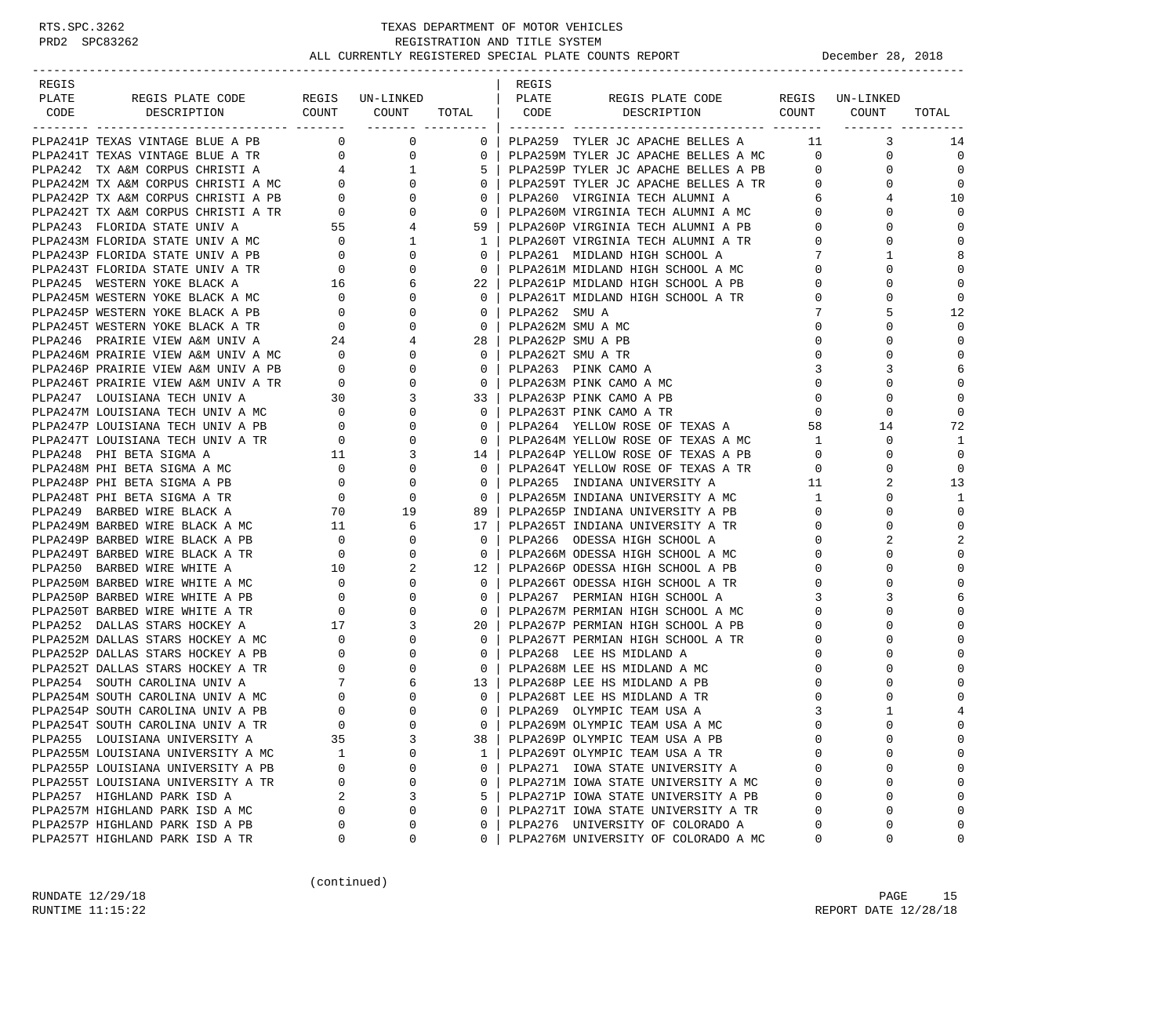-----------------------------------------------------------------------------------------------------------------------------------

| REGIS |  |  | REGIS |                                                                                                                                                                                                                                     |  |                      |
|-------|--|--|-------|-------------------------------------------------------------------------------------------------------------------------------------------------------------------------------------------------------------------------------------|--|----------------------|
| PLATE |  |  |       |                                                                                                                                                                                                                                     |  |                      |
| CODE  |  |  |       |                                                                                                                                                                                                                                     |  |                      |
|       |  |  |       | <b>The strain and strain and the strain and the strain and the strain and the strain and the strain and the strain and the strain and the strain and the strain and the strain and the strain and the strain and the strain and</b> |  |                      |
|       |  |  |       |                                                                                                                                                                                                                                     |  | 14                   |
|       |  |  |       |                                                                                                                                                                                                                                     |  | $\overline{0}$       |
|       |  |  |       |                                                                                                                                                                                                                                     |  | $\Omega$             |
|       |  |  |       |                                                                                                                                                                                                                                     |  | $\overline{0}$       |
|       |  |  |       |                                                                                                                                                                                                                                     |  | 10<br>$\Omega$       |
|       |  |  |       |                                                                                                                                                                                                                                     |  |                      |
|       |  |  |       |                                                                                                                                                                                                                                     |  | $\Omega$<br>$\Omega$ |
|       |  |  |       |                                                                                                                                                                                                                                     |  | 8                    |
|       |  |  |       |                                                                                                                                                                                                                                     |  | $\Omega$             |
|       |  |  |       |                                                                                                                                                                                                                                     |  | $\Omega$             |
|       |  |  |       |                                                                                                                                                                                                                                     |  | $\Omega$             |
|       |  |  |       |                                                                                                                                                                                                                                     |  | 12                   |
|       |  |  |       |                                                                                                                                                                                                                                     |  |                      |
|       |  |  |       |                                                                                                                                                                                                                                     |  | $\Omega$             |
|       |  |  |       |                                                                                                                                                                                                                                     |  |                      |
|       |  |  |       |                                                                                                                                                                                                                                     |  |                      |
|       |  |  |       |                                                                                                                                                                                                                                     |  | $\Omega$             |
|       |  |  |       |                                                                                                                                                                                                                                     |  | $\mathbf 0$          |
|       |  |  |       |                                                                                                                                                                                                                                     |  | $\Omega$             |
|       |  |  |       |                                                                                                                                                                                                                                     |  | 72                   |
|       |  |  |       |                                                                                                                                                                                                                                     |  | <sup>1</sup>         |
|       |  |  |       |                                                                                                                                                                                                                                     |  | $\bigcirc$           |
|       |  |  |       |                                                                                                                                                                                                                                     |  | $\Omega$             |
|       |  |  |       |                                                                                                                                                                                                                                     |  | 13                   |
|       |  |  |       |                                                                                                                                                                                                                                     |  | 1                    |
|       |  |  |       |                                                                                                                                                                                                                                     |  |                      |
|       |  |  |       |                                                                                                                                                                                                                                     |  | $\mathbf 0$          |
|       |  |  |       |                                                                                                                                                                                                                                     |  |                      |
|       |  |  |       |                                                                                                                                                                                                                                     |  | $\mathbf 0$          |
|       |  |  |       |                                                                                                                                                                                                                                     |  |                      |
|       |  |  |       |                                                                                                                                                                                                                                     |  | $\Omega$             |
|       |  |  |       |                                                                                                                                                                                                                                     |  | 6                    |
|       |  |  |       |                                                                                                                                                                                                                                     |  | $\Omega$             |
|       |  |  |       |                                                                                                                                                                                                                                     |  |                      |
|       |  |  |       |                                                                                                                                                                                                                                     |  |                      |
|       |  |  |       |                                                                                                                                                                                                                                     |  | $\Omega$             |
|       |  |  |       |                                                                                                                                                                                                                                     |  | $\Omega$             |
|       |  |  |       |                                                                                                                                                                                                                                     |  | $\Omega$             |
|       |  |  |       |                                                                                                                                                                                                                                     |  |                      |
|       |  |  |       |                                                                                                                                                                                                                                     |  |                      |
|       |  |  |       |                                                                                                                                                                                                                                     |  |                      |
|       |  |  |       |                                                                                                                                                                                                                                     |  |                      |
|       |  |  |       |                                                                                                                                                                                                                                     |  |                      |
|       |  |  |       |                                                                                                                                                                                                                                     |  |                      |
|       |  |  |       |                                                                                                                                                                                                                                     |  |                      |
|       |  |  |       |                                                                                                                                                                                                                                     |  |                      |
|       |  |  |       |                                                                                                                                                                                                                                     |  |                      |
|       |  |  |       |                                                                                                                                                                                                                                     |  | $\mathbf{0}$         |
|       |  |  |       |                                                                                                                                                                                                                                     |  | $\Omega$             |

(continued)

RUNDATE  $12/29/18$  PAGE 15 RUNTIME 11:15:22 REPORT DATE 12/28/18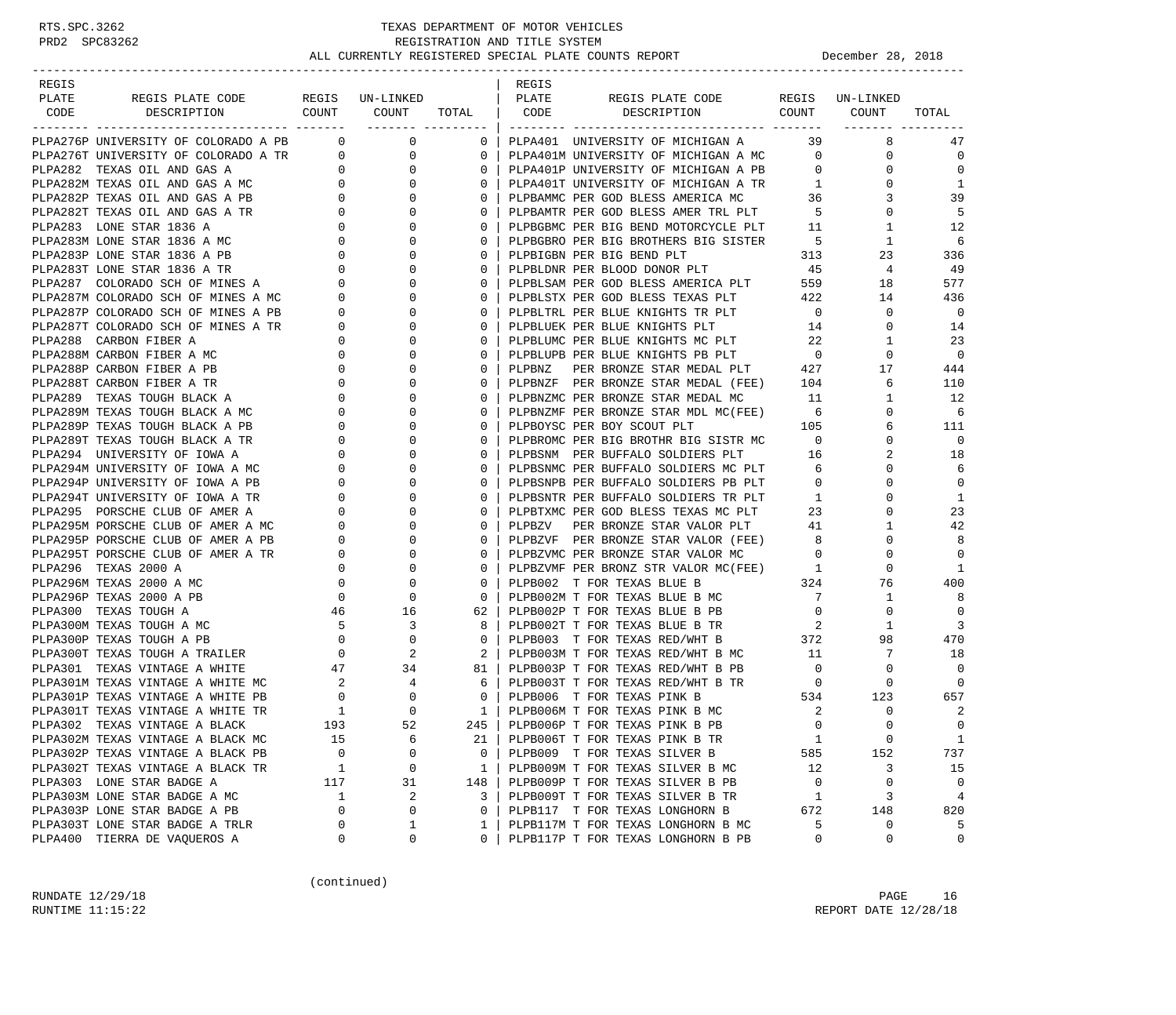-----------------------------------------------------------------------------------------------------------------------------------

| REGIS |                                            |                | REGIS |                                                                                                                                                                                                                                |                |                                                                                                                                                                                                                                                                                                                                     |                            |
|-------|--------------------------------------------|----------------|-------|--------------------------------------------------------------------------------------------------------------------------------------------------------------------------------------------------------------------------------|----------------|-------------------------------------------------------------------------------------------------------------------------------------------------------------------------------------------------------------------------------------------------------------------------------------------------------------------------------------|----------------------------|
| PLATE |                                            |                |       |                                                                                                                                                                                                                                |                |                                                                                                                                                                                                                                                                                                                                     |                            |
| CODE  |                                            |                |       |                                                                                                                                                                                                                                |                |                                                                                                                                                                                                                                                                                                                                     | TOTAL                      |
|       |                                            |                |       |                                                                                                                                                                                                                                |                |                                                                                                                                                                                                                                                                                                                                     |                            |
|       |                                            |                |       |                                                                                                                                                                                                                                |                |                                                                                                                                                                                                                                                                                                                                     | 47                         |
|       |                                            |                |       |                                                                                                                                                                                                                                |                |                                                                                                                                                                                                                                                                                                                                     | $\overline{0}$             |
|       |                                            |                |       |                                                                                                                                                                                                                                |                |                                                                                                                                                                                                                                                                                                                                     | $\Omega$                   |
|       |                                            |                |       |                                                                                                                                                                                                                                |                |                                                                                                                                                                                                                                                                                                                                     | 1                          |
|       |                                            |                |       |                                                                                                                                                                                                                                |                |                                                                                                                                                                                                                                                                                                                                     | 39                         |
|       |                                            |                |       |                                                                                                                                                                                                                                |                |                                                                                                                                                                                                                                                                                                                                     | -5                         |
|       |                                            |                |       |                                                                                                                                                                                                                                |                |                                                                                                                                                                                                                                                                                                                                     | 12                         |
|       |                                            |                |       |                                                                                                                                                                                                                                |                |                                                                                                                                                                                                                                                                                                                                     |                            |
|       |                                            |                |       |                                                                                                                                                                                                                                |                |                                                                                                                                                                                                                                                                                                                                     |                            |
|       |                                            |                |       |                                                                                                                                                                                                                                |                |                                                                                                                                                                                                                                                                                                                                     |                            |
|       |                                            |                |       |                                                                                                                                                                                                                                |                |                                                                                                                                                                                                                                                                                                                                     |                            |
|       |                                            |                |       |                                                                                                                                                                                                                                |                |                                                                                                                                                                                                                                                                                                                                     |                            |
|       |                                            |                |       |                                                                                                                                                                                                                                |                |                                                                                                                                                                                                                                                                                                                                     |                            |
|       |                                            |                |       |                                                                                                                                                                                                                                |                |                                                                                                                                                                                                                                                                                                                                     |                            |
|       |                                            |                |       |                                                                                                                                                                                                                                |                |                                                                                                                                                                                                                                                                                                                                     |                            |
|       |                                            | $\Omega$       |       |                                                                                                                                                                                                                                |                |                                                                                                                                                                                                                                                                                                                                     |                            |
|       | $\begin{array}{c} 0 \\ 0 \\ 0 \end{array}$ | $\overline{0}$ |       |                                                                                                                                                                                                                                |                |                                                                                                                                                                                                                                                                                                                                     |                            |
|       |                                            | $\Omega$       |       |                                                                                                                                                                                                                                |                |                                                                                                                                                                                                                                                                                                                                     |                            |
|       |                                            | 0 <sup>1</sup> |       | PLPBNZF PER BRONZE STAR MEDAL (FEE) 104 6<br>PLPBNZMC PER BRONZE STAR MEDAL MC 11 1<br>PLPBNZMF PER BRONZE STAR MDL MC(FEE) 6 0                                                                                                |                |                                                                                                                                                                                                                                                                                                                                     | 12                         |
|       |                                            | 0 <sup>1</sup> |       |                                                                                                                                                                                                                                |                |                                                                                                                                                                                                                                                                                                                                     | - 6                        |
|       |                                            |                |       |                                                                                                                                                                                                                                |                |                                                                                                                                                                                                                                                                                                                                     | 111                        |
|       |                                            |                |       |                                                                                                                                                                                                                                |                |                                                                                                                                                                                                                                                                                                                                     | $\overline{0}$             |
|       |                                            |                |       |                                                                                                                                                                                                                                |                |                                                                                                                                                                                                                                                                                                                                     | 18                         |
|       |                                            |                |       | 0   PLPBOYSC PER BOY SCOUT PLT 105 6<br>0   PLPBOYSC PER BOY SCOUT PLT 105 6<br>0   PLPBROMC PER BIG BROTHR BIG SISTR MC 0 0 0<br>0   PLPBSNM PER BUFFALO SOLDIERS PLT 6 0 0<br>0   PLPBSNPB PER BUFFALO SOLDIERS PB PLT 0 0 0 |                |                                                                                                                                                                                                                                                                                                                                     | 6                          |
|       |                                            |                |       |                                                                                                                                                                                                                                |                |                                                                                                                                                                                                                                                                                                                                     | $\Omega$                   |
|       |                                            |                |       | 0   PLPBSNTR PER BUFFALO SOLDIERS TR PLT                                                                                                                                                                                       | 1              | $\mathbf{0}$                                                                                                                                                                                                                                                                                                                        | 1                          |
|       |                                            | $\overline{0}$ |       | PLPBTXMC PER GOD BLESS TEXAS MC PLT 23<br>PLPBZV PER BRONZE STAR VALOR PLT 41<br>PLPBZVF PER BRONZE STAR VALOR PLT 41                                                                                                          |                | $\Omega$                                                                                                                                                                                                                                                                                                                            | 23                         |
|       |                                            | $\overline{0}$ |       |                                                                                                                                                                                                                                |                | $\mathbf{1}$                                                                                                                                                                                                                                                                                                                        | 42                         |
|       |                                            |                |       | 0   PLPBZVF PER BRONZE STAR VALOR (FEE)<br>0   PLPBZVMC PER BRONZE STAR VALOR MC                                                                                                                                               |                | $\begin{array}{c} 8 \\ 0 \\ 1 \end{array}$<br>$\Omega$                                                                                                                                                                                                                                                                              | 8                          |
|       |                                            |                |       |                                                                                                                                                                                                                                |                | 0                                                                                                                                                                                                                                                                                                                                   | $\overline{0}$             |
|       |                                            |                |       | 0   PLPBZVMF PER BRONZ STR VALOR MC(FEE)                                                                                                                                                                                       |                | $\overline{0}$                                                                                                                                                                                                                                                                                                                      | -1                         |
|       |                                            |                |       | 0   PLPB002 T FOR TEXAS BLUE B                                                                                                                                                                                                 |                | 324 76                                                                                                                                                                                                                                                                                                                              | 400                        |
|       |                                            |                |       | 0   PLPB002M T FOR TEXAS BLUE B MC                                                                                                                                                                                             | $\overline{7}$ | 1                                                                                                                                                                                                                                                                                                                                   | -8                         |
|       |                                            |                |       | 62 PLPB002P T FOR TEXAS BLUE B PB<br>8 PLPB002T T FOR TEXAS BLUE B TR 2 1<br>0 PLPB003 T FOR TEXAS RED/WHT B 372 98<br>2 PLPB003M T FOR TEXAS RED/WHT B MC 11 7<br>81 PLPB003P T FOR TEXAS RED/WHT B PB 0 0                    |                |                                                                                                                                                                                                                                                                                                                                     | $\overline{0}$             |
|       |                                            |                |       |                                                                                                                                                                                                                                |                |                                                                                                                                                                                                                                                                                                                                     | $\overline{\phantom{a}}$ 3 |
|       |                                            |                |       |                                                                                                                                                                                                                                |                |                                                                                                                                                                                                                                                                                                                                     | 470                        |
|       |                                            |                |       |                                                                                                                                                                                                                                |                |                                                                                                                                                                                                                                                                                                                                     | 18                         |
|       |                                            |                |       |                                                                                                                                                                                                                                |                | $\begin{matrix} 1 & 0 & 0 \\ 0 & 0 & 0 \\ 0 & 0 & 0 \\ 0 & 0 & 0 \\ 0 & 0 & 0 \\ 0 & 0 & 0 \\ 0 & 0 & 0 \\ 0 & 0 & 0 \\ 0 & 0 & 0 \\ 0 & 0 & 0 \\ 0 & 0 & 0 \\ 0 & 0 & 0 \\ 0 & 0 & 0 \\ 0 & 0 & 0 \\ 0 & 0 & 0 \\ 0 & 0 & 0 & 0 \\ 0 & 0 & 0 & 0 \\ 0 & 0 & 0 & 0 \\ 0 & 0 & 0 & 0 \\ 0 & 0 & 0 & 0 \\ 0 & 0 & 0 & 0 \\ 0 & 0 & 0$ |                            |
|       |                                            |                |       |                                                                                                                                                                                                                                |                |                                                                                                                                                                                                                                                                                                                                     |                            |
|       |                                            |                |       |                                                                                                                                                                                                                                |                |                                                                                                                                                                                                                                                                                                                                     |                            |
|       |                                            |                |       |                                                                                                                                                                                                                                |                |                                                                                                                                                                                                                                                                                                                                     |                            |
|       |                                            |                |       |                                                                                                                                                                                                                                |                |                                                                                                                                                                                                                                                                                                                                     |                            |
|       |                                            |                |       |                                                                                                                                                                                                                                |                |                                                                                                                                                                                                                                                                                                                                     |                            |
|       |                                            |                |       |                                                                                                                                                                                                                                |                |                                                                                                                                                                                                                                                                                                                                     |                            |
|       |                                            |                |       |                                                                                                                                                                                                                                |                |                                                                                                                                                                                                                                                                                                                                     |                            |
|       |                                            |                |       |                                                                                                                                                                                                                                |                |                                                                                                                                                                                                                                                                                                                                     |                            |
|       |                                            |                |       |                                                                                                                                                                                                                                |                |                                                                                                                                                                                                                                                                                                                                     |                            |
|       |                                            |                |       |                                                                                                                                                                                                                                |                |                                                                                                                                                                                                                                                                                                                                     |                            |
|       |                                            |                |       |                                                                                                                                                                                                                                |                |                                                                                                                                                                                                                                                                                                                                     |                            |
|       |                                            |                |       |                                                                                                                                                                                                                                |                |                                                                                                                                                                                                                                                                                                                                     |                            |

(continued)

RUNDATE  $12/29/18$  PAGE 16 RUNTIME 11:15:22 REPORT DATE 12/28/18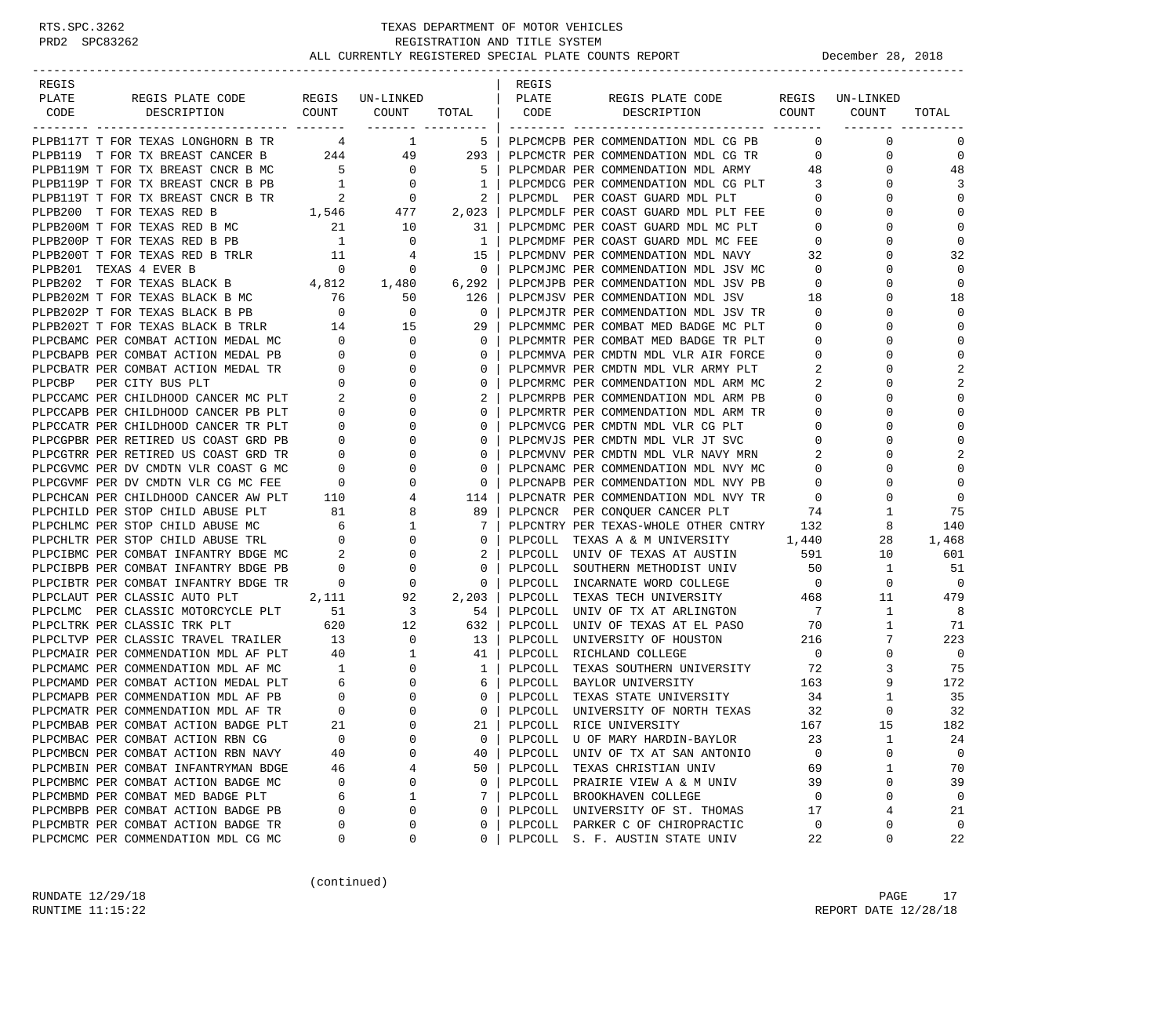| REGIS                  |                                                                                  |                                        |                                     |                              | REGIS   |                                      |                          |                 |                |
|------------------------|----------------------------------------------------------------------------------|----------------------------------------|-------------------------------------|------------------------------|---------|--------------------------------------|--------------------------|-----------------|----------------|
| PLATE                  | REGIS PLATE CODE<br>COUNT                                                        |                                        | REGIS UN-LINKED                     |                              | PLATE   | REGIS PLATE CODE<br>COUNT            |                          | REGIS UN-LINKED |                |
| CODE                   | DESCRIPTION                                                                      |                                        | COUNT                               | TOTAL  <br>------- --------- | CODE    | DESCRIPTION                          |                          | COUNT           | TOTAL          |
|                        | PLPB117T T FOR TEXAS LONGHORN B TR                                               |                                        | 4 1                                 | $5-1$                        |         | PLPCMCPB PER COMMENDATION MDL CG PB  | $\Omega$                 | $\mathbf 0$     | 0              |
|                        | PLPB119 T FOR TX BREAST CANCER B                                                 |                                        | 244 49                              | 293                          |         | PLPCMCTR PER COMMENDATION MDL CG TR  | $\mathbf{0}$             | $\mathbf 0$     | $\mathbf 0$    |
|                        | PLPB119M T FOR TX BREAST CNCR B MC                                               | $5^{\circ}$                            | $\overline{0}$                      | $5-1$                        |         | PLPCMDAR PER COMMENDATION MDL ARMY   | 48                       | 0               | 48             |
|                        | PLPB119P T FOR TX BREAST CNCR B PB $1$ 0                                         |                                        |                                     | $\mathbf{1}$                 |         | PLPCMDCG PER COMMENDATION MDL CG PLT | $\overline{\mathbf{3}}$  | $\Omega$        | 3              |
|                        | PLPB119T T FOR TX BREAST CNCR B TR                                               |                                        |                                     | 2                            |         | PLPCMDL PER COAST GUARD MDL PLT      | $\mathbf{0}$             | 0               | 0              |
|                        | PLPB200 T FOR TEXAS RED B                                                        | B TR 2<br>1,546                        | $\begin{array}{c}0\\477\end{array}$ | 2,023                        |         | PLPCMDLF PER COAST GUARD MDL PLT FEE | $\mathbf 0$              | $\Omega$        | $\mathbf 0$    |
|                        | PLPB200M T FOR TEXAS RED B MC                                                    | 21                                     | 10                                  | 31                           |         | PLPCMDMC PER COAST GUARD MDL MC PLT  | $\mathbf 0$              | 0               | $\mathbf 0$    |
|                        | PLPB200P T FOR TEXAS RED B PB                                                    | 1                                      | $\overline{0}$                      | 1                            |         | PLPCMDMF PER COAST GUARD MDL MC FEE  | $\overline{0}$           | $\Omega$        | $\mathbf 0$    |
|                        | PLPB200T T FOR TEXAS RED B TRLR 11                                               |                                        | 4                                   | 15                           |         | PLPCMDNV PER COMMENDATION MDL NAVY   | 32                       | $\Omega$        | 32             |
| PLPB201 TEXAS 4 EVER B |                                                                                  | $\overline{0}$                         | 0                                   | $\mathbf{0}$                 |         | PLPCMJMC PER COMMENDATION MDL JSV MC | $\circ$                  | 0               | $\Omega$       |
|                        | PLPB202 T FOR TEXAS BLACK B 4,812                                                |                                        | 1,480                               | 6,292                        |         | PLPCMJPB PER COMMENDATION MDL JSV PB | $\mathbf 0$              | $\Omega$        | 0              |
|                        | PLPB202M T FOR TEXAS BLACK B MC                                                  |                                        | 50                                  | 126                          |         | PLPCMJSV PER COMMENDATION MDL JSV    | 18                       | 0               | 18             |
|                        | PLPB202P T FOR TEXAS BLACK B PB                                                  | $\begin{array}{c} 76 \\ 0 \end{array}$ | $\mathbf 0$                         | $\mathbf{0}$                 |         | PLPCMJTR PER COMMENDATION MDL JSV TR | $\mathbf 0$              | $\Omega$        | $\mathbf 0$    |
|                        | PLPB202T T FOR TEXAS BLACK B TRLR 14                                             |                                        | 15                                  | 29                           |         | PLPCMMMC PER COMBAT MED BADGE MC PLT | $\mathbf 0$              | $\Omega$        | $\mathbf 0$    |
|                        | PLPCBAMC PER COMBAT ACTION MEDAL MC                                              | $\overline{0}$                         | $\overline{0}$                      | $\mathbf{0}$                 |         | PLPCMMTR PER COMBAT MED BADGE TR PLT | $\mathbf 0$              | 0               | $\mathbf 0$    |
|                        | PLPCBAPB PER COMBAT ACTION MEDAL PB                                              | $\overline{0}$                         | $\mathbf 0$                         | $\mathbf{0}$                 |         | PLPCMMVA PER CMDTN MDL VLR AIR FORCE | 0                        | $\Omega$        | $\mathbf 0$    |
|                        | PLPCBATR PER COMBAT ACTION MEDAL TR                                              | $\overline{0}$                         | 0                                   | $\mathbf{0}$                 |         | PLPCMMVR PER CMDTN MDL VLR ARMY PLT  | 2                        | $\Omega$        | 2              |
|                        | PLPCBP PER CITY BUS PLT                                                          | $\mathbf 0$                            | $\mathbf 0$                         | $\mathbf{0}$                 |         | PLPCMRMC PER COMMENDATION MDL ARM MC | 2                        | $\Omega$        | 2              |
|                        | PLPCCAMC PER CHILDHOOD CANCER MC PLT                                             | $\sim$ 2                               | 0                                   | 2                            |         | PLPCMRPB PER COMMENDATION MDL ARM PB | $\mathbf{0}$             | $\Omega$        | 0              |
|                        | PLPCCAPB PER CHILDHOOD CANCER PB PLT                                             | $\mathbf 0$                            | 0                                   | $\mathbf{0}$                 |         | PLPCMRTR PER COMMENDATION MDL ARM TR | $\mathbf 0$              | 0               | 0              |
|                        | PLPCCATR PER CHILDHOOD CANCER TR PLT                                             | $\overline{0}$                         | $\mathbf 0$                         | $\mathbf{0}$                 |         | PLPCMVCG PER CMDTN MDL VLR CG PLT    | $\mathbf{0}$             | $\Omega$        | $\mathbf 0$    |
|                        | PLPCGPBR PER RETIRED US COAST GRD PB                                             | $\overline{0}$                         | 0                                   | $\mathbf{0}$                 |         | PLPCMVJS PER CMDTN MDL VLR JT SVC    | $\mathbf 0$              | $\Omega$        | $\Omega$       |
|                        | PLPCGTRR PER RETIRED US COAST GRD TR                                             | $\mathbf{0}$                           | $\mathbf 0$                         | $\mathbf{0}$                 |         | PLPCMVNV PER CMDTN MDL VLR NAVY MRN  | 2                        | $\Omega$        | $\overline{a}$ |
|                        | PLPCGVMC PER DV CMDTN VLR COAST G MC                                             | $\mathbf{0}$                           | 0                                   | $\mathbf{0}$                 |         | PLPCNAMC PER COMMENDATION MDL NVY MC | $\mathbf 0$              | $\Omega$        | $\Omega$       |
|                        | PLPCGVMF PER DV CMDTN VLR CG MC FEE                                              | $\overline{0}$                         | 0                                   | 0                            |         | PLPCNAPB PER COMMENDATION MDL NVY PB | $\mathbf 0$              | 0               | $\mathbf 0$    |
|                        | PLPCHCAN PER CHILDHOOD CANCER AW PLT                                             | 110                                    | 4                                   | 114                          |         | PLPCNATR PER COMMENDATION MDL NVY TR | $\overline{\mathbf{0}}$  | $\Omega$        | $\mathbf 0$    |
|                        | PLPCHILD PER STOP CHILD ABUSE PLT                                                | 81                                     | 8                                   | 89                           |         | PLPCNCR PER CONQUER CANCER PLT       | 74                       | 1               | 75             |
|                        | PLPCHLMC PER STOP CHILD ABUSE MC                                                 | $6\overline{6}$                        | $\mathbf{1}$                        | 7                            |         | PLPCNTRY PER TEXAS-WHOLE OTHER CNTRY | 132                      | 8               | 140            |
|                        | PLPCHLTR PER STOP CHILD ABUSE TRL                                                | $\overline{0}$                         | 0                                   | 0                            |         | PLPCOLL TEXAS A & M UNIVERSITY 1,440 |                          | 28              | 1,468          |
|                        | PLPCIBMC PER COMBAT INFANTRY BDGE MC 2<br>PLPCIBPB PER COMBAT INFANTRY BDGE PB 0 |                                        | 0                                   | 2                            |         | PLPCOLL UNIV OF TEXAS AT AUSTIN      | 591                      | 10              | 601            |
|                        |                                                                                  |                                        | $\mathbf 0$                         | 0                            |         | PLPCOLL SOUTHERN METHODIST UNIV      | 50                       | 1               | 51             |
|                        | PLPCIBTR PER COMBAT INFANTRY BDGE TR                                             | $\sim$ 0                               | 0                                   | $\mathbf{0}$                 |         | PLPCOLL INCARNATE WORD COLLEGE       | $\overline{\phantom{0}}$ | $\mathbf{0}$    | $\overline{0}$ |
|                        | PLPCLAUT PER CLASSIC AUTO PLT                                                    | 2,111                                  | 92                                  | 2,203                        |         | PLPCOLL TEXAS TECH UNIVERSITY        | 468                      | 11              | 479            |
|                        | PLPCLMC PER CLASSIC MOTORCYCLE PLT 51                                            |                                        | $\overline{\mathbf{3}}$             | 54                           |         | PLPCOLL UNIV OF TX AT ARLINGTON      | $\overline{7}$           | $\mathbf{1}$    | 8              |
|                        | PLPCLTRK PER CLASSIC TRK PLT                                                     | 620                                    | 12                                  | 632                          | PLPCOLL | UNIV OF TEXAS AT EL PASO             | 70                       | 1               | 71             |
|                        | PLPCLTVP PER CLASSIC TRAVEL TRAILER                                              | 13                                     | $\overline{0}$                      | 13                           |         | PLPCOLL UNIVERSITY OF HOUSTON        | 216                      | 7               | 223            |
|                        | PLPCMAIR PER COMMENDATION MDL AF PLT                                             | 40                                     | $\mathbf{1}$                        | 41                           |         | PLPCOLL RICHLAND COLLEGE             | $\overline{0}$           | 0               | $\overline{0}$ |
|                        | PLPCMAMC PER COMMENDATION MDL AF MC                                              | $\overline{1}$                         | $\mathbf{0}$                        | $\mathbf{1}$                 |         | PLPCOLL TEXAS SOUTHERN UNIVERSITY    | 72                       | 3               | 75             |
|                        | PLPCMAMD PER COMBAT ACTION MEDAL PLT                                             | 6                                      | $\mathbf{0}$                        | 6                            |         | PLPCOLL BAYLOR UNIVERSITY            | 163                      | 9               | 172            |
|                        | PLPCMAPB PER COMMENDATION MDL AF PB                                              | $\overline{0}$                         | 0                                   | $\mathbf{0}$                 | PLPCOLL | TEXAS STATE UNIVERSITY               | 34                       | $\mathbf{1}$    | 35             |
|                        | PLPCMATR PER COMMENDATION MDL AF TR                                              | $\overline{0}$                         | $\mathbf 0$                         | $\overline{0}$               |         | PLPCOLL UNIVERSITY OF NORTH TEXAS    | 32                       | $\mathbf 0$     | 32             |
|                        | PLPCMBAB PER COMBAT ACTION BADGE PLT                                             | 21                                     | $\Omega$                            | $21 \mid$                    |         | PLPCOLL RICE UNIVERSITY              | 167                      | 15              | 182            |
|                        | PLPCMBAC PER COMBAT ACTION RBN CG                                                | $\mathbf 0$                            | 0                                   | 0                            |         | PLPCOLL U OF MARY HARDIN-BAYLOR      | 23                       | $\mathbf 1$     | 24             |
|                        | PLPCMBCN PER COMBAT ACTION RBN NAVY                                              | 40                                     | $\Omega$                            | 40                           |         | PLPCOLL UNIV OF TX AT SAN ANTONIO    | 0                        | $\mathbf 0$     | 0              |
|                        | PLPCMBIN PER COMBAT INFANTRYMAN BDGE                                             | 46                                     | 4                                   | 50                           | PLPCOLL | TEXAS CHRISTIAN UNIV                 | 69                       | 1               | 70             |
|                        | PLPCMBMC PER COMBAT ACTION BADGE MC                                              | 0                                      | 0                                   | 0                            |         | PLPCOLL PRAIRIE VIEW A & M UNIV      | 39                       | 0               | 39             |
|                        | PLPCMBMD PER COMBAT MED BADGE PLT                                                | 6                                      | 1                                   | 7                            |         | PLPCOLL BROOKHAVEN COLLEGE           | 0                        | $\Omega$        | 0              |
|                        | PLPCMBPB PER COMBAT ACTION BADGE PB                                              | 0                                      | 0                                   | 0                            |         | PLPCOLL UNIVERSITY OF ST. THOMAS     | 17                       | 4               | 21             |
|                        | PLPCMBTR PER COMBAT ACTION BADGE TR                                              | 0                                      | 0                                   | 0                            |         | PLPCOLL PARKER C OF CHIROPRACTIC     | 0                        | 0               | 0              |
|                        | PLPCMCMC PER COMMENDATION MDL CG MC                                              | 0                                      | 0                                   | 0                            |         | PLPCOLL S. F. AUSTIN STATE UNIV      | 22                       | 0               | 22             |

(continued)

RUNDATE  $12/29/18$  PAGE 17 RUNTIME 11:15:22 REPORT DATE 12/28/18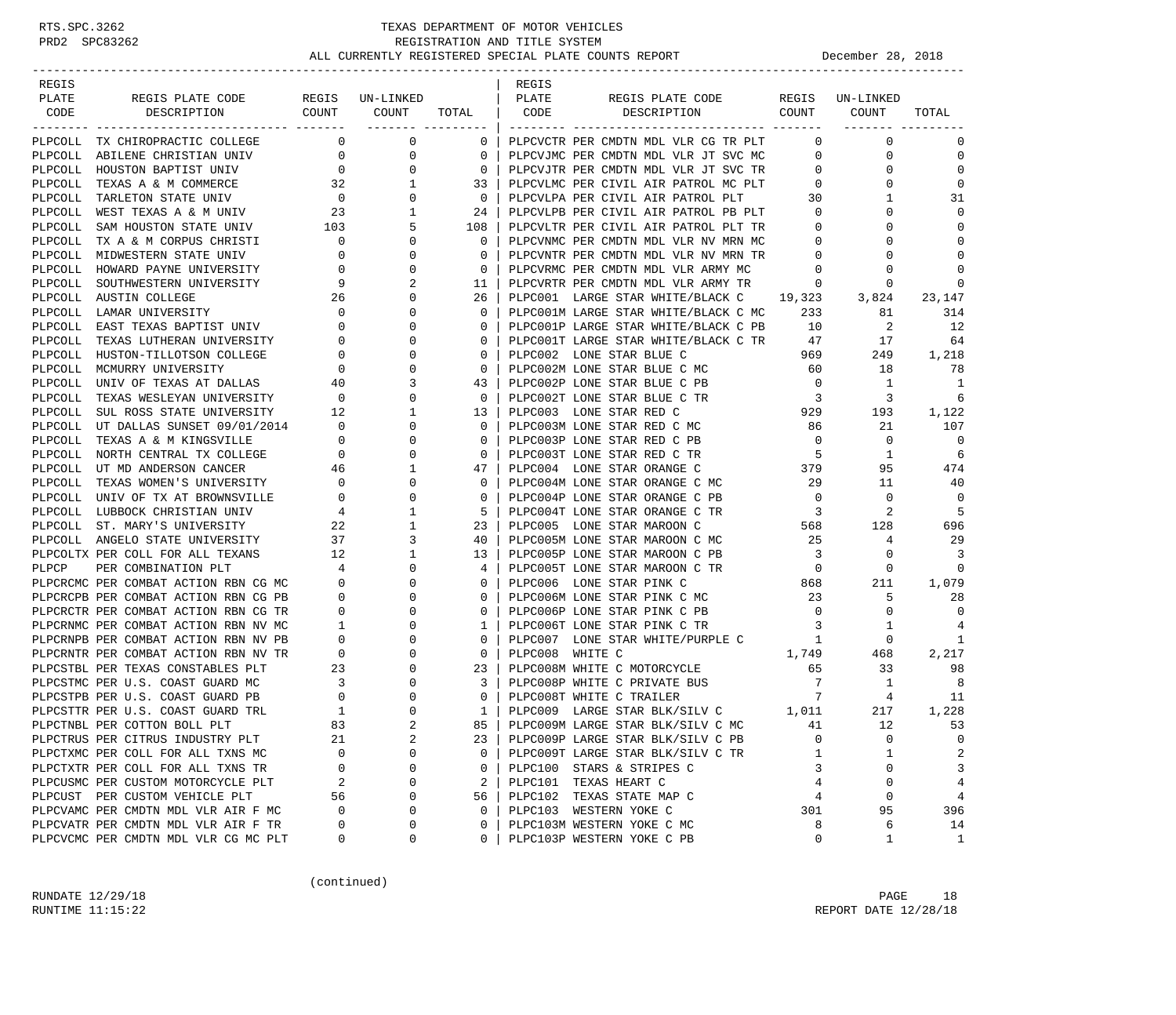| REGIS   |                                                             |                          |                             |             | REGIS           |                                                            |                          |              |             |
|---------|-------------------------------------------------------------|--------------------------|-----------------------------|-------------|-----------------|------------------------------------------------------------|--------------------------|--------------|-------------|
| PLATE   | REGIS PLATE CODE                                            |                          | REGIS UN-LINKED             |             | PLATE           | REGIS PLATE CODE                                           | REGIS                    | UN-LINKED    |             |
| CODE    | COUNT<br>DESCRIPTION                                        |                          | COUNT<br>-------- --------- | TOTAL       | CODE            | DESCRIPTION                                                | COUNT                    | COUNT        | TOTAL       |
|         | PLPCOLL TX CHIROPRACTIC COLLEGE                             | $\mathbf 0$              | 0                           | $\mathbf 0$ |                 | PLPCVCTR PER CMDTN MDL VLR CG TR PLT                       | 0                        | $\mathbf 0$  | 0           |
| PLPCOLL | ABILENE CHRISTIAN UNIV                                      | $\overline{0}$           | 0                           | 0           |                 | PLPCVJMC PER CMDTN MDL VLR JT SVC MC                       | 0                        | $\mathbf 0$  | $\mathbf 0$ |
|         | PLPCOLL HOUSTON BAPTIST UNIV                                | $\overline{0}$           | 0                           | $\mathbf 0$ |                 | PLPCVJTR PER CMDTN MDL VLR JT SVC TR                       | 0                        | 0            | $\mathbf 0$ |
| PLPCOLL | TEXAS A & M COMMERCE                                        | 32                       | 1                           | 33          |                 | PLPCVLMC PER CIVIL AIR PATROL MC PLT                       | $\mathbf 0$              | 0            | $\Omega$    |
| PLPCOLL | TARLETON STATE UNIV                                         | $\overline{\phantom{0}}$ | 0                           | 0           |                 | PLPCVLPA PER CIVIL AIR PATROL PLT                          | 30                       | 1            | 31          |
| PLPCOLL | WEST TEXAS A & M UNIV                                       | 23                       | 1                           | 24          |                 | PLPCVLPB PER CIVIL AIR PATROL PB PLT                       | $\mathbf 0$              | 0            | $\Omega$    |
| PLPCOLL | SAM HOUSTON STATE UNIV                                      | 103                      | 5                           | 108         |                 | PLPCVLTR PER CIVIL AIR PATROL PLT TR                       | $\circ$                  | 0            | $\mathbf 0$ |
| PLPCOLL | TX A & M CORPUS CHRISTI                                     | $\overline{0}$           | 0                           | $\mathbf 0$ |                 | PLPCVNMC PER CMDTN MDL VLR NV MRN MC                       | 0                        | O            | $\Omega$    |
| PLPCOLL | MIDWESTERN STATE UNIV                                       | 0                        | $\Omega$                    | 0           |                 | PLPCVNTR PER CMDTN MDL VLR NV MRN TR                       | $\circ$                  | 0            | $\Omega$    |
| PLPCOLL | HOWARD PAYNE UNIVERSITY                                     | 0                        | 0                           | 0           |                 | PLPCVRMC PER CMDTN MDL VLR ARMY MC                         | 0                        | 0            | $\Omega$    |
| PLPCOLL | SOUTHWESTERN UNIVERSITY                                     | 9                        | 2                           | 11          |                 | PLPCVRTR PER CMDTN MDL VLR ARMY TR                         | $\circ$                  | 0            | 0           |
| PLPCOLL | AUSTIN COLLEGE                                              | 26                       | 0                           | 26          |                 | PLPC001 LARGE STAR WHITE/BLACK C                           | 19,323                   | 3,824        | 23,147      |
|         | PLPCOLL LAMAR UNIVERSITY                                    | $\mathbf 0$              |                             | $\mathbf 0$ |                 | PLPC001M LARGE STAR WHITE/BLACK C MC                       | 233                      | 81           | 314         |
| PLPCOLL | EAST TEXAS BAPTIST UNIV                                     | 0                        | $\Omega$                    | 0           |                 | PLPC001P LARGE STAR WHITE/BLACK C PB                       | 10                       | 2            | 12          |
| PLPCOLL | TEXAS LUTHERAN UNIVERSITY                                   | $\mathbf{0}$             | 0                           | 0           |                 | PLPC001T LARGE STAR WHITE/BLACK C TR                       | 47                       | 17           | 64          |
|         | PLPCOLL HUSTON-TILLOTSON COLLEGE                            | $\circ$                  | $\Omega$                    | 0           |                 | PLPC002 LONE STAR BLUE C                                   | 969                      | 249          | 1,218       |
| PLPCOLL | MCMURRY UNIVERSITY                                          | 0                        | 0                           | 0           |                 | PLPC002M LONE STAR BLUE C MC                               | 60                       | 18           | 78          |
|         | PLPCOLL UNIV OF TEXAS AT DALLAS                             | 40                       | 3                           | 43          |                 | PLPC002P LONE STAR BLUE C PB                               | $\overline{0}$           | 1            | 1           |
| PLPCOLL | TEXAS WESLEYAN UNIVERSITY                                   | $\overline{\phantom{0}}$ | 0                           | 0           |                 | PLPC002T LONE STAR BLUE C TR                               | $\overline{\mathbf{3}}$  | 3            | 6           |
| PLPCOLL | SUL ROSS STATE UNIVERSITY                                   | 12                       | 1                           | 13          |                 | PLPC003 LONE STAR RED C                                    | 929                      | 193          | 1,122       |
|         | PLPCOLL UT DALLAS SUNSET 09/01/2014                         | $\overline{\phantom{0}}$ | $\Omega$                    | 0           |                 | PLPC003M LONE STAR RED C MC                                | 86                       | 21           | 107         |
| PLPCOLL | TEXAS A & M KINGSVILLE                                      | $\circ$                  | 0                           | 0           |                 | PLPC003P LONE STAR RED C PB                                | $\overline{0}$           | $\mathbf 0$  | 0           |
|         | PLPCOLL NORTH CENTRAL TX COLLEGE                            | $\overline{0}$           | 0                           | 0           |                 | PLPC003T LONE STAR RED C TR                                | $-5$                     | 1            | 6           |
|         | PLPCOLL UT MD ANDERSON CANCER                               | 46                       | 1                           | 47          |                 | PLPC004 LONE STAR ORANGE C                                 | 379                      | 95           | 474         |
| PLPCOLL | TEXAS WOMEN'S UNIVERSITY                                    | $\mathbf 0$              | 0                           | 0           |                 | PLPC004M LONE STAR ORANGE C MC                             | 29                       | 11           | 40          |
|         | PLPCOLL UNIV OF TX AT BROWNSVILLE                           | $\mathbf 0$              | $\Omega$                    | 0           |                 | PLPC004P LONE STAR ORANGE C PB                             | $\overline{0}$           | $\mathbf 0$  | 0           |
|         | PLPCOLL LUBBOCK CHRISTIAN UNIV                              | 4                        | 1                           | 5           |                 | PLPC004T LONE STAR ORANGE C TR                             | $\overline{\phantom{a}}$ | 2            | -5          |
|         | PLPCOLL ST. MARY'S UNIVERSITY                               | 22                       | 1                           | 23          |                 | PLPC005 LONE STAR MAROON C                                 | 568                      | 128          | 696         |
|         | PLPCOLL ANGELO STATE UNIVERSITY                             | 37                       | 3                           | 40          |                 | PLPC005M LONE STAR MAROON C MC                             | 25                       | 4            | 29          |
|         | PLPCOLTX PER COLL FOR ALL TEXANS                            | 12                       | 1<br>$\Omega$               | 13          |                 | PLPC005P LONE STAR MAROON C PB                             | $\overline{\mathbf{3}}$  | 0            | 3<br>0      |
| PLPCP   | PER COMBINATION PLT<br>PLPCRCMC PER COMBAT ACTION RBN CG MC | 4<br>$\mathbf 0$         | 0                           | 4<br>0      |                 | PLPC005T LONE STAR MAROON C TR<br>PLPC006 LONE STAR PINK C | $\overline{0}$           | 0<br>211     | 1,079       |
|         | PLPCRCPB PER COMBAT ACTION RBN CG PB                        | $\circ$                  |                             | 0           |                 | PLPC006M LONE STAR PINK C MC                               | 868<br>23                | 5            | 28          |
|         | PLPCRCTR PER COMBAT ACTION RBN CG TR                        | 0                        | U                           | $\Omega$    |                 | PLPC006P LONE STAR PINK C PB                               | $\overline{0}$           | 0            | $\Omega$    |
|         | PLPCRNMC PER COMBAT ACTION RBN NV MC                        | 1                        |                             | 1           |                 | PLPC006T LONE STAR PINK C TR                               | 3                        | 1            | 4           |
|         | PLPCRNPB PER COMBAT ACTION RBN NV PB                        | $\circ$                  | O                           | 0           |                 | PLPC007 LONE STAR WHITE/PURPLE C                           | 1                        | 0            | 1           |
|         | PLPCRNTR PER COMBAT ACTION RBN NV TR                        | $\mathbf 0$              | 0                           | $\mathbf 0$ | PLPC008 WHITE C |                                                            | 1,749                    | 468          | 2,217       |
|         | PLPCSTBL PER TEXAS CONSTABLES PLT                           | 23                       |                             | 23          |                 | PLPC008M WHITE C MOTORCYCLE                                | 65                       | 33           | 98          |
|         | PLPCSTMC PER U.S. COAST GUARD MC                            | 3                        | 0                           | 3           |                 | PLPC008P WHITE C PRIVATE BUS                               | $\overline{7}$           | 1            | 8           |
|         | PLPCSTPB PER U.S. COAST GUARD PB                            | $\circ$                  |                             | 0           |                 | PLPC008T WHITE C TRAILER                                   | 7                        | 4            | 11          |
|         | PLPCSTTR PER U.S. COAST GUARD TRL                           | 1                        | $\Omega$                    | 1           |                 | PLPC009 LARGE STAR BLK/SILV C 1,011                        |                          | 217          | 1,228       |
|         | PLPCTNBL PER COTTON BOLL PLT                                | 83                       |                             | 85          |                 | PLPC009M LARGE STAR BLK/SILV C MC                          | 41                       | 12           | 53          |
|         | PLPCTRUS PER CITRUS INDUSTRY PLT                            | 21                       | 2                           | 23          |                 | PLPC009P LARGE STAR BLK/SILV C PB                          | $\Omega$                 | $\Omega$     | 0           |
|         | PLPCTXMC PER COLL FOR ALL TXNS MC                           | $\Omega$                 | O                           | 0           |                 | PLPC009T LARGE STAR BLK/SILV C TR                          | 1                        | 1            | 2           |
|         | PLPCTXTR PER COLL FOR ALL TXNS TR                           | 0                        | 0                           | 0           |                 | PLPC100 STARS & STRIPES C                                  | 3                        | 0            | 3           |
|         | PLPCUSMC PER CUSTOM MOTORCYCLE PLT                          | 2                        | $\Omega$                    | 2           |                 | PLPC101 TEXAS HEART C                                      | 4                        | $\Omega$     | 4           |
|         | PLPCUST PER CUSTOM VEHICLE PLT                              | 56                       | 0                           | 56          |                 | PLPC102 TEXAS STATE MAP C                                  | 4                        | 0            | 4           |
|         | PLPCVAMC PER CMDTN MDL VLR AIR F MC                         | 0                        | $\Omega$                    | 0           |                 | PLPC103 WESTERN YOKE C                                     | 301                      | 95           | 396         |
|         | PLPCVATR PER CMDTN MDL VLR AIR F TR                         | 0                        | $\Omega$                    | 0           |                 | PLPC103M WESTERN YOKE C MC                                 | 8                        | 6            | 14          |
|         | PLPCVCMC PER CMDTN MDL VLR CG MC PLT                        | 0                        | 0                           | 0           |                 | PLPC103P WESTERN YOKE C PB                                 | 0                        | $\mathbf{1}$ | 1           |

(continued)

RUNDATE  $12/29/18$  PAGE 18 RUNTIME 11:15:22 REPORT DATE 12/28/18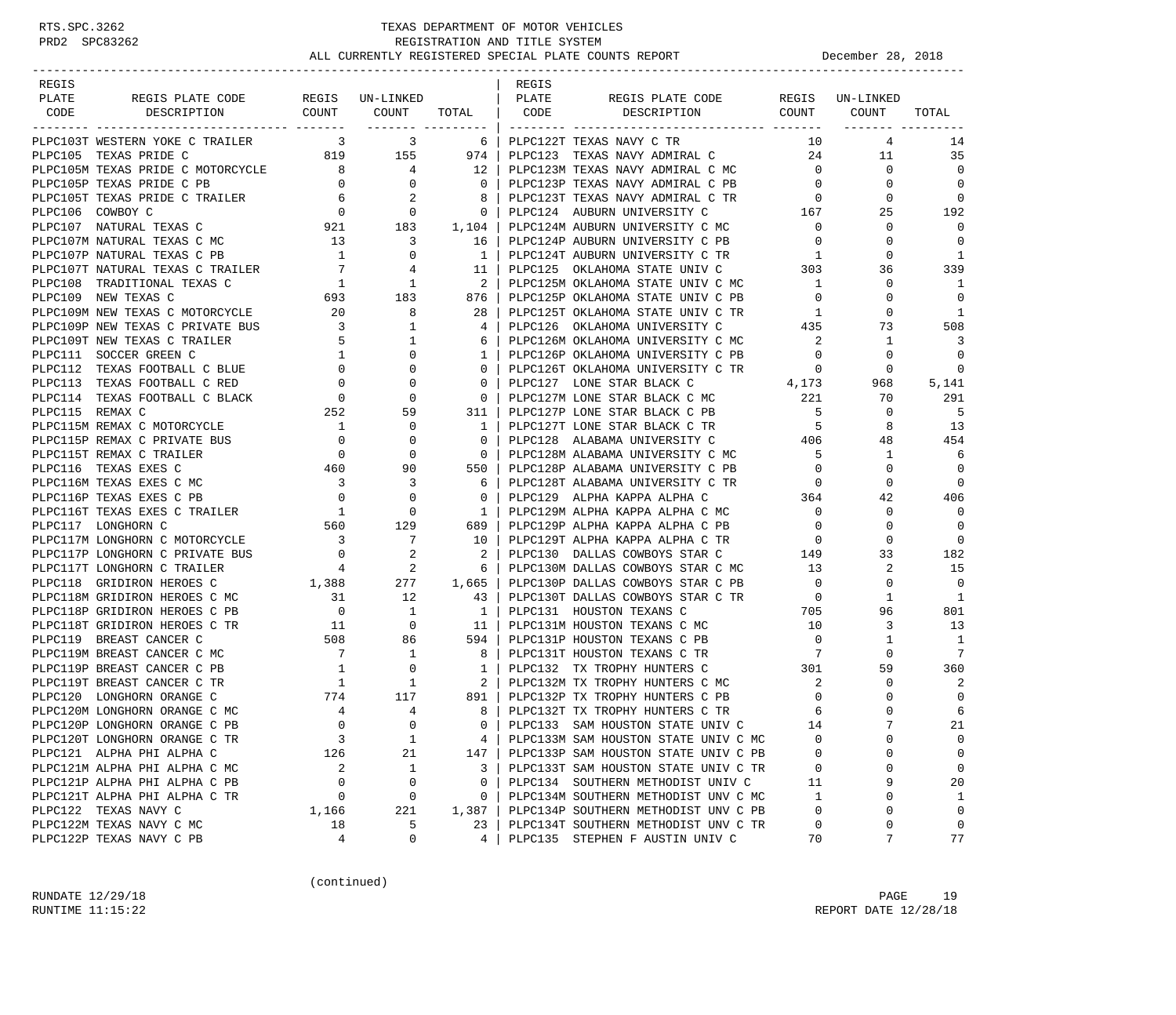| REGIS           |                                                                     |                                          |                                                                                       |                          | REGIS |                                                                    |                                     |                 |                  |
|-----------------|---------------------------------------------------------------------|------------------------------------------|---------------------------------------------------------------------------------------|--------------------------|-------|--------------------------------------------------------------------|-------------------------------------|-----------------|------------------|
| PLATE           | REGIS PLATE CODE                                                    |                                          | REGIS UN-LINKED                                                                       |                          | PLATE | REGIS PLATE CODE                                                   |                                     | REGIS UN-LINKED |                  |
| CODE            | DESCRIPTION                                                         | COUNT                                    | COUNT TOTAL  <br>------- ---------                                                    |                          | CODE  | COUNT<br>DESCRIPTION                                               |                                     | COUNT           | TOTAL            |
|                 | PLPC103T WESTERN YOKE C TRAILER                                     | $\overline{\mathbf{3}}$                  | $\overline{\mathbf{3}}$                                                               | 6                        |       | PLPC122T TEXAS NAVY C TR                                           | 10                                  | 4               | 14               |
|                 | PLPC105 TEXAS PRIDE C<br>PLPC105M TEXAS PRIDE C MOTORCYCLE<br>0 0 0 |                                          |                                                                                       | 974                      |       | PLPC123 TEXAS NAVY ADMIRAL C                                       | 24                                  | 11              | 35               |
|                 |                                                                     |                                          |                                                                                       | 12                       |       | PLPC123M TEXAS NAVY ADMIRAL C MC                                   | $\overline{0}$                      | $\overline{0}$  | $\Omega$         |
|                 |                                                                     |                                          |                                                                                       | $\overline{0}$           |       | PLPC123P TEXAS NAVY ADMIRAL C PB                                   | $\overline{0}$                      | $\mathbf 0$     | $\mathbf 0$      |
|                 |                                                                     |                                          |                                                                                       | 8                        |       | PLPC123T TEXAS NAVY ADMIRAL C TR                                   | $\begin{array}{c}0\\167\end{array}$ | 0               | 0                |
|                 |                                                                     |                                          |                                                                                       | $\overline{0}$           |       | PLPC124 AUBURN UNIVERSITY C                                        |                                     | 25              | 192              |
|                 |                                                                     |                                          |                                                                                       | 1,104                    |       | PLPC124M AUBURN UNIVERSITY C MC                                    | $\overline{0}$                      | 0               | 0                |
|                 |                                                                     |                                          |                                                                                       | 16                       |       | PLPC124P AUBURN UNIVERSITY C PB                                    | $\overline{0}$                      | $\Omega$        | $\Omega$         |
|                 |                                                                     |                                          |                                                                                       | $\mathbf{1}$             |       | PLPC124T AUBURN UNIVERSITY C TR                                    | 1                                   | $\Omega$        | 1                |
|                 | PLPC107T NATURAL TEXAS C TRAILER 7<br>PLPC108 TRADITIONAL TEXAS C 1 |                                          | $\begin{array}{c} 4 \\ 1 \end{array}$                                                 | 11                       |       | PLPC125 OKLAHOMA STATE UNIV C 303                                  |                                     | 36              | 339              |
|                 |                                                                     |                                          |                                                                                       | $\overline{\phantom{a}}$ |       | PLPC125M OKLAHOMA STATE UNIV C MC                                  | $\overline{1}$                      | $\Omega$        | -1               |
|                 | PLPC109 NEW TEXAS C                                                 |                                          | 183                                                                                   | 876                      |       | PLPC125P OKLAHOMA STATE UNIV C PB                                  | $\overline{0}$                      | 0               | $\mathbf 0$      |
|                 | PLPC109M NEW TEXAS C MOTORCYCLE                                     |                                          | 8                                                                                     | 28                       |       | PLPC125T OKLAHOMA STATE UNIV C TR                                  | 1                                   | 0               | 1                |
|                 | PLPC109P NEW TEXAS C PRIVATE BUS                                    |                                          | 1                                                                                     | $\overline{4}$           |       | PLPC126 OKLAHOMA UNIVERSITY C                                      | 435                                 | 73              | 508              |
|                 | PLPC109T NEW TEXAS C TRAILER                                        | $\begin{array}{c} 5 \\ 1 \end{array}$    | 1                                                                                     | 6                        |       | PLPC126M OKLAHOMA UNIVERSITY C MC                                  | 2                                   | 1               | 3                |
|                 | PLPC111 SOCCER GREEN C                                              |                                          | $\mathbf 0$                                                                           | 1                        |       | PLPC126P OKLAHOMA UNIVERSITY C PB                                  | $\overline{0}$                      | $\Omega$        | $\overline{0}$   |
|                 | PLPC112 TEXAS FOOTBALL C BLUE                                       | $\overline{0}$                           | $\mathbf{0}$                                                                          | $\mathbf{0}$             |       | PLPC126T OKLAHOMA UNIVERSITY C TR                                  | $\overline{0}$                      | 0               | 0                |
|                 | PLPC113 TEXAS FOOTBALL C RED                                        |                                          | $\mathbf 0$                                                                           | $\mathbf{0}$             |       | PLPC127 LONE STAR BLACK C                                          | 4,173                               | 968             | 5,141            |
|                 | PLPC114 TEXAS FOOTBALL C BLACK                                      | $\begin{array}{c} 0 \\ 0 \end{array}$    | $\Omega$                                                                              | $\Omega$                 |       | PLPC127M LONE STAR BLACK C MC 221                                  |                                     | 70              | 291              |
| PLPC115 REMAX C |                                                                     | 252                                      | 59                                                                                    | 311                      |       | PLPC127P LONE STAR BLACK C PB 5<br>PLPC127T LONE STAR BLACK C TR 5 | 5 <sub>1</sub>                      | 0               | - 5              |
|                 | PLPC115M REMAX C MOTORCYCLE                                         | $\overline{1}$                           | 0                                                                                     | $\mathbf{1}$             |       |                                                                    |                                     | 8               | 13               |
|                 | PLPC115P REMAX C PRIVATE BUS                                        | $\overline{0}$                           | 0                                                                                     | $\mathbf 0$              |       | 406<br>PLPC128 ALABAMA UNIVERSITY C                                |                                     | 48              | 454              |
|                 | PLPC115T REMAX C TRAILER                                            | $\overline{0}$                           | $\mathbf 0$                                                                           | $\overline{0}$           |       | PLPC128M ALABAMA UNIVERSITY C MC                                   | $5^{\circ}$                         | 1               | 6                |
|                 | PLPC116 TEXAS EXES C                                                | 460                                      | 90                                                                                    | 550                      |       | PLPC128P ALABAMA UNIVERSITY C PB                                   | $\overline{0}$                      | 0               | $\mathbf 0$      |
|                 | PLPC116M TEXAS EXES C MC                                            | $\begin{array}{c} 3 \\ 0 \end{array}$    | 3                                                                                     | -6                       |       | PLPC128T ALABAMA UNIVERSITY C TR                                   | $rac{6}{364}$                       | 0               | $\mathbf 0$      |
|                 | PLPC116P TEXAS EXES C PB                                            |                                          | $\mathbf 0$                                                                           | $\Omega$                 |       | PLPC129 ALPHA KAPPA ALPHA C                                        |                                     | 42              | 406              |
|                 | PLPC116T TEXAS EXES C TRAILER                                       |                                          | $\begin{array}{ccc} & 1 & & 0 \\ 560 & & 129 \end{array}$<br>$\overline{\phantom{a}}$ | $\mathbf{1}$             |       | PLPC129M ALPHA KAPPA ALPHA C MC                                    | $\overline{0}$                      | 0               | $\mathbf 0$      |
|                 | PLPC117 LONGHORN C                                                  |                                          |                                                                                       | 689                      |       | PLPC129P ALPHA KAPPA ALPHA C PB                                    | $\overline{0}$                      | $\Omega$        | $\Omega$         |
|                 | PLPC117M LONGHORN C MOTORCYCLE 3                                    |                                          | $\overline{7}$                                                                        | 10                       |       | PLPC129T ALPHA KAPPA ALPHA C TR                                    | $\overline{0}$                      | $\Omega$        | $\Omega$         |
|                 | PLPC117P LONGHORN C PRIVATE BUS                                     | $\begin{array}{c} 0 \\ 4 \end{array}$    | $\begin{array}{c} 2 \\ 2 \end{array}$                                                 | -2                       |       | PLPC130 DALLAS COWBOYS STAR C                                      | 149                                 | 33              | 182              |
|                 | PLPC117T LONGHORN C TRAILER                                         |                                          |                                                                                       | -6                       |       | PLPC130M DALLAS COWBOYS STAR C MC                                  | 13                                  | 2               | 15               |
|                 | 1,388<br>PLPC118 GRIDIRON HEROES C                                  |                                          | 277                                                                                   | 1,665                    |       | PLPC130P DALLAS COWBOYS STAR C PB                                  | $\overline{0}$                      | $\mathbf 0$     | $\overline{0}$   |
|                 | PLPC118M GRIDIRON HEROES C MC                                       | 31                                       | 12                                                                                    | 43                       |       | PLPC130T DALLAS COWBOYS STAR C TR                                  | $\overline{0}$                      | 1               | 1                |
|                 | PLPC118P GRIDIRON HEROES C PB                                       | $\overline{0}$                           | $\overline{1}$                                                                        | $\mathbf{1}$             |       | PLPC131 HOUSTON TEXANS C                                           | 705                                 | 96              | 801              |
|                 | PLPC118T GRIDIRON HEROES C TR                                       | $\begin{array}{c} 11 \\ 508 \end{array}$ | $\begin{array}{c}0\\86\end{array}$                                                    | 11                       |       | PLPC131M HOUSTON TEXANS C MC                                       | 10                                  | 3               | 13               |
|                 | PLPC119 BREAST CANCER C                                             |                                          |                                                                                       | 594                      |       | PLPC131P HOUSTON TEXANS C PB<br>PLPC131T HOUSTON TEXANS C TR       | $\overline{0}$                      | 1               | -1<br>7          |
|                 | PLPC119M BREAST CANCER C MC                                         | $\overline{7}$<br>1                      | $\overline{\phantom{a}}$<br>$\overline{\phantom{0}}$                                  | 8                        |       | $\overline{7}$                                                     | 301                                 | $\mathbf 0$     | 360              |
|                 | PLPC119P BREAST CANCER C PB                                         | $\overline{1}$                           | $\overline{1}$                                                                        | $\mathbf{1}$             |       | PLPC132 TX TROPHY HUNTERS C                                        |                                     | 59              |                  |
|                 | PLPC119T BREAST CANCER C TR<br>PLPC120 LONGHORN ORANGE C            | 774                                      | 117                                                                                   | 2<br>891                 |       | PLPC132M TX TROPHY HUNTERS C MC<br>PLPC132P TX TROPHY HUNTERS C PB | 2<br>$\mathbf 0$                    | 0<br>0          | 2<br>$\mathbf 0$ |
|                 | PLPC120M LONGHORN ORANGE C MC                                       | $\overline{4}$                           | $\overline{4}$                                                                        | 8                        |       | PLPC132T TX TROPHY HUNTERS C TR                                    |                                     | $\Omega$        | 6                |
|                 |                                                                     | $\Omega$                                 | $\Omega$                                                                              | $\Omega$                 |       | PLPC133 SAM HOUSTON STATE UNIV C                                   | 6<br>14                             |                 | 21               |
|                 | PLPC120P LONGHORN ORANGE C PB<br>PLPC120T LONGHORN ORANGE C TR      | 3                                        | $\mathbf{1}$                                                                          | 4                        |       | PLPC133M SAM HOUSTON STATE UNIV C MC                               | 0                                   | $\Omega$        | 0                |
|                 | PLPC121 ALPHA PHI ALPHA C                                           | 126                                      | 21                                                                                    | 147                      |       | PLPC133P SAM HOUSTON STATE UNIV C PB                               | 0                                   | U               | 0                |
|                 | PLPC121M ALPHA PHI ALPHA C MC                                       | 2                                        | 1                                                                                     | 3                        |       | PLPC133T SAM HOUSTON STATE UNIV C TR                               | 0                                   | 0               | 0                |
|                 | PLPC121P ALPHA PHI ALPHA C PB                                       | $\mathbf 0$                              | $\mathbf 0$                                                                           | 0                        |       | PLPC134 SOUTHERN METHODIST UNIV C                                  | 11                                  | 9               | 20               |
|                 | PLPC121T ALPHA PHI ALPHA C TR                                       | 0                                        | 0                                                                                     | 0                        |       | PLPC134M SOUTHERN METHODIST UNV C MC                               | 1                                   | U               | 1                |
|                 | PLPC122 TEXAS NAVY C                                                | 1,166                                    | 221                                                                                   | 1,387                    |       | PLPC134P SOUTHERN METHODIST UNV C PB                               | $\mathbf 0$                         | U               | 0                |
|                 | PLPC122M TEXAS NAVY C MC                                            | 18                                       | 5                                                                                     | 23                       |       | PLPC134T SOUTHERN METHODIST UNV C TR                               | 0                                   | 0               | 0                |
|                 | PLPC122P TEXAS NAVY C PB                                            | 4                                        | 0                                                                                     | 4                        |       | PLPC135 STEPHEN F AUSTIN UNIV C                                    | 70                                  | 7               | 77               |
|                 |                                                                     |                                          |                                                                                       |                          |       |                                                                    |                                     |                 |                  |

(continued)

RUNDATE  $12/29/18$  PAGE 19 RUNTIME  $11:15:22$  REPORT DATE  $12/28/18$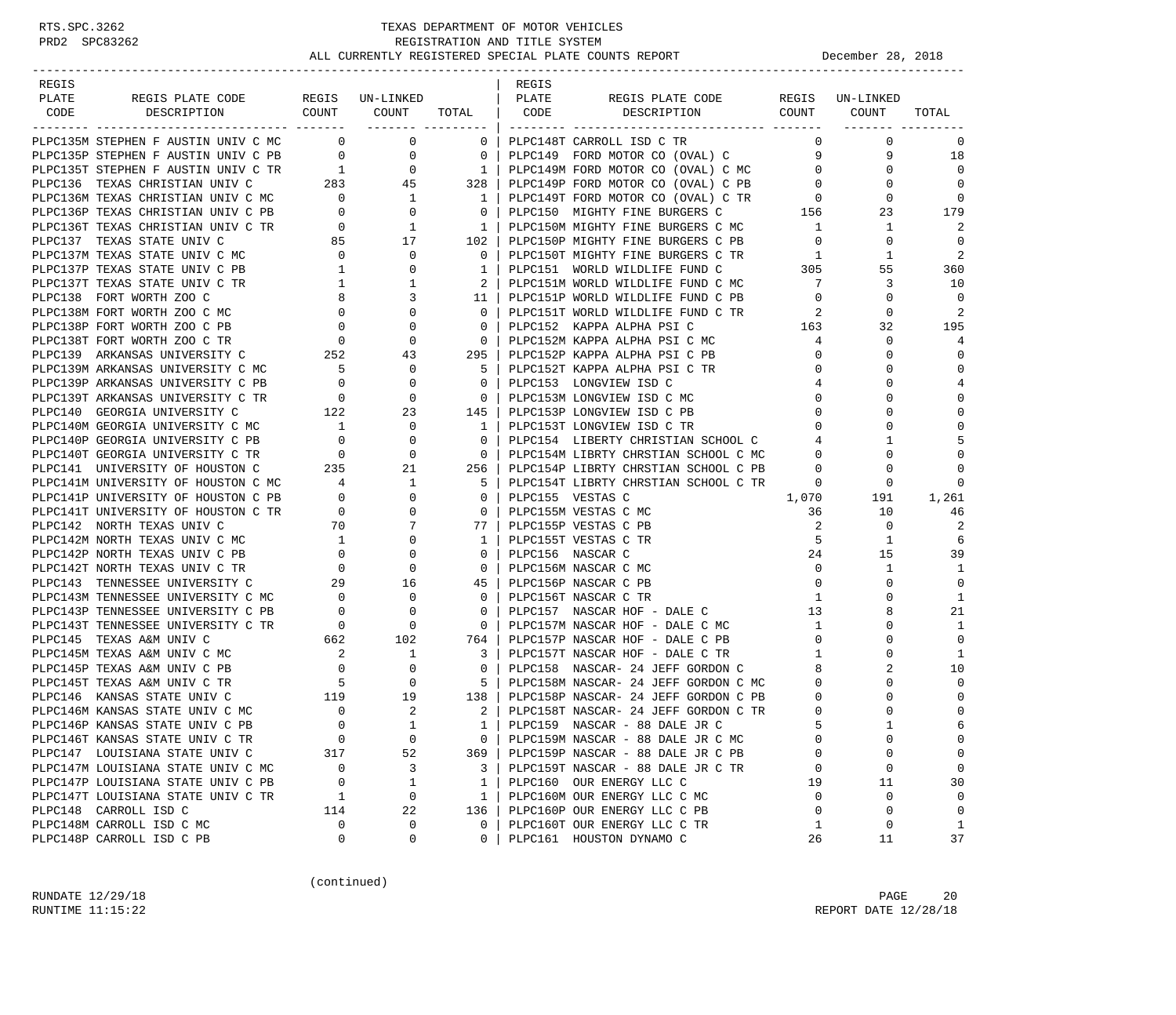| REGIS<br>REGIS<br>PLATE<br>REGIS PLATE CODE REGIS UN-LINKED<br>PLATE<br>REGIS PLATE CODE REGIS UN-LINKED<br>COUNT COUNT TOTAL   CODE DESCRIPTION<br>COUNT COUNT<br>DESCRIPTION<br>CODE<br>TOTAL<br>________ _______<br>PLPC135M STEPHEN F AUSTIN UNIV C MC 0 0 0<br>$\mathbf{0}$<br>$\overline{0}$<br>$\mathbf 0$<br>$\begin{array}{cc} 0 & 1 \end{array}$<br>PLPC148T CARROLL ISD C TR<br>PLPC135P STEPHEN F AUSTIN UNIV C PB $\begin{array}{c c c c c c} 0 & 0 & 0 & \text{PLPC149} & \text{FORD MOTOR CO (OVAL) C} & 9 \\ \hline \text{PLPC135T STEPHEN F AUSTIN UNIV C TR} & 1 & 0 & 1 & \text{PLPC149M FORD MOTOR CO (OVAL) C MC} & 0 \\ \text{PLPC136 TEXAS CHRISTIAN UNIV C} & 283 & 45 & 328 & \text{PLPC149P FORD MOTOR CO (OVAL) C PB} & 0 \\ \end{array}$<br>PLPC149 FORD MOTOR CO (OVAL) C 9<br>9<br>18<br>$\Omega$<br>$\mathbf{0}$<br>$\mathbf{0}$<br>$\Omega$<br>PLPC136 TEXAS CHRISTIAN UNIV C MC 38<br>PLPC136M TEXAS CHRISTIAN UNIV C MC 0 0 1 1   PLPC149T FORD MOTOR CO (OVAL) C TR<br>PLPC136P TEXAS CHRISTIAN UNIV C TR<br>PLPC136P TEXAS CHRISTIAN UNIV C TR<br>PLPC137 TEXAS STATE UNIV C TR<br><br>$\mathbf{0}$<br>0<br>23<br>179<br>$\mathbf{1}$<br>2<br>$\Omega$<br>$\mathbf 0$<br>$\overline{2}$<br>1<br>55<br>360<br>3<br>10<br>$\mathbf{0}$<br>$\Omega$<br>$\overline{2}$<br>$\mathbf 0$<br>32<br>195<br>$\mathbf{0}$<br>4<br>$\Omega$<br>$\mathbf 0$<br>PIPC139 ARKANSAS UNIVERSITY C (252 43 45 255 PIPC152T KAPPA ALPHA SOLOTEX (TRACKANSAS UNIVERSITY C MC 5 0 6 0 1 PIPC153 LONGVIEW ISD C TRACKANSAS UNIVERSITY C TRACKANSAS UNIVERSITY C TRACK (252 1 45 PIPC153 LONGVIEW ISD C<br>$\mathbf{0}$<br>$\Omega$<br>$\Omega$<br>4<br>$\Omega$<br>$\Omega$<br>$0 \qquad \qquad$<br>$\mathbf 0$<br>$\mathbf 0$<br>$\Omega$<br>$\mathbf{0}$<br>$\mathbf{1}$<br>5<br>$\Omega$<br>$\Omega$<br>$\mathbf 0$<br>$\mathbf 0$<br>PLECI4IN UNIVERSITY OF HOUSTON C MC<br>PLECI4IN UNIVERSITY OF HOUSTON C MC<br>PLECI4IT UNIVERSITY OF HOUSTON C PB<br>PLECI4IT UNIVERSITY OF HOUSTON C PB<br>PLECI4IT UNIVERSITY OF HOUSTON C TR<br>PLECI4IT UNIVERSITY OF HOUSTON C TR<br><br>$\Omega$<br>$\overline{0}$<br>$\mathbf{0}$<br>191<br>1,070<br>1,261<br>36<br>10<br>46<br>$\overline{2}$<br>2<br>$\mathbf{0}$<br>5<br>6<br>1<br>39<br>24<br>15<br>$\overline{0}$<br>$\mathbf{1}$<br>1<br>$\mathbf 0$<br>$\mathbf 0$<br>$\mathbf{1}$<br>$\mathbf 0$<br>8<br>21<br>$\overline{1}$<br>$\mathbf 0$<br>1<br>$\Omega$<br>$\mathbf 0$<br>$1 \quad \blacksquare$<br>$\mathbf 0$<br>1<br>8<br>2<br>10<br>$\Omega$<br>$\Omega$<br>$\mathbf 0$<br>$\mathbf 0$<br>$\Omega$<br>$\mathbf{0}$<br>$\overline{0}$<br>$\overline{1}$<br>6<br>PLPC146P KANSAS STATE UNIV C PB<br>PLPC159 NASCAR - 88 DALE JR C<br>$1 \mid$<br>$\mathbf 0$<br>PLPC146T KANSAS STATE UNIV C TR<br>0<br>PLPC159M NASCAR - 88 DALE JR C MC<br>$\Omega$<br>$\mathbf 0$<br>$\mathbf 0$<br>$\overline{0}$<br>PLPC147 LOUISIANA STATE UNIV C<br>317<br>52<br>PLPC159P NASCAR - 88 DALE JR C PB<br>$\mathbf 0$<br>0<br>369<br>$\Omega$<br>PLPC147M LOUISIANA STATE UNIV C MC<br>3<br>PLPC159T NASCAR - 88 DALE JR C TR<br>0<br>0<br>0<br>0<br>3<br>0<br>1<br>PLPC160 OUR ENERGY LLC C<br>11<br>30<br>PLPC147P LOUISIANA STATE UNIV C PB<br>1<br>19<br>PLPC147T LOUISIANA STATE UNIV C TR<br>PLPC160M OUR ENERGY LLC C MC<br>1<br>$\mathbf 0$<br>$\mathbf 0$<br>0<br>$\mathbf 0$<br>1<br>PLPC148 CARROLL ISD C<br>PLPC160P OUR ENERGY LLC C PB<br>$\mathbf 0$<br>22<br>$\mathbf 0$<br>$\mathbf 0$<br>114<br>136<br>PLPC148M CARROLL ISD C MC<br>0<br>0<br>PLPC160T OUR ENERGY LLC C TR<br>0<br>$\mathbf{0}$<br>1<br>1<br>0<br>37<br>PLPC148P CARROLL ISD C PB<br>0<br>PLPC161 HOUSTON DYNAMO C<br>26<br>11<br>$\mathbf{0}$ |  |  |  |  |  |
|--------------------------------------------------------------------------------------------------------------------------------------------------------------------------------------------------------------------------------------------------------------------------------------------------------------------------------------------------------------------------------------------------------------------------------------------------------------------------------------------------------------------------------------------------------------------------------------------------------------------------------------------------------------------------------------------------------------------------------------------------------------------------------------------------------------------------------------------------------------------------------------------------------------------------------------------------------------------------------------------------------------------------------------------------------------------------------------------------------------------------------------------------------------------------------------------------------------------------------------------------------------------------------------------------------------------------------------------------------------------------------------------------------------------------------------------------------------------------------------------------------------------------------------------------------------------------------------------------------------------------------------------------------------------------------------------------------------------------------------------------------------------------------------------------------------------------------------------------------------------------------------------------------------------------------------------------------------------------------------------------------------------------------------------------------------------------------------------------------------------------------------------------------------------------------------------------------------------------------------------------------------------------------------------------------------------------------------------------------------------------------------------------------------------------------------------------------------------------------------------------------------------------------------------------------------------------------------------------------------------------------------------------------------------------------------------------------------------------------------------------------------------------------------------------------------------------------------------------------------------------------------------------------------------------------------------------------------------------------------------------------------------------------------------------------------------------------------------------------------------------------------------------------------------------------------------------------------------------------------------------------------------------------------------------------------------------------------------------------------------------------------------------------------------------------------------------------------------------------------------------------------------------------------------------------------------------------------------------------------------------------------------------------------------------------------------------|--|--|--|--|--|
|                                                                                                                                                                                                                                                                                                                                                                                                                                                                                                                                                                                                                                                                                                                                                                                                                                                                                                                                                                                                                                                                                                                                                                                                                                                                                                                                                                                                                                                                                                                                                                                                                                                                                                                                                                                                                                                                                                                                                                                                                                                                                                                                                                                                                                                                                                                                                                                                                                                                                                                                                                                                                                                                                                                                                                                                                                                                                                                                                                                                                                                                                                                                                                                                                                                                                                                                                                                                                                                                                                                                                                                                                                                                                                  |  |  |  |  |  |
|                                                                                                                                                                                                                                                                                                                                                                                                                                                                                                                                                                                                                                                                                                                                                                                                                                                                                                                                                                                                                                                                                                                                                                                                                                                                                                                                                                                                                                                                                                                                                                                                                                                                                                                                                                                                                                                                                                                                                                                                                                                                                                                                                                                                                                                                                                                                                                                                                                                                                                                                                                                                                                                                                                                                                                                                                                                                                                                                                                                                                                                                                                                                                                                                                                                                                                                                                                                                                                                                                                                                                                                                                                                                                                  |  |  |  |  |  |
|                                                                                                                                                                                                                                                                                                                                                                                                                                                                                                                                                                                                                                                                                                                                                                                                                                                                                                                                                                                                                                                                                                                                                                                                                                                                                                                                                                                                                                                                                                                                                                                                                                                                                                                                                                                                                                                                                                                                                                                                                                                                                                                                                                                                                                                                                                                                                                                                                                                                                                                                                                                                                                                                                                                                                                                                                                                                                                                                                                                                                                                                                                                                                                                                                                                                                                                                                                                                                                                                                                                                                                                                                                                                                                  |  |  |  |  |  |
|                                                                                                                                                                                                                                                                                                                                                                                                                                                                                                                                                                                                                                                                                                                                                                                                                                                                                                                                                                                                                                                                                                                                                                                                                                                                                                                                                                                                                                                                                                                                                                                                                                                                                                                                                                                                                                                                                                                                                                                                                                                                                                                                                                                                                                                                                                                                                                                                                                                                                                                                                                                                                                                                                                                                                                                                                                                                                                                                                                                                                                                                                                                                                                                                                                                                                                                                                                                                                                                                                                                                                                                                                                                                                                  |  |  |  |  |  |
|                                                                                                                                                                                                                                                                                                                                                                                                                                                                                                                                                                                                                                                                                                                                                                                                                                                                                                                                                                                                                                                                                                                                                                                                                                                                                                                                                                                                                                                                                                                                                                                                                                                                                                                                                                                                                                                                                                                                                                                                                                                                                                                                                                                                                                                                                                                                                                                                                                                                                                                                                                                                                                                                                                                                                                                                                                                                                                                                                                                                                                                                                                                                                                                                                                                                                                                                                                                                                                                                                                                                                                                                                                                                                                  |  |  |  |  |  |
|                                                                                                                                                                                                                                                                                                                                                                                                                                                                                                                                                                                                                                                                                                                                                                                                                                                                                                                                                                                                                                                                                                                                                                                                                                                                                                                                                                                                                                                                                                                                                                                                                                                                                                                                                                                                                                                                                                                                                                                                                                                                                                                                                                                                                                                                                                                                                                                                                                                                                                                                                                                                                                                                                                                                                                                                                                                                                                                                                                                                                                                                                                                                                                                                                                                                                                                                                                                                                                                                                                                                                                                                                                                                                                  |  |  |  |  |  |
|                                                                                                                                                                                                                                                                                                                                                                                                                                                                                                                                                                                                                                                                                                                                                                                                                                                                                                                                                                                                                                                                                                                                                                                                                                                                                                                                                                                                                                                                                                                                                                                                                                                                                                                                                                                                                                                                                                                                                                                                                                                                                                                                                                                                                                                                                                                                                                                                                                                                                                                                                                                                                                                                                                                                                                                                                                                                                                                                                                                                                                                                                                                                                                                                                                                                                                                                                                                                                                                                                                                                                                                                                                                                                                  |  |  |  |  |  |
|                                                                                                                                                                                                                                                                                                                                                                                                                                                                                                                                                                                                                                                                                                                                                                                                                                                                                                                                                                                                                                                                                                                                                                                                                                                                                                                                                                                                                                                                                                                                                                                                                                                                                                                                                                                                                                                                                                                                                                                                                                                                                                                                                                                                                                                                                                                                                                                                                                                                                                                                                                                                                                                                                                                                                                                                                                                                                                                                                                                                                                                                                                                                                                                                                                                                                                                                                                                                                                                                                                                                                                                                                                                                                                  |  |  |  |  |  |
|                                                                                                                                                                                                                                                                                                                                                                                                                                                                                                                                                                                                                                                                                                                                                                                                                                                                                                                                                                                                                                                                                                                                                                                                                                                                                                                                                                                                                                                                                                                                                                                                                                                                                                                                                                                                                                                                                                                                                                                                                                                                                                                                                                                                                                                                                                                                                                                                                                                                                                                                                                                                                                                                                                                                                                                                                                                                                                                                                                                                                                                                                                                                                                                                                                                                                                                                                                                                                                                                                                                                                                                                                                                                                                  |  |  |  |  |  |
|                                                                                                                                                                                                                                                                                                                                                                                                                                                                                                                                                                                                                                                                                                                                                                                                                                                                                                                                                                                                                                                                                                                                                                                                                                                                                                                                                                                                                                                                                                                                                                                                                                                                                                                                                                                                                                                                                                                                                                                                                                                                                                                                                                                                                                                                                                                                                                                                                                                                                                                                                                                                                                                                                                                                                                                                                                                                                                                                                                                                                                                                                                                                                                                                                                                                                                                                                                                                                                                                                                                                                                                                                                                                                                  |  |  |  |  |  |
|                                                                                                                                                                                                                                                                                                                                                                                                                                                                                                                                                                                                                                                                                                                                                                                                                                                                                                                                                                                                                                                                                                                                                                                                                                                                                                                                                                                                                                                                                                                                                                                                                                                                                                                                                                                                                                                                                                                                                                                                                                                                                                                                                                                                                                                                                                                                                                                                                                                                                                                                                                                                                                                                                                                                                                                                                                                                                                                                                                                                                                                                                                                                                                                                                                                                                                                                                                                                                                                                                                                                                                                                                                                                                                  |  |  |  |  |  |
|                                                                                                                                                                                                                                                                                                                                                                                                                                                                                                                                                                                                                                                                                                                                                                                                                                                                                                                                                                                                                                                                                                                                                                                                                                                                                                                                                                                                                                                                                                                                                                                                                                                                                                                                                                                                                                                                                                                                                                                                                                                                                                                                                                                                                                                                                                                                                                                                                                                                                                                                                                                                                                                                                                                                                                                                                                                                                                                                                                                                                                                                                                                                                                                                                                                                                                                                                                                                                                                                                                                                                                                                                                                                                                  |  |  |  |  |  |
|                                                                                                                                                                                                                                                                                                                                                                                                                                                                                                                                                                                                                                                                                                                                                                                                                                                                                                                                                                                                                                                                                                                                                                                                                                                                                                                                                                                                                                                                                                                                                                                                                                                                                                                                                                                                                                                                                                                                                                                                                                                                                                                                                                                                                                                                                                                                                                                                                                                                                                                                                                                                                                                                                                                                                                                                                                                                                                                                                                                                                                                                                                                                                                                                                                                                                                                                                                                                                                                                                                                                                                                                                                                                                                  |  |  |  |  |  |
|                                                                                                                                                                                                                                                                                                                                                                                                                                                                                                                                                                                                                                                                                                                                                                                                                                                                                                                                                                                                                                                                                                                                                                                                                                                                                                                                                                                                                                                                                                                                                                                                                                                                                                                                                                                                                                                                                                                                                                                                                                                                                                                                                                                                                                                                                                                                                                                                                                                                                                                                                                                                                                                                                                                                                                                                                                                                                                                                                                                                                                                                                                                                                                                                                                                                                                                                                                                                                                                                                                                                                                                                                                                                                                  |  |  |  |  |  |
|                                                                                                                                                                                                                                                                                                                                                                                                                                                                                                                                                                                                                                                                                                                                                                                                                                                                                                                                                                                                                                                                                                                                                                                                                                                                                                                                                                                                                                                                                                                                                                                                                                                                                                                                                                                                                                                                                                                                                                                                                                                                                                                                                                                                                                                                                                                                                                                                                                                                                                                                                                                                                                                                                                                                                                                                                                                                                                                                                                                                                                                                                                                                                                                                                                                                                                                                                                                                                                                                                                                                                                                                                                                                                                  |  |  |  |  |  |
|                                                                                                                                                                                                                                                                                                                                                                                                                                                                                                                                                                                                                                                                                                                                                                                                                                                                                                                                                                                                                                                                                                                                                                                                                                                                                                                                                                                                                                                                                                                                                                                                                                                                                                                                                                                                                                                                                                                                                                                                                                                                                                                                                                                                                                                                                                                                                                                                                                                                                                                                                                                                                                                                                                                                                                                                                                                                                                                                                                                                                                                                                                                                                                                                                                                                                                                                                                                                                                                                                                                                                                                                                                                                                                  |  |  |  |  |  |
|                                                                                                                                                                                                                                                                                                                                                                                                                                                                                                                                                                                                                                                                                                                                                                                                                                                                                                                                                                                                                                                                                                                                                                                                                                                                                                                                                                                                                                                                                                                                                                                                                                                                                                                                                                                                                                                                                                                                                                                                                                                                                                                                                                                                                                                                                                                                                                                                                                                                                                                                                                                                                                                                                                                                                                                                                                                                                                                                                                                                                                                                                                                                                                                                                                                                                                                                                                                                                                                                                                                                                                                                                                                                                                  |  |  |  |  |  |
|                                                                                                                                                                                                                                                                                                                                                                                                                                                                                                                                                                                                                                                                                                                                                                                                                                                                                                                                                                                                                                                                                                                                                                                                                                                                                                                                                                                                                                                                                                                                                                                                                                                                                                                                                                                                                                                                                                                                                                                                                                                                                                                                                                                                                                                                                                                                                                                                                                                                                                                                                                                                                                                                                                                                                                                                                                                                                                                                                                                                                                                                                                                                                                                                                                                                                                                                                                                                                                                                                                                                                                                                                                                                                                  |  |  |  |  |  |
|                                                                                                                                                                                                                                                                                                                                                                                                                                                                                                                                                                                                                                                                                                                                                                                                                                                                                                                                                                                                                                                                                                                                                                                                                                                                                                                                                                                                                                                                                                                                                                                                                                                                                                                                                                                                                                                                                                                                                                                                                                                                                                                                                                                                                                                                                                                                                                                                                                                                                                                                                                                                                                                                                                                                                                                                                                                                                                                                                                                                                                                                                                                                                                                                                                                                                                                                                                                                                                                                                                                                                                                                                                                                                                  |  |  |  |  |  |
|                                                                                                                                                                                                                                                                                                                                                                                                                                                                                                                                                                                                                                                                                                                                                                                                                                                                                                                                                                                                                                                                                                                                                                                                                                                                                                                                                                                                                                                                                                                                                                                                                                                                                                                                                                                                                                                                                                                                                                                                                                                                                                                                                                                                                                                                                                                                                                                                                                                                                                                                                                                                                                                                                                                                                                                                                                                                                                                                                                                                                                                                                                                                                                                                                                                                                                                                                                                                                                                                                                                                                                                                                                                                                                  |  |  |  |  |  |
|                                                                                                                                                                                                                                                                                                                                                                                                                                                                                                                                                                                                                                                                                                                                                                                                                                                                                                                                                                                                                                                                                                                                                                                                                                                                                                                                                                                                                                                                                                                                                                                                                                                                                                                                                                                                                                                                                                                                                                                                                                                                                                                                                                                                                                                                                                                                                                                                                                                                                                                                                                                                                                                                                                                                                                                                                                                                                                                                                                                                                                                                                                                                                                                                                                                                                                                                                                                                                                                                                                                                                                                                                                                                                                  |  |  |  |  |  |
|                                                                                                                                                                                                                                                                                                                                                                                                                                                                                                                                                                                                                                                                                                                                                                                                                                                                                                                                                                                                                                                                                                                                                                                                                                                                                                                                                                                                                                                                                                                                                                                                                                                                                                                                                                                                                                                                                                                                                                                                                                                                                                                                                                                                                                                                                                                                                                                                                                                                                                                                                                                                                                                                                                                                                                                                                                                                                                                                                                                                                                                                                                                                                                                                                                                                                                                                                                                                                                                                                                                                                                                                                                                                                                  |  |  |  |  |  |
|                                                                                                                                                                                                                                                                                                                                                                                                                                                                                                                                                                                                                                                                                                                                                                                                                                                                                                                                                                                                                                                                                                                                                                                                                                                                                                                                                                                                                                                                                                                                                                                                                                                                                                                                                                                                                                                                                                                                                                                                                                                                                                                                                                                                                                                                                                                                                                                                                                                                                                                                                                                                                                                                                                                                                                                                                                                                                                                                                                                                                                                                                                                                                                                                                                                                                                                                                                                                                                                                                                                                                                                                                                                                                                  |  |  |  |  |  |
|                                                                                                                                                                                                                                                                                                                                                                                                                                                                                                                                                                                                                                                                                                                                                                                                                                                                                                                                                                                                                                                                                                                                                                                                                                                                                                                                                                                                                                                                                                                                                                                                                                                                                                                                                                                                                                                                                                                                                                                                                                                                                                                                                                                                                                                                                                                                                                                                                                                                                                                                                                                                                                                                                                                                                                                                                                                                                                                                                                                                                                                                                                                                                                                                                                                                                                                                                                                                                                                                                                                                                                                                                                                                                                  |  |  |  |  |  |
|                                                                                                                                                                                                                                                                                                                                                                                                                                                                                                                                                                                                                                                                                                                                                                                                                                                                                                                                                                                                                                                                                                                                                                                                                                                                                                                                                                                                                                                                                                                                                                                                                                                                                                                                                                                                                                                                                                                                                                                                                                                                                                                                                                                                                                                                                                                                                                                                                                                                                                                                                                                                                                                                                                                                                                                                                                                                                                                                                                                                                                                                                                                                                                                                                                                                                                                                                                                                                                                                                                                                                                                                                                                                                                  |  |  |  |  |  |
|                                                                                                                                                                                                                                                                                                                                                                                                                                                                                                                                                                                                                                                                                                                                                                                                                                                                                                                                                                                                                                                                                                                                                                                                                                                                                                                                                                                                                                                                                                                                                                                                                                                                                                                                                                                                                                                                                                                                                                                                                                                                                                                                                                                                                                                                                                                                                                                                                                                                                                                                                                                                                                                                                                                                                                                                                                                                                                                                                                                                                                                                                                                                                                                                                                                                                                                                                                                                                                                                                                                                                                                                                                                                                                  |  |  |  |  |  |
|                                                                                                                                                                                                                                                                                                                                                                                                                                                                                                                                                                                                                                                                                                                                                                                                                                                                                                                                                                                                                                                                                                                                                                                                                                                                                                                                                                                                                                                                                                                                                                                                                                                                                                                                                                                                                                                                                                                                                                                                                                                                                                                                                                                                                                                                                                                                                                                                                                                                                                                                                                                                                                                                                                                                                                                                                                                                                                                                                                                                                                                                                                                                                                                                                                                                                                                                                                                                                                                                                                                                                                                                                                                                                                  |  |  |  |  |  |
|                                                                                                                                                                                                                                                                                                                                                                                                                                                                                                                                                                                                                                                                                                                                                                                                                                                                                                                                                                                                                                                                                                                                                                                                                                                                                                                                                                                                                                                                                                                                                                                                                                                                                                                                                                                                                                                                                                                                                                                                                                                                                                                                                                                                                                                                                                                                                                                                                                                                                                                                                                                                                                                                                                                                                                                                                                                                                                                                                                                                                                                                                                                                                                                                                                                                                                                                                                                                                                                                                                                                                                                                                                                                                                  |  |  |  |  |  |
|                                                                                                                                                                                                                                                                                                                                                                                                                                                                                                                                                                                                                                                                                                                                                                                                                                                                                                                                                                                                                                                                                                                                                                                                                                                                                                                                                                                                                                                                                                                                                                                                                                                                                                                                                                                                                                                                                                                                                                                                                                                                                                                                                                                                                                                                                                                                                                                                                                                                                                                                                                                                                                                                                                                                                                                                                                                                                                                                                                                                                                                                                                                                                                                                                                                                                                                                                                                                                                                                                                                                                                                                                                                                                                  |  |  |  |  |  |
|                                                                                                                                                                                                                                                                                                                                                                                                                                                                                                                                                                                                                                                                                                                                                                                                                                                                                                                                                                                                                                                                                                                                                                                                                                                                                                                                                                                                                                                                                                                                                                                                                                                                                                                                                                                                                                                                                                                                                                                                                                                                                                                                                                                                                                                                                                                                                                                                                                                                                                                                                                                                                                                                                                                                                                                                                                                                                                                                                                                                                                                                                                                                                                                                                                                                                                                                                                                                                                                                                                                                                                                                                                                                                                  |  |  |  |  |  |
|                                                                                                                                                                                                                                                                                                                                                                                                                                                                                                                                                                                                                                                                                                                                                                                                                                                                                                                                                                                                                                                                                                                                                                                                                                                                                                                                                                                                                                                                                                                                                                                                                                                                                                                                                                                                                                                                                                                                                                                                                                                                                                                                                                                                                                                                                                                                                                                                                                                                                                                                                                                                                                                                                                                                                                                                                                                                                                                                                                                                                                                                                                                                                                                                                                                                                                                                                                                                                                                                                                                                                                                                                                                                                                  |  |  |  |  |  |
|                                                                                                                                                                                                                                                                                                                                                                                                                                                                                                                                                                                                                                                                                                                                                                                                                                                                                                                                                                                                                                                                                                                                                                                                                                                                                                                                                                                                                                                                                                                                                                                                                                                                                                                                                                                                                                                                                                                                                                                                                                                                                                                                                                                                                                                                                                                                                                                                                                                                                                                                                                                                                                                                                                                                                                                                                                                                                                                                                                                                                                                                                                                                                                                                                                                                                                                                                                                                                                                                                                                                                                                                                                                                                                  |  |  |  |  |  |
|                                                                                                                                                                                                                                                                                                                                                                                                                                                                                                                                                                                                                                                                                                                                                                                                                                                                                                                                                                                                                                                                                                                                                                                                                                                                                                                                                                                                                                                                                                                                                                                                                                                                                                                                                                                                                                                                                                                                                                                                                                                                                                                                                                                                                                                                                                                                                                                                                                                                                                                                                                                                                                                                                                                                                                                                                                                                                                                                                                                                                                                                                                                                                                                                                                                                                                                                                                                                                                                                                                                                                                                                                                                                                                  |  |  |  |  |  |
|                                                                                                                                                                                                                                                                                                                                                                                                                                                                                                                                                                                                                                                                                                                                                                                                                                                                                                                                                                                                                                                                                                                                                                                                                                                                                                                                                                                                                                                                                                                                                                                                                                                                                                                                                                                                                                                                                                                                                                                                                                                                                                                                                                                                                                                                                                                                                                                                                                                                                                                                                                                                                                                                                                                                                                                                                                                                                                                                                                                                                                                                                                                                                                                                                                                                                                                                                                                                                                                                                                                                                                                                                                                                                                  |  |  |  |  |  |
|                                                                                                                                                                                                                                                                                                                                                                                                                                                                                                                                                                                                                                                                                                                                                                                                                                                                                                                                                                                                                                                                                                                                                                                                                                                                                                                                                                                                                                                                                                                                                                                                                                                                                                                                                                                                                                                                                                                                                                                                                                                                                                                                                                                                                                                                                                                                                                                                                                                                                                                                                                                                                                                                                                                                                                                                                                                                                                                                                                                                                                                                                                                                                                                                                                                                                                                                                                                                                                                                                                                                                                                                                                                                                                  |  |  |  |  |  |
|                                                                                                                                                                                                                                                                                                                                                                                                                                                                                                                                                                                                                                                                                                                                                                                                                                                                                                                                                                                                                                                                                                                                                                                                                                                                                                                                                                                                                                                                                                                                                                                                                                                                                                                                                                                                                                                                                                                                                                                                                                                                                                                                                                                                                                                                                                                                                                                                                                                                                                                                                                                                                                                                                                                                                                                                                                                                                                                                                                                                                                                                                                                                                                                                                                                                                                                                                                                                                                                                                                                                                                                                                                                                                                  |  |  |  |  |  |
|                                                                                                                                                                                                                                                                                                                                                                                                                                                                                                                                                                                                                                                                                                                                                                                                                                                                                                                                                                                                                                                                                                                                                                                                                                                                                                                                                                                                                                                                                                                                                                                                                                                                                                                                                                                                                                                                                                                                                                                                                                                                                                                                                                                                                                                                                                                                                                                                                                                                                                                                                                                                                                                                                                                                                                                                                                                                                                                                                                                                                                                                                                                                                                                                                                                                                                                                                                                                                                                                                                                                                                                                                                                                                                  |  |  |  |  |  |
|                                                                                                                                                                                                                                                                                                                                                                                                                                                                                                                                                                                                                                                                                                                                                                                                                                                                                                                                                                                                                                                                                                                                                                                                                                                                                                                                                                                                                                                                                                                                                                                                                                                                                                                                                                                                                                                                                                                                                                                                                                                                                                                                                                                                                                                                                                                                                                                                                                                                                                                                                                                                                                                                                                                                                                                                                                                                                                                                                                                                                                                                                                                                                                                                                                                                                                                                                                                                                                                                                                                                                                                                                                                                                                  |  |  |  |  |  |
|                                                                                                                                                                                                                                                                                                                                                                                                                                                                                                                                                                                                                                                                                                                                                                                                                                                                                                                                                                                                                                                                                                                                                                                                                                                                                                                                                                                                                                                                                                                                                                                                                                                                                                                                                                                                                                                                                                                                                                                                                                                                                                                                                                                                                                                                                                                                                                                                                                                                                                                                                                                                                                                                                                                                                                                                                                                                                                                                                                                                                                                                                                                                                                                                                                                                                                                                                                                                                                                                                                                                                                                                                                                                                                  |  |  |  |  |  |
|                                                                                                                                                                                                                                                                                                                                                                                                                                                                                                                                                                                                                                                                                                                                                                                                                                                                                                                                                                                                                                                                                                                                                                                                                                                                                                                                                                                                                                                                                                                                                                                                                                                                                                                                                                                                                                                                                                                                                                                                                                                                                                                                                                                                                                                                                                                                                                                                                                                                                                                                                                                                                                                                                                                                                                                                                                                                                                                                                                                                                                                                                                                                                                                                                                                                                                                                                                                                                                                                                                                                                                                                                                                                                                  |  |  |  |  |  |
|                                                                                                                                                                                                                                                                                                                                                                                                                                                                                                                                                                                                                                                                                                                                                                                                                                                                                                                                                                                                                                                                                                                                                                                                                                                                                                                                                                                                                                                                                                                                                                                                                                                                                                                                                                                                                                                                                                                                                                                                                                                                                                                                                                                                                                                                                                                                                                                                                                                                                                                                                                                                                                                                                                                                                                                                                                                                                                                                                                                                                                                                                                                                                                                                                                                                                                                                                                                                                                                                                                                                                                                                                                                                                                  |  |  |  |  |  |
|                                                                                                                                                                                                                                                                                                                                                                                                                                                                                                                                                                                                                                                                                                                                                                                                                                                                                                                                                                                                                                                                                                                                                                                                                                                                                                                                                                                                                                                                                                                                                                                                                                                                                                                                                                                                                                                                                                                                                                                                                                                                                                                                                                                                                                                                                                                                                                                                                                                                                                                                                                                                                                                                                                                                                                                                                                                                                                                                                                                                                                                                                                                                                                                                                                                                                                                                                                                                                                                                                                                                                                                                                                                                                                  |  |  |  |  |  |
|                                                                                                                                                                                                                                                                                                                                                                                                                                                                                                                                                                                                                                                                                                                                                                                                                                                                                                                                                                                                                                                                                                                                                                                                                                                                                                                                                                                                                                                                                                                                                                                                                                                                                                                                                                                                                                                                                                                                                                                                                                                                                                                                                                                                                                                                                                                                                                                                                                                                                                                                                                                                                                                                                                                                                                                                                                                                                                                                                                                                                                                                                                                                                                                                                                                                                                                                                                                                                                                                                                                                                                                                                                                                                                  |  |  |  |  |  |
|                                                                                                                                                                                                                                                                                                                                                                                                                                                                                                                                                                                                                                                                                                                                                                                                                                                                                                                                                                                                                                                                                                                                                                                                                                                                                                                                                                                                                                                                                                                                                                                                                                                                                                                                                                                                                                                                                                                                                                                                                                                                                                                                                                                                                                                                                                                                                                                                                                                                                                                                                                                                                                                                                                                                                                                                                                                                                                                                                                                                                                                                                                                                                                                                                                                                                                                                                                                                                                                                                                                                                                                                                                                                                                  |  |  |  |  |  |
|                                                                                                                                                                                                                                                                                                                                                                                                                                                                                                                                                                                                                                                                                                                                                                                                                                                                                                                                                                                                                                                                                                                                                                                                                                                                                                                                                                                                                                                                                                                                                                                                                                                                                                                                                                                                                                                                                                                                                                                                                                                                                                                                                                                                                                                                                                                                                                                                                                                                                                                                                                                                                                                                                                                                                                                                                                                                                                                                                                                                                                                                                                                                                                                                                                                                                                                                                                                                                                                                                                                                                                                                                                                                                                  |  |  |  |  |  |
|                                                                                                                                                                                                                                                                                                                                                                                                                                                                                                                                                                                                                                                                                                                                                                                                                                                                                                                                                                                                                                                                                                                                                                                                                                                                                                                                                                                                                                                                                                                                                                                                                                                                                                                                                                                                                                                                                                                                                                                                                                                                                                                                                                                                                                                                                                                                                                                                                                                                                                                                                                                                                                                                                                                                                                                                                                                                                                                                                                                                                                                                                                                                                                                                                                                                                                                                                                                                                                                                                                                                                                                                                                                                                                  |  |  |  |  |  |
|                                                                                                                                                                                                                                                                                                                                                                                                                                                                                                                                                                                                                                                                                                                                                                                                                                                                                                                                                                                                                                                                                                                                                                                                                                                                                                                                                                                                                                                                                                                                                                                                                                                                                                                                                                                                                                                                                                                                                                                                                                                                                                                                                                                                                                                                                                                                                                                                                                                                                                                                                                                                                                                                                                                                                                                                                                                                                                                                                                                                                                                                                                                                                                                                                                                                                                                                                                                                                                                                                                                                                                                                                                                                                                  |  |  |  |  |  |
|                                                                                                                                                                                                                                                                                                                                                                                                                                                                                                                                                                                                                                                                                                                                                                                                                                                                                                                                                                                                                                                                                                                                                                                                                                                                                                                                                                                                                                                                                                                                                                                                                                                                                                                                                                                                                                                                                                                                                                                                                                                                                                                                                                                                                                                                                                                                                                                                                                                                                                                                                                                                                                                                                                                                                                                                                                                                                                                                                                                                                                                                                                                                                                                                                                                                                                                                                                                                                                                                                                                                                                                                                                                                                                  |  |  |  |  |  |
|                                                                                                                                                                                                                                                                                                                                                                                                                                                                                                                                                                                                                                                                                                                                                                                                                                                                                                                                                                                                                                                                                                                                                                                                                                                                                                                                                                                                                                                                                                                                                                                                                                                                                                                                                                                                                                                                                                                                                                                                                                                                                                                                                                                                                                                                                                                                                                                                                                                                                                                                                                                                                                                                                                                                                                                                                                                                                                                                                                                                                                                                                                                                                                                                                                                                                                                                                                                                                                                                                                                                                                                                                                                                                                  |  |  |  |  |  |
|                                                                                                                                                                                                                                                                                                                                                                                                                                                                                                                                                                                                                                                                                                                                                                                                                                                                                                                                                                                                                                                                                                                                                                                                                                                                                                                                                                                                                                                                                                                                                                                                                                                                                                                                                                                                                                                                                                                                                                                                                                                                                                                                                                                                                                                                                                                                                                                                                                                                                                                                                                                                                                                                                                                                                                                                                                                                                                                                                                                                                                                                                                                                                                                                                                                                                                                                                                                                                                                                                                                                                                                                                                                                                                  |  |  |  |  |  |
|                                                                                                                                                                                                                                                                                                                                                                                                                                                                                                                                                                                                                                                                                                                                                                                                                                                                                                                                                                                                                                                                                                                                                                                                                                                                                                                                                                                                                                                                                                                                                                                                                                                                                                                                                                                                                                                                                                                                                                                                                                                                                                                                                                                                                                                                                                                                                                                                                                                                                                                                                                                                                                                                                                                                                                                                                                                                                                                                                                                                                                                                                                                                                                                                                                                                                                                                                                                                                                                                                                                                                                                                                                                                                                  |  |  |  |  |  |
|                                                                                                                                                                                                                                                                                                                                                                                                                                                                                                                                                                                                                                                                                                                                                                                                                                                                                                                                                                                                                                                                                                                                                                                                                                                                                                                                                                                                                                                                                                                                                                                                                                                                                                                                                                                                                                                                                                                                                                                                                                                                                                                                                                                                                                                                                                                                                                                                                                                                                                                                                                                                                                                                                                                                                                                                                                                                                                                                                                                                                                                                                                                                                                                                                                                                                                                                                                                                                                                                                                                                                                                                                                                                                                  |  |  |  |  |  |

(continued)

RUNDATE  $12/29/18$  PAGE 20 RUNTIME 11:15:22 REPORT DATE 12/28/18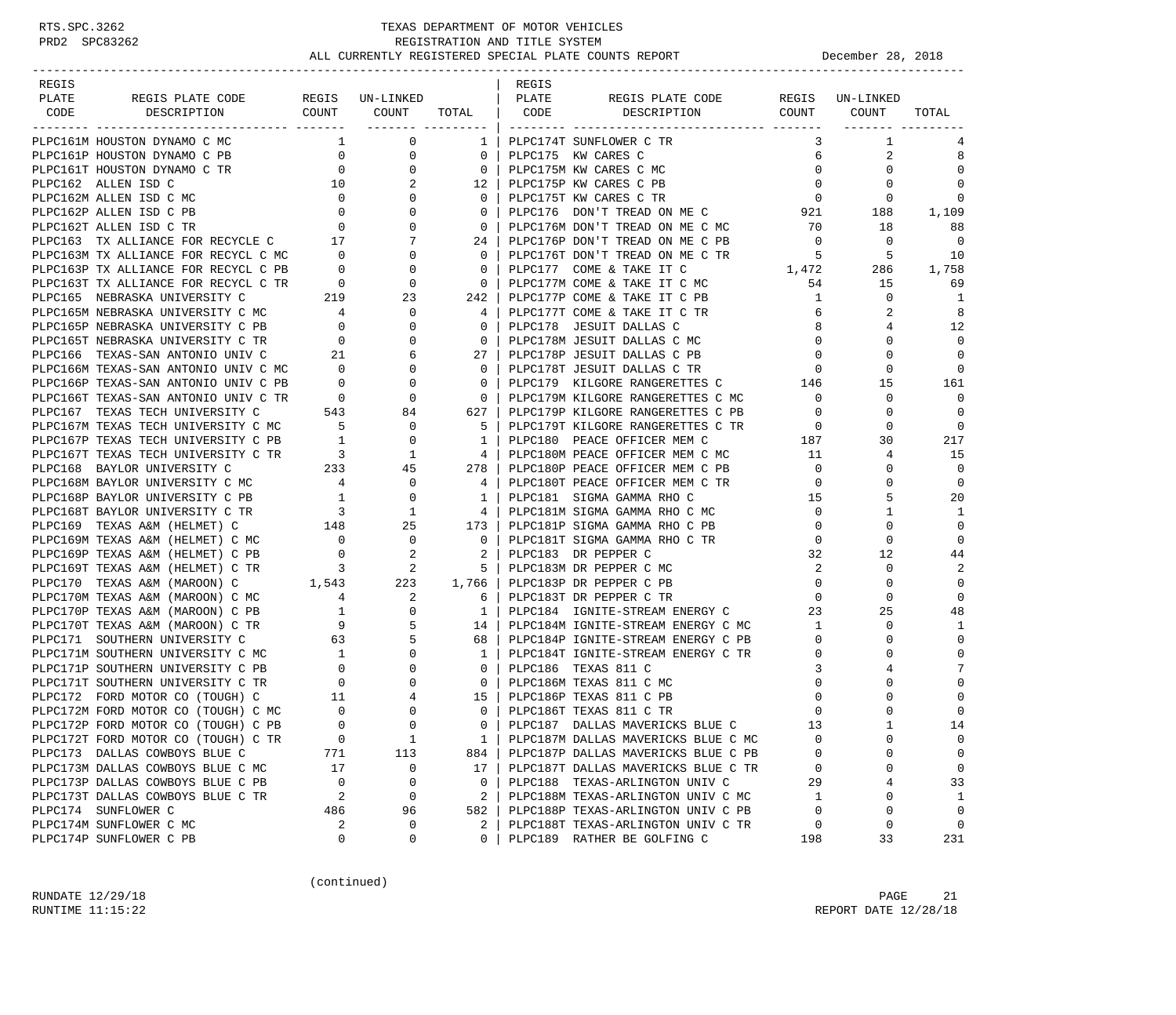-----------------------------------------------------------------------------------------------------------------------------------

|                                                                                                                                                                                                                                                                                                                                                                                                                                                                                                                                                                               |                                                    |                                                                                                       |  |                                                                                                                                                                                                                                                                               |                                          |                                                                               | TOTAL          |
|-------------------------------------------------------------------------------------------------------------------------------------------------------------------------------------------------------------------------------------------------------------------------------------------------------------------------------------------------------------------------------------------------------------------------------------------------------------------------------------------------------------------------------------------------------------------------------|----------------------------------------------------|-------------------------------------------------------------------------------------------------------|--|-------------------------------------------------------------------------------------------------------------------------------------------------------------------------------------------------------------------------------------------------------------------------------|------------------------------------------|-------------------------------------------------------------------------------|----------------|
| $\begin{tabular}{c c c c} $\begin{array}{c} $\begin{array}{c} $\begin{array}{c} $\begin{array}{c} $\begin{array}{c} $\begin{array}{c} $\begin{array}{c} $\begin{array}{c} $\begin{array}{c} $\begin{array}{c} $\begin{array}{c} $\begin{array}{c} $\begin{array}{c} $\begin{array}{c} $\begin{array}{c} $\begin{array}{c} $\begin{array}{c} $\begin{array}{c} $\begin{array}{c} $\begin{array}{c} $\begin{array}{c} $\begin{array}{c} $\begin{array}{c} $\begin{array}{c} $\begin{array}{c} $\begin{array}{c} $\begin{array}{c} $\begin{array}{c} $\begin{array}{c} $\begin{$ |                                                    |                                                                                                       |  |                                                                                                                                                                                                                                                                               |                                          |                                                                               |                |
|                                                                                                                                                                                                                                                                                                                                                                                                                                                                                                                                                                               |                                                    |                                                                                                       |  |                                                                                                                                                                                                                                                                               | 3                                        | $\mathbf{1}$                                                                  | 4              |
|                                                                                                                                                                                                                                                                                                                                                                                                                                                                                                                                                                               |                                                    |                                                                                                       |  |                                                                                                                                                                                                                                                                               | 6                                        | 2                                                                             | 8              |
|                                                                                                                                                                                                                                                                                                                                                                                                                                                                                                                                                                               |                                                    |                                                                                                       |  |                                                                                                                                                                                                                                                                               | $\mathbf 0$                              | $\Omega$                                                                      | $\Omega$       |
|                                                                                                                                                                                                                                                                                                                                                                                                                                                                                                                                                                               |                                                    |                                                                                                       |  |                                                                                                                                                                                                                                                                               | $\overline{0}$                           | $\circ$                                                                       | $\mathbf 0$    |
|                                                                                                                                                                                                                                                                                                                                                                                                                                                                                                                                                                               |                                                    |                                                                                                       |  |                                                                                                                                                                                                                                                                               | $\overline{0}$                           | $\overline{0}$                                                                | 0              |
|                                                                                                                                                                                                                                                                                                                                                                                                                                                                                                                                                                               |                                                    |                                                                                                       |  | $0$ PLPC176 DON'T TREAD ON ME C 921 188                                                                                                                                                                                                                                       |                                          |                                                                               | 1,109          |
|                                                                                                                                                                                                                                                                                                                                                                                                                                                                                                                                                                               |                                                    |                                                                                                       |  | 0   PLPC176M DON'T TREAD ON ME C MC                                                                                                                                                                                                                                           | 70                                       | 18                                                                            | 88             |
|                                                                                                                                                                                                                                                                                                                                                                                                                                                                                                                                                                               |                                                    |                                                                                                       |  |                                                                                                                                                                                                                                                                               | $\bigcirc$                               | $\overline{0}$                                                                | $\Omega$       |
|                                                                                                                                                                                                                                                                                                                                                                                                                                                                                                                                                                               |                                                    |                                                                                                       |  |                                                                                                                                                                                                                                                                               |                                          | $\begin{array}{cccc} & 5 & & 5 & & 10 \\ 1,472 & & 286 & & 1,758 \end{array}$ |                |
|                                                                                                                                                                                                                                                                                                                                                                                                                                                                                                                                                                               |                                                    |                                                                                                       |  |                                                                                                                                                                                                                                                                               |                                          |                                                                               |                |
|                                                                                                                                                                                                                                                                                                                                                                                                                                                                                                                                                                               |                                                    |                                                                                                       |  |                                                                                                                                                                                                                                                                               | 54                                       | 15                                                                            | 69             |
|                                                                                                                                                                                                                                                                                                                                                                                                                                                                                                                                                                               |                                                    |                                                                                                       |  |                                                                                                                                                                                                                                                                               | 1                                        | $\Omega$                                                                      | -1             |
|                                                                                                                                                                                                                                                                                                                                                                                                                                                                                                                                                                               |                                                    |                                                                                                       |  |                                                                                                                                                                                                                                                                               | 6                                        | 2                                                                             | 8              |
|                                                                                                                                                                                                                                                                                                                                                                                                                                                                                                                                                                               |                                                    |                                                                                                       |  |                                                                                                                                                                                                                                                                               | 8                                        | 4                                                                             | 12             |
|                                                                                                                                                                                                                                                                                                                                                                                                                                                                                                                                                                               |                                                    |                                                                                                       |  |                                                                                                                                                                                                                                                                               | $\mathbf 0$                              | $\Omega$                                                                      | $\mathbf{0}$   |
|                                                                                                                                                                                                                                                                                                                                                                                                                                                                                                                                                                               |                                                    |                                                                                                       |  |                                                                                                                                                                                                                                                                               | $\Omega$                                 | $\Omega$                                                                      | $\Omega$       |
|                                                                                                                                                                                                                                                                                                                                                                                                                                                                                                                                                                               |                                                    |                                                                                                       |  |                                                                                                                                                                                                                                                                               |                                          |                                                                               | $\overline{0}$ |
|                                                                                                                                                                                                                                                                                                                                                                                                                                                                                                                                                                               |                                                    |                                                                                                       |  | 0   PLPC179 KILGORE RANGERETTES C                                                                                                                                                                                                                                             |                                          | $\begin{array}{ccc} & 0 & & 0 \\ 146 & & 15 \end{array}$                      | 161            |
|                                                                                                                                                                                                                                                                                                                                                                                                                                                                                                                                                                               |                                                    |                                                                                                       |  |                                                                                                                                                                                                                                                                               | $\overline{0}$                           | $\mathbf{0}$                                                                  | $\Omega$       |
|                                                                                                                                                                                                                                                                                                                                                                                                                                                                                                                                                                               |                                                    |                                                                                                       |  | 0   FIFOTAS ATENGALE ARMEERETTES C MC<br>627   PLPC179P KILGORE RANGERETTES C PB                                                                                                                                                                                              | $\Omega$                                 | $\Omega$                                                                      | $\Omega$       |
|                                                                                                                                                                                                                                                                                                                                                                                                                                                                                                                                                                               |                                                    |                                                                                                       |  | 5   PLPC179T KILGORE RANGERETTES C TR                                                                                                                                                                                                                                         | $\overline{0}$                           | $\circ$                                                                       | $\mathbf{0}$   |
|                                                                                                                                                                                                                                                                                                                                                                                                                                                                                                                                                                               |                                                    |                                                                                                       |  |                                                                                                                                                                                                                                                                               |                                          | 30                                                                            | 217            |
|                                                                                                                                                                                                                                                                                                                                                                                                                                                                                                                                                                               |                                                    |                                                                                                       |  | 4   PLPC180M PEACE OFFICER MEM C MC                                                                                                                                                                                                                                           | $\begin{array}{c} 187 \\ 11 \end{array}$ | 4                                                                             | 15             |
|                                                                                                                                                                                                                                                                                                                                                                                                                                                                                                                                                                               |                                                    |                                                                                                       |  | FOR THE CONGRESS CALCULATE SETTLES C<br>FOR THE CONGRESS CONGRESS C<br>FOR THE CONGRESS CONGRESS CONGRESS C<br>FOR THE CONGRESS CONGRESS CONGRESS CONGRESS CONGRESS CONGRESS OF THE CONGRESS OF THE CONGRESS CONGRESS CONGRESS CONGR<br>278   PLPC180P PEACE OFFICER MEM C PB | $\overline{0}$                           | $\Omega$                                                                      | $\Omega$       |
|                                                                                                                                                                                                                                                                                                                                                                                                                                                                                                                                                                               |                                                    |                                                                                                       |  |                                                                                                                                                                                                                                                                               | $\overline{0}$                           | $\Omega$                                                                      | $\Omega$       |
|                                                                                                                                                                                                                                                                                                                                                                                                                                                                                                                                                                               |                                                    |                                                                                                       |  |                                                                                                                                                                                                                                                                               | 15                                       | 5                                                                             | 20             |
| PLPC168T BAYLOR UNIVERSITY C TR                                                                                                                                                                                                                                                                                                                                                                                                                                                                                                                                               |                                                    |                                                                                                       |  | 4   PLPC181M SIGMA GAMMA RHO C MC                                                                                                                                                                                                                                             | $\mathsf{O}$                             | 1                                                                             | -1             |
| PLPC169 TEXAS A&M (HELMET) C                                                                                                                                                                                                                                                                                                                                                                                                                                                                                                                                                  |                                                    |                                                                                                       |  |                                                                                                                                                                                                                                                                               | $\mathbf 0$                              | $\Omega$                                                                      | $\Omega$       |
| PLPC169M TEXAS A&M (HELMET) C MC                                                                                                                                                                                                                                                                                                                                                                                                                                                                                                                                              |                                                    | $\begin{array}{ccc} 0 & \hspace{1.5cm} 0 \\ 0 & \hspace{1.5cm} 2 \\ 3 & \hspace{1.5cm} 2 \end{array}$ |  | 0   PLPC181T SIGMA GAMMA RHO C TR                                                                                                                                                                                                                                             | $\Omega$                                 | $\Omega$                                                                      | $\Omega$       |
| PLPC169P TEXAS A&M (HELMET) C PB                                                                                                                                                                                                                                                                                                                                                                                                                                                                                                                                              |                                                    |                                                                                                       |  | 2   PLPC183 DR PEPPER C                                                                                                                                                                                                                                                       | 32                                       | 12                                                                            | 44             |
| PLPC169T TEXAS A&M (HELMET) C TR                                                                                                                                                                                                                                                                                                                                                                                                                                                                                                                                              |                                                    |                                                                                                       |  | 5   PLPC183M DR PEPPER C MC                                                                                                                                                                                                                                                   | $\overline{2}$                           | $\Omega$                                                                      | 2              |
| PLPC170 TEXAS A&M (MAROON) C                                                                                                                                                                                                                                                                                                                                                                                                                                                                                                                                                  |                                                    |                                                                                                       |  |                                                                                                                                                                                                                                                                               |                                          | $\overline{0}$<br>$\mathbf 0$                                                 | $\mathbf 0$    |
| PLPC170M TEXAS A&M (MAROON) C MC                                                                                                                                                                                                                                                                                                                                                                                                                                                                                                                                              |                                                    |                                                                                                       |  |                                                                                                                                                                                                                                                                               | $\Omega$                                 | $\Omega$                                                                      | $\Omega$       |
| PLPC170P TEXAS A&M (MAROON) C PB                                                                                                                                                                                                                                                                                                                                                                                                                                                                                                                                              |                                                    |                                                                                                       |  | 1,543 223 1,766 PLPC183P DR PEPPER C PB<br>4 2 6 PLPC183T DR PEPPER C TR<br>1 PLPC184 IGNITE-STREAM I<br>1   PLPC184 IGNITE-STREAM ENERGY C                                                                                                                                   | 23                                       | 25                                                                            | 48             |
| PLPC170T TEXAS A&M (MAROON) C TR                                                                                                                                                                                                                                                                                                                                                                                                                                                                                                                                              | 9                                                  | 5                                                                                                     |  | 14   PLPC184M IGNITE-STREAM ENERGY C MC                                                                                                                                                                                                                                       | $\mathbf{1}$                             | $\mathbf 0$                                                                   | 1              |
| PLPC171 SOUTHERN UNIVERSITY C                                                                                                                                                                                                                                                                                                                                                                                                                                                                                                                                                 | 63                                                 | 5                                                                                                     |  | 68   PLPC184P IGNITE-STREAM ENERGY C PB                                                                                                                                                                                                                                       | $\mathbf{0}$                             | $\mathbf 0$                                                                   | $\mathbf 0$    |
| PLPC171M SOUTHERN UNIVERSITY C MC                                                                                                                                                                                                                                                                                                                                                                                                                                                                                                                                             |                                                    | $\Omega$                                                                                              |  | 1   PLPC184T IGNITE-STREAM ENERGY C TR                                                                                                                                                                                                                                        | $\overline{0}$                           | $\Omega$                                                                      | $\Omega$       |
| PLPC171P SOUTHERN UNIVERSITY C PB                                                                                                                                                                                                                                                                                                                                                                                                                                                                                                                                             | $\begin{array}{c} 1 \\ 0 \end{array}$              | $\mathbf 0$                                                                                           |  | 0   PLPC186 TEXAS 811 C                                                                                                                                                                                                                                                       | $\overline{3}$                           | 4                                                                             | 7              |
| PLPC171T SOUTHERN UNIVERSITY C TR                                                                                                                                                                                                                                                                                                                                                                                                                                                                                                                                             | $\overline{0}$                                     | $\mathbf{0}$                                                                                          |  | 0   PLPC186M TEXAS 811 C MC                                                                                                                                                                                                                                                   | $\mathbf 0$                              | $\Omega$                                                                      | $\Omega$       |
| PLPC172 FORD MOTOR CO (TOUGH) C                                                                                                                                                                                                                                                                                                                                                                                                                                                                                                                                               | $\begin{array}{ccc} & & 11 \\ c & & 0 \end{array}$ | 4                                                                                                     |  | 15 PLPC186P TEXAS 811 C PB                                                                                                                                                                                                                                                    | $\mathbf 0$                              | $\Omega$                                                                      | $\Omega$       |
| PLPC172M FORD MOTOR CO (TOUGH) C MC                                                                                                                                                                                                                                                                                                                                                                                                                                                                                                                                           |                                                    | $\mathbf{0}$                                                                                          |  | 0   PLPC186T TEXAS 811 C TR                                                                                                                                                                                                                                                   | $\overline{0}$                           | $\Omega$                                                                      | $\Omega$       |
|                                                                                                                                                                                                                                                                                                                                                                                                                                                                                                                                                                               |                                                    |                                                                                                       |  | 0   PLPC187 DALLAS MAVERICKS BLUE C                                                                                                                                                                                                                                           | 13                                       | $\mathbf{1}$                                                                  | 14             |
|                                                                                                                                                                                                                                                                                                                                                                                                                                                                                                                                                                               |                                                    |                                                                                                       |  | 1   PLPC187M DALLAS MAVERICKS BLUE C MC<br>884   PLPC187P DALLAS MAVERICKS BLUE C PB                                                                                                                                                                                          | $\overline{0}$                           | $\mathbf{0}$                                                                  | $\mathbf{0}$   |
|                                                                                                                                                                                                                                                                                                                                                                                                                                                                                                                                                                               |                                                    |                                                                                                       |  |                                                                                                                                                                                                                                                                               | $\mathbf 0$                              | $\Omega$                                                                      | $\Omega$       |
|                                                                                                                                                                                                                                                                                                                                                                                                                                                                                                                                                                               |                                                    |                                                                                                       |  |                                                                                                                                                                                                                                                                               | $\overline{0}$                           | $\Omega$                                                                      | $\Omega$       |
| PLECTIZE FORD MOTOR CO (TOUGH) C MC<br>PLECTIZE FORD MOTOR CO (TOUGH) C PB<br>PLECTIZE FORD MOTOR CO (TOUGH) C TR<br>PLECTIZE TORD MOTOR CO (TOUGH) C TR<br>PLECTIZE DALLAS COWBOYS BLUE C MC<br>PLECTIZE DALLAS COWBOYS BLUE C PB<br>PLEC                                                                                                                                                                                                                                                                                                                                    |                                                    |                                                                                                       |  | 17   PLPC187T DALLAS MAVERICKS BLUE C TR<br>0   PLPC188 TEXAS-ARLINGTON UNIV C                                                                                                                                                                                                | 29                                       | $\overline{4}$                                                                | 33             |
|                                                                                                                                                                                                                                                                                                                                                                                                                                                                                                                                                                               |                                                    |                                                                                                       |  | 2   PLPC188M TEXAS-ARLINGTON UNIV C MC                                                                                                                                                                                                                                        |                                          | $\mathbf 0$                                                                   | $\mathbf{1}$   |
|                                                                                                                                                                                                                                                                                                                                                                                                                                                                                                                                                                               |                                                    |                                                                                                       |  | 2   PLPC188P TEXAS-ARLINGTON UNIV C PB<br>582   PLPC188P TEXAS-ARLINGTON UNIV C PB                                                                                                                                                                                            |                                          | $\Omega$                                                                      | $\Omega$       |
| PLPC174M SUNFLOWER C MC                                                                                                                                                                                                                                                                                                                                                                                                                                                                                                                                                       |                                                    | $\mathbf 0$                                                                                           |  | 2   PLPC188T TEXAS-ARLINGTON UNIV C TR                                                                                                                                                                                                                                        |                                          | $\begin{array}{c} 1 \\ 0 \\ 0 \end{array}$<br>$\overline{0}$                  | $\overline{0}$ |
| PLPC174P SUNFLOWER C PB                                                                                                                                                                                                                                                                                                                                                                                                                                                                                                                                                       | $\begin{array}{c} 2 \\ 0 \end{array}$              | $\Omega$                                                                                              |  | 0   PLPC189 RATHER BE GOLFING C                                                                                                                                                                                                                                               | 198                                      | 33                                                                            | 231            |
|                                                                                                                                                                                                                                                                                                                                                                                                                                                                                                                                                                               |                                                    |                                                                                                       |  |                                                                                                                                                                                                                                                                               |                                          |                                                                               |                |

(continued)

RUNDATE  $12/29/18$  PAGE 21 RUNTIME 11:15:22 REPORT DATE 12/28/18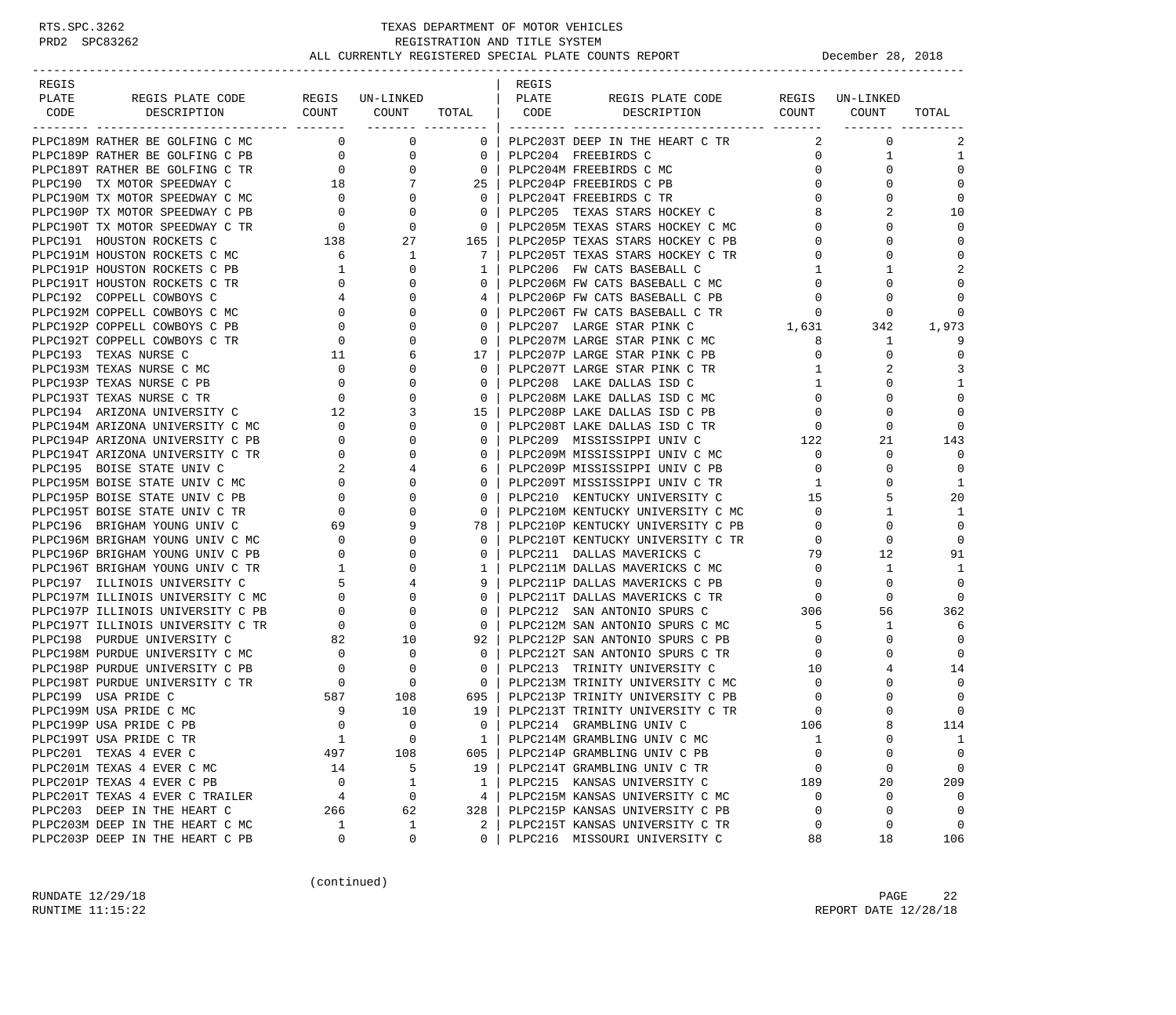| REGIS                                     |                                                             |                                                                               |                                                      | REGIS |                                   |                |                |                |
|-------------------------------------------|-------------------------------------------------------------|-------------------------------------------------------------------------------|------------------------------------------------------|-------|-----------------------------------|----------------|----------------|----------------|
| PLATE<br>REGIS PLATE CODE REGIS UN-LINKED |                                                             |                                                                               |                                                      | PLATE | REGIS PLATE CODE REGIS UN-LINKED  |                |                |                |
| CODE<br>DESCRIPTION                       |                                                             | COUNT COUNT TOTAL   CODE<br>------- ---------                                 |                                                      |       | DESCRIPTION                       | COUNT COUNT    |                | TOTAL          |
| PLPC189M RATHER BE GOLFING C MC           |                                                             | $\overline{0}$<br>$\mathbf 0$                                                 | $0-1$                                                |       | PLPC203T DEEP IN THE HEART C TR   | 2              | $\mathbf 0$    | 2              |
| PLPC189P RATHER BE GOLFING C PB           | $\overline{0}$                                              | $\mathbf 0$                                                                   | $\overline{0}$                                       |       | PLPC204 FREEBIRDS C               | $\mathbf{0}$   | $\mathbf{1}$   | 1              |
| PLPC189T RATHER BE GOLFING C TR           | $\begin{array}{c}0\\18\end{array}$                          |                                                                               | $\frac{0}{7}$<br>$\overline{0}$                      |       | PLPC204M FREEBIRDS C MC           | $\mathbf{0}$   | $\Omega$       | $\mathbf 0$    |
| PLPC190 TX MOTOR SPEEDWAY C               |                                                             |                                                                               | $25 \mid$                                            |       | PLPC204P FREEBIRDS C PB           | $\mathbf{0}$   | $\Omega$       | $\Omega$       |
|                                           |                                                             |                                                                               | $\overline{0}$                                       |       | PLPC204T FREEBIRDS C TR           | $\mathbf{0}$   | $\Omega$       | $\mathbf 0$    |
|                                           |                                                             | $\begin{array}{c} 0 \\ 0 \end{array}$                                         | $\overline{0}$                                       |       | PLPC205 TEXAS STARS HOCKEY C      | 8              | $\overline{a}$ | 10             |
|                                           |                                                             |                                                                               | $\begin{array}{c} 0 \\ 1 \in \mathbb{R} \end{array}$ |       | PLPC205M TEXAS STARS HOCKEY C MC  | $\Omega$       | $\Omega$       | 0              |
|                                           |                                                             |                                                                               | 165                                                  |       | PLPC205P TEXAS STARS HOCKEY C PB  | 0              | $\Omega$       | $\Omega$       |
|                                           |                                                             |                                                                               | 7 <sup>1</sup>                                       |       | PLPC205T TEXAS STARS HOCKEY C TR  | 0              | $\Omega$       | $\Omega$       |
| PLPC191P HOUSTON ROCKETS C PB             | $\overline{1}$                                              | $\mathbf{0}$                                                                  | $\mathbf{1}$                                         |       | PLPC206 FW CATS BASEBALL C        | $\mathbf{1}$   | 1              | 2              |
| PLPC191T HOUSTON ROCKETS C TR             | $\overline{0}$                                              | $\mathbf 0$                                                                   | $0-1$                                                |       | PLPC206M FW CATS BASEBALL C MC    | 0              | $\Omega$       | $\mathbf 0$    |
| PLPC192 COPPELL COWBOYS C                 |                                                             | $\mathbf{0}$                                                                  |                                                      |       | PLPC206P FW CATS BASEBALL C PB    | $\mathbf{0}$   | 0              | $\Omega$       |
| PLPC192M COPPELL COWBOYS C MC             |                                                             | $\mathbf 0$                                                                   | $0-1$                                                |       | PLPC206T FW CATS BASEBALL C TR    | $\mathbf{0}$   | $\mathbf 0$    | $\Omega$       |
| PLPC192P COPPELL COWBOYS C PB             |                                                             | $\Omega$                                                                      | $\Omega$                                             |       | PLPC207 LARGE STAR PINK C         | 1,631          | 342            | 1,973          |
| PLPC192T COPPELL COWBOYS C TR             | $\begin{bmatrix} 4 \\ 0 \\ 0 \\ 0 \\ 0 \\ 11 \end{bmatrix}$ | $\mathbf 0$                                                                   | $\mathbf{0}$                                         |       | PLPC207M LARGE STAR PINK C MC     | 8              | $\mathbf{1}$   | 9              |
| PLPC193 TEXAS NURSE C                     |                                                             | 6                                                                             | 17 <sup>1</sup>                                      |       | PLPC207P LARGE STAR PINK C PB     | $\mathbf{0}$   | $\Omega$       | $\mathbf 0$    |
| PLPC193M TEXAS NURSE C MC                 |                                                             | $\begin{bmatrix} 0 \\ 0 \\ 0 \\ 12 \\ 0 \end{bmatrix}$<br>$\mathbf 0$         | $\mathbf{0}$                                         |       | PLPC207T LARGE STAR PINK C TR     | 1              | 2              | 3              |
| PLPC193P TEXAS NURSE C PB                 |                                                             | $\mathbf 0$                                                                   | $\mathbf{0}$                                         |       | PLPC208 LAKE DALLAS ISD C         | $\mathbf{1}$   | $\Omega$       | $\mathbf{1}$   |
| PLPC193T TEXAS NURSE C TR                 |                                                             | $\mathbf 0$                                                                   | $\mathbf{0}$                                         |       | PLPC208M LAKE DALLAS ISD C MC     | $\mathbf{0}$   | $\Omega$       | $\mathbf 0$    |
| PLPC194 ARIZONA UNIVERSITY C              | $\begin{array}{c} 12 \\ 0 \end{array}$                      | $\overline{3}$                                                                | 15                                                   |       | PLPC208P LAKE DALLAS ISD C PB     | $\mathbf{0}$   | $\mathbf 0$    | 0              |
| PLPC194M ARIZONA UNIVERSITY C MC          |                                                             | $\mathbf{0}$                                                                  | $\overline{0}$                                       |       | PLPC208T LAKE DALLAS ISD C TR     | $\mathbf 0$    | $\Omega$       | 0              |
| PLPC194P ARIZONA UNIVERSITY C PB          | $\mathbf{0}$                                                | $\mathbf{0}$                                                                  | $\overline{0}$                                       |       | PLPC209 MISSISSIPPI UNIV C        | 122            | 21             | 143            |
| PLPC194T ARIZONA UNIVERSITY C TR          | $\overline{\mathbf{0}}$                                     | $\mathbf 0$                                                                   | $0-1$                                                |       | PLPC209M MISSISSIPPI UNIV C MC    | $\mathbf{0}$   | $\Omega$       | $\Omega$       |
| PLPC195 BOISE STATE UNIV C                | $\overline{\phantom{a}}^2$                                  | 4                                                                             | 6                                                    |       | PLPC209P MISSISSIPPI UNIV C PB    | $\mathbf{0}$   | $\Omega$       | $\Omega$       |
| PLPC195M BOISE STATE UNIV C MC            |                                                             | $0 \qquad \qquad$<br>$\mathbf{0}$                                             | $\overline{0}$                                       |       | PLPC209T MISSISSIPPI UNIV C TR    | 1              | $\Omega$       | 1              |
| PLPC195P BOISE STATE UNIV C PB            | $\overline{0}$                                              | $\mathbf 0$                                                                   | $0-1$                                                |       | PLPC210 KENTUCKY UNIVERSITY C     | 15             | 5              | 20             |
| PLPC195T BOISE STATE UNIV C TR            | $\overline{0}$                                              | $\mathbf 0$                                                                   | $\overline{0}$                                       |       | PLPC210M KENTUCKY UNIVERSITY C MC | $\overline{0}$ | 1              | 1              |
| PLPC196 BRIGHAM YOUNG UNIV C              | 69                                                          | 9                                                                             | 78                                                   |       | PLPC210P KENTUCKY UNIVERSITY C PB | $\mathbf{0}$   | $\Omega$       | $\Omega$       |
| PLPC196M BRIGHAM YOUNG UNIV C MC          | $\overline{0}$                                              | 0                                                                             | $\mathbf{0}$                                         |       | PLPC210T KENTUCKY UNIVERSITY C TR | $\mathbf{0}$   | $\Omega$       | $\Omega$       |
| PLPC196P BRIGHAM YOUNG UNIV C PB          | $\overline{0}$                                              | $\mathbf{0}$                                                                  | $\mathbf{0}$                                         |       | PLPC211 DALLAS MAVERICKS C        | 79             | 12             | 91             |
| PLPC196T BRIGHAM YOUNG UNIV C TR          | $\overline{1}$                                              | $\mathbf 0$                                                                   | $1\vert$                                             |       | PLPC211M DALLAS MAVERICKS C MC    | $\overline{0}$ | 1              | 1              |
| PLPC197 ILLINOIS UNIVERSITY C             | 5                                                           | $\overline{4}$                                                                |                                                      |       | PLPC211P DALLAS MAVERICKS C PB    | $\mathbf{0}$   | $\mathbf 0$    | $\mathbf 0$    |
| PLPC197M ILLINOIS UNIVERSITY C MC         | $\mathbf{0}$                                                | $\mathbf{0}$                                                                  | $0-1$                                                |       | PLPC211T DALLAS MAVERICKS C TR    | $\overline{0}$ | $\mathbf 0$    | $\Omega$       |
| PLPC197P ILLINOIS UNIVERSITY C PB         |                                                             |                                                                               | $\mathbf{0}$                                         |       | PLPC212 SAN ANTONIO SPURS C 306   |                | 56             | 362            |
| PLPC197T ILLINOIS UNIVERSITY C TR         | $\begin{array}{c} 0 \\ -1 \end{array}$                      |                                                                               | $\overline{0}$                                       |       | PLPC212M SAN ANTONIO SPURS C MC   | 5              | 1              | 6              |
| PLPC198 PURDUE UNIVERSITY C               | 82                                                          | $\begin{array}{ccc} 0 & & & 0 \ 0 & & & 0 \ 2 & & & 10 \ 3 & & & \end{array}$ | 92                                                   |       | PLPC212P SAN ANTONIO SPURS C PB   | $\overline{0}$ | $\Omega$       | $\overline{0}$ |
| PLPC198M PURDUE UNIVERSITY C MC           | $\overline{0}$                                              | $\begin{matrix}0\\0\end{matrix}$                                              | $\overline{0}$                                       |       | PLPC212T SAN ANTONIO SPURS C TR   | $\mathbf{0}$   | $\Omega$       | $\Omega$       |
| PLPC198P PURDUE UNIVERSITY C PB           | $\begin{array}{c} 0 \\ 0 \end{array}$                       | $\overline{0}$                                                                | $\mathbf{0}$                                         |       | PLPC213 TRINITY UNIVERSITY C      | 10             |                | 14             |
| PLPC198T PURDUE UNIVERSITY C TR           |                                                             | $\overline{0}$                                                                | $\overline{0}$                                       |       | PLPC213M TRINITY UNIVERSITY C MC  | $\mathbf 0$    | $\Omega$       | $\Omega$       |
| PLPC199 USA PRIDE C                       | 587                                                         | 108                                                                           | 695                                                  |       | PLPC213P TRINITY UNIVERSITY C PB  | 0              | $\mathbf 0$    | 0              |
| PLPC199M USA PRIDE C MC                   | $\overline{\phantom{a}}$                                    | 10                                                                            | 19                                                   |       | PLPC213T TRINITY UNIVERSITY C TR  | $\mathbf 0$    | $\Omega$       | $\mathbf 0$    |
| PLPC199P USA PRIDE C PB                   | $\Omega$                                                    | $\Omega$                                                                      | $\Omega$                                             |       | PLPC214 GRAMBLING UNIV C          | 106            |                | 114            |
| PLPC199T USA PRIDE C TR                   | $\mathbf{1}$                                                | $\mathbf 0$                                                                   | $\mathbf{1}$                                         |       | PLPC214M GRAMBLING UNIV C MC      | 1              | 0              | 1              |
| PLPC201 TEXAS 4 EVER C                    | 497                                                         | 108                                                                           | 605                                                  |       | PLPC214P GRAMBLING UNIV C PB      | $\Omega$       | 0              | 0              |
| PLPC201M TEXAS 4 EVER C MC                | 14                                                          | 5                                                                             | 19                                                   |       | PLPC214T GRAMBLING UNIV C TR      | 0              | 0              | $\mathbf{0}$   |
| PLPC201P TEXAS 4 EVER C PB                | $\overline{0}$                                              | $\mathbf{1}$                                                                  | $\mathbf{1}$                                         |       | PLPC215 KANSAS UNIVERSITY C       | 189            | 20             | 209            |
| PLPC201T TEXAS 4 EVER C TRAILER           | $\overline{4}$                                              | 0                                                                             | 4                                                    |       | PLPC215M KANSAS UNIVERSITY C MC   | $\Omega$       | 0              | $\Omega$       |
| PLPC203 DEEP IN THE HEART C               | 266                                                         | 62                                                                            | 328                                                  |       | PLPC215P KANSAS UNIVERSITY C PB   | $\mathbf 0$    | 0              | $\mathbf 0$    |
| PLPC203M DEEP IN THE HEART C MC           | 1                                                           | 1                                                                             | 2                                                    |       | PLPC215T KANSAS UNIVERSITY C TR   | $\Omega$       | 0              | $\Omega$       |
| PLPC203P DEEP IN THE HEART C PB           | $\mathbf{0}$                                                | 0                                                                             | $\Omega$                                             |       | PLPC216 MISSOURI UNIVERSITY C     | 88             | 18             | 106            |

(continued)

RUNDATE  $12/29/18$  PAGE 22 RUNTIME 11:15:22 REPORT DATE 12/28/18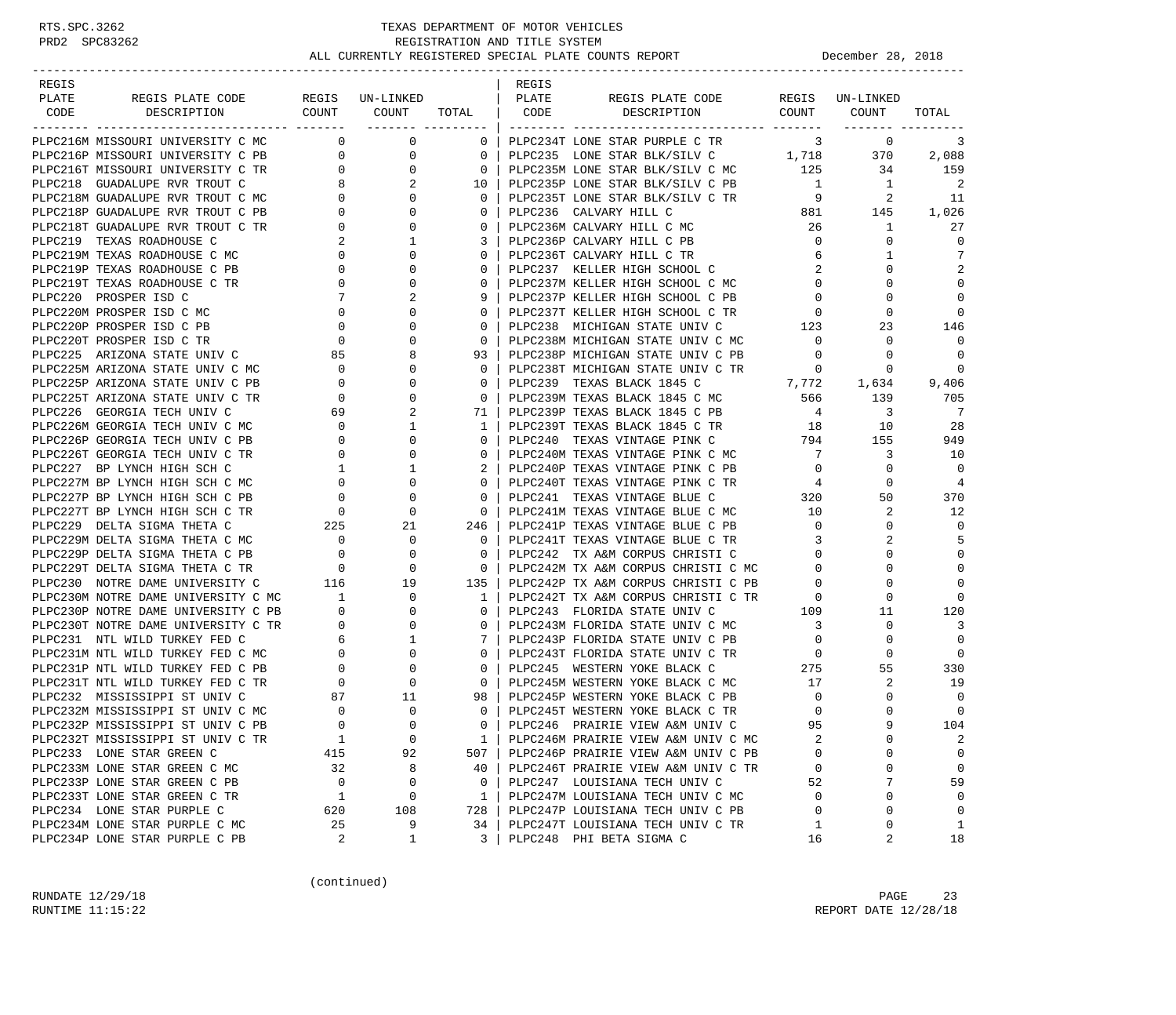### RTS.SPC.3262 TEXAS DEPARTMENT OF MOTOR VEHICLES<br>PRD2 SPC83262 REGISTRATION AND TITLE SYSTEM REGISTRATION AND TITLE SYSTEM ALL CURRENTLY REGISTERED SPECIAL PLATE COUNTS REPORT **DECEMBER 28, 2018**

| REGIS |                                                                                                                                                                                                                                               |                                                 |                 |                                                     | REGIS |                                                                                                                             |                         |                  |                            |
|-------|-----------------------------------------------------------------------------------------------------------------------------------------------------------------------------------------------------------------------------------------------|-------------------------------------------------|-----------------|-----------------------------------------------------|-------|-----------------------------------------------------------------------------------------------------------------------------|-------------------------|------------------|----------------------------|
| PLATE | REGIS PLATE CODE                                                                                                                                                                                                                              |                                                 | REGIS UN-LINKED |                                                     | PLATE | REGIS PLATE CODE                                                                                                            |                         | REGIS UN-LINKED  |                            |
| CODE  | DESCRIPTION                                                                                                                                                                                                                                   |                                                 | COUNT COUNT     |                                                     |       | TOTAL   CODE DESCRIPTION                                                                                                    |                         | COUNT COUNT      | TOTAL                      |
|       | PLPC216M MISSOURI UNIVERSITY C MC                                                                                                                                                                                                             | $\overline{0}$                                  | $\mathsf{O}$    | 0 <sup>1</sup>                                      |       | PLPC234T LONE STAR PURPLE C TR                                                                                              |                         | $\overline{3}$ 0 | 3                          |
|       | PLPC216P MISSOURI UNIVERSITY C PB                                                                                                                                                                                                             | $\overline{0}$                                  | $\overline{0}$  | $\overline{0}$                                      |       | PLPC235 LONE STAR BLK/SILV C 1,718 370                                                                                      |                         |                  | 2,088                      |
|       | PLPC216T MISSOURI UNIVERSITY C TR                                                                                                                                                                                                             |                                                 | 0               | $\overline{0}$                                      |       | PLPC235M LONE STAR BLK/SILV C MC                                                                                            | 125                     | 34               | 159                        |
|       | PLPC218 GUADALUPE RVR TROUT C                                                                                                                                                                                                                 |                                                 | 2               | 10                                                  |       | PLPC235P LONE STAR BLK/SILV C PB 1                                                                                          |                         | $\overline{1}$   | $\overline{\phantom{0}}^2$ |
|       | PLPC218M GUADALUPE RVR TROUT C MC                                                                                                                                                                                                             | $\begin{array}{c} 0 \\ 8 \\ 0 \\ 0 \end{array}$ | 0               | $\overline{0}$                                      |       |                                                                                                                             |                         | $\mathbf{2}$     | -11                        |
|       | PLPC218P GUADALUPE RVR TROUT C PB                                                                                                                                                                                                             |                                                 | $\Omega$        | $\overline{0}$                                      |       | PLPC235T LONE STAR BLK/SILV C TR $9$ 2<br>PLPC236 CALVARY HILL C $881$ 145                                                  |                         |                  | 1,026                      |
|       | PLPC218T GUADALUPE RVR TROUT C TR                                                                                                                                                                                                             | $\circ$                                         | 0               | $\mathbf{0}$                                        |       | PLPC236M CALVARY HILL C MC                                                                                                  | 26                      | $\mathbf{1}$     | 27                         |
|       | PLPC219 TEXAS ROADHOUSE C                                                                                                                                                                                                                     |                                                 | 1               | $3-1$                                               |       | PLPC236P CALVARY HILL C PB                                                                                                  | $\overline{0}$          | 0                | $\Omega$                   |
|       | PLPC219M TEXAS ROADHOUSE C MC                                                                                                                                                                                                                 | $\begin{array}{c} 2 \\ 0 \end{array}$           | $\Omega$        | $\Omega$                                            |       | PLPC236T CALVARY HILL C TR                                                                                                  | 6                       | 1                | 7                          |
|       |                                                                                                                                                                                                                                               |                                                 | 0               | $\mathbf{0}$                                        |       | PLPC237 KELLER HIGH SCHOOL C                                                                                                | 2                       | 0                | 2                          |
|       |                                                                                                                                                                                                                                               |                                                 | $\mathbf{0}$    | $\Omega$                                            |       | PLPC237M KELLER HIGH SCHOOL C MC                                                                                            | $\overline{0}$          | $\Omega$         | $\mathbf 0$                |
|       |                                                                                                                                                                                                                                               |                                                 | 2               | 9                                                   |       | PLPC237P KELLER HIGH SCHOOL C PB                                                                                            | $\mathbf{0}$            | 0                | $\mathbf 0$                |
|       |                                                                                                                                                                                                                                               |                                                 | $\mathbf{0}$    | $\Omega$                                            |       | PLPC237T KELLER HIGH SCHOOL C TR                                                                                            | $\circ$                 | 0                | $\Omega$                   |
|       |                                                                                                                                                                                                                                               |                                                 | $\mathbf{0}$    | $\Omega$                                            |       | PLPC238 MICHIGAN STATE UNIV C                                                                                               | 123                     | 23               | 146                        |
|       |                                                                                                                                                                                                                                               |                                                 | 0               | $\mathbf{0}$                                        |       | PLPC238M MICHIGAN STATE UNIV C MC                                                                                           | $\overline{0}$          | 0                | $\Omega$                   |
|       |                                                                                                                                                                                                                                               |                                                 | 8               | 93                                                  |       | PLPC238P MICHIGAN STATE UNIV C PB                                                                                           | $\overline{0}$          | $\Omega$         | $\overline{0}$             |
|       |                                                                                                                                                                                                                                               |                                                 | $\mathbf{0}$    | $\Omega$                                            |       |                                                                                                                             |                         |                  | $\mathbf 0$                |
|       | PLPC219M TEXAS ROADHOUSE C MC<br>PLPC219P TEXAS ROADHOUSE C PB<br>PLPC219T TEXAS ROADHOUSE C PB<br>PLPC220 PROSPER ISD C<br>T<br>PLPC220M PROSPER ISD C MC<br>PLPC220P PROSPER ISD C PB<br>PLPC220T PROSPER ISD C TR<br>PLPC225 ARIZONA STATE |                                                 | $\Omega$        | $\mathbf{0}$                                        |       | PLPC238T MICHIGAN STATE UNIV C TR $0$ 0<br>PLPC239 TEXAS BLACK 1845 C 7,772 1,634<br>PLPC239M TEXAS BLACK 1845 C MC 566 139 |                         | 1,634            | 9,406                      |
|       |                                                                                                                                                                                                                                               |                                                 | $\Omega$        | $\Omega$                                            |       |                                                                                                                             |                         |                  | 705                        |
|       | PLPC226 GEORGIA TECH UNIV C                                                                                                                                                                                                                   |                                                 | 2               | 71 I                                                |       |                                                                                                                             |                         |                  | $\overline{7}$             |
|       | PLPC226M GEORGIA TECH UNIV C MC                                                                                                                                                                                                               |                                                 | 1               | 1                                                   |       | PLPC239P TEXAS BLACK 1845 C PB $4$ 3<br>PLPC239T TEXAS BLACK 1845 C TR 18 10                                                |                         |                  | 28                         |
|       | PLPC226P GEORGIA TECH UNIV C PB                                                                                                                                                                                                               |                                                 | 0               | $\mathbf{0}$                                        |       | PLPC240 TEXAS VINTAGE PINK C 794 155                                                                                        |                         |                  | 949                        |
|       | PLPC226T GEORGIA TECH UNIV C TR                                                                                                                                                                                                               |                                                 | 0               | $\mathbf{0}$                                        |       | PLPC240M TEXAS VINTAGE PINK C MC                                                                                            | $7\overline{)}$         | 3                | 10                         |
|       | PLPC227 BP LYNCH HIGH SCH C                                                                                                                                                                                                                   | $69$<br>$0$<br>$0$<br>$0$<br>$1$                | 1               |                                                     |       | PLPC240P TEXAS VINTAGE PINK C PB                                                                                            | $\overline{0}$          | $\mathbf 0$      | $\Omega$                   |
|       | PLPC227M BP LYNCH HIGH SCH C MC                                                                                                                                                                                                               |                                                 | 0               | $\mathbf{0}$                                        |       |                                                                                                                             |                         | 0                | $\overline{4}$             |
|       | PLPC227P BP LYNCH HIGH SCH C PB                                                                                                                                                                                                               | $\begin{array}{c} 0 \\ 0 \end{array}$           | $\mathbf 0$     | $\overline{0}$                                      |       |                                                                                                                             |                         | 50               | 370                        |
|       |                                                                                                                                                                                                                                               |                                                 | $\mathbf{0}$    | $\overline{\phantom{0}}$                            |       | PLPC241M TEXAS VINTAGE BLUE C MC                                                                                            | 10                      | 2                | 12                         |
|       |                                                                                                                                                                                                                                               |                                                 | 21              | 246                                                 |       | PLPC241P TEXAS VINTAGE BLUE C PB                                                                                            | $\overline{0}$          | 0                | $\Omega$                   |
|       |                                                                                                                                                                                                                                               |                                                 | $\mathbf{0}$    | $\overline{0}$                                      |       | PLPC241T TEXAS VINTAGE BLUE C TR 3                                                                                          |                         | 2                | 5                          |
|       |                                                                                                                                                                                                                                               |                                                 | 0               | $\overline{0}$                                      |       | PLPC242 TX A&M CORPUS CHRISTI C                                                                                             | $\overline{0}$          | 0                | $\Omega$                   |
|       |                                                                                                                                                                                                                                               |                                                 | $\mathbf 0$     | $\overline{\mathbf{0}}$                             |       | FLPC242 TX A&M CORPUS CHRISTI C<br>PLPC242M TX A&M CORPUS CHRISTI C MC                                                      | $\overline{0}$          | $\Omega$         | $\mathbf 0$                |
|       | PLPC230 NOTRE DAME UNIVERSITY C                                                                                                                                                                                                               | 116                                             | 19              | 135                                                 |       |                                                                                                                             |                         | $\Omega$         | $\Omega$                   |
|       | PLPC230M NOTRE DAME UNIVERSITY C MC 1                                                                                                                                                                                                         |                                                 | $\mathbf{0}$    | $\mathbf{1}$                                        |       | PLPC242P TX A&M CORPUS CHRISTI C TR<br>PLPC242T TX A&M CORPUS CHRISTI C TR<br>-------- STATE UNIV C 109                     |                         | $\mathbf 0$      | $\Omega$                   |
|       | PLPC230M NOTRE DAME UNIVERSITY C MC 1<br>PLPC230P NOTRE DAME UNIVERSITY C PB 0                                                                                                                                                                |                                                 | $\mathbf 0$     | $\Omega$                                            |       |                                                                                                                             |                         | 11               | 120                        |
|       |                                                                                                                                                                                                                                               |                                                 |                 | $\mathbf{0}$                                        |       | PLPC243M FLORIDA STATE UNIV C MC                                                                                            | $\overline{\mathbf{3}}$ | 0                | $\overline{3}$             |
|       |                                                                                                                                                                                                                                               |                                                 |                 | - 7 I                                               |       | PLPC243P FLORIDA STATE UNIV C PB                                                                                            | $\overline{0}$          | $\Omega$         | $\mathbf 0$                |
|       |                                                                                                                                                                                                                                               |                                                 |                 | $\mathbf{0}$                                        |       |                                                                                                                             |                         | 0                | $\Omega$                   |
|       |                                                                                                                                                                                                                                               |                                                 |                 | $\overline{0}$                                      |       |                                                                                                                             |                         | 55               | 330                        |
|       |                                                                                                                                                                                                                                               |                                                 |                 | $\overline{\phantom{0}}$ 0 $\overline{\phantom{0}}$ |       | PLPC245M WESTERN YOKE BLACK C MC 17                                                                                         |                         | 2                | 19                         |
|       | PLPC232 MISSISSIPPI ST UNIV C                                                                                                                                                                                                                 |                                                 | 11              | 98                                                  |       | PLPC245P WESTERN YOKE BLACK C PB                                                                                            | $\overline{0}$          | 0                | $\Omega$                   |
|       | PLPC232M MISSISSIPPI ST UNIV C MC                                                                                                                                                                                                             | $\begin{array}{c} 87 \\ 0 \end{array}$          | $\mathbf 0$     | $\overline{0}$                                      |       | PLPC245T WESTERN YOKE BLACK C TR                                                                                            | $\mathbf 0$             | $\Omega$         | $\mathbf 0$                |
|       | PLPC232P MISSISSIPPI ST UNIV C PB                                                                                                                                                                                                             | $\Omega$                                        | $\Omega$        | $\Omega$                                            |       | PLPC246 PRAIRIE VIEW A&M UNIV C                                                                                             | 95                      |                  | 104                        |
|       | PLPC232T MISSISSIPPI ST UNIV C TR                                                                                                                                                                                                             | $\mathbf{1}$                                    | $\mathbf 0$     | 1                                                   |       | PLPC246M PRAIRIE VIEW A&M UNIV C MC                                                                                         |                         | $\Omega$         | 2                          |
|       | PLPC233 LONE STAR GREEN C                                                                                                                                                                                                                     | 415                                             | 92              | 507                                                 |       | PLPC246P PRAIRIE VIEW A&M UNIV C PB                                                                                         | $\Omega$                | O                | 0                          |
|       | PLPC233M LONE STAR GREEN C MC                                                                                                                                                                                                                 | 32                                              | 8               | 40                                                  |       | PLPC246T PRAIRIE VIEW A&M UNIV C TR                                                                                         | 0                       | 0                | 0                          |
|       | PLPC233P LONE STAR GREEN C PB                                                                                                                                                                                                                 | $\overline{0}$                                  | $\mathbf 0$     | $\mathbf{0}$                                        |       | PLPC247 LOUISIANA TECH UNIV C                                                                                               | 52                      | 7                | 59                         |
|       | PLPC233T LONE STAR GREEN C TR                                                                                                                                                                                                                 | 1                                               | 0               | 1                                                   |       | PLPC247M LOUISIANA TECH UNIV C MC                                                                                           | $\mathbf 0$             | O                | 0                          |
|       | PLPC234 LONE STAR PURPLE C                                                                                                                                                                                                                    | 620                                             | 108             | 728                                                 |       | PLPC247P LOUISIANA TECH UNIV C PB                                                                                           | 0                       | 0                | $\mathbf 0$                |
|       | PLPC234M LONE STAR PURPLE C MC                                                                                                                                                                                                                | 25                                              | 9               | 34                                                  |       | PLPC247T LOUISIANA TECH UNIV C TR                                                                                           | 1                       | 0                | 1                          |
|       | PLPC234P LONE STAR PURPLE C PB                                                                                                                                                                                                                | 2                                               | 1               | 3                                                   |       | PLPC248 PHI BETA SIGMA C                                                                                                    | 16                      | 2                | 18                         |

(continued)

RUNDATE  $12/29/18$  PAGE 23 RUNTIME  $11:15:22$  REPORT DATE  $12/28/18$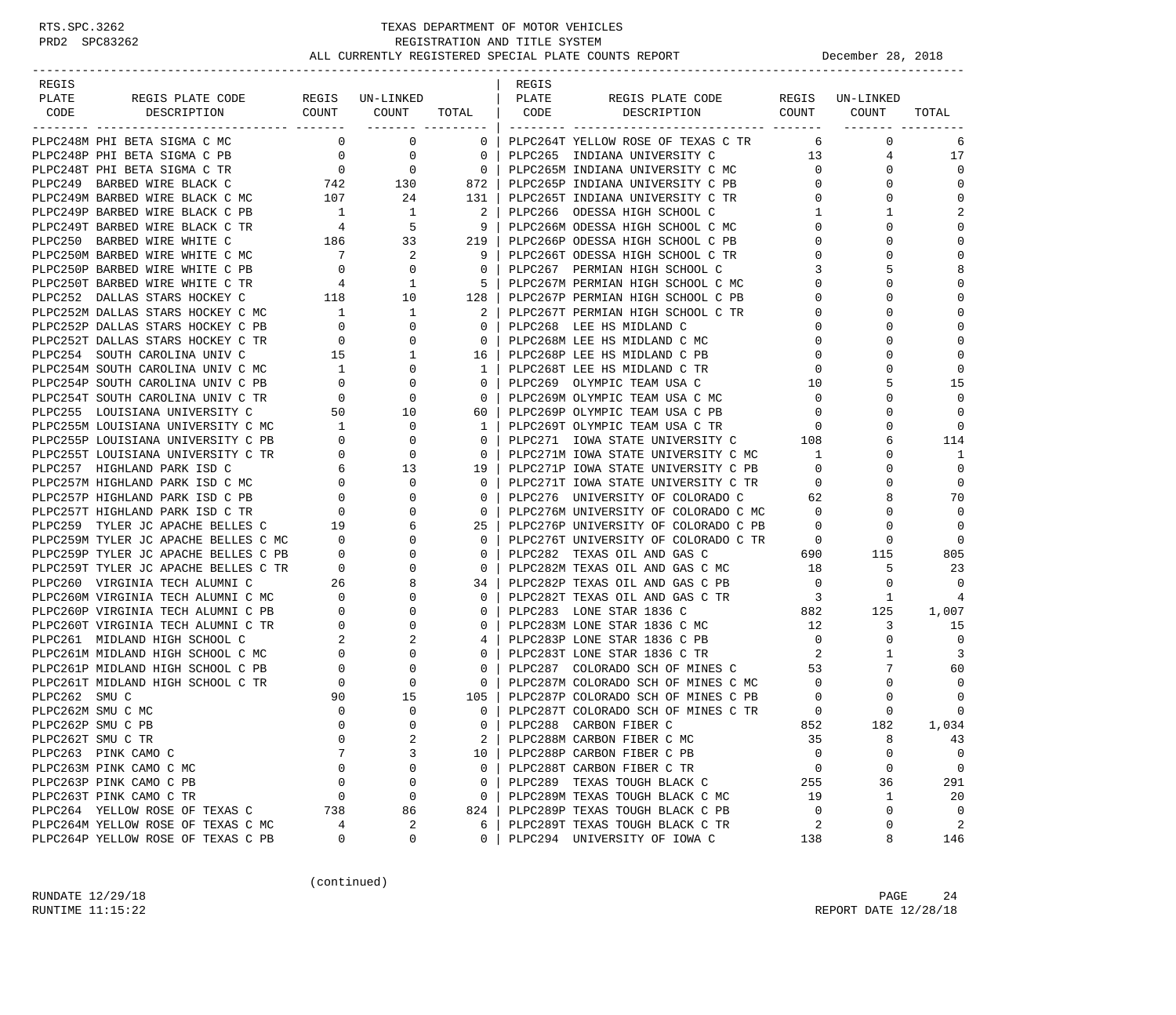| REGIS        |                                                                                                                                                                                                                                            |                                        |                                                                                                                         |                                                                                                                      | REGIS |                                                                                                                      |                          |              |                |
|--------------|--------------------------------------------------------------------------------------------------------------------------------------------------------------------------------------------------------------------------------------------|----------------------------------------|-------------------------------------------------------------------------------------------------------------------------|----------------------------------------------------------------------------------------------------------------------|-------|----------------------------------------------------------------------------------------------------------------------|--------------------------|--------------|----------------|
| PLATE        |                                                                                                                                                                                                                                            |                                        |                                                                                                                         | TOTAL   CODE                                                                                                         |       | REGIS PLATE CODE REGIS UN-LINKED<br>DESCRIPTION COUNT COUNT                                                          |                          |              |                |
| CODE         | DESCRIPTION                                                                                                                                                                                                                                |                                        |                                                                                                                         |                                                                                                                      |       |                                                                                                                      |                          |              | TOTAL          |
|              | PLPC248M PHI BETA SIGMA C MC                                                                                                                                                                                                               |                                        | $\begin{matrix}0&0\end{matrix}$                                                                                         |                                                                                                                      |       | 0   PLPC264T YELLOW ROSE OF TEXAS C TR                                                                               | 6                        | $\mathbf{0}$ | 6              |
|              | PLPC248P PHI BETA SIGMA C PB                                                                                                                                                                                                               |                                        |                                                                                                                         |                                                                                                                      |       | PLPC265 INDIANA UNIVERSITY C                                                                                         | 13                       | 4            | 17             |
|              | PLPC248T PHI BETA SIGMA C TR                                                                                                                                                                                                               |                                        | $\begin{array}{ccccccc} & 0 & & & 0 & & & 0 &   \ & & 0 & & & 0 & &   \ \hline 742 & & & 130 & & & 872 &   \end{array}$ |                                                                                                                      |       | 0   PLPC265M INDIANA UNIVERSITY C MC                                                                                 | $\overline{0}$           | $\Omega$     | $\Omega$       |
|              | PLPC249 BARBED WIRE BLACK C                                                                                                                                                                                                                |                                        |                                                                                                                         |                                                                                                                      |       | PLPC265P INDIANA UNIVERSITY C PB                                                                                     | $\mathbf{0}$             | $\Omega$     | $\Omega$       |
|              | PLPC249N BARBED WIRE BLACK C MC<br>PLPC249N BARBED WIRE BLACK C PB<br>PLPC249P BARBED WIRE BLACK C PB<br>PLPC249T BARBED WIRE BLACK C TR<br>PLPC269T BARBED WIRE WHITE C MC<br>PLPC250N BARBED WIRE WHITE C MC<br>PLPC250N BARBED WIRE WHI |                                        | 24                                                                                                                      | $\begin{array}{c cc} 130 & & & & \\ 24 & & & & \\ 1 & & & 2 & \\ 5 & & & 9 & \\ 219 & & & & \\ & & & & 2\end{array}$ |       |                                                                                                                      | $0 \qquad \qquad$        | $\mathbf 0$  | $\mathbf 0$    |
|              |                                                                                                                                                                                                                                            |                                        |                                                                                                                         |                                                                                                                      |       |                                                                                                                      | $\mathbf{1}$             | $\mathbf{1}$ | 2              |
|              |                                                                                                                                                                                                                                            |                                        |                                                                                                                         |                                                                                                                      |       |                                                                                                                      | $\mathbf{0}$             | $\Omega$     | $\mathbf 0$    |
|              |                                                                                                                                                                                                                                            |                                        |                                                                                                                         |                                                                                                                      |       |                                                                                                                      | 0                        | $\Omega$     | $\Omega$       |
|              |                                                                                                                                                                                                                                            |                                        |                                                                                                                         |                                                                                                                      |       |                                                                                                                      | $\mathbf 0$              | $\Omega$     | $\Omega$       |
|              | PLPC250P BARBED WIRE WHITE C PB                                                                                                                                                                                                            |                                        |                                                                                                                         |                                                                                                                      |       | 0   PLPC267 PERMIAN HIGH SCHOOL C                                                                                    | 3                        | 5            | 8              |
|              | PLPC250T BARBED WIRE WHITE C TR                                                                                                                                                                                                            |                                        | $\begin{array}{ccc} 0 & & & 0 \\ 4 & & & 1 \end{array}$                                                                 |                                                                                                                      |       | 5   PLPC267M PERMIAN HIGH SCHOOL C MC                                                                                | $\Omega$                 | $\Omega$     | $\mathbf 0$    |
|              | PLPC252 DALLAS STARS HOCKEY C                                                                                                                                                                                                              |                                        | 118 10                                                                                                                  | 128                                                                                                                  |       | PLPC267P PERMIAN HIGH SCHOOL C PB                                                                                    | 0                        | 0            | $\mathbf 0$    |
|              |                                                                                                                                                                                                                                            |                                        |                                                                                                                         |                                                                                                                      |       | 2   PLPC267T PERMIAN HIGH SCHOOL C TR                                                                                | 0                        | $\Omega$     | $\Omega$       |
|              |                                                                                                                                                                                                                                            |                                        |                                                                                                                         | $\Omega$                                                                                                             |       | PLPC268 LEE HS MIDLAND C                                                                                             | $\Omega$                 | $\Omega$     | $\Omega$       |
|              | PLPC252T DALLAS STARS HOCKEY C TR                                                                                                                                                                                                          |                                        |                                                                                                                         | $\overline{\phantom{0}}$ 0 $\overline{\phantom{0}}$                                                                  |       | PLPC268M LEE HS MIDLAND C MC                                                                                         | 0                        | $\Omega$     | $\mathbf 0$    |
|              | PLPC254 SOUTH CAROLINA UNIV C                                                                                                                                                                                                              | $\begin{array}{c} 0 \\ 15 \end{array}$ | $\begin{matrix}0\\1\end{matrix}$                                                                                        |                                                                                                                      |       | 16   PLPC268P LEE HS MIDLAND C PB                                                                                    | 0                        | $\Omega$     | $\mathbf 0$    |
|              | PLPC254M SOUTH CAROLINA UNIV C MC                                                                                                                                                                                                          |                                        |                                                                                                                         | 1                                                                                                                    |       | PLPC268T LEE HS MIDLAND C TR                                                                                         | $\mathbf 0$              | $\Omega$     | 0              |
|              | PLPC254P SOUTH CAROLINA UNIV C PB                                                                                                                                                                                                          |                                        | $\begin{array}{ccc} 1 & & & 0 \\ 0 & & & 0 \\ 0 & & & 0 \end{array}$                                                    | 0 <sup>1</sup>                                                                                                       |       | PLPC269 OLYMPIC TEAM USA C                                                                                           | 10                       | 5            | 15             |
|              | PLPC254T SOUTH CAROLINA UNIV C TR                                                                                                                                                                                                          |                                        |                                                                                                                         | $\mathbf{0}$                                                                                                         |       | PLPC269M OLYMPIC TEAM USA C MC                                                                                       | $\mathbf 0$              | $\Omega$     | $\Omega$       |
|              | PLPC255 LOUISIANA UNIVERSITY C                                                                                                                                                                                                             |                                        |                                                                                                                         | 60                                                                                                                   |       | PLPC269P OLYMPIC TEAM USA C PB                                                                                       | 0                        | 0            | 0              |
|              | PLPC255M LOUISIANA UNIVERSITY C MC                                                                                                                                                                                                         |                                        | $\begin{array}{ccc} 50 & & 10 \\ 1 & & 0 \end{array}$                                                                   | $1 \quad$                                                                                                            |       | PLPC269T OLYMPIC TEAM USA C TR                                                                                       | $\overline{\phantom{0}}$ | $\Omega$     | 0              |
|              |                                                                                                                                                                                                                                            |                                        |                                                                                                                         | $\mathbf{0}$                                                                                                         |       | PLPC271 IOWA STATE UNIVERSITY C 108                                                                                  |                          | 6            | 114            |
|              |                                                                                                                                                                                                                                            |                                        |                                                                                                                         | $0-1$                                                                                                                |       | PLPC271M IOWA STATE UNIVERSITY C MC                                                                                  | $\mathbf{1}$             | $\Omega$     | 1              |
|              | PLPC255M LOUISIANA UNIVERSITY C MC<br>PLPC255P LOUISIANA UNIVERSITY C PB<br>PLPC255T LOUISIANA UNIVERSITY C PB<br>PLPC257 HIGHLAND PARK ISD C MC<br>PLPC257P HIGHLAND PARK ISD C MC<br>PLPC257P HIGHLAND PARK ISD C PB<br>PLPC257P HIGHLAN |                                        |                                                                                                                         | 19 I                                                                                                                 |       | PLPC271P IOWA STATE UNIVERSITY C PB                                                                                  | $\mathbf{0}$             | $\Omega$     | $\Omega$       |
|              |                                                                                                                                                                                                                                            |                                        |                                                                                                                         | $\mathbf{0}$                                                                                                         |       | PLPC271F IOWA STATE UNIVERSITY C TR<br>PLPC271T IOWA STATE UNIVERSITY C TR<br>--- ----------------- OF COLORADO C 62 |                          | $\Omega$     | 0              |
|              |                                                                                                                                                                                                                                            |                                        |                                                                                                                         | $\mathbf{0}$                                                                                                         |       |                                                                                                                      |                          | 8            | 70             |
|              |                                                                                                                                                                                                                                            |                                        |                                                                                                                         | $0-1$                                                                                                                |       | PLPC276M UNIVERSITY OF COLORADO C MC 0                                                                               |                          | $\Omega$     | 0              |
|              |                                                                                                                                                                                                                                            |                                        |                                                                                                                         | $25 \mid$                                                                                                            |       | PLPC276P UNIVERSITY OF COLORADO C PB                                                                                 | $\overline{0}$           | $\Omega$     | $\Omega$       |
|              |                                                                                                                                                                                                                                            |                                        |                                                                                                                         | $\Omega$                                                                                                             |       | PLPC276T UNIVERSITY OF COLORADO C TR 0                                                                               |                          | 0            | $\Omega$       |
|              |                                                                                                                                                                                                                                            |                                        |                                                                                                                         | $\mathbf{0}$                                                                                                         |       | PLPC282 TEXAS OIL AND GAS C                                                                                          | 690                      | 115          | 805            |
|              |                                                                                                                                                                                                                                            |                                        |                                                                                                                         | $\circ$                                                                                                              |       | PLPC282M TEXAS OIL AND GAS C MC                                                                                      | 18                       | 5            | 23             |
|              | PLPC260 VIRGINIA TECH ALUMNI C                                                                                                                                                                                                             | $MC$ 26<br>PB 0                        | 8                                                                                                                       | 34 l                                                                                                                 |       | PLPC282P TEXAS OIL AND GAS C PB                                                                                      | $\overline{\phantom{0}}$ | $\mathbf 0$  | $\Omega$       |
|              | PLPC260M VIRGINIA TECH ALUMNI C MC                                                                                                                                                                                                         |                                        | $\mathbf 0$                                                                                                             | $\mathbf{0}$                                                                                                         |       | PLPC282T TEXAS OIL AND GAS C TR                                                                                      | $\overline{\mathbf{3}}$  | 1            | 4              |
|              | PLPC260P VIRGINIA TECH ALUMNI C PB                                                                                                                                                                                                         |                                        | $\mathbf 0$                                                                                                             | $\Omega$                                                                                                             |       | PLPC283 LONE STAR 1836 C                                                                                             |                          | $882$ $125$  | 1,007          |
|              | PLPC260T VIRGINIA TECH ALUMNI C TR                                                                                                                                                                                                         |                                        | $\mathbf 0$                                                                                                             | $0-1$                                                                                                                |       | PLPC283M LONE STAR 1836 C MC                                                                                         | 12                       | 3            | 15             |
|              | PLPC261 MIDLAND HIGH SCHOOL C                                                                                                                                                                                                              |                                        | 2                                                                                                                       | 4                                                                                                                    |       | PLPC283P LONE STAR 1836 C PB                                                                                         | $\overline{0}$           | $\Omega$     | $\overline{0}$ |
|              | PLPC261M MIDLAND HIGH SCHOOL C MC                                                                                                                                                                                                          |                                        | $\mathbf{0}$                                                                                                            | $0-1$                                                                                                                |       | PLPC283T LONE STAR 1836 C TR                                                                                         | 2                        | $\mathbf{1}$ | 3              |
|              | PLPC261P MIDLAND HIGH SCHOOL C PB                                                                                                                                                                                                          |                                        | $\mathbf 0$                                                                                                             | $\mathbf{0}$                                                                                                         |       | PLPC287 COLORADO SCH OF MINES C                                                                                      | 53                       | 7            | 60             |
|              | PLPC261T MIDLAND HIGH SCHOOL C TR                                                                                                                                                                                                          |                                        | $\mathbf 0$                                                                                                             | $\overline{0}$                                                                                                       |       | PLPC287M COLORADO SCH OF MINES C MC                                                                                  | $\overline{0}$           | $\mathbf 0$  | $\Omega$       |
| PLPC262 SMUC |                                                                                                                                                                                                                                            | 90                                     | 15                                                                                                                      |                                                                                                                      |       | $105$   PLPC287P COLORADO SCH OF MINES C PB                                                                          | $\mathbf 0$              | 0            | 0              |
|              | PLPC262M SMU C MC                                                                                                                                                                                                                          | $\mathbf 0$                            | $\mathbf 0$                                                                                                             | $\Omega$                                                                                                             |       | PLPC287T COLORADO SCH OF MINES C TR                                                                                  | $\overline{0}$           | $\Omega$     | 0              |
|              | PLPC262P SMU C PB                                                                                                                                                                                                                          | $\Omega$                               | $\Omega$                                                                                                                | $\Omega$                                                                                                             |       | PLPC288 CARBON FIBER C                                                                                               | 852                      | 182          | 1,034          |
|              | PLPC262T SMU C TR                                                                                                                                                                                                                          | 0                                      | 2                                                                                                                       | 2                                                                                                                    |       | PLPC288M CARBON FIBER C MC                                                                                           | 35                       | 8            | 43             |
|              | PLPC263 PINK CAMO C                                                                                                                                                                                                                        |                                        | 3                                                                                                                       | 10                                                                                                                   |       | PLPC288P CARBON FIBER C PB                                                                                           | $\Omega$                 | 0            | $\mathbf 0$    |
|              | PLPC263M PINK CAMO C MC                                                                                                                                                                                                                    | $\mathbf 0$                            | 0                                                                                                                       | $\mathbf{0}$                                                                                                         |       | PLPC288T CARBON FIBER C TR                                                                                           | 0                        | 0            | 0              |
|              | PLPC263P PINK CAMO C PB                                                                                                                                                                                                                    | $\mathbf 0$                            | 0                                                                                                                       | $\Omega$                                                                                                             |       | PLPC289 TEXAS TOUGH BLACK C                                                                                          | 255                      | 36           | 291            |
|              | PLPC263T PINK CAMO C TR                                                                                                                                                                                                                    | 0                                      | 0                                                                                                                       | $\mathbf{0}$                                                                                                         |       | PLPC289M TEXAS TOUGH BLACK C MC                                                                                      | 19                       | 1            | 20             |
|              | PLPC264 YELLOW ROSE OF TEXAS C                                                                                                                                                                                                             | 738                                    | 86                                                                                                                      | 824                                                                                                                  |       | PLPC289P TEXAS TOUGH BLACK C PB                                                                                      | $\mathbf 0$              | 0            | $\mathbf 0$    |
|              | PLPC264M YELLOW ROSE OF TEXAS C MC                                                                                                                                                                                                         | 4                                      | 2                                                                                                                       | 6                                                                                                                    |       | PLPC289T TEXAS TOUGH BLACK C TR                                                                                      | 2                        | 0            | 2              |
|              | PLPC264P YELLOW ROSE OF TEXAS C PB                                                                                                                                                                                                         | 0                                      | 0                                                                                                                       | $\Omega$                                                                                                             |       | PLPC294 UNIVERSITY OF IOWA C                                                                                         | 138                      | 8            | 146            |

(continued)

RUNDATE  $12/29/18$  PAGE 24 RUNTIME 11:15:22 REPORT DATE 12/28/18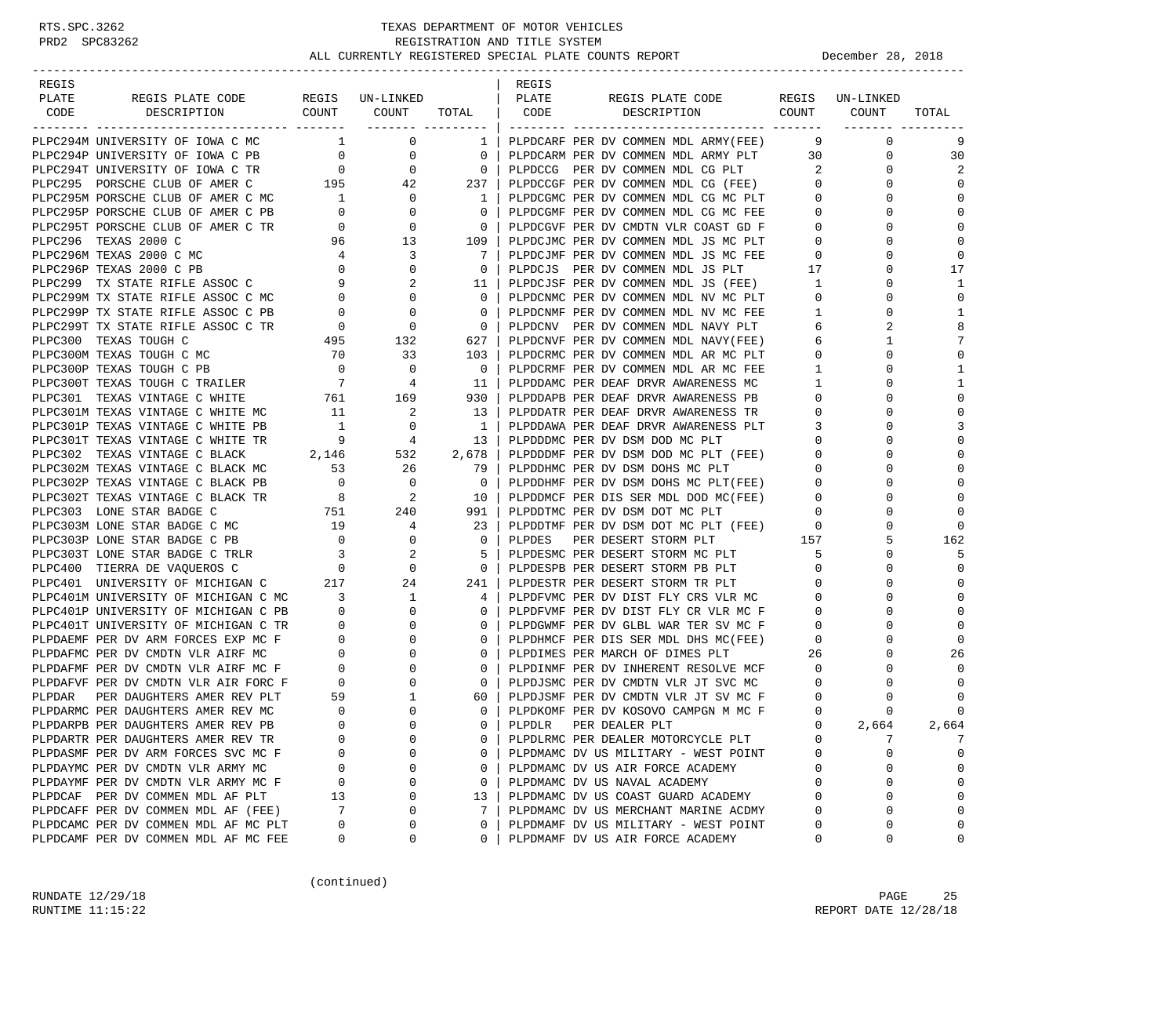### RTS.SPC.3262 TEXAS DEPARTMENT OF MOTOR VEHICLES<br>PRD2 SPC83262 REGISTRATION AND TITLE SYSTEM REGISTRATION AND TITLE SYSTEM ALL CURRENTLY REGISTERED SPECIAL PLATE COUNTS REPORT **DECEMBER 28, 2018**

-----------------------------------------------------------------------------------------------------------------------------------

| REGIS |                                                                                                                                                                                                                                                                                                                                                                                                                                          |    |                         |                  | REGIS |                                                                                                                                                                           |                         |                               |              |
|-------|------------------------------------------------------------------------------------------------------------------------------------------------------------------------------------------------------------------------------------------------------------------------------------------------------------------------------------------------------------------------------------------------------------------------------------------|----|-------------------------|------------------|-------|---------------------------------------------------------------------------------------------------------------------------------------------------------------------------|-------------------------|-------------------------------|--------------|
| PLATE | REGIS PLATE CODE REGIS UN-LINKED   PLATE                                                                                                                                                                                                                                                                                                                                                                                                 |    |                         |                  |       | REGIS PLATE CODE REGIS UN-LINKED                                                                                                                                          |                         |                               |              |
| CODE  | DESCRIPTION                                                                                                                                                                                                                                                                                                                                                                                                                              |    |                         |                  |       | COUNT COUNT TOTAL   CODE DESCRIPTION COUNT COUNT                                                                                                                          |                         |                               | TOTAL        |
|       | $\begin{tabular}{c cccc} \multicolumn{4}{c}{\textbf{L1}}&\multicolumn{4}{c}{\textbf{L1}}&\multicolumn{4}{c}{\textbf{L2}}&\multicolumn{4}{c}{\textbf{L1}}&\multicolumn{4}{c}{\textbf{L2}}&\multicolumn{4}{c}{\textbf{L1}}&\multicolumn{4}{c}{\textbf{L2}}&\multicolumn{4}{c}{\textbf{L1}}&\multicolumn{4}{c}{\textbf{L2}}&\multicolumn{4}{c}{\textbf{L1}}&\multicolumn{4}{c}{\textbf{L2}}&\multicolumn{4}{c}{\textbf{L1}}&\multicolumn{4$ |    |                         |                  |       |                                                                                                                                                                           |                         |                               |              |
|       |                                                                                                                                                                                                                                                                                                                                                                                                                                          |    |                         |                  |       |                                                                                                                                                                           | - 9                     | $\overline{0}$                | 9            |
|       |                                                                                                                                                                                                                                                                                                                                                                                                                                          |    |                         |                  |       |                                                                                                                                                                           |                         | 30<br>$0 \qquad \qquad$       | 30           |
|       |                                                                                                                                                                                                                                                                                                                                                                                                                                          |    |                         |                  |       |                                                                                                                                                                           | 2                       | $\overline{0}$                |              |
|       |                                                                                                                                                                                                                                                                                                                                                                                                                                          |    |                         |                  |       |                                                                                                                                                                           | $\overline{0}$          | $\circ$                       | $\Omega$     |
|       |                                                                                                                                                                                                                                                                                                                                                                                                                                          |    |                         |                  |       |                                                                                                                                                                           | $\circ$                 | $\mathbf{0}$                  | $\mathbf 0$  |
|       |                                                                                                                                                                                                                                                                                                                                                                                                                                          |    |                         |                  |       |                                                                                                                                                                           | $\mathbf{0}$            | $\mathbf{0}$                  | $\Omega$     |
|       |                                                                                                                                                                                                                                                                                                                                                                                                                                          |    |                         |                  |       |                                                                                                                                                                           | $\Omega$                | $\cap$                        | $\Omega$     |
|       |                                                                                                                                                                                                                                                                                                                                                                                                                                          |    |                         |                  |       | 109   PLPDCJMC PER DV COMMEN MDL JS MC PLT 0<br>7   PLPDCJMF PER DV COMMEN MDL JS MC FEE 0<br>0   PLPDCJS PER DV COMMEN MDL JS PLT 17                                     |                         | 0                             | $\mathbf 0$  |
|       |                                                                                                                                                                                                                                                                                                                                                                                                                                          |    |                         |                  |       |                                                                                                                                                                           |                         | $\Omega$                      | $\mathbf 0$  |
|       |                                                                                                                                                                                                                                                                                                                                                                                                                                          |    |                         |                  |       |                                                                                                                                                                           |                         | $\Omega$                      | 17           |
|       |                                                                                                                                                                                                                                                                                                                                                                                                                                          |    |                         |                  |       |                                                                                                                                                                           | $\mathbf{1}$            | $\mathbf{0}$                  | 1            |
|       |                                                                                                                                                                                                                                                                                                                                                                                                                                          |    |                         |                  |       |                                                                                                                                                                           | $\Omega$                | $\Omega$                      | $\Omega$     |
|       |                                                                                                                                                                                                                                                                                                                                                                                                                                          |    |                         |                  |       |                                                                                                                                                                           | $\mathbf{1}$            | $\mathbf 0$                   | $\mathbf{1}$ |
|       |                                                                                                                                                                                                                                                                                                                                                                                                                                          |    |                         |                  |       |                                                                                                                                                                           | 6                       | 2                             | 8            |
|       |                                                                                                                                                                                                                                                                                                                                                                                                                                          |    |                         |                  |       |                                                                                                                                                                           | 6                       | $\mathbf{1}$                  | 7            |
|       |                                                                                                                                                                                                                                                                                                                                                                                                                                          |    |                         |                  |       |                                                                                                                                                                           | $\Omega$                | $\cap$                        | $\Omega$     |
|       |                                                                                                                                                                                                                                                                                                                                                                                                                                          |    |                         |                  |       |                                                                                                                                                                           | $\mathbf{1}$            | 0                             | 1            |
|       |                                                                                                                                                                                                                                                                                                                                                                                                                                          |    |                         |                  |       |                                                                                                                                                                           | 1                       | $\Omega$                      | 1            |
|       | PLPC301 TEXAS VINTAGE C WHITE $761$ 169<br>PLPC301M TEXAS VINTAGE C WHITE MC 11 2                                                                                                                                                                                                                                                                                                                                                        |    |                         |                  |       |                                                                                                                                                                           | $\overline{0}$          | $\Omega$                      | $\Omega$     |
|       |                                                                                                                                                                                                                                                                                                                                                                                                                                          | 11 | $\overline{\mathbf{a}}$ |                  |       | 930   PLPDDAPB PER DEAF DRVR AWARENESS MC<br>13   PLPDDAPB PER DEAF DRVR AWARENESS PB<br>13   PLPDDATR PER DEAF DRVR AWARENESS TR                                         | $\overline{0}$          | $\mathbf{0}$                  | $\mathbf 0$  |
|       |                                                                                                                                                                                                                                                                                                                                                                                                                                          |    |                         |                  |       | 1   PLPDDAWA PER DEAF DRVR AWARENESS PLT                                                                                                                                  | $\mathbf{3}$            | $\Omega$                      | 3            |
|       | PLPC301P TEXAS VINTAGE C WHITE PB<br>PLPC301P TEXAS VINTAGE C WHITE TR<br>PLPC301P TEXAS VINTAGE C WHITE TR<br>PLPC302 TEXAS VINTAGE C BLACK<br>PLPC302 TEXAS VINTAGE C BLACK<br>PLPC302 TEXAS VINTAGE C BLACK<br>PLPC302 TEXAS VINTAGE C                                                                                                                                                                                                |    |                         |                  |       |                                                                                                                                                                           | $\Omega$                | $\Omega$                      | $\Omega$     |
|       |                                                                                                                                                                                                                                                                                                                                                                                                                                          |    |                         |                  |       |                                                                                                                                                                           | $\overline{0}$          | $\mathbf 0$                   | $\mathbf 0$  |
|       | PLPC302M TEXAS VINTAGE C BLACK MC 53 26<br>PLPC302P TEXAS VINTAGE C BLACK PB 0 0                                                                                                                                                                                                                                                                                                                                                         |    |                         |                  |       | 79   PLPDDHMC PER DV DSM DOHS MC PLT                                                                                                                                      |                         | $0 \qquad \qquad$<br>$\Omega$ |              |
|       |                                                                                                                                                                                                                                                                                                                                                                                                                                          |    |                         |                  |       | 0   PLPDDHMF PER DV DSM DOHS MC PLT(FEE)                                                                                                                                  | $\Omega$                | $\Omega$                      | $\Omega$     |
|       | PLPC302F TEXAS VINTAGE C BLACK TR<br>PLPC302T TEXAS VINTAGE C BLACK TR<br>PLPC303 LONE STAR BADGE C<br>PLPC303 LONE STAR BADGE C MC<br>PLPC303P LONE STAR BADGE C MC<br>PLPC303P LONE STAR BADGE C PR<br>PLPC303P LONE STAR BADGE C PR<br>PL                                                                                                                                                                                             |    |                         |                  |       | 10 PLPDDMCF PER DIS SER MDL DOD MC(FEE)<br>10   PLPDDMCF PER DIS SER MDL DOD MC(FEE)<br>991   PLPDDTMC PER DV DSM DOT MC PLT<br>23   PLPDDTMF PER DV DSM DOT MC PLT (FEE) | $\mathbf{0}$            | $\Omega$                      |              |
|       |                                                                                                                                                                                                                                                                                                                                                                                                                                          |    |                         |                  |       |                                                                                                                                                                           | $\mathbf{0}$            | $\mathbf 0$                   | $\Omega$     |
|       |                                                                                                                                                                                                                                                                                                                                                                                                                                          |    |                         |                  |       |                                                                                                                                                                           | $\overline{\mathbf{0}}$ | $\Omega$                      | $\Omega$     |
|       |                                                                                                                                                                                                                                                                                                                                                                                                                                          |    |                         |                  |       | 0   PLPDES PER DESERT STORM PLT 157                                                                                                                                       |                         | 5                             | 162          |
|       |                                                                                                                                                                                                                                                                                                                                                                                                                                          |    |                         |                  |       | PLPDESMC PER DESERT STORM MC PLT                                                                                                                                          | 5                       | $\Omega$                      | .5           |
|       |                                                                                                                                                                                                                                                                                                                                                                                                                                          |    |                         |                  |       | 0   PLPDESPB PER DESERT STORM PB PLT<br>241   PLPDESTR PER DESERT STORM TR PLT<br>0   PLPDESPB PER DESERT STORM PB PLT                                                    | $\mathbf 0$             | $\Omega$                      | $\Omega$     |
|       |                                                                                                                                                                                                                                                                                                                                                                                                                                          |    |                         |                  |       | 241   PLPDESTR PER DESERT STORM TR PLT<br>4   PLPDFVMC PER DV DIST FLY CRS VLR MC                                                                                         | $\mathbf 0$             | $\mathbf{0}$                  | $\mathbf 0$  |
|       |                                                                                                                                                                                                                                                                                                                                                                                                                                          |    |                         |                  |       |                                                                                                                                                                           | $\mathbf{0}$            | $\Omega$                      | $\Omega$     |
|       |                                                                                                                                                                                                                                                                                                                                                                                                                                          |    |                         |                  |       | 0   PLPDFVMF PER DV DIST FLY CR VLR MC F<br>0   PLPDGWMF PER DV GLBL WAR TER SV MC F                                                                                      | $\overline{0}$          | $\Omega$                      | $\Omega$     |
|       |                                                                                                                                                                                                                                                                                                                                                                                                                                          |    |                         |                  |       |                                                                                                                                                                           | $\overline{0}$          | 0                             | $\mathbf 0$  |
|       | PLPC400 11<br>PLPC401 UNIVERSITY OF MICHIGAN C MC<br>PLPC401M UNIVERSITY OF MICHIGAN C MC<br>PLPC401P UNIVERSITY OF MICHIGAN C PB<br>0 0<br>PLPC401T UNIVERSITY OF MICHIGAN C TR<br>0 0<br>PLPDAEMF PER DV CMDTN VLR AIRF MC F<br>0 0<br>PL                                                                                                                                                                                              |    |                         |                  |       | 0   PLPDHMCF PER DIS SER MDL DHS MC(FEE)                                                                                                                                  | $\mathbf{0}$            | $\Omega$                      | $\Omega$     |
|       |                                                                                                                                                                                                                                                                                                                                                                                                                                          |    |                         | 0 <sup>1</sup>   |       | PLPDIMES PER MARCH OF DIMES PLT                                                                                                                                           | 26                      | $\mathbf{0}$                  | 26           |
|       |                                                                                                                                                                                                                                                                                                                                                                                                                                          |    |                         | 0 <sup>1</sup>   |       | PLPDINMF PER DV INHERENT RESOLVE MCF                                                                                                                                      | $\mathbf{0}$            | $\Omega$                      | $\Omega$     |
|       |                                                                                                                                                                                                                                                                                                                                                                                                                                          |    |                         | 0 <sup>1</sup>   |       | PLPDJSMC PER DV CMDTN VLR JT SVC MC                                                                                                                                       | $\Omega$                | $\cap$                        | $\Omega$     |
|       |                                                                                                                                                                                                                                                                                                                                                                                                                                          |    |                         | 60 I             |       | PLPDJSMF PER DV CMDTN VLR JT SV MC F                                                                                                                                      | $\mathbf 0$             | $\Omega$                      |              |
|       |                                                                                                                                                                                                                                                                                                                                                                                                                                          |    |                         |                  |       | 0 PLPDKOMF PER DV KOSOVO CAMPGN M MC F                                                                                                                                    | $\mathbf 0$             | 0                             | $\mathbf 0$  |
|       |                                                                                                                                                                                                                                                                                                                                                                                                                                          |    |                         | $\overline{0}$ 1 |       | PLPDLR PER DEALER PLT                                                                                                                                                     | $\mathbf{0}$            | 2,664                         | 2,664        |
|       |                                                                                                                                                                                                                                                                                                                                                                                                                                          |    |                         | $\overline{0}$   |       | PLPDLRMC PER DEALER MOTORCYCLE PLT                                                                                                                                        | $\mathbf{0}$            | 7                             | 7            |
|       | PLPDASMF PER DV ARM FORCES SVC MC F                                                                                                                                                                                                                                                                                                                                                                                                      |    |                         |                  |       | 0   PLPDMAMC DV US MILITARY - WEST POINT                                                                                                                                  | $\overline{0}$          | $\Omega$                      | $\Omega$     |
|       | PLPDAYMC PER DV CMDTN VLR ARMY MC                                                                                                                                                                                                                                                                                                                                                                                                        |    |                         |                  |       | 0   PLPDMAMC DV US AIR FORCE ACADEMY                                                                                                                                      | $\mathbf{0}$            | 0                             | $\mathbf 0$  |
|       | PLPDAYMF PER DV CMDTN VLR ARMY MC F                                                                                                                                                                                                                                                                                                                                                                                                      |    |                         |                  |       | 0   PLPDMAMC DV US NAVAL ACADEMY                                                                                                                                          | $\mathbf{0}$            | $\mathbf 0$                   | $\mathbf 0$  |
|       | PLPDCAF PER DV COMMEN MDL AF PLT                                                                                                                                                                                                                                                                                                                                                                                                         |    |                         |                  |       | 13   PLPDMAMC DV US COAST GUARD ACADEMY<br>7   PLPDMAMC DV US MERCHANT MARINE ACDMY                                                                                       | $\mathbf 0$             | $\Omega$                      |              |
|       | PLPDCAFF PER DV COMMEN MDL AF (FEE)                                                                                                                                                                                                                                                                                                                                                                                                      |    |                         |                  |       |                                                                                                                                                                           | $\Omega$                | $\Omega$                      | $\Omega$     |
|       | PLPDCAMC PER DV COMMEN MDL AF MC PLT                                                                                                                                                                                                                                                                                                                                                                                                     |    |                         |                  |       | 0   PLPDMAMF DV US MILITARY - WEST POINT                                                                                                                                  | $\mathbf{0}$            | $\Omega$                      | $\mathbf 0$  |
|       | PLPDCAMF PER DV COMMEN MDL AF MC FEE                                                                                                                                                                                                                                                                                                                                                                                                     |    |                         |                  |       | 0   PLPDMAMF DV US AIR FORCE ACADEMY                                                                                                                                      | $\Omega$                | $\Omega$                      | $\Omega$     |

(continued)

RUNDATE  $12/29/18$  PAGE 25 RUNTIME  $11:15:22$  REPORT DATE  $12/28/18$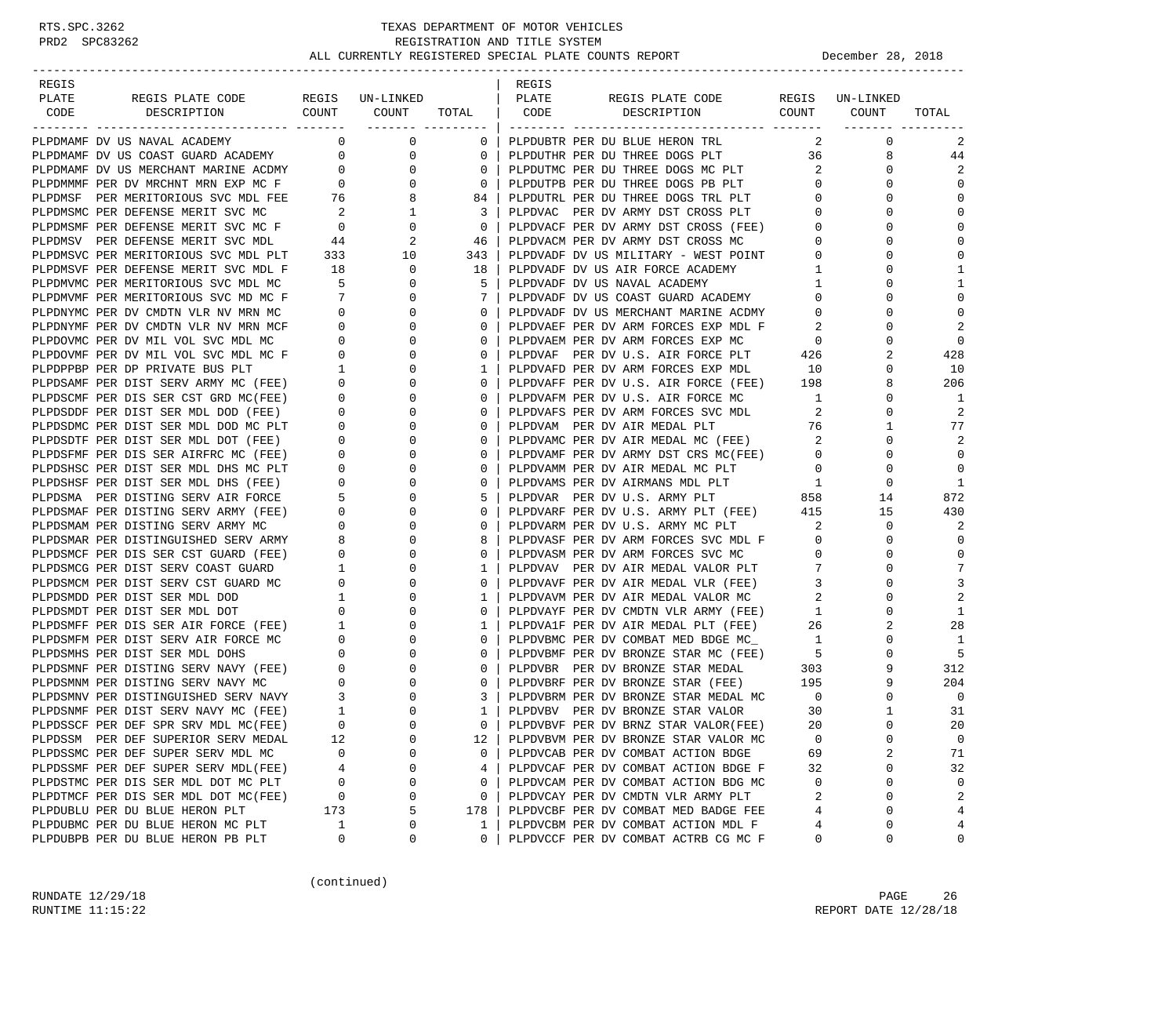| REGIS |                                                                                                                                                           |                                       |                                  |                | REGIS        |                                                                            |                            |                 |                |
|-------|-----------------------------------------------------------------------------------------------------------------------------------------------------------|---------------------------------------|----------------------------------|----------------|--------------|----------------------------------------------------------------------------|----------------------------|-----------------|----------------|
| PLATE | REGIS PLATE CODE<br>DESCRIPTION COUNT COUNT                                                                                                               |                                       | REGIS UN-LINKED                  |                | PLATE        | REGIS PLATE CODE<br>DESCRIPTION COUNT COUNT                                |                            | REGIS UN-LINKED |                |
| CODE  |                                                                                                                                                           |                                       |                                  |                | TOTAL   CODE |                                                                            |                            |                 | TOTAL          |
|       | PLPDMAMF DV US NAVAL ACADEMY                                                                                                                              |                                       | $\overline{0}$<br>$\overline{0}$ | 0              |              | PLPDUBTR PER DU BLUE HERON TRL                                             | 2                          | $\mathbf{0}$    | 2              |
|       | PLPDMAMF DV US COAST GUARD ACADEMY 0                                                                                                                      |                                       | 0                                | $\circ$        |              | PLPDUTHR PER DU THREE DOGS PLT                                             | 36 —                       | 8               | 44             |
|       | PLPDMAMF DV US MERCHANT MARINE ACDMY                                                                                                                      | $\overline{0}$                        | 0                                | $\circ$        |              | PLPDUTMC PER DU THREE DOGS MC PLT                                          | $\overline{\phantom{a}}$ 2 | 0               | 2              |
|       | PLPDMMMF PER DV MRCHNT MRN EXP MC F 0                                                                                                                     |                                       | $\mathbf{0}$                     | $\mathbf{0}$   |              | PLPDUTPB PER DU THREE DOGS PB PLT                                          | $\overline{0}$             | 0               | $\Omega$       |
|       | PLPDMSF PER MERITORIOUS SVC MDL FEE                                                                                                                       |                                       | 8                                | 84             |              |                                                                            | $\mathbf{0}$               | 0               | $\Omega$       |
|       | PLPDMSMC PER DEFENSE MERIT SVC MC                                                                                                                         | $\frac{76}{2}$                        | 1                                | 3              |              | PLPDUTRL PER DU THREE DOGS TRL PLT<br>PLPDVAC PER DV ARMY DST CROSS PLT    | $\overline{0}$             | $\Omega$        | $\mathbf 0$    |
|       | PLPDMSMF PER DEFENSE MERIT SVC MC F                                                                                                                       | $\overline{0}$                        | $\mathbf 0$                      | $\overline{0}$ |              | PLPDVACF PER DV ARMY DST CROSS (FEE) 0                                     |                            | 0               | $\Omega$       |
|       | PLPDMSV PER DEFENSE MERIT SVC MDL                                                                                                                         | 44                                    | 2                                | -46            |              | PLPDVACM PER DV ARMY DST CROSS MC                                          | $\circ$                    | 0               | $\Omega$       |
|       | PLPDMSVC PER MERITORIOUS SVC MDL PLT                                                                                                                      |                                       | 333<br>10                        | 343            |              | PLPDVADF DV US MILITARY - WEST POINT 0                                     |                            | $\Omega$        | $\Omega$       |
|       | PLPDMSVF PER DEFENSE MERIT SVC MDL F                                                                                                                      | 18                                    | 0                                | 18             |              | PLPDVADF DV US AIR FORCE ACADEMY                                           | $\mathbf{1}$               | 0               | 1              |
|       | PLPDMVMC PER MERITORIOUS SVC MDL MC                                                                                                                       |                                       | $\frac{10}{5}$<br>$\mathbf 0$    | 5              |              | PLPDVADF DV US NAVAL ACADEMY                                               | $\mathbf{1}$               | $\Omega$        | 1              |
|       | PLPDMVMF PER MERITORIOUS SVC MD MC F                                                                                                                      | $\overline{7}$                        | $\mathbf{0}$                     | 7              |              | PLPDVADF DV US COAST GUARD ACADEMY                                         | $\overline{0}$             | 0               | $\mathbf 0$    |
|       | PLPDNYMC PER DV CMDTN VLR NV MRN MC                                                                                                                       | $\overline{0}$                        | 0                                | $\circ$        |              | PLPDVADF DV US MERCHANT MARINE ACDMY                                       | $\circ$                    | 0               | $\Omega$       |
|       | PLPDNYMF PER DV CMDTN VLR NV MRN MCF                                                                                                                      | $\overline{0}$                        | 0                                | $\circ$        |              | PLPDVAEF PER DV ARM FORCES EXP MDL F                                       | - 2                        | 0               | $\overline{2}$ |
|       | PLPDOVMC PER DV MIL VOL SVC MDL MC                                                                                                                        | $\overline{0}$                        | 0                                | $\mathbf{0}$   |              | PLPDVAEM PER DV ARM FORCES EXP MC                                          | $\overline{0}$             | 0               | $\Omega$       |
|       | PLPDOVMF PER DV MIL VOL SVC MDL MC F                                                                                                                      | $\overline{0}$                        | $\mathbf 0$                      | $\mathbf{0}$   |              | PLPDVAF PER DV U.S. AIR FORCE PLT                                          | 426                        | 2               | 428            |
|       | PLPDPPBP PER DP PRIVATE BUS PLT                                                                                                                           | $\frac{1}{2}$                         | 0                                | 1              |              | PLPDVAFD PER DV ARM FORCES EXP MDL                                         | 10                         | 0               | 10             |
|       | PLPDSAMF PER DIST SERV ARMY MC (FEE) 0                                                                                                                    |                                       | 0                                | $\mathbf{0}$   |              | PLPDVAFF PER DV U.S. AIR FORCE (FEE) 198                                   |                            | 8               | 206            |
|       | PLPDSCMF PER DIS SER CST GRD MC(FEE)                                                                                                                      | $\overline{0}$                        | 0                                | $\circ$        |              | PLPDVAFM PER DV U.S. AIR FORCE MC                                          | $\overline{1}$             | 0               | 1              |
|       | PLPDSDDF PER DIST SER MDL DOD (FEE)                                                                                                                       | $\overline{\mathbf{0}}$               | 0                                | $\mathbf{0}$   |              | PLPDVAFS PER DV ARM FORCES SVC MDL<br>TIDITAL DEP ME ATR MEDAL PLT         | 2                          | 0               | 2              |
|       | PLPDSDMC PER DIST SER MDL DOD MC PLT                                                                                                                      | $\overline{\phantom{0}}$              | $\mathbf 0$                      | $\mathbf{0}$   |              |                                                                            | 76                         | $\mathbf{1}$    | 77             |
|       | PLPDSDTF PER DIST SER MDL DOT (FEE)                                                                                                                       | $\overline{0}$                        | 0                                | $\mathbf{0}$   |              | PLPDVAMC PER DV AIR MEDAL MC (FEE)                                         | $\overline{\phantom{a}}^2$ | 0               | $\overline{2}$ |
|       | PLPDSFMF PER DIS SER AIRFRC MC (FEE)                                                                                                                      | $\begin{matrix} 0 \\ 0 \end{matrix}$  | 0                                | $\circ$        |              | PLPDVAMF PER DV ARMY DST CRS MC(FEE)                                       | $\circ$                    | 0               | $\Omega$       |
|       | PLPDSHSC PER DIST SER MDL DHS MC PLT                                                                                                                      |                                       | 0                                | $\circ$        |              | PLPDVAMM PER DV AIR MEDAL MC PLT                                           | $\overline{0}$             | 0               | $\Omega$       |
|       | PLPDSHSF PER DIST SER MDL DHS (FEE)                                                                                                                       | $\overline{0}$                        | 0                                | $\mathbf 0$    |              | PLPDVAMS PER DV AIRMANS MDL PLT<br>PLPDVAR PER DV U.S. ARMY PLT            | $\overline{1}$             | 0               | 1              |
|       | PLPDSMA PER DISTING SERV AIR FORCE                                                                                                                        | $5^{\circ}$                           | $\mathbf 0$                      | 5              |              |                                                                            | 858                        | 14              | 872            |
|       | PLPDSMAF PER DISTING SERV ARMY (FEE)                                                                                                                      | $\overline{0}$                        | 0                                | $\mathbf{0}$   |              | PLPDVARF PER DV U.S. ARMY PLT (FEE) 415                                    |                            | 15              | 430            |
|       | PLPDSMAM PER DISTING SERV ARMY MC                                                                                                                         | $\begin{array}{c} 0 \\ 8 \end{array}$ | 0                                | $\circ$        |              | PLPDVARM PER DV U.S. ARMY MC PLT                                           | $\overline{\phantom{a}}^2$ | 0               | 2              |
|       | PLPDSMAR PER DISTINGUISHED SERV ARMY                                                                                                                      |                                       | 0                                | 8              |              | PLPDVASF PER DV ARM FORCES SVC MDL F                                       | $\overline{0}$             | 0               | $\Omega$       |
|       | PLPDSMCF PER DIS SER CST GUARD (FEE)                                                                                                                      | $\overline{0}$                        | 0                                | $\mathbf{0}$   |              | PLPDVASM PER DV ARM FORCES SVC MC                                          | $\mathbf{0}$               | 0               | $\mathbf 0$    |
|       | PLPDSMCG PER DIST SERV COAST GUARD                                                                                                                        | <sup>1</sup>                          | 0                                | 1              |              | PLPDVAV PER DV AIR MEDAL VALOR PLT                                         | 7                          | $\Omega$        | 7              |
|       | PLPDSMCM PER DIST SERV CST GUARD MC                                                                                                                       | $\overline{0}$                        | 0                                | $\mathbf{0}$   |              | PLPDVAVF PER DV AIR MEDAL VLR (FEE)                                        | $\overline{3}$             | 0               | 3              |
|       | PLPDSMDD PER DIST SER MDL DOD                                                                                                                             | $\mathbf{1}$                          | 0                                | 1              |              | PLPDVAVM PER DV AIR MEDAL VALOR MC<br>PLPDVAYF PER DV CMDTN VLR ARMY (FEE) | 2                          | $\Omega$        | $\overline{2}$ |
|       | PLPDSMDT PER DIST SER MDL DOT                                                                                                                             | $\mathbf{0}$                          | 0                                | 0              |              |                                                                            | $\mathbf{1}$               | 0               | 1              |
|       | PLPDSMFF PER DIS SER AIR FORCE (FEE) 1                                                                                                                    |                                       | 0                                | 1              |              | PLPDVA1F PER DV AIR MEDAL PLT (FEE)<br>PLPDVBMC PER DV COMBAT MED BDGE MC_ | 26                         | 2               | 28             |
|       | PLPDSMFM PER DIST SERV AIR FORCE MC UPLPDSMHS PER DIST SER MDL DOHS 0<br>PLPDSMNF PER DISTING SERV NAVY (FEE) 0<br>DIPDSMNF PER DISTING SERV NAVY (FEE) 0 |                                       | 0                                | $\mathbf{0}$   |              |                                                                            | $\overline{1}$             | $\mathbf 0$     | 1              |
|       |                                                                                                                                                           |                                       | 0                                | $\mathbf{0}$   |              | PLPDVBMF PER DV BRONZE STAR MC (FEE) 5                                     |                            | 0               | 5              |
|       |                                                                                                                                                           |                                       | 0                                | $\circ$        |              | PLPDVBR PER DV BRONZE STAR MEDAL                                           | 303                        | 9               | 312            |
|       |                                                                                                                                                           |                                       | 0                                | $\mathbf{0}$   |              | PLPDVBRF PER DV BRONZE STAR (FEE) 195                                      |                            | 9               | 204            |
|       | PLPDSMNV PER DISTINGUISHED SERV NAVY 3<br>PLPDSNMF PER DIST SERV NAVY MC (FEE) 1                                                                          |                                       | 0                                | 3              |              | PLPDVBRM PER DV BRONZE STAR MEDAL MC<br>PLPDVBV PER DV BRONZE STAR VALOR   | $\overline{0}$             | $\mathbf 0$     | $\overline{0}$ |
|       |                                                                                                                                                           |                                       | $\Omega$                         | $\mathbf{1}$   |              |                                                                            | 30                         | $\mathbf{1}$    | 31             |
|       | PLPDSSCF PER DEF SPR SRV MDL MC(FEE)                                                                                                                      | $\Omega$                              | $\Omega$                         | $\Omega$       |              | PLPDVBVF PER DV BRNZ STAR VALOR(FEE)                                       | 20                         | $\Omega$        | 20             |
|       | PLPDSSM PER DEF SUPERIOR SERV MEDAL                                                                                                                       | 12                                    | 0                                | 12             |              | PLPDVBVM PER DV BRONZE STAR VALOR MC                                       | 0                          | 0               | 0              |
|       | PLPDSSMC PER DEF SUPER SERV MDL MC                                                                                                                        | $\Omega$                              | 0                                | 0              |              | PLPDVCAB PER DV COMBAT ACTION BDGE                                         | 69                         | 2               | 71             |
|       | PLPDSSMF PER DEF SUPER SERV MDL(FEE)                                                                                                                      | 4                                     | 0                                | 4              |              | PLPDVCAF PER DV COMBAT ACTION BDGE F                                       | 32                         | 0               | 32             |
|       | PLPDSTMC PER DIS SER MDL DOT MC PLT                                                                                                                       | 0                                     | 0                                | 0              |              | PLPDVCAM PER DV COMBAT ACTION BDG MC                                       | 0                          | 0               | 0              |
|       | PLPDTMCF PER DIS SER MDL DOT MC(FEE)                                                                                                                      | 0                                     | 0                                | 0              |              | PLPDVCAY PER DV CMDTN VLR ARMY PLT                                         | 2                          | 0               | 2              |
|       | PLPDUBLU PER DU BLUE HERON PLT                                                                                                                            | 173                                   | 5                                | 178            |              | PLPDVCBF PER DV COMBAT MED BADGE FEE                                       | 4                          | 0               | 4              |
|       | PLPDUBMC PER DU BLUE HERON MC PLT                                                                                                                         | 1                                     | 0                                | 1              |              | PLPDVCBM PER DV COMBAT ACTION MDL F                                        | 4                          | 0               | 4              |
|       | PLPDUBPB PER DU BLUE HERON PB PLT                                                                                                                         | 0                                     | 0                                | 0              |              | PLPDVCCF PER DV COMBAT ACTRB CG MC F                                       | 0                          | 0               | 0              |

(continued)

RUNDATE  $12/29/18$  PAGE 26 RUNTIME 11:15:22 REPORT DATE 12/28/18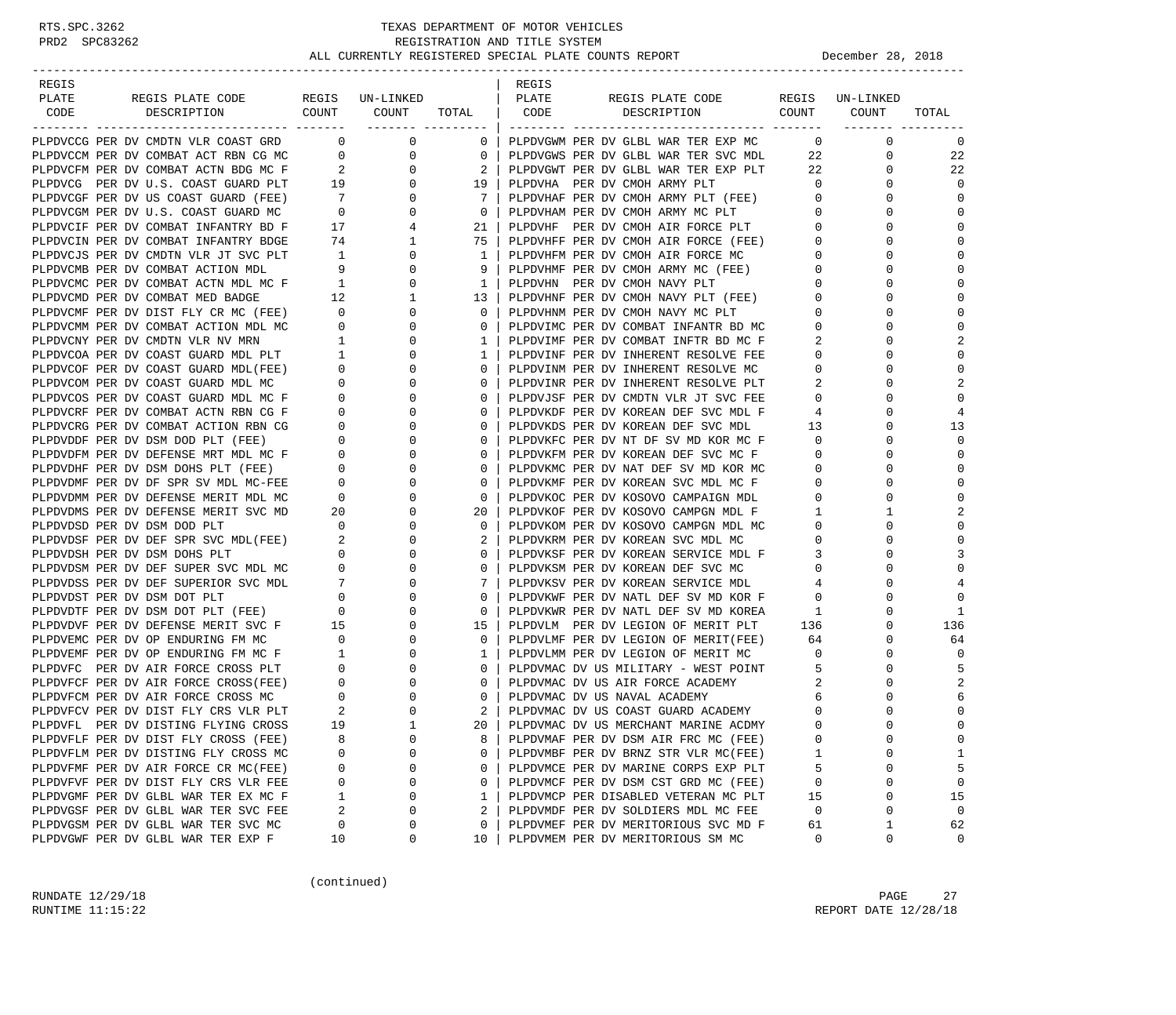| REGIS                                                                          |                                                          |                  |                | REGIS |                                                                           |                |                 |                |
|--------------------------------------------------------------------------------|----------------------------------------------------------|------------------|----------------|-------|---------------------------------------------------------------------------|----------------|-----------------|----------------|
| PLATE<br>REGIS PLATE CODE                                                      |                                                          | REGIS UN-LINKED  |                | PLATE | REGIS PLATE CODE                                                          |                | REGIS UN-LINKED |                |
| CODE<br>DESCRIPTION                                                            | COUNT                                                    | COUNT            | TOTAL          | CODE  | COUNT<br>DESCRIPTION                                                      |                | COUNT           | TOTAL          |
|                                                                                |                                                          | ________ _______ |                |       |                                                                           |                |                 |                |
| PLPDVCCG PER DV CMDTN VLR COAST GRD 0                                          |                                                          | 0                | $\mathbf 0$    |       | PLPDVGWM PER DV GLBL WAR TER EXP MC                                       | $\overline{0}$ | $\mathbf 0$     | 0              |
| PLPDVCCM PER DV COMBAT ACT RBN CG MC                                           | $\overline{0}$                                           | 0                | $\overline{0}$ |       | PLPDVGWS PER DV GLBL WAR TER SVC MDL                                      | 22             | 0               | 22             |
| PLPDVCFM PER DV COMBAT ACTN BDG MC F                                           | $\overline{2}$<br>$\begin{array}{c} 2 \\ 19 \end{array}$ | 0                | 2              |       | PLPDVGWT PER DV GLBL WAR TER EXP PLT                                      | 22             | 0               | 22             |
| PLPDVCG PER DV U.S. COAST GUARD PLT                                            |                                                          | $\mathbf{0}$     | 19             |       | PLPDVHA PER DV CMOH ARMY PLT                                              | $\circ$        | $\Omega$        | $\Omega$       |
| PLPDVCGF PER DV US COAST GUARD (FEE)                                           | $7\overline{ }$                                          | 0                | -7             |       | PLPDVHAF PER DV CMOH ARMY PLT (FEE)<br>PLPDVHAM PER DV CMOH ARMY MC PLT   | $\overline{0}$ | 0               | $\Omega$       |
| PLPDVCGM PER DV U.S. COAST GUARD MC                                            | $\overline{0}$                                           | 0                | $\overline{0}$ |       | PLPDVHAM PER DV CMOH ARMY MC PLT                                          | $\overline{0}$ | $\Omega$        | $\mathbf 0$    |
| PLPDVCIF PER DV COMBAT INFANTRY BD F                                           | 17                                                       | 4                | 21             |       | PLPDVHF PER DV CMOH AIR FORCE PLT                                         | $\overline{0}$ | 0               | $\Omega$       |
| PLPDVCIN PER DV COMBAT INFANTRY BDGE                                           | 74                                                       | $\mathbf{1}$     | 75             |       | PLPDVHFF PER DV CMOH AIR FORCE (FEE)<br>PLPDVHFM PER DV CMOH AIR FORCE MC | $\overline{0}$ | $\Omega$        | $\Omega$       |
| PLPDVCJS PER DV CMDTN VLR JT SVC PLT                                           | 1                                                        | 0                | 1              |       | PLPDVHFM PER DV CMOH AIR FORCE MC                                         | $\overline{0}$ | $\Omega$        | $\Omega$       |
| PLPDVCMB PER DV COMBAT ACTION MDL                                              | 9                                                        | 0                | 9              |       | PLPDVHMF PER DV CMOH ARMY MC (FEE)                                        | $\overline{0}$ | 0               | $\Omega$       |
| PLPDVCMC PER DV COMBAT ACTN MDL MC F                                           | $\overline{1}$                                           | 0                | 1              |       | PLPDVHN PER DV CMOH NAVY PLT                                              | $\overline{0}$ | $\Omega$        | $\Omega$       |
| PLPDVCMD PER DV COMBAT MED BADGE                                               | 12                                                       | $\mathbf{1}$     | 13             |       | PLPDVHNF PER DV CMOH NAVY PLT (FEE)                                       | $\overline{0}$ | 0               | $\Omega$       |
| PLPDVCMF PER DV DIST FLY CR MC (FEE)                                           | $\overline{0}$                                           | $\mathbf 0$      | $\circ$        |       | PLPDVHNM PER DV CMOH NAVY MC PLT                                          | $\mathbf 0$    | $\Omega$        | $\Omega$       |
| PLPDVCMM PER DV COMBAT ACTION MDL MC                                           | $\overline{0}$                                           | 0                | $\circ$        |       | PLPDVIMC PER DV COMBAT INFANTR BD MC                                      | 0              | $\Omega$        | $\Omega$       |
| PLPDVCNY PER DV CMDTN VLR NV MRN                                               | $\mathbf{1}$                                             | 0                | 1              |       | PLPDVIMF PER DV COMBAT INFTR BD MC F                                      | 2              | 0               | $\overline{2}$ |
| PLPDVCOA PER DV COAST GUARD MDL PLT<br>DLPDVCOR PER DV COAST GUARD MDL PLT     | $\overline{1}$                                           | 0                | 1              |       | PLPDVINF PER DV INHERENT RESOLVE FEE                                      | $\mathbf 0$    | $\Omega$        | $\mathbf 0$    |
| PLPDVCOF PER DV COAST GUARD MDL(FEE)                                           | $\overline{0}$                                           | 0                | $\circ$        |       | PLPDVINM PER DV INHERENT RESOLVE MC                                       | $\circ$        | $\Omega$        | $\mathbf 0$    |
| PLPDVCOM PER DV COAST GUARD MDL MC                                             | $\overline{0}$                                           | $\mathbf 0$      | 0              |       | PLPDVINR PER DV INHERENT RESOLVE PLT                                      | 2              | $\Omega$        | $\overline{2}$ |
| PLPDVCOS PER DV COAST GUARD MDL MC F                                           | $\overline{0}$                                           | $\mathbf{0}$     | $\circ$        |       | PLPDVJSF PER DV CMDTN VLR JT SVC FEE                                      | $\circ$        | $\Omega$        | $\Omega$       |
| PLPDVCRF PER DV COMBAT ACTN RBN CG F                                           | $\overline{0}$                                           | 0                | 0              |       | PLPDVKDF PER DV KOREAN DEF SVC MDL F                                      | 4              | 0               | 4              |
| PLPDVCRG PER DV COMBAT ACTION RBN CG                                           | $\mathbf{0}$                                             | $\mathbf 0$      | $\circ$        |       | PLPDVKDS PER DV KOREAN DEF SVC MDL                                        | 13             | $\Omega$        | 13             |
| PLPDVDDF PER DV DSM DOD PLT (FEE)                                              | $\overline{0}$                                           | $\mathbf 0$      | $\circ$        |       | PLPDVKFC PER DV NT DF SV MD KOR MC F                                      | $\overline{0}$ | 0               | $\Omega$       |
| PLPDVDFM PER DV DEFENSE MRT MDL MC F                                           | $\mathbf{0}$                                             | $\mathbf 0$      | 0              |       | PLPDVKFM PER DV KOREAN DEF SVC MC F                                       | $\mathbf 0$    | $\Omega$        | $\Omega$       |
| PLPDVDHF PER DV DSM DOHS PLT (FEE)                                             | $\overline{0}$                                           | 0                | 0              |       | PLPDVKMC PER DV NAT DEF SV MD KOR MC                                      | 0              | $\Omega$        | $\Omega$       |
| PLPDVDMF PER DV DF SPR SV MDL MC-FEE                                           | $\overline{0}$                                           | 0                | 0              |       | PLPDVKMF PER DV KOREAN SVC MDL MC F                                       | $\mathbf{0}$   | 0               | $\Omega$       |
| PLPDVDMM PER DV DEFENSE MERIT MDL MC                                           | $\overline{0}$                                           | $\mathbf 0$      | $\circ$        |       | PLPDVKOC PER DV KOSOVO CAMPAIGN MDL                                       | $\mathbf 0$    | 0               | $\mathbf 0$    |
| PLPDVDMS PER DV DEFENSE MERIT SVC MD                                           | 20                                                       | 0                | 20             |       | PLPDVKOF PER DV KOSOVO CAMPGN MDL F                                       | 1              | 1               |                |
| PLPDVDSD PER DV DSM DOD PLT                                                    | $\overline{0}$                                           | 0                | 0              |       | PLPDVKOM PER DV KOSOVO CAMPGN MDL MC                                      | $\overline{0}$ | 0               | $\Omega$       |
| PLPDVDSF PER DV DEF SPR SVC MDL(FEE)                                           | $\sim$ 2                                                 | 0                | 2              |       | PLPDVKRM PER DV KOREAN SVC MDL MC                                         | $\circ$        | $\Omega$        | $\Omega$       |
| PLPDVDSH PER DV DSM DOHS PLT                                                   | $\overline{0}$                                           | 0                | 0              |       | PLPDVKSF PER DV KOREAN SERVICE MDL F                                      | 3              | 0               | 3              |
| PLPDVDSM PER DV DEF SUPER SVC MDL MC                                           | $\overline{0}$                                           | $\mathbf 0$      | $\circ$        |       | PLPDVKSM PER DV KOREAN DEF SVC MC                                         | $\overline{0}$ | $\Omega$        | $\mathbf{0}$   |
| PLPDVDSS PER DV DEF SUPERIOR SVC MDL                                           | $7\overline{ }$                                          | 0                | 7              |       | PLPDVKSV PER DV KOREAN SERVICE MDL                                        | 4              | $\Omega$        | 4              |
|                                                                                |                                                          | 0                | 0              |       | PLPDVKWF PER DV NATL DEF SV MD KOR F                                      | $\mathbf 0$    |                 | $\Omega$       |
| PLPDVDST PER DV DSM DOT PLT (FEE) $0$<br>PLPDVDTF PER DV DSM DOT PLT (FEE) $0$ |                                                          | 0                | 0              |       | PLPDVKWR PER DV NATL DEF SV MD KOREA                                      | 1              | $\Omega$        | 1              |
| PLPDVDVF PER DV DEFENSE MERIT SVC F 15                                         |                                                          | 0                | 15             |       | PLPDVLM PER DV LEGION OF MERIT PLT 136                                    |                | 0               | 136            |
| PLPDVEMC PER DV OP ENDURING FM MC                                              | $\overline{\phantom{0}}$                                 | $\mathbf 0$      | $\circ$        |       | PLPDVLMF PER DV LEGION OF MERIT(FEE)                                      | 64             | $\Omega$        | 64             |
| PLPDVEMF PER DV OP ENDURING FM MC F                                            | $\sim$ 1                                                 | 0                | 1              |       | PLPDVLMM PER DV LEGION OF MERIT MC                                        | $\overline{0}$ | 0               | $\Omega$       |
| PLPDVFC PER DV AIR FORCE CROSS PLT                                             | $\overline{0}$                                           | $\mathbf 0$      | $\circ$        |       | PLPDVMAC DV US MILITARY - WEST POINT                                      | - 5            | 0               |                |
| PLPDVFCF PER DV AIR FORCE CROSS(FEE)                                           | $\overline{0}$                                           | 0                | $\circ$        |       | PLPDVMAC DV US AIR FORCE ACADEMY                                          | 2              | $\Omega$        |                |
| PLPDVFCM PER DV AIR FORCE CROSS MC                                             | $\overline{0}$                                           | 0                | 0              |       | PLPDVMAC DV US NAVAL ACADEMY                                              | 6              | 0               | 6              |
| PLPDVFCV PER DV DIST FLY CRS VLR PLT                                           | 2                                                        | $\mathbf 0$      | 2              |       | PLPDVMAC DV US COAST GUARD ACADEMY                                        | $\Omega$       | $\Omega$        | $\mathbf{0}$   |
| PLPDVFL PER DV DISTING FLYING CROSS                                            | 19                                                       | $\mathbf{1}$     | 20             |       | PLPDVMAC DV US MERCHANT MARINE ACDMY                                      | $\Omega$       | $\cap$          | $\Omega$       |
| PLPDVFLF PER DV DIST FLY CROSS (FEE)                                           | 8                                                        | $\Omega$         | 8              |       | PLPDVMAF PER DV DSM AIR FRC MC (FEE)                                      | 0              | 0               | $\Omega$       |
| PLPDVFLM PER DV DISTING FLY CROSS MC                                           | 0                                                        | $\Omega$         | 0              |       | PLPDVMBF PER DV BRNZ STR VLR MC(FEE)                                      | 1              | $\Omega$        | 1              |
| PLPDVFMF PER DV AIR FORCE CR MC(FEE)                                           | 0                                                        | 0                | 0              |       | PLPDVMCE PER DV MARINE CORPS EXP PLT                                      | 5              | 0               | 5              |
| PLPDVFVF PER DV DIST FLY CRS VLR FEE                                           | 0                                                        | 0                | 0              |       | PLPDVMCF PER DV DSM CST GRD MC (FEE)                                      | 0              | 0               | $\mathbf 0$    |
| PLPDVGMF PER DV GLBL WAR TER EX MC F                                           | 1                                                        | $\Omega$         | 1              |       | PLPDVMCP PER DISABLED VETERAN MC PLT                                      | 15             | 0               | 15             |
| PLPDVGSF PER DV GLBL WAR TER SVC FEE                                           | 2                                                        | $\Omega$         | 2              |       | PLPDVMDF PER DV SOLDIERS MDL MC FEE                                       | 0              | 0               | $\mathbf{0}$   |
| PLPDVGSM PER DV GLBL WAR TER SVC MC                                            | 0                                                        | 0                | 0              |       | PLPDVMEF PER DV MERITORIOUS SVC MD F                                      | 61             | 1               | 62             |
| PLPDVGWF PER DV GLBL WAR TER EXP F                                             | 10                                                       | 0                | 10             |       | PLPDVMEM PER DV MERITORIOUS SM MC                                         | 0              | 0               | 0              |

(continued)

RUNDATE  $12/29/18$  PAGE 27 RUNTIME 11:15:22 REPORT DATE 12/28/18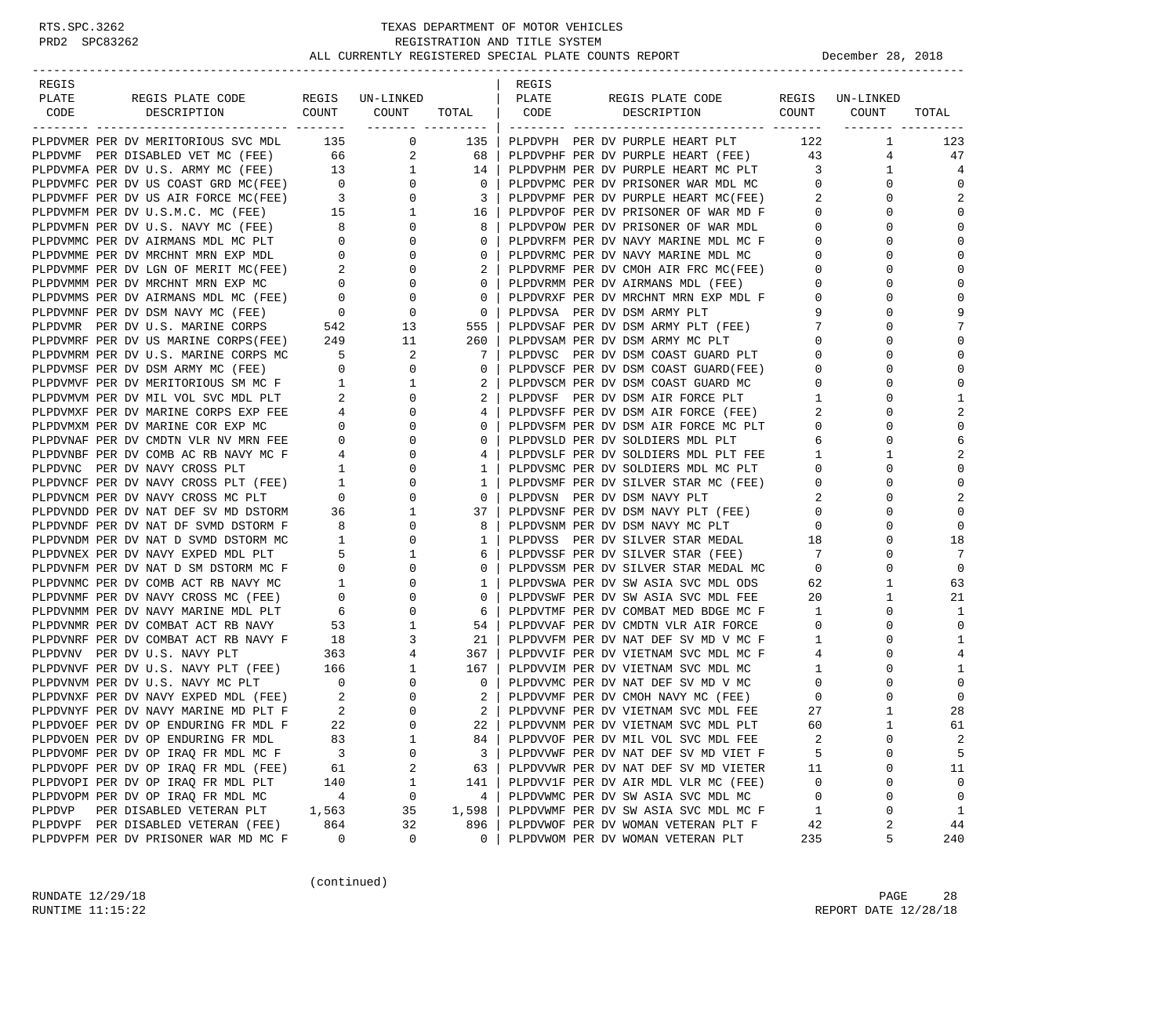| REGIS                                                                                                                    |                                       |                                                           |                 | REGIS |                                                                            |                         |                 |                |
|--------------------------------------------------------------------------------------------------------------------------|---------------------------------------|-----------------------------------------------------------|-----------------|-------|----------------------------------------------------------------------------|-------------------------|-----------------|----------------|
| PLATE<br>REGIS PLATE CODE                                                                                                |                                       | REGIS UN-LINKED<br>COUNT COUNT                            |                 | PLATE | REGIS PLATE CODE<br>DESCRIPTION COUNT                                      |                         | REGIS UN-LINKED |                |
| CODE<br>DESCRIPTION                                                                                                      |                                       | -------- ----------                                       | TOTAL           | CODE  |                                                                            |                         | COUNT           | TOTAL          |
| PLPDVMER PER DV MERITORIOUS SVC MDL 135                                                                                  |                                       | $\overline{0}$                                            | 135             |       | PLPDVPH PER DV PURPLE HEART PLT                                            | 122                     | $\mathbf{1}$    | 123            |
| PLPDVMF PER DISABLED VET MC (FEE) 66                                                                                     |                                       | 2                                                         | 68              |       | PLPDVPHF PER DV PURPLE HEART (FEE)                                         | 43                      | 4               | 47             |
| PLPDVMFA PER DV U.S. ARMY MC (FEE)                                                                                       | 13                                    | $\mathbf{1}$                                              | 14              |       | PLPDVPHM PER DV PURPLE HEART MC PLT                                        | $\overline{\mathbf{3}}$ | $\mathbf{1}$    | $\overline{4}$ |
| PLPDVMFC PER DV US COAST GRD MC(FEE) 0                                                                                   |                                       | $\mathbf{0}$                                              | $\mathbf{0}$    |       | PLPDVPMC PER DV PRISONER WAR MDL MC                                        | $\mathbf{0}$            | $\Omega$        | $\Omega$       |
| PLPDVMFF PER DV US AIR FORCE MC(FEE)                                                                                     | $\begin{array}{c}0\\3\\15\end{array}$ | $\mathbf 0$                                               | 3               |       | PLPDVPMF PER DV PURPLE HEART MC(FEE)                                       | 2                       | 0               | 2              |
| PLPDVMFM PER DV U.S.M.C. MC (FEE)                                                                                        |                                       | $\mathbf{1}$                                              | 16              |       | PLPDVPOF PER DV PRISONER OF WAR MD F                                       | $\mathbf{0}$            | 0               | $\mathbf 0$    |
| PLPDVMFN PER DV U.S. NAVY MC (FEE)                                                                                       | 8 <sup>1</sup>                        | $\mathbf{0}$                                              | 8               |       | PLPDVPOW PER DV PRISONER OF WAR MDL                                        | $\overline{0}$          | $\Omega$        | $\mathbf 0$    |
| PLPDVMMC PER DV AIRMANS MDL MC PLT                                                                                       |                                       | 0                                                         | $\mathbf{0}$    |       | PLPDVRFM PER DV NAVY MARINE MDL MC F                                       | $\mathbf{0}$            | 0               | $\Omega$       |
| PLPDVMME PER DV MRCHNT MRN EXP MDL                                                                                       | $\begin{array}{c} 0 \\ 0 \end{array}$ | 0                                                         | $\mathbf{0}$    |       | PLPDVRMC PER DV NAVY MARINE MDL MC                                         | $\mathbf{0}$            | O               | $\Omega$       |
| PLPDVMMF PER DV LGN OF MERIT MC(FEE) $2$<br>plpDVMMM per DV MRCUNT MDN EXP MC                                            |                                       | $\mathbf 0$                                               | 2               |       | PLPDVRMF PER DV CMOH AIR FRC MC(FEE)                                       | $\mathbf{0}$            | 0               | $\mathbf 0$    |
| PLPDVMMM PER DV MRCHNT MRN EXP MC                                                                                        |                                       | $\frac{2}{0}$<br>$\mathbf 0$                              | $\mathbf{0}$    |       | PLPDVRMM PER DV AIRMANS MDL (FEE)                                          | $\mathbf{0}$            | O               | $\mathbf 0$    |
| PLPDVMMS PER DV AIRMANS MDL MC (FEE)                                                                                     | $\overline{0}$                        | $\mathbf 0$                                               | $\mathbf{0}$    |       | PLPDVRXF PER DV MRCHNT MRN EXP MDL F                                       | $\mathbf{0}$            | O               | $\mathbf 0$    |
| PLPDVMNF PER DV DSM NAVY MC (FEE)                                                                                        |                                       | $\mathbf 0$                                               | 0               |       | PLPDVSA PER DV DSM ARMY PLT                                                | 9                       | O               | 9              |
| PLPDVMR PER DV U.S. MARINE CORPS                                                                                         | $\begin{array}{c}0\\542\end{array}$   | 13                                                        | 555             |       | PLPDVSAF PER DV DSM ARMY PLT (FEE)                                         | 7                       | O               |                |
| PLPDVMRF PER DV US MARINE CORPS(FEE) 249                                                                                 |                                       | 11                                                        | 260             |       | PLPDVSAM PER DV DSM ARMY MC PLT                                            | $\mathbf 0$             | 0               | $\mathbf 0$    |
| PLPDVMRM PER DV U.S. MARINE CORPS MC                                                                                     | $5^{\circ}$                           | 2                                                         | 7               |       | PLPDVSC PER DV DSM COAST GUARD PLT                                         | $\mathbf{0}$            | O               | $\mathbf 0$    |
| PLPDVMSF PER DV DSM ARMY MC (FEE)                                                                                        | $\overline{0}$                        | $\mathbf{0}$                                              | $\mathbf{0}$    |       | PLPDVSCF PER DV DSM COAST GUARD(FEE)                                       | $\mathbf{0}$            | $\Omega$        | $\mathbf 0$    |
| PLPDVMVF PER DV MERITORIOUS SM MC F                                                                                      |                                       | 1                                                         | 2               |       | PLPDVSCM PER DV DSM COAST GUARD MC                                         | $\overline{0}$          | O               | $\Omega$       |
| PLPDVMVM PER DV MIL VOL SVC MDL PLT                                                                                      | $\begin{array}{c} 1 \\ 2 \end{array}$ | $\mathbf{0}$                                              | 2               |       | PLPDVSF PER DV DSM AIR FORCE PLT                                           | $\mathbf{1}$            | O               | 1              |
| PLPDVMXF PER DV MARINE CORPS EXP FEE                                                                                     |                                       | 0                                                         | 4               |       | PLPDVSFF PER DV DSM AIR FORCE (FEE)                                        | 2                       | 0               | 2              |
| PLPDVMXM PER DV MARINE COR EXP MC                                                                                        |                                       | $\begin{array}{c}\n\bullet \\ 0\n\end{array}$<br>$\Omega$ | 0               |       | PLPDVSFM PER DV DSM AIR FORCE MC PLT                                       | $\mathbf{0}$            | $\Omega$        | $\mathbf 0$    |
| PLPDVNAF PER DV CMDTN VLR NV MRN FEE                                                                                     | $\overline{\phantom{a}}$              | 0                                                         | $\mathbf{0}$    |       | PLPDVSLD PER DV SOLDIERS MDL PLT                                           | 6                       | $\Omega$        | 6              |
| PLPDVNBF PER DV COMB AC RB NAVY MC F                                                                                     |                                       | 0                                                         | 4               |       | PLPDVSLF PER DV SOLDIERS MDL PLT FEE                                       | $\mathbf{1}$            | 1               | 2              |
| PLPDVNC PER DV NAVY CROSS PLT                                                                                            | $\frac{4}{1}$<br>$\overline{1}$       | 0                                                         | 1               |       | PLPDVSMC PER DV SOLDIERS MDL MC PLT                                        | 0                       | $\Omega$        | $\Omega$       |
|                                                                                                                          |                                       | 0                                                         | 1               |       | PLPDVSMF PER DV SILVER STAR MC (FEE)                                       | $\mathbf{0}$            | 0               | $\mathbf 0$    |
| PLPDVNCF PER DV NAVY CROSS PLT (FEE) 1<br>PLPDVDVA PER PLL NAULL GROGG MG PLT<br>PLPDVNCM PER DV NAVY CROSS MC PLT       | $\overline{0}$                        | $\mathbf 0$                                               | $\mathbf{0}$    |       | PLPDVSN PER DV DSM NAVY PLT                                                | 2                       | O               | 2              |
| PLPDVNDD PER DV NAT DEF SV MD DSTORM                                                                                     | 36                                    | 1                                                         | 37              |       | PLPDVSNF PER DV DSM NAVY PLT (FEE)                                         | $\mathbf{0}$            | $\Omega$        | $\mathbf 0$    |
| PLPDVNDF PER DV NAT DF SVMD DSTORM F                                                                                     | 8                                     | 0                                                         | 8               |       | PLPDVSNM PER DV DSM NAVY MC PLT                                            | $\mathbf{0}$            | $\Omega$        | $\Omega$       |
| PLPDVNDM PER DV NAT D SVMD DSTORM MC                                                                                     | $\overline{1}$                        | $\Omega$                                                  | 1               |       | PLPDVSS PER DV SILVER STAR MEDAL 18                                        |                         | $\Omega$        | 18             |
| PLPDVNEX PER DV NAVY EXPED MDL PLT                                                                                       | 5                                     | 1                                                         | 6               |       | PLPDVSSF PER DV SILVER STAR (FEE)                                          | 7                       | 0               | 7              |
| PLPDVNFM PER DV NAT D SM DSTORM MC F                                                                                     | $\overline{0}$                        | $\mathbf 0$                                               | 0               |       |                                                                            | $\overline{0}$          | $\Omega$        | $\mathbf 0$    |
| PLPDVNMC PER DV COMB ACT RB NAVY MC                                                                                      |                                       | $1 \qquad \qquad$<br>0                                    | 1               |       | PLPDVSWA PER DV SW ASIA SVC MDL ODS                                        | 62                      | $\mathbf 1$     | 63             |
| PLPDVNMF PER DV NAVY CROSS MC (FEE)                                                                                      | $\overline{0}$                        | 0                                                         | $\mathbf{0}$    |       | PLPDVSWF PER DV SW ASIA SVC MDL FEE                                        | 20                      | 1               | 21             |
| PLPDVNMM PER DV NAVY MARINE MDL PLT                                                                                      | 6                                     | 0                                                         | 6               |       | PLPDVTMF PER DV COMBAT MED BDGE MC F                                       | 1                       | $\Omega$        | 1              |
| PLPDVNMR PER DV COMBAT ACT RB NAVY                                                                                       | 53                                    | 1                                                         | 54              |       | PLPDVVAF PER DV CMDTN VLR AIR FORCE                                        | $\mathbf{0}$            | 0               | $\mathbf 0$    |
| PLPDVNRF PER DV COMBAT ACT RB NAVY F                                                                                     | 18                                    | 3                                                         | 21              |       | PLPDVVFM PER DV NAT DEF SV MD V MC F                                       | $\mathbf{1}$            | $\Omega$        | 1              |
| PLPDVNV PER DV U.S. NAVY PLT                                                                                             | 363                                   | 4                                                         | 367             |       | PLPDVVIF PER DV VIETNAM SVC MDL MC F                                       | 4                       | $\Omega$        | 4              |
| PLPDVNVF PER DV U.S. NAVY PLT (FEE) 166<br>TLPDVNVF PER DV U.S. NAVY PLT (FEE) 166                                       |                                       | $\mathbf{1}$                                              | 167             |       | PLPDVVIM PER DV VIETNAM SVC MDL MC                                         | $\mathbf{1}$            | $\Omega$        | 1              |
|                                                                                                                          |                                       | $\mathbf{0}$                                              | 0               |       |                                                                            | 0                       |                 | $\mathbf 0$    |
|                                                                                                                          |                                       | 0                                                         | 2               |       | PLPDVVMC PER DV NAT DEF SV MD V MC<br>PLPDVVMF PER DV CMOH NAVY MC (FEE)   | $\mathbf{0}$            | 0               | $\mathbf 0$    |
| PLPDVNXF PER DV NAVY EXPED MDL (FEE) 2<br>PLPDVNYF PER DV NAVY MARINE MD PLT F 2<br>PLPDVNYF PER DV NAVY MARINE MD PLT F | $\overline{\phantom{0}}^2$            | $\Omega$                                                  | $2-1$           |       |                                                                            | 27                      | $\mathbf{1}$    | 28             |
|                                                                                                                          | 22                                    | $\Omega$                                                  | 22 <sub>1</sub> |       | PLPDVVNF PER DV VIETNAM SVC MDL FEE<br>PLPDVVNM PER DV VIETNAM SVC MDL PLT | 60                      | $\mathbf{1}$    | 61             |
| PLPDVOEF PER DV OP ENDURING FR MDL F                                                                                     |                                       |                                                           |                 |       |                                                                            | $\overline{c}$          | $\Omega$        |                |
| PLPDVOEN PER DV OP ENDURING FR MDL                                                                                       | 83                                    | $\mathbf 1$                                               | 84              |       | PLPDVVOF PER DV MIL VOL SVC MDL FEE                                        |                         |                 | 2              |
| PLPDVOMF PER DV OP IRAQ FR MDL MC F                                                                                      | 3                                     | 0                                                         | 3               |       | PLPDVVWF PER DV NAT DEF SV MD VIET F                                       | 5                       | 0               | 5              |
| PLPDVOPF PER DV OP IRAQ FR MDL (FEE)                                                                                     | 61                                    | 2                                                         | 63              |       | PLPDVVWR PER DV NAT DEF SV MD VIETER                                       | 11                      | 0               | 11             |
| PLPDVOPI PER DV OP IRAQ FR MDL PLT                                                                                       | 140                                   | 1                                                         | 141             |       | PLPDVV1F PER DV AIR MDL VLR MC (FEE)                                       | 0                       | $\Omega$        | 0              |
| PLPDVOPM PER DV OP IRAQ FR MDL MC                                                                                        | 4                                     | 0                                                         | 4               |       | PLPDVWMC PER DV SW ASIA SVC MDL MC                                         | 0                       | 0               | 0              |
| PLPDVP<br>PER DISABLED VETERAN PLT                                                                                       | 1,563                                 | 35                                                        | 1,598           |       | PLPDVWMF PER DV SW ASIA SVC MDL MC F                                       | 1                       | 0               | $\mathbf{1}$   |
| PLPDVPF PER DISABLED VETERAN (FEE)                                                                                       | 864                                   | 32                                                        | 896             |       | PLPDVWOF PER DV WOMAN VETERAN PLT F                                        | 42                      | 2               | 44             |
| PLPDVPFM PER DV PRISONER WAR MD MC F                                                                                     | 0                                     | 0                                                         | 0               |       | PLPDVWOM PER DV WOMAN VETERAN PLT                                          | 235                     | 5               | 240            |

(continued)

RUNDATE  $12/29/18$  PAGE 28 RUNTIME 11:15:22 REPORT DATE 12/28/18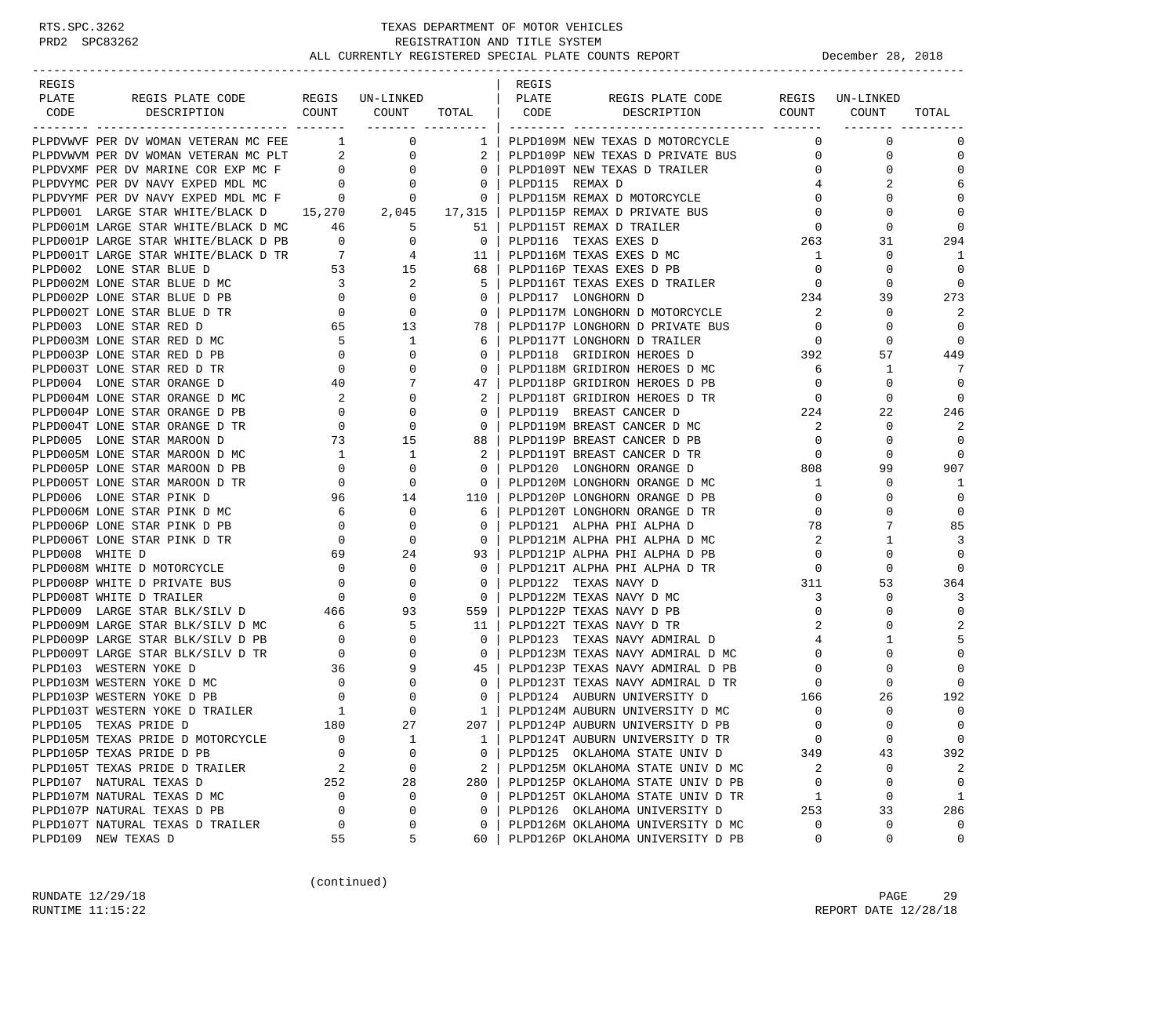-----------------------------------------------------------------------------------------------------------------------------------

| REGIS |                                                                                     |                                                        |                                                     | REGIS |                                                                                                                                                                                                                 |                                                                                                                 |                         |                |
|-------|-------------------------------------------------------------------------------------|--------------------------------------------------------|-----------------------------------------------------|-------|-----------------------------------------------------------------------------------------------------------------------------------------------------------------------------------------------------------------|-----------------------------------------------------------------------------------------------------------------|-------------------------|----------------|
| PLATE | REGIS PLATE CODE                                                                    | DE REGIS UN-LINKED   PLATE<br>COUNT COUNT TOTAL   CODE |                                                     |       |                                                                                                                                                                                                                 |                                                                                                                 |                         |                |
| CODE  | DESCRIPTION                                                                         |                                                        |                                                     |       |                                                                                                                                                                                                                 |                                                                                                                 |                         | TOTAL          |
|       |                                                                                     |                                                        |                                                     |       |                                                                                                                                                                                                                 |                                                                                                                 |                         |                |
|       |                                                                                     |                                                        |                                                     |       |                                                                                                                                                                                                                 |                                                                                                                 |                         | $\Omega$       |
|       |                                                                                     |                                                        |                                                     |       |                                                                                                                                                                                                                 |                                                                                                                 |                         | $\mathbf 0$    |
|       |                                                                                     |                                                        |                                                     |       |                                                                                                                                                                                                                 |                                                                                                                 |                         | $\Omega$       |
|       |                                                                                     |                                                        |                                                     |       |                                                                                                                                                                                                                 |                                                                                                                 |                         | 6              |
|       |                                                                                     |                                                        |                                                     |       |                                                                                                                                                                                                                 |                                                                                                                 |                         | $\Omega$       |
|       | PLPD001 LARGE STAR WHITE/BLACK D 15,270 2,045 17,315   PLPD115P REMAX D PRIVATE BUS |                                                        |                                                     |       |                                                                                                                                                                                                                 | $\Omega$                                                                                                        | $\Omega$                | $\Omega$       |
|       |                                                                                     |                                                        |                                                     |       |                                                                                                                                                                                                                 | $\overline{0}$                                                                                                  | $\Omega$                | $\cap$         |
|       |                                                                                     |                                                        |                                                     |       |                                                                                                                                                                                                                 | 263                                                                                                             | 31                      | 294            |
|       |                                                                                     |                                                        |                                                     |       |                                                                                                                                                                                                                 | $\overline{1}$                                                                                                  | $\mathbf 0$             | 1              |
|       |                                                                                     |                                                        |                                                     |       |                                                                                                                                                                                                                 | $\overline{0}$                                                                                                  | $\Omega$                |                |
|       |                                                                                     |                                                        |                                                     |       | 5   PLPD116T TEXAS EXES D TRAILER                                                                                                                                                                               | $\begin{array}{c}0\\234\end{array}$                                                                             | $\Omega$                | $\Omega$       |
|       |                                                                                     |                                                        |                                                     |       |                                                                                                                                                                                                                 | $\overline{\phantom{a}}^2$                                                                                      | 39                      | 273            |
|       |                                                                                     |                                                        |                                                     |       | 0   PLPD117M LONGHORN D MOTORCYCLE                                                                                                                                                                              | $\overline{0}$                                                                                                  | $\mathbf 0$             | 2<br>$\Omega$  |
|       |                                                                                     |                                                        |                                                     |       | 78   PLPD117P LONGHORN D PRIVATE BUS                                                                                                                                                                            | $\overline{0}$                                                                                                  | $\Omega$<br>$\mathbf 0$ | $\Omega$       |
|       |                                                                                     |                                                        |                                                     |       |                                                                                                                                                                                                                 | $\begin{array}{c}\n 0 \\  392\n \end{array}$                                                                    | 57                      | 449            |
|       |                                                                                     |                                                        |                                                     |       |                                                                                                                                                                                                                 | 6                                                                                                               | $\mathbf{1}$            |                |
|       |                                                                                     |                                                        |                                                     |       | 0   PLPD118M GRIDIRON HEROES D MC                                                                                                                                                                               | $\overline{0}$                                                                                                  | $\Omega$                | $\Omega$       |
|       |                                                                                     |                                                        |                                                     |       |                                                                                                                                                                                                                 |                                                                                                                 | $\mathbf 0$             | $\mathbf 0$    |
|       |                                                                                     |                                                        |                                                     |       | D TR                                                                                                                                                                                                            | $\frac{1}{2}$                                                                                                   | 22                      | 246            |
|       |                                                                                     |                                                        |                                                     |       |                                                                                                                                                                                                                 |                                                                                                                 | $\mathbf 0$             | 2              |
|       |                                                                                     |                                                        |                                                     |       |                                                                                                                                                                                                                 | $\overline{0}$                                                                                                  | $\mathbf 0$             | $\Omega$       |
|       |                                                                                     |                                                        |                                                     |       |                                                                                                                                                                                                                 | $\overline{0}$                                                                                                  | $\Omega$                | $\Omega$       |
|       |                                                                                     |                                                        |                                                     |       | 0   PLPD120 LONGHORN ORANGE D                                                                                                                                                                                   | 808                                                                                                             | 99                      | 907            |
|       |                                                                                     |                                                        |                                                     |       | 0   PLPD120M LONGHORN ORANGE D MC                                                                                                                                                                               | 1                                                                                                               | $\Omega$                | 1              |
|       |                                                                                     |                                                        |                                                     |       | 110   PLPD120P LONGHORN ORANGE D PB                                                                                                                                                                             | $\overline{0}$                                                                                                  | $\mathbf 0$             | $\mathbf{0}$   |
|       |                                                                                     |                                                        |                                                     |       | 6   PLPD120T LONGHORN ORANGE D TR                                                                                                                                                                               | $\bigcirc$                                                                                                      | $\Omega$                | $\Omega$       |
|       |                                                                                     |                                                        |                                                     |       | 0   PLPD121 ALPHA PHI ALPHA D                                                                                                                                                                                   | 78                                                                                                              | 7                       | 85             |
|       |                                                                                     |                                                        |                                                     |       | 0   PLPD121M ALPHA PHI ALPHA D MC                                                                                                                                                                               | 2                                                                                                               | 1                       | 3              |
|       |                                                                                     |                                                        |                                                     |       | 93   PLPD121P ALPHA PHI ALPHA D PB                                                                                                                                                                              | $\overline{0}$                                                                                                  | $\mathbf 0$             | $\overline{0}$ |
|       |                                                                                     |                                                        |                                                     |       | 0   PLPD121T ALPHA PHI ALPHA D TR                                                                                                                                                                               | $\overline{0}$                                                                                                  | $\Omega$                | $\Omega$       |
|       |                                                                                     |                                                        | $\overline{\phantom{0}}$ 0 $\overline{\phantom{0}}$ |       | PLPD122 TEXAS NAVY D                                                                                                                                                                                            | $\frac{1}{311}$                                                                                                 | 53                      | 364            |
|       |                                                                                     |                                                        |                                                     |       | 0   PLPD122M TEXAS NAVY D MC                                                                                                                                                                                    | 3                                                                                                               | $\Omega$                | 3              |
|       |                                                                                     |                                                        |                                                     |       | 559   PLPD122P TEXAS NAVY D PB                                                                                                                                                                                  | $\mathbf 0$                                                                                                     | $\mathbf 0$             | $\mathbf 0$    |
|       |                                                                                     |                                                        |                                                     |       | 11   PLPD122T TEXAS NAVY D TR                                                                                                                                                                                   | 2                                                                                                               | $\Omega$                |                |
|       |                                                                                     |                                                        |                                                     |       | $0$   PLPD123 TEXAS NAVY ADMIRAL D                                                                                                                                                                              | $\overline{4}$                                                                                                  | 1                       | 5              |
|       |                                                                                     |                                                        |                                                     |       | 0   PLPD123M TEXAS NAVY ADMIRAL D MC                                                                                                                                                                            | $\overline{0}$                                                                                                  | $\Omega$                | $\Omega$       |
|       |                                                                                     |                                                        |                                                     |       | 45   PLPD123P TEXAS NAVY ADMIRAL D PB                                                                                                                                                                           | $\overline{0}$                                                                                                  | $\Omega$                | $\Omega$       |
|       |                                                                                     |                                                        |                                                     |       |                                                                                                                                                                                                                 |                                                                                                                 | $\mathbf 0$             | $\Omega$       |
|       |                                                                                     |                                                        |                                                     |       |                                                                                                                                                                                                                 |                                                                                                                 | 26                      | 192            |
|       |                                                                                     |                                                        |                                                     |       |                                                                                                                                                                                                                 |                                                                                                                 | $\mathbf 0$             | $\Omega$       |
|       |                                                                                     |                                                        |                                                     |       | 207   PLPD124P AUBURN UNIVERSITY D PB                                                                                                                                                                           | $\overline{0}$                                                                                                  | $\Omega$                |                |
|       |                                                                                     |                                                        |                                                     |       |                                                                                                                                                                                                                 |                                                                                                                 | $\overline{0}$          | $\overline{0}$ |
|       |                                                                                     |                                                        |                                                     |       |                                                                                                                                                                                                                 |                                                                                                                 | 43                      | 392            |
|       |                                                                                     |                                                        |                                                     |       | 1   PLPD124T AUBURN UNIVERSITY D TR<br>0   PLPD125 OKLAHOMA STATE UNIV D 349<br>2   PLPD125M OKLAHOMA STATE UNIV D MC 2<br>280   PLPD125P OKLAHOMA STATE UNIV D PB 0<br>0   PLPD125T OKLAHOMA STATE UNIV D PB 0 |                                                                                                                 | $\overline{0}$          |                |
|       |                                                                                     |                                                        |                                                     |       |                                                                                                                                                                                                                 |                                                                                                                 | $\Omega$                |                |
|       |                                                                                     |                                                        |                                                     |       | 0   PLPD125T OKLAHOMA STATE UNIV D TR                                                                                                                                                                           | $\overline{1}$<br>$\begin{tabular}{ccccc} TR & & & 1 \\ & & & 253 \\ MC & & & 0 \\ PB & & & 0 \\ \end{tabular}$ | $\circ$                 | 1              |
|       |                                                                                     |                                                        |                                                     |       | 0   PLPD126 OKLAHOMA UNIVERSITY D                                                                                                                                                                               |                                                                                                                 | 33                      | 286            |
|       |                                                                                     |                                                        |                                                     |       | 0   PLPD126M OKLAHOMA UNIVERSITY D MC                                                                                                                                                                           |                                                                                                                 | $\mathbf 0$             | $\overline{0}$ |
|       |                                                                                     |                                                        |                                                     |       | 60   PLPD126P OKLAHOMA UNIVERSITY D PB                                                                                                                                                                          |                                                                                                                 | $\Omega$                | $\Omega$       |

(continued)

RUNDATE  $12/29/18$  PAGE 29 RUNTIME 11:15:22 REPORT DATE 12/28/18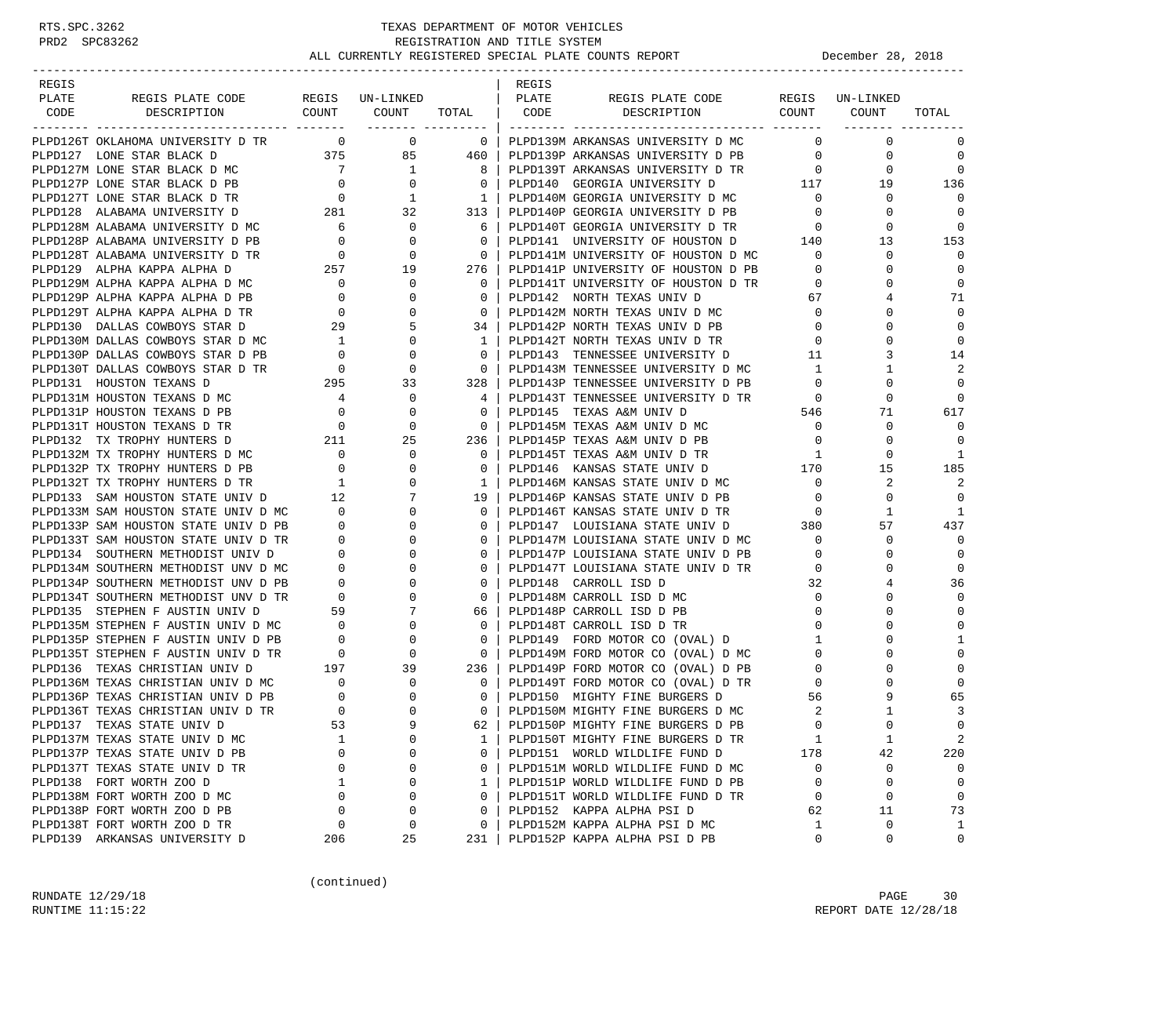| REGIS |                                                                                                                                                               |                                        |                                           |                          | REGIS |                                                                          |                          |                 |                |
|-------|---------------------------------------------------------------------------------------------------------------------------------------------------------------|----------------------------------------|-------------------------------------------|--------------------------|-------|--------------------------------------------------------------------------|--------------------------|-----------------|----------------|
| PLATE | REGIS PLATE CODE REGIS UN-LINKED<br>DESCRIPTION COUNT COUNT                                                                                                   |                                        |                                           |                          | PLATE | REGIS PLATE CODE<br>TOTAL   CODE DESCRIPTION COUNT                       |                          | REGIS UN-LINKED |                |
| CODE  |                                                                                                                                                               |                                        |                                           |                          |       |                                                                          |                          | COUNT           | TOTAL          |
|       | PLPD126T OKLAHOMA UNIVERSITY D TR 0 0 0                                                                                                                       |                                        |                                           | $\overline{0}$           |       | PLPD139M ARKANSAS UNIVERSITY D MC                                        | $\Omega$                 | $\mathbf 0$     | 0              |
|       | PLPD127 LONE STAR BLACK D                                                                                                                                     |                                        | $375$ $85$ $460$                          |                          |       | PLPD139P ARKANSAS UNIVERSITY D PB                                        | $\overline{0}$           | 0               | $\mathbf 0$    |
|       | PLPD127M LONE STAR BLACK D MC                                                                                                                                 | $7\overline{)}$                        | $\begin{array}{c}\n5 \\ 1 \\ \end{array}$ | 81                       |       | PLPD139T ARKANSAS UNIVERSITY D TR                                        | $\overline{0}$           | 0               | $\mathbf 0$    |
|       | PLPD127P LONE STAR BLACK D PB 0                                                                                                                               |                                        |                                           | $\overline{\phantom{0}}$ |       | PLPD140 GEORGIA UNIVERSITY D                                             | 117                      | 19              | 136            |
|       | PLPD127T LONE STAR BLACK D TR                                                                                                                                 |                                        |                                           | $\overline{1}$           |       |                                                                          |                          | 0               | $\Omega$       |
|       | PLPD128 ALABAMA UNIVERSITY D                                                                                                                                  | $\begin{array}{c}0\\281\end{array}$    | $\begin{array}{c} 1 \\ 32 \end{array}$    | 313                      |       | PLPD140M GEORGIA UNIVERSITY D MC 0<br>PLPD140P GEORGIA UNIVERSITY D PB 0 |                          | $\Omega$        | $\overline{0}$ |
|       | PLPD128M ALABAMA UNIVERSITY D MC                                                                                                                              |                                        | $\overline{0}$                            | 6                        |       | PLPD140T GEORGIA UNIVERSITY D TR 0                                       |                          | 0               | $\mathbf 0$    |
|       | PLPD128P ALABAMA UNIVERSITY D PB                                                                                                                              | $\begin{array}{c} 6 \\ 0 \end{array}$  | $\mathbf 0$                               | $\overline{0}$           |       | PLPD141 UNIVERSITY OF HOUSTON D                                          | 140                      | 13              | 153            |
|       | PLPD128T ALABAMA UNIVERSITY D TR                                                                                                                              | $\overline{0}$                         | 0                                         | $\overline{\phantom{0}}$ |       | PLPD141M UNIVERSITY OF HOUSTON D MC                                      | $\overline{0}$           | 0               | $\Omega$       |
|       | PLPD129 ALPHA KAPPA ALPHA D                                                                                                                                   | 257                                    | 19                                        | 276                      |       | PLPD141P UNIVERSITY OF HOUSTON D PB                                      | $\mathbf{0}$             | 0               | $\mathbf 0$    |
|       | PLPD129M ALPHA KAPPA ALPHA D MC                                                                                                                               | $\overline{\phantom{0}}$               | 0                                         | $\overline{0}$           |       | PLPD141T UNIVERSITY OF HOUSTON D TR                                      | $\overline{0}$           | $\Omega$        | $\mathbf 0$    |
|       | PLPD129P ALPHA KAPPA ALPHA D PB                                                                                                                               | $\overline{a}$                         | 0                                         | $\overline{0}$           |       | PLPD142 NORTH TEXAS UNIV D                                               | 67                       | 4               | 71             |
|       | PLPD129T ALPHA KAPPA ALPHA D TR                                                                                                                               | $\overline{0}$                         | $\mathbf 0$                               | $\overline{0}$           |       | PLPD142M NORTH TEXAS UNIV D MC                                           | $\circ$                  | $\Omega$        | $\mathbf 0$    |
|       | PLPD130 DALLAS COWBOYS STAR D                                                                                                                                 | 29                                     | 5                                         | 34 I                     |       | PLPD142P NORTH TEXAS UNIV D PB                                           | $\mathbf 0$              | $\Omega$        | $\mathbf 0$    |
|       | PLPD130M DALLAS COWBOYS STAR D MC                                                                                                                             |                                        | $\mathbf{0}$                              | 1                        |       | PLPD142T NORTH TEXAS UNIV D TR                                           | $\mathbf{0}$             | $\Omega$        | $\mathbf 0$    |
|       | PLPD130P DALLAS COWBOYS STAR D PB                                                                                                                             | $\begin{array}{c} 1 \\ 0 \end{array}$  | $\mathbf 0$                               | $\overline{0}$           |       | PLPD143 TENNESSEE UNIVERSITY D                                           | -11                      | 3               | 14             |
|       |                                                                                                                                                               |                                        | $\mathbf{0}$                              | $\overline{\phantom{0}}$ |       | PLPD143M TENNESSEE UNIVERSITY D MC                                       | $\mathbf{1}$             | 1               | 2              |
|       |                                                                                                                                                               |                                        | 33                                        | 328 l                    |       | PLPD143P TENNESSEE UNIVERSITY D PB                                       | $\overline{0}$           | $\Omega$        | $\Omega$       |
|       | PLPD130T DALLAS COWBOYS STAR D TR<br>PLPD131 HOUSTON TEXANS D<br>PLPD131M HOUSTON TEXANS D MC<br>PLPD131P HOUSTON TEXANS D MC<br>PLPD131P HOUSTON TEVANG D DD |                                        | $\mathbf{0}$                              | 4                        |       | PLPD143T TENNESSEE UNIVERSITY D TR                                       | $\overline{\phantom{0}}$ | $\Omega$        | $\Omega$       |
|       | PLPD131P HOUSTON TEXANS D PB 0<br>PLPD131T HOUSTON TEXANS D TR 0                                                                                              |                                        | 0                                         | 0                        |       | PLPD145 TEXAS A&M UNIV D                                                 | 546                      | 71              | 617            |
|       | PLPD131T HOUSTON TEXANS D TR                                                                                                                                  |                                        | $\mathbf 0$                               | $\overline{0}$           |       | PLPD145M TEXAS A&M UNIV D MC                                             | $\overline{0}$           | $\mathbf 0$     | $\mathbf 0$    |
|       | 211<br>PLPD132 TX TROPHY HUNTERS D                                                                                                                            |                                        | 25                                        | 236                      |       | PLPD145P TEXAS A&M UNIV D PB                                             | $\overline{0}$           | 0               | $\mathbf 0$    |
|       | PLPD132M TX TROPHY HUNTERS D MC<br>PLPD132P TX TROPHY HUNTERS D PB $0$                                                                                        |                                        | 0                                         | $\mathbf{0}$             |       | PLPD145T TEXAS A&M UNIV D TR                                             | $\mathbf{1}$             | 0               | 1              |
|       |                                                                                                                                                               |                                        | $\Omega$                                  | $\Omega$                 |       | PLPD146 KANSAS STATE UNIV D 170                                          |                          | 15              | 185            |
|       | PLPD132T TX TROPHY HUNTERS D TR                                                                                                                               | $\begin{array}{c} 1 \\ 12 \end{array}$ | 0                                         | 1                        |       | PLPD146M KANSAS STATE UNIV D MC                                          | $\overline{0}$           | 2               | 2              |
|       | PLPD133 SAM HOUSTON STATE UNIV D                                                                                                                              |                                        | 7                                         | 19                       |       | PLPD146P KANSAS STATE UNIV D PB                                          | $\overline{0}$           | $\mathbf 0$     | $\overline{0}$ |
|       | PLPD133M SAM HOUSTON STATE UNIV D MC 0                                                                                                                        |                                        | $\mathbf{0}$                              | $\Omega$                 |       | PLPD146T KANSAS STATE UNIV D TR                                          | $\overline{0}$           | 1               | 1              |
|       | PLPD133P SAM HOUSTON STATE UNIV D PB                                                                                                                          | $\overline{0}$                         | $\Omega$                                  | $\mathbf{0}$             |       | PLPD147 LOUISIANA STATE UNIV D                                           | 380                      | 57              | 437            |
|       | PLPD133T SAM HOUSTON STATE UNIV D TR                                                                                                                          | $\overline{0}$                         | $\Omega$                                  | $\Omega$                 |       | PLPD147M LOUISIANA STATE UNIV D MC                                       | $\overline{0}$           | 0               | $\mathbf 0$    |
|       | PLPD134 SOUTHERN METHODIST UNIV D                                                                                                                             | $\begin{array}{c} 0 \\ 0 \end{array}$  | 0                                         | $\mathbf{0}$             |       | PLPD147P LOUISIANA STATE UNIV D PB                                       | $\mathbf{0}$             | 0               | $\mathbf 0$    |
|       | PLPD134M SOUTHERN METHODIST UNV D MC                                                                                                                          |                                        | $\Omega$                                  | $\mathbf{0}$             |       | PLPD147T LOUISIANA STATE UNIV D TR                                       | $\mathbf 0$              | $\Omega$        | $\mathbf 0$    |
|       | PLPD134P SOUTHERN METHODIST UNV D PB                                                                                                                          | $\overline{0}$                         | 0                                         | $\mathbf{0}$             |       | PLPD148 CARROLL ISD D                                                    | 32                       | 4               | 36             |
|       | PLPD134T SOUTHERN METHODIST UNV D TR                                                                                                                          | TR 0<br>59                             | $\Omega$                                  | $\overline{0}$           |       | PLPD148M CARROLL ISD D MC                                                | $\circ$                  | $\Omega$        | $\mathbf 0$    |
|       | PLPD135 STEPHEN F AUSTIN UNIV D                                                                                                                               |                                        | 7                                         | 66                       |       | PLPD148P CARROLL ISD D PB                                                | $\overline{0}$           | $\Omega$        | $\mathbf 0$    |
|       | PLPD135M STEPHEN F AUSTIN UNIV D MC 0<br>PLPD135P STEPHEN F AUSTIN UNIV D PB 0                                                                                |                                        |                                           | $\mathbf{0}$             |       | PLPD148T CARROLL ISD D TR                                                | $\overline{0}$           | $\Omega$        | $\mathbf 0$    |
|       |                                                                                                                                                               |                                        |                                           | $\overline{0}$           |       | PLPD149 FORD MOTOR CO (OVAL) D                                           | $\mathbf{1}$             |                 | 1              |
|       | PLPD135T STEPHEN F AUSTIN UNIV D TR                                                                                                                           |                                        |                                           | $\overline{\phantom{0}}$ |       | PLPD149M FORD MOTOR CO (OVAL) D MC                                       | $\overline{0}$           | $\Omega$        | $\mathbf 0$    |
|       | PLPD136 TEXAS CHRISTIAN UNIV D                                                                                                                                |                                        |                                           | 236                      |       | PLPD149P FORD MOTOR CO (OVAL) D PB                                       | $\overline{0}$           |                 | $\Omega$       |
|       | PLPD136M TEXAS CHRISTIAN UNIV D MC 0                                                                                                                          |                                        |                                           | $\overline{\phantom{0}}$ |       | PLPD149T FORD MOTOR CO (OVAL) D TR                                       | $\overline{\mathbf{0}}$  |                 | $\Omega$       |
|       | PLPD136P TEXAS CHRISTIAN UNIV D PB                                                                                                                            |                                        |                                           | $\mathbf{0}$             |       | PLPD150 MIGHTY FINE BURGERS D                                            | 56                       | 9               | 65             |
|       | PLPD136T TEXAS CHRISTIAN UNIV D TR                                                                                                                            |                                        |                                           | $\Omega$                 |       | PLPD150M MIGHTY FINE BURGERS D MC                                        | 2                        |                 | 3              |
|       | PLPD137 TEXAS STATE UNIV D                                                                                                                                    | 53                                     |                                           | 62 l                     |       | PLPD150P MIGHTY FINE BURGERS D PB                                        | $\Omega$                 | $\Omega$        | $\Omega$       |
|       | PLPD137M TEXAS STATE UNIV D MC                                                                                                                                | $\mathbf{1}$                           | 0                                         | 1                        |       | PLPD150T MIGHTY FINE BURGERS D TR                                        | 1                        | $\mathbf{1}$    | 2              |
|       | PLPD137P TEXAS STATE UNIV D PB                                                                                                                                | $\Omega$                               | $\Omega$                                  | 0                        |       | PLPD151 WORLD WILDLIFE FUND D                                            | 178                      | 42              | 220            |
|       | PLPD137T TEXAS STATE UNIV D TR                                                                                                                                | 0                                      | 0                                         | 0                        |       | PLPD151M WORLD WILDLIFE FUND D MC                                        | $\circ$                  | 0               | $\mathbf 0$    |
|       | PLPD138 FORT WORTH ZOO D                                                                                                                                      | 1                                      | 0                                         | 1                        |       | PLPD151P WORLD WILDLIFE FUND D PB                                        | $\mathbf 0$              | 0               | $\mathbf 0$    |
|       | PLPD138M FORT WORTH ZOO D MC                                                                                                                                  | $\Omega$                               | 0                                         | $\Omega$                 |       | PLPD151T WORLD WILDLIFE FUND D TR                                        | 0                        | $\mathbf 0$     | $\mathbf 0$    |
|       | PLPD138P FORT WORTH ZOO D PB                                                                                                                                  | $\mathbf 0$                            | 0                                         | $\mathbf 0$              |       | PLPD152 KAPPA ALPHA PSI D                                                | 62                       | 11              | 73             |
|       | PLPD138T FORT WORTH ZOO D TR                                                                                                                                  | 0                                      | 0                                         | 0                        |       | PLPD152M KAPPA ALPHA PSI D MC                                            | 1                        | 0               | 1              |
|       | PLPD139 ARKANSAS UNIVERSITY D                                                                                                                                 | 206                                    | 25                                        | 231                      |       | PLPD152P KAPPA ALPHA PSI D PB                                            | $\mathbf 0$              | 0               | 0              |

(continued)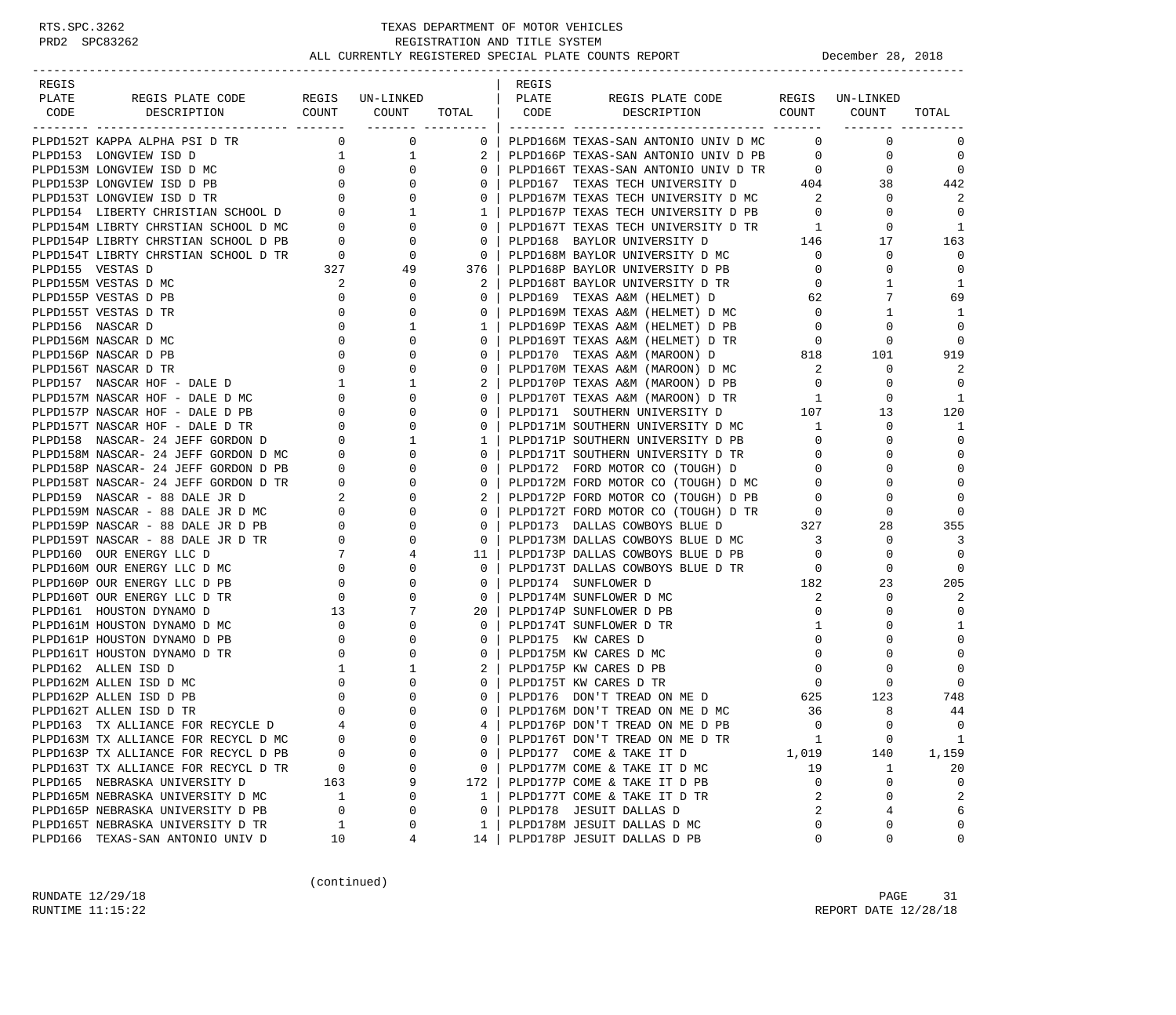| REGIS |                                                                      |                |                                  |                             | REGIS |                                                                            |                                     |                 |                |
|-------|----------------------------------------------------------------------|----------------|----------------------------------|-----------------------------|-------|----------------------------------------------------------------------------|-------------------------------------|-----------------|----------------|
| PLATE | REGIS PLATE CODE                                                     |                | REGIS UN-LINKED<br>COUNT COUNT   |                             | PLATE | REGIS PLATE CODE<br>DESCRIPTION COUNT                                      |                                     | REGIS UN-LINKED |                |
| CODE  | DESCRIPTION                                                          |                |                                  | TOTAL<br>-------- --------- | CODE  |                                                                            |                                     | COUNT           | TOTAL          |
|       | PLPD152T KAPPA ALPHA PSI D TR                                        | $\overline{0}$ | $\mathsf{O}$                     | $\mathbf{0}$                |       | PLPD166M TEXAS-SAN ANTONIO UNIV D MC                                       | $\mathbf{0}$                        | $\mathbf 0$     | 0              |
|       | PLPD153 LONGVIEW ISD D                                               |                | $1$ , $\sim$<br>$\mathbf{1}$     | 2                           |       | PLPD166P TEXAS-SAN ANTONIO UNIV D PB                                       | $\mathbf{0}$                        | $\mathbf 0$     | $\mathbf 0$    |
|       | PLPD153M LONGVIEW ISD D MC                                           |                | $\overline{0}$<br>$\mathbf{0}$   | $\mathbf{0}$                |       | PLPD166T TEXAS-SAN ANTONIO UNIV D TR                                       | $\overline{0}$                      | $\mathbf 0$     | $\mathbf 0$    |
|       | PLPD153P LONGVIEW ISD D PB                                           |                | $\overline{0}$<br>$\overline{0}$ | $\Omega$                    |       | PLPD167 TEXAS TECH UNIVERSITY D                                            | 404                                 | 38              | 442            |
|       | PLPD153T LONGVIEW ISD D TR 0<br>PLPD154 LIBERTY CHRISTIAN SCHOOL D 0 |                | $\overline{0}$                   | $\mathbf{0}$                |       | PLPD167M TEXAS TECH UNIVERSITY D MC                                        | 2                                   | 0               | 2              |
|       |                                                                      |                | $\mathbf{1}$                     | 1                           |       | PLPD167P TEXAS TECH UNIVERSITY D PB                                        | $\overline{0}$                      | $\Omega$        | 0              |
|       | PLPD154M LIBRTY CHRSTIAN SCHOOL D MC                                 | $\overline{0}$ | $\overline{0}$                   | $\mathbf{0}$                |       | PLPD167T TEXAS TECH UNIVERSITY D TR                                        | $\overline{1}$                      | $\mathbf 0$     | 1              |
|       | PLPD154P LIBRTY CHRSTIAN SCHOOL D PB                                 | $\overline{0}$ | $\mathbf 0$                      | 0                           |       | PLPD168 BAYLOR UNIVERSITY D                                                | 146                                 | 17              | 163            |
|       | PLPD154T LIBRTY CHRSTIAN SCHOOL D TR                                 | $\overline{0}$ | $\circ$                          | $\circ$                     |       | PLPD168M BAYLOR UNIVERSITY D MC                                            | $\overline{0}$                      | 0               | $\Omega$       |
|       | PLPD155 VESTAS D                                                     | 327            | 49                               | 376 l                       |       | PLPD168P BAYLOR UNIVERSITY D PB                                            | $\mathbf 0$                         | 0               | $\mathbf 0$    |
|       | PLPD155M VESTAS D MC                                                 | 2              | $\mathbf 0$                      | $2-1$                       |       | PLPD168T BAYLOR UNIVERSITY D TR                                            | $\mathbf{0}$                        | 1               | 1              |
|       | PLPD155P VESTAS D PB                                                 | $\mathbf 0$    | 0                                | 0                           |       | PLPD169 TEXAS A&M (HELMET) D                                               | 62                                  | 7               | 69             |
|       | PLPD155T VESTAS D TR                                                 | 0              | $\Omega$                         | 0                           |       | PLPD169M TEXAS A&M (HELMET) D MC                                           | $\mathbf{0}$                        | 1               | 1              |
|       | PLPD156 NASCAR D                                                     | $\circ$        | 1                                | $\mathbf{1}$                |       | PLPD169P TEXAS A&M (HELMET) D PB                                           | $\mathbf{0}$                        | 0               | $\Omega$       |
|       | PLPD156M NASCAR D MC                                                 | $\mathbf{0}$   | 0                                | $\mathbf{0}$                |       | PLPD169T TEXAS A&M (HELMET) D TR                                           |                                     | 0               | 0              |
|       | PLPD156P NASCAR D PB                                                 | $\overline{0}$ | $\Omega$                         | 0                           |       | PLPD170 TEXAS A&M (MAROON) D                                               | $\begin{array}{c}0\\818\end{array}$ | 101             | 919            |
|       | PLPD156T NASCAR D TR                                                 | $\overline{0}$ | 0                                | $\mathbf{0}$                |       | PLPD170M TEXAS A&M (MAROON) D MC                                           | 2                                   | 0               | 2              |
|       | PLPD157 NASCAR HOF - DALE D                                          | $\mathbf{1}$   | 1                                | 2                           |       | PLPD170P TEXAS A&M (MAROON) D PB                                           | $\overline{0}$                      | 0               | $\Omega$       |
|       | PLPD157M NASCAR HOF - DALE D MC                                      | $\mathbf{0}$   | $\Omega$                         | 0                           |       | PLPD170T TEXAS A&M (MAROON) D TR 1                                         |                                     | 0               | 1              |
|       | PLPD157P NASCAR HOF - DALE D PB                                      | $\overline{0}$ | 0                                | $\mathbf{0}$                |       | PLPD171 SOUTHERN UNIVERSITY D<br>107                                       |                                     | 13              | 120            |
|       | PLPD157T NASCAR HOF - DALE D TR                                      | $\overline{0}$ | $\mathbf 0$                      | 0                           |       | PLPD171M SOUTHERN UNIVERSITY D MC                                          | 1                                   | 0               | 1              |
|       | PLPD158 NASCAR- 24 JEFF GORDON D                                     | $\overline{0}$ | 1                                | $\mathbf{1}$                |       | PLPD171P SOUTHERN UNIVERSITY D PB                                          | $\mathbf{0}$                        | 0               | 0              |
|       | PLPD158M NASCAR- 24 JEFF GORDON D MC                                 | $\overline{0}$ | $\mathbf 0$                      | 0                           |       | PLPD171T SOUTHERN UNIVERSITY D TR                                          | $\mathbf 0$                         | 0               | $\mathbf 0$    |
|       | PLPD158P NASCAR- 24 JEFF GORDON D PB                                 | $\overline{0}$ | $\mathbf 0$                      | 0                           |       | PLPD172 FORD MOTOR CO (TOUGH) D                                            | $\mathbf{0}$                        | 0               | $\Omega$       |
|       | PLPD158T NASCAR- 24 JEFF GORDON D TR                                 | $\overline{0}$ | $\mathbf 0$                      | $\mathbf{0}$                |       | PLPD172M FORD MOTOR CO (TOUGH) D MC<br>PLPD172P FORD MOTOR CO (TOUGH) D PB | $\mathbf{0}$                        | 0               | $\mathbf 0$    |
|       | PLPD159 NASCAR - 88 DALE JR D                                        | $\overline{a}$ | $\Omega$                         | 2                           |       | PLPD172P FORD MOTOR CO (TOUGH) D PB                                        | $\overline{0}$                      | $\Omega$        | $\Omega$       |
|       | PLPD159M NASCAR - 88 DALE JR D MC                                    | $\overline{0}$ | 0                                | $\mathbf{0}$                |       | PLPD172T FORD MOTOR CO (TOUGH) D TR                                        | D TR 0<br>327                       | $\mathbf 0$     | $\Omega$       |
|       | PLPD159P NASCAR - 88 DALE JR D PB                                    | $\overline{0}$ | 0                                | 0                           |       | PLPD173 DALLAS COWBOYS BLUE D                                              |                                     | 28              | 355            |
|       | PLPD159T NASCAR - 88 DALE JR D TR                                    | $\overline{0}$ | $\Omega$                         | $\Omega$                    |       | PLPD173M DALLAS COWBOYS BLUE D MC 3                                        |                                     | 0               | 3              |
|       | PLPD160 OUR ENERGY LLC D                                             | $7^{\circ}$    | 4                                | 11                          |       | PLPD173P DALLAS COWBOYS BLUE D PB                                          | $\mathbf 0$                         | 0               | $\mathbf 0$    |
|       | PLPD160M OUR ENERGY LLC D MC                                         | $\overline{0}$ | $\Omega$                         | 0                           |       | PLPD173T DALLAS COWBOYS BLUE D TR                                          | $\overline{0}$                      | $\mathbf 0$     | $\overline{0}$ |
|       | PLPD160P OUR ENERGY LLC D PB                                         | $\mathbf{0}$   | $\mathbf 0$                      | 0                           |       | PLPD174 SUNFLOWER D                                                        | 182                                 | 23              | 205            |
|       | PLPD160T OUR ENERGY LLC D TR                                         | $\overline{0}$ | $\Omega$                         | $\mathbf{0}$                |       | PLPD174M SUNFLOWER D MC                                                    | 2                                   | 0               | 2              |
|       | PLPD161 HOUSTON DYNAMO D                                             | 13             | 7                                | 20                          |       | PLPD174P SUNFLOWER D PB                                                    | $\mathbf{0}$                        | 0               | $\Omega$       |
|       | PLPD161M HOUSTON DYNAMO D MC                                         | $\overline{0}$ | 0                                | $\mathbf{0}$                |       | PLPD174T SUNFLOWER D TR                                                    | 1                                   | 0               | 1              |
|       | PLPD161P HOUSTON DYNAMO D PB                                         | $\overline{0}$ | 0                                | 0                           |       | PLPD175 KW CARES D                                                         | 0                                   | $\Omega$        | $\mathbf 0$    |
|       | PLPD161T HOUSTON DYNAMO D TR                                         | $\mathbf{0}$   | $\mathbf 0$                      | $\mathbf{0}$                |       | PLPD175M KW CARES D MC                                                     | $\mathbf 0$                         | $\Omega$        | $\mathbf 0$    |
|       | PLPD162 ALLEN ISD D                                                  | $\mathbf{1}$   | 1                                | 2                           |       | PLPD175P KW CARES D PB                                                     | $\mathbf 0$                         | 0               | $\Omega$       |
|       | PLPD162M ALLEN ISD D MC                                              | $\mathbf 0$    | 0                                | $\mathbf{0}$                |       | PLPD175T KW CARES D TR                                                     | $\overline{0}$                      | $\Omega$        | $\Omega$       |
|       | PLPD162P ALLEN ISD D PB                                              | $\mathbf{0}$   | 0                                | $\mathbf{0}$                |       | PLPD176 DON'T TREAD ON ME D                                                | 625                                 | 123             | 748            |
|       | PLPD162T ALLEN ISD D TR                                              | $\Omega$       | $\Omega$                         | $\Omega$                    |       | PLPD176M DON'T TREAD ON ME D MC                                            | 36                                  | 8               | 44             |
|       | PLPD163 TX ALLIANCE FOR RECYCLE D                                    |                | $\Omega$                         | 4                           |       | PLPD176P DON'T TREAD ON ME D PB                                            | $\Omega$                            | $\Omega$        | $\Omega$       |
|       | PLPD163M TX ALLIANCE FOR RECYCL D MC                                 | 0              | 0                                | 0                           |       | PLPD176T DON'T TREAD ON ME D TR                                            | $\mathbf{1}$                        | $\mathsf 0$     | $\mathbf{1}$   |
|       | PLPD163P TX ALLIANCE FOR RECYCL D PB                                 | 0              | 0                                | $\mathbf{0}$                |       | PLPD177 COME & TAKE IT D                                                   | 1,019                               | 140             | 1,159          |
|       | PLPD163T TX ALLIANCE FOR RECYCL D TR                                 | 0              | 0                                | $\mathbf{0}$                |       | PLPD177M COME & TAKE IT D MC                                               | 19                                  | 1               | 20             |
|       | PLPD165 NEBRASKA UNIVERSITY D                                        | 163            | 9                                | 172                         |       | PLPD177P COME & TAKE IT D PB                                               | $\mathbf 0$                         | 0               | $\mathbf 0$    |
|       | PLPD165M NEBRASKA UNIVERSITY D MC                                    | 1              | 0                                | $\mathbf{1}$                |       | PLPD177T COME & TAKE IT D TR                                               | 2                                   | 0               | 2              |
|       | PLPD165P NEBRASKA UNIVERSITY D PB                                    | $\mathbf 0$    | 0                                | 0                           |       | PLPD178 JESUIT DALLAS D                                                    | 2                                   | 4               | 6              |
|       | PLPD165T NEBRASKA UNIVERSITY D TR                                    | 1              | 0                                | 1                           |       | PLPD178M JESUIT DALLAS D MC                                                | 0                                   | 0               | $\mathbf 0$    |
|       | PLPD166 TEXAS-SAN ANTONIO UNIV D                                     | 10             | 4                                | 14                          |       | PLPD178P JESUIT DALLAS D PB                                                | 0                                   | 0               | 0              |

(continued)

RUNDATE  $12/29/18$  PAGE 31 RUNTIME 11:15:22 REPORT DATE 12/28/18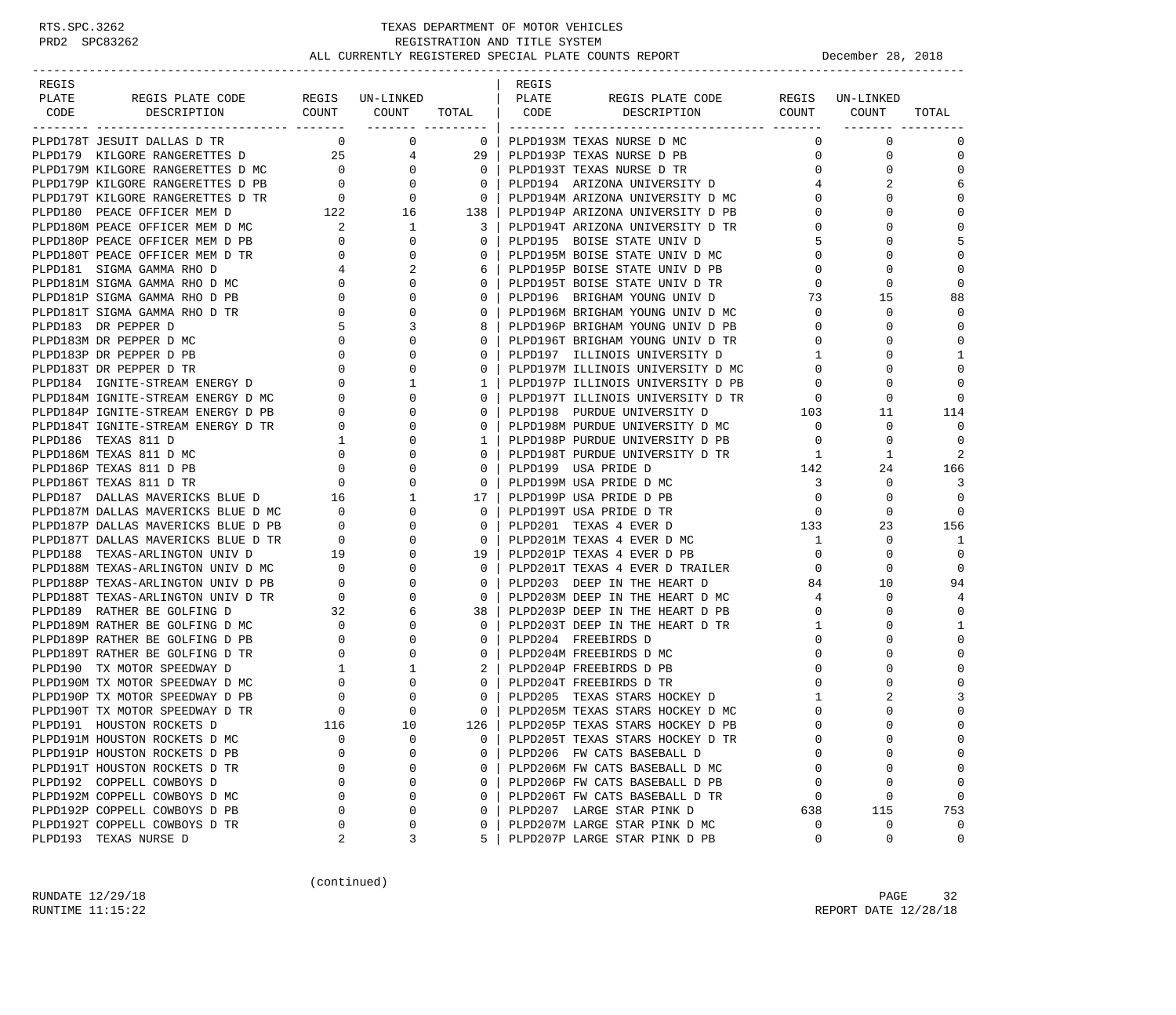-----------------------------------------------------------------------------------------------------------------------------------

| REGIS |                                                                                                                                                                                                                                            |                                                                                                                                                                                                                                   |                                                                                                                                                                                                                                                                                                    |                            | REGIS |                                                                        |                                                    |                      |                 |
|-------|--------------------------------------------------------------------------------------------------------------------------------------------------------------------------------------------------------------------------------------------|-----------------------------------------------------------------------------------------------------------------------------------------------------------------------------------------------------------------------------------|----------------------------------------------------------------------------------------------------------------------------------------------------------------------------------------------------------------------------------------------------------------------------------------------------|----------------------------|-------|------------------------------------------------------------------------|----------------------------------------------------|----------------------|-----------------|
| PLATE |                                                                                                                                                                                                                                            |                                                                                                                                                                                                                                   |                                                                                                                                                                                                                                                                                                    |                            |       |                                                                        |                                                    |                      |                 |
| CODE  |                                                                                                                                                                                                                                            |                                                                                                                                                                                                                                   |                                                                                                                                                                                                                                                                                                    |                            |       |                                                                        |                                                    |                      | TOTAL           |
|       |                                                                                                                                                                                                                                            |                                                                                                                                                                                                                                   |                                                                                                                                                                                                                                                                                                    |                            |       |                                                                        | $\mathbf{0}$                                       | $\overline{0}$       | $\Omega$        |
|       | PLPD178T JESUIT DALLAS D TR $\begin{array}{ccc} 0 & 0 & 0 \\ 0 & 25 & 4 \end{array}$ PLPD193M TEXAS NURSE D MC PLPD179 KILGORE RANGERETTES D                                                                                               |                                                                                                                                                                                                                                   |                                                                                                                                                                                                                                                                                                    |                            |       |                                                                        | $\mathbf 0$                                        | $\Omega$             | $\mathbf 0$     |
|       |                                                                                                                                                                                                                                            |                                                                                                                                                                                                                                   |                                                                                                                                                                                                                                                                                                    |                            |       |                                                                        |                                                    | 0<br>$\Omega$        | $\Omega$        |
|       |                                                                                                                                                                                                                                            |                                                                                                                                                                                                                                   |                                                                                                                                                                                                                                                                                                    |                            |       |                                                                        |                                                    | $4\overline{ }$<br>2 | 6               |
|       |                                                                                                                                                                                                                                            |                                                                                                                                                                                                                                   |                                                                                                                                                                                                                                                                                                    |                            |       | 0   PLPD194M ARIZONA UNIVERSITY D MC                                   | $\mathbf 0$                                        | $\Omega$             |                 |
|       | PLPD179 KILGORE RANGERETTES D MC<br>PLPD179M KILGORE RANGERETTES D MC<br>PLPD179P KILGORE RANGERETTES D PB<br>PLPD179T KILGORE RANGERETTES D PB<br>PLPD179T KILGORE RANGERETTES D TR<br>PLPD179T KILGORE RANGERETTES D TR<br>PLPD194M ARIZ |                                                                                                                                                                                                                                   |                                                                                                                                                                                                                                                                                                    |                            |       |                                                                        | $\Omega$                                           | $\Omega$             | $\Omega$        |
|       |                                                                                                                                                                                                                                            |                                                                                                                                                                                                                                   | $\begin{array}{cccccc} & & & 16 & & & & \\ & & 1 & & & & & \\ & & 0 & & & & & \\ & & 0 & & & & & \\ & & 0 & & & & & \\ & & 0 & & & & & \\ & & 0 & & & & & \\ & & 0 & & & & & \\ & & & 0 & & & & \\ & & & & \ddots & & & \\ & & & & & & & & \\ & & & & & & & & \\ & & & & & & & & & \\ \end{array}$ |                            |       |                                                                        | $\Omega$                                           | $\Omega$             | $\Omega$        |
|       |                                                                                                                                                                                                                                            |                                                                                                                                                                                                                                   |                                                                                                                                                                                                                                                                                                    |                            |       |                                                                        | 5                                                  | $\Omega$             |                 |
|       | PLPD180T PEACE OFFICER MEM D TR                                                                                                                                                                                                            | $\overline{0}$                                                                                                                                                                                                                    |                                                                                                                                                                                                                                                                                                    | 0 <sup>1</sup>             |       | PLPD195M BOISE STATE UNIV D MC                                         | $\mathbf{0}$                                       | $\mathbf 0$          | $\Omega$        |
|       | PLPD181 SIGMA GAMMA RHO D                                                                                                                                                                                                                  | 4                                                                                                                                                                                                                                 |                                                                                                                                                                                                                                                                                                    |                            |       | PLPD195P BOISE STATE UNIV D PB                                         | $\Omega$                                           |                      |                 |
|       | PLPD181M SIGMA GAMMA RHO D MC                                                                                                                                                                                                              | $\overline{0}$                                                                                                                                                                                                                    |                                                                                                                                                                                                                                                                                                    | $\Omega$                   |       | PLPD195T BOISE STATE UNIV D TR                                         | $\mathbf{0}$                                       | $\Omega$             | $\cap$          |
|       | PLPD181P SIGMA GAMMA RHO D PB                                                                                                                                                                                                              | $\Omega$                                                                                                                                                                                                                          |                                                                                                                                                                                                                                                                                                    | $\Omega$                   |       | PLPD196 BRIGHAM YOUNG UNIV D                                           | 73                                                 | 15                   | 88              |
|       | PLPD181T SIGMA GAMMA RHO D TR                                                                                                                                                                                                              | 0                                                                                                                                                                                                                                 |                                                                                                                                                                                                                                                                                                    | $\mathbf{0}$               |       | PLPD196M BRIGHAM YOUNG UNIV D MC                                       | $\overline{0}$                                     | $\mathbf 0$          | $\Omega$        |
|       | PLPD183 DR PEPPER D                                                                                                                                                                                                                        | -5                                                                                                                                                                                                                                |                                                                                                                                                                                                                                                                                                    | 8                          |       | PLPD196P BRIGHAM YOUNG UNIV D PB                                       | $\mathbf 0$                                        | $\Omega$             |                 |
|       | PLPD183M DR PEPPER D MC                                                                                                                                                                                                                    | $\overline{0}$                                                                                                                                                                                                                    |                                                                                                                                                                                                                                                                                                    | $\Omega$                   |       | PLPD196T BRIGHAM YOUNG UNIV D TR                                       | $\overline{0}$                                     | $\Omega$             | $\Omega$        |
|       | PLPD183M DR PEPPER D MC<br>PLPD183P DR PEPPER D PB<br>0<br>PLPD183T DR PEPPER D TR<br>0<br>PLPD184 IGNITE-STREAM ENERGY D MC<br>PLPD184P IGNITE-STREAM ENERGY D PB<br>0<br>PLPD184P IGNITE-STREAM ENERGY D PB<br>0<br>0<br>0               |                                                                                                                                                                                                                                   |                                                                                                                                                                                                                                                                                                    | $\Omega$                   |       | PLPD197 ILLINOIS UNIVERSITY D                                          | $\mathbf{1}$                                       | $\Omega$             | $\mathbf{1}$    |
|       |                                                                                                                                                                                                                                            |                                                                                                                                                                                                                                   |                                                                                                                                                                                                                                                                                                    | 0 <sup>1</sup>             |       | PLPD197M ILLINOIS UNIVERSITY D MC                                      | $\mathbf 0$                                        | $\mathbf 0$          | $\Omega$        |
|       |                                                                                                                                                                                                                                            |                                                                                                                                                                                                                                   |                                                                                                                                                                                                                                                                                                    | $1 \mid$                   |       | PLPD197P ILLINOIS UNIVERSITY D PB                                      | $\mathbf 0$                                        | $\Omega$             |                 |
|       |                                                                                                                                                                                                                                            |                                                                                                                                                                                                                                   |                                                                                                                                                                                                                                                                                                    | $\overline{0}$             |       |                                                                        |                                                    | $\mathbf 0$          |                 |
|       |                                                                                                                                                                                                                                            |                                                                                                                                                                                                                                   |                                                                                                                                                                                                                                                                                                    | $\Omega$                   |       | PLPD197T ILLINOIS UNIVERSITY D TR<br>PLPD198 PURDUE UNIVERSITY D 103   |                                                    | 11                   | 114             |
|       | PLPD184T IGNITE-STREAM ENERGY D TR                                                                                                                                                                                                         |                                                                                                                                                                                                                                   |                                                                                                                                                                                                                                                                                                    | 0 <sup>1</sup>             |       | PLPD198M PURDUE UNIVERSITY D MC                                        | $\overline{0}$                                     | $\mathbf 0$          | $\Omega$        |
|       | PLPD186 TEXAS 811 D                                                                                                                                                                                                                        |                                                                                                                                                                                                                                   |                                                                                                                                                                                                                                                                                                    | $1 \mid$                   |       | PLPD198P PURDUE UNIVERSITY D PB                                        | $\overline{0}$                                     | $\mathbf{0}$         | $\Omega$        |
|       | PLPD186M TEXAS 811 D MC                                                                                                                                                                                                                    |                                                                                                                                                                                                                                   |                                                                                                                                                                                                                                                                                                    | $\Omega$                   |       | PLPD198T PURDUE UNIVERSITY D TR                                        | $\overline{1}$                                     | -1                   |                 |
|       | PLPD186P TEXAS 811 D PB                                                                                                                                                                                                                    |                                                                                                                                                                                                                                   |                                                                                                                                                                                                                                                                                                    | $\Omega$                   |       | PLPD199 USA PRIDE D                                                    | 142                                                | 24                   | 166             |
|       | PLPD186T TEXAS 811 D TR                                                                                                                                                                                                                    |                                                                                                                                                                                                                                   |                                                                                                                                                                                                                                                                                                    |                            |       | 0 PLPD199M USA PRIDE D MC                                              | $\overline{\mathbf{3}}$                            | $\Omega$             | 3               |
|       | PLPDI86T TEXAS 811 D TR<br>PLPD187 DALLAS MAVERICKS BLUE D MC 0<br>PLPD187M DALLAS MAVERICKS BLUE D MC 0<br>PLPD187P DALLAS MAVERICKS BLUE D PB 0                                                                                          |                                                                                                                                                                                                                                   |                                                                                                                                                                                                                                                                                                    |                            |       | 17   PLPD199P USA PRIDE D PB                                           | $\overline{0}$                                     | $\mathbf 0$          | $\Omega$        |
|       |                                                                                                                                                                                                                                            |                                                                                                                                                                                                                                   |                                                                                                                                                                                                                                                                                                    | $\Omega$                   |       | PLPD199T USA PRIDE D TR                                                |                                                    | $\Omega$             |                 |
|       |                                                                                                                                                                                                                                            |                                                                                                                                                                                                                                   |                                                                                                                                                                                                                                                                                                    | $\overline{0}$             |       | $\begin{array}{c}\n 133 \\  1\n \end{array}$<br>PLPD201 TEXAS 4 EVER D |                                                    | 23                   | 156             |
|       | PLPD187T DALLAS MAVERICKS BLUE D TR<br>PLPD188 TEXAS-ARLINGTON UNIV D 19<br>PLPD188M TEXAS-ARLINGTON UNIV D MC 0<br>PLPD188P TEXAS-ARLINGTON UNIV D PB 0<br>PLPD188T TEXAS-ARLINGTON UNIV D TR 0                                           |                                                                                                                                                                                                                                   |                                                                                                                                                                                                                                                                                                    | $\overline{0}$             |       | PLPD201M TEXAS 4 EVER D MC                                             | $\mathbf{1}$                                       | $\Omega$             | -1              |
|       |                                                                                                                                                                                                                                            |                                                                                                                                                                                                                                   |                                                                                                                                                                                                                                                                                                    |                            |       | 19   PLPD201P TEXAS 4 EVER D PB                                        | $\overline{0}$                                     | $\mathbf 0$          | $\Omega$        |
|       |                                                                                                                                                                                                                                            |                                                                                                                                                                                                                                   |                                                                                                                                                                                                                                                                                                    | $\Omega$                   |       | PLPD201T TEXAS 4 EVER D TRAILER                                        | $\overline{0}$                                     | $\Omega$             |                 |
|       |                                                                                                                                                                                                                                            |                                                                                                                                                                                                                                   |                                                                                                                                                                                                                                                                                                    | $\mathbf{0}$               |       | PLPD203 DEEP IN THE HEART D                                            | 84                                                 | 10                   | 94              |
|       |                                                                                                                                                                                                                                            |                                                                                                                                                                                                                                   |                                                                                                                                                                                                                                                                                                    | $\overline{0}$             |       | PLPD203M DEEP IN THE HEART D MC                                        | 4                                                  | $\Omega$             | $\overline{4}$  |
|       | PLPD189 RATHER BE GOLFING D                                                                                                                                                                                                                |                                                                                                                                                                                                                                   | 6                                                                                                                                                                                                                                                                                                  | 38 I                       |       | PLPD203P DEEP IN THE HEART D PB                                        | $\overline{0}$                                     | $\mathbf 0$          | $\Omega$        |
|       | PLPD189M RATHER BE GOLFING D MC                                                                                                                                                                                                            |                                                                                                                                                                                                                                   | $\mathbf 0$                                                                                                                                                                                                                                                                                        | $\Omega$                   |       | PLPD203T DEEP IN THE HEART D TR                                        | 1                                                  | $\Omega$             | $\mathbf{1}$    |
|       | PLPD189P RATHER BE GOLFING D PB                                                                                                                                                                                                            | $\begin{array}{cccc} 1\text{K} & & & 0 \\ & & 32 & & \\ & & 0 & & \\ & & 0 & & \\ & & 0 & & \\ & & 0 & & \\ & & 0 & & \\ & & 0 & & \\ & & 0 & & \\ & & & 0 & & \\ & & & 0 & & \\ & & & & 0 & & \\ & & & & & 0 & & \\ \end{array}$ | 0                                                                                                                                                                                                                                                                                                  | $0-1$                      |       | PLPD204 FREEBIRDS D                                                    | $\mathbf{0}$                                       | $\Omega$             | $\overline{0}$  |
|       | PLPD189T RATHER BE GOLFING D TR                                                                                                                                                                                                            |                                                                                                                                                                                                                                   | $\Omega$                                                                                                                                                                                                                                                                                           | $\Omega$                   |       | PLPD204M FREEBIRDS D MC                                                | $\Omega$                                           | $\cap$               | $\Omega$        |
|       | PLPD190 TX MOTOR SPEEDWAY D                                                                                                                                                                                                                |                                                                                                                                                                                                                                   | 1                                                                                                                                                                                                                                                                                                  | $2-1$                      |       | PLPD204P FREEBIRDS D PB                                                | $\Omega$                                           | $\Omega$             | $\Omega$        |
|       | PLPD190M TX MOTOR SPEEDWAY D MC                                                                                                                                                                                                            |                                                                                                                                                                                                                                   | $\Omega$                                                                                                                                                                                                                                                                                           | 0 <sup>1</sup>             |       | PLPD204T FREEBIRDS D TR                                                | $\mathbf 0$                                        | $\Omega$             | $\Omega$        |
|       | PLPD190P TX MOTOR SPEEDWAY D PB                                                                                                                                                                                                            |                                                                                                                                                                                                                                   |                                                                                                                                                                                                                                                                                                    | $\Omega$                   |       | PLPD205 TEXAS STARS HOCKEY D                                           | 1                                                  | $\overline{a}$       | 3               |
|       | PLPD190T TX MOTOR SPEEDWAY D TR                                                                                                                                                                                                            |                                                                                                                                                                                                                                   | $\Omega$                                                                                                                                                                                                                                                                                           | $\overline{0}$             |       | PLPD205M TEXAS STARS HOCKEY D MC                                       | $\mathbf 0$                                        | $\Omega$             | $\Omega$        |
|       | PLPD191 HOUSTON ROCKETS D                                                                                                                                                                                                                  |                                                                                                                                                                                                                                   | 10                                                                                                                                                                                                                                                                                                 | $126$                      |       | PLPD205P TEXAS STARS HOCKEY D PB                                       | $\Omega$                                           | $\Omega$             |                 |
|       | PLPD191M HOUSTON ROCKETS D MC                                                                                                                                                                                                              | $\begin{matrix}0\\0\\0\end{matrix}$                                                                                                                                                                                               | $\mathbf 0$                                                                                                                                                                                                                                                                                        | $\overline{0}$             |       | PLPD205T TEXAS STARS HOCKEY D TR                                       | $\mathsf{O}$                                       | $\mathbf 0$          | $\Omega$        |
|       | PLPD191P HOUSTON ROCKETS D PB                                                                                                                                                                                                              |                                                                                                                                                                                                                                   | $\Omega$                                                                                                                                                                                                                                                                                           | $\Omega$                   |       | PLPD206 FW CATS BASEBALL D                                             | $\mathbf 0$                                        | $\Omega$             |                 |
|       | PLPD191T HOUSTON ROCKETS D TR                                                                                                                                                                                                              |                                                                                                                                                                                                                                   | $\Omega$                                                                                                                                                                                                                                                                                           | 0 <sup>1</sup>             |       | PLPD206M FW CATS BASEBALL D MC                                         | $\overline{0}$                                     | $\Omega$             |                 |
|       | PLPD192 COPPELL COWBOYS D                                                                                                                                                                                                                  | $\Omega$                                                                                                                                                                                                                          | $\Omega$                                                                                                                                                                                                                                                                                           | $\Omega$                   |       | PLPD206P FW CATS BASEBALL D PB                                         | $\Omega$                                           | $\Omega$             |                 |
|       | PLPD192M COPPELL COWBOYS D MC<br>PLPD192P COPPELL COWBOYS D PB                                                                                                                                                                             | $\overline{0}$                                                                                                                                                                                                                    | 0<br>$\mathbf 0$                                                                                                                                                                                                                                                                                   | $\overline{0}$<br>$\Omega$ |       | PLPD206T FW CATS BASEBALL D TR<br>PLPD207 LARGE STAR PINK D            | $\overline{0}$                                     | $\mathbf 0$          | $\Omega$<br>753 |
|       | PLPD192T COPPELL COWBOYS D TR                                                                                                                                                                                                              | $\begin{array}{c} 0 \\ 0 \\ 2 \end{array}$                                                                                                                                                                                        | $\mathbf 0$                                                                                                                                                                                                                                                                                        | $\Omega$                   |       |                                                                        | $\begin{bmatrix} 0 \\ 638 \\ 0 \\ 0 \end{bmatrix}$ | 115<br>$\mathbf 0$   | $\overline{0}$  |
|       | PLPD193 TEXAS NURSE D                                                                                                                                                                                                                      |                                                                                                                                                                                                                                   | 3                                                                                                                                                                                                                                                                                                  |                            |       | PLPD207M LARGE STAR PINK D MC<br>5 PLPD207P LARGE STAR PINK D PB       |                                                    | $\Omega$             | $\Omega$        |
|       |                                                                                                                                                                                                                                            |                                                                                                                                                                                                                                   |                                                                                                                                                                                                                                                                                                    |                            |       |                                                                        |                                                    |                      |                 |

(continued)

RUNDATE  $12/29/18$  PAGE 32 RUNTIME 11:15:22 REPORT DATE 12/28/18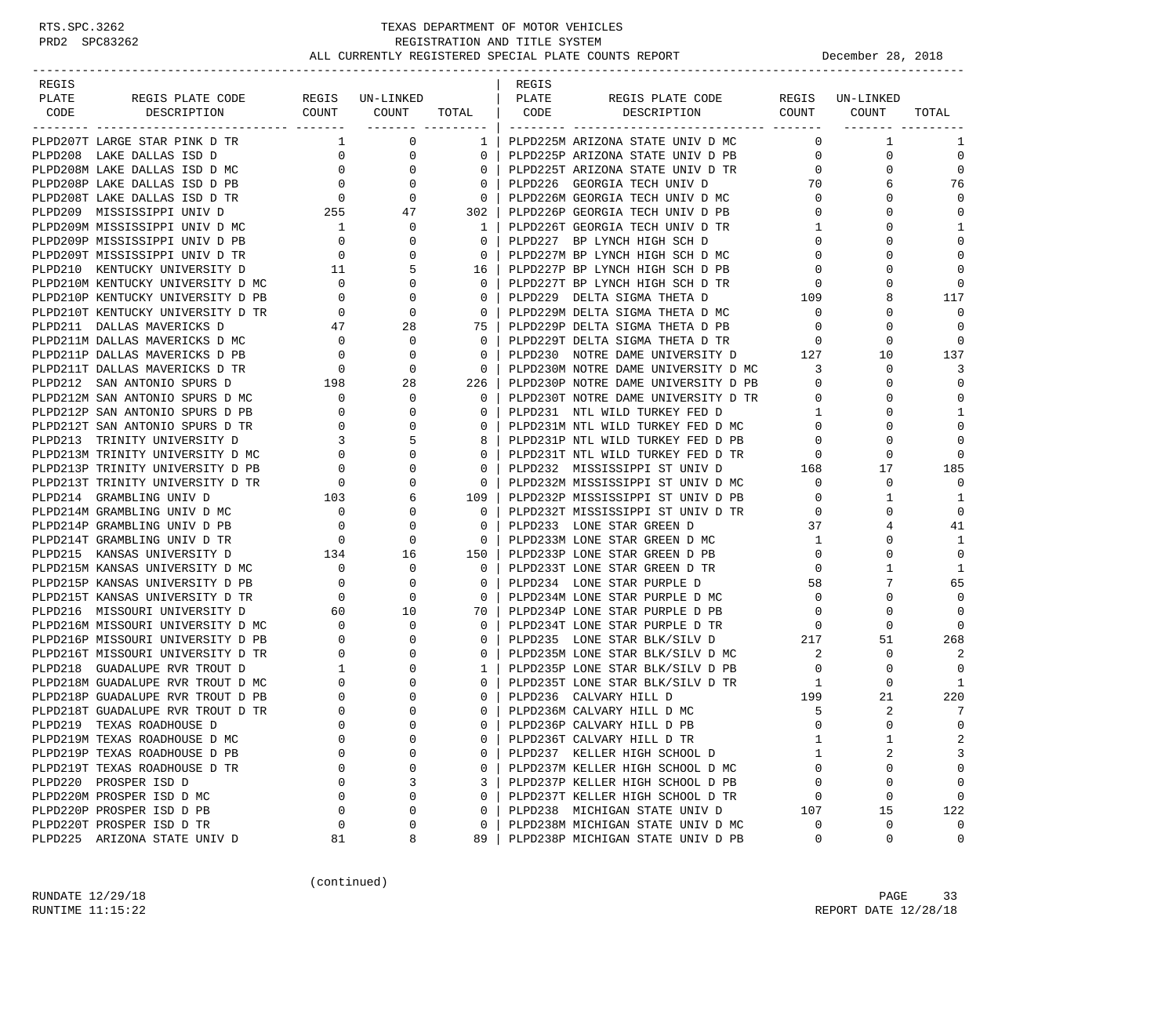-----------------------------------------------------------------------------------------------------------------------------------

|                               |              |                |                                                                      |                |                                                                                                                              | TOTAL          |
|-------------------------------|--------------|----------------|----------------------------------------------------------------------|----------------|------------------------------------------------------------------------------------------------------------------------------|----------------|
|                               |              |                |                                                                      |                |                                                                                                                              |                |
|                               |              |                |                                                                      |                |                                                                                                                              | 1              |
|                               |              |                |                                                                      |                |                                                                                                                              | $\mathbf 0$    |
|                               |              |                |                                                                      |                |                                                                                                                              | $\overline{0}$ |
|                               |              |                |                                                                      |                |                                                                                                                              | 76             |
|                               |              |                |                                                                      |                |                                                                                                                              | $\Omega$       |
|                               |              |                |                                                                      |                |                                                                                                                              | $\Omega$       |
|                               |              |                |                                                                      |                |                                                                                                                              | $\mathbf{1}$   |
|                               |              |                |                                                                      |                |                                                                                                                              | $\Omega$       |
|                               |              |                |                                                                      |                |                                                                                                                              | $\Omega$       |
|                               |              |                |                                                                      |                |                                                                                                                              |                |
|                               |              |                |                                                                      |                |                                                                                                                              | $\Omega$       |
|                               |              |                |                                                                      |                |                                                                                                                              | 117            |
|                               |              |                |                                                                      |                |                                                                                                                              | $\Omega$       |
|                               |              |                |                                                                      |                |                                                                                                                              |                |
|                               |              |                |                                                                      |                |                                                                                                                              | $\Omega$       |
|                               |              |                |                                                                      |                |                                                                                                                              | 137            |
|                               |              |                |                                                                      |                |                                                                                                                              | 3              |
|                               |              |                |                                                                      |                |                                                                                                                              | $\Omega$       |
|                               |              |                |                                                                      |                |                                                                                                                              | $\mathbf 0$    |
|                               |              |                |                                                                      |                |                                                                                                                              | 1              |
|                               |              |                |                                                                      |                |                                                                                                                              | $\Omega$       |
|                               |              |                |                                                                      |                |                                                                                                                              | $\Omega$       |
|                               |              |                |                                                                      |                |                                                                                                                              |                |
|                               |              |                |                                                                      |                |                                                                                                                              | 185            |
|                               |              |                |                                                                      |                |                                                                                                                              | $\Omega$       |
|                               |              |                |                                                                      |                |                                                                                                                              | 1              |
|                               |              |                |                                                                      |                |                                                                                                                              | $\Omega$       |
|                               |              |                |                                                                      |                |                                                                                                                              | 41             |
|                               |              |                |                                                                      |                |                                                                                                                              | -1             |
|                               |              |                |                                                                      |                |                                                                                                                              | $\mathbf 0$    |
|                               |              |                |                                                                      |                |                                                                                                                              | $\mathbf{1}$   |
|                               |              |                |                                                                      |                |                                                                                                                              | 65             |
|                               |              |                |                                                                      |                |                                                                                                                              | $\Omega$       |
|                               |              |                |                                                                      |                |                                                                                                                              | $\Omega$       |
|                               |              |                |                                                                      |                |                                                                                                                              | $\Omega$       |
|                               |              |                |                                                                      |                |                                                                                                                              | 268            |
|                               |              |                |                                                                      |                |                                                                                                                              | $\overline{2}$ |
|                               |              |                |                                                                      |                |                                                                                                                              |                |
|                               |              |                |                                                                      |                |                                                                                                                              | -1             |
|                               |              |                |                                                                      |                |                                                                                                                              | 220            |
|                               |              |                |                                                                      |                |                                                                                                                              | 7              |
|                               |              |                |                                                                      |                |                                                                                                                              | $\Omega$       |
|                               |              |                |                                                                      |                |                                                                                                                              |                |
|                               | $\Omega$     | $\Omega$       |                                                                      |                |                                                                                                                              | 2<br>3         |
| PLPD219P TEXAS ROADHOUSE D PB |              |                | PLPD237 KELLER HIGH SCHOOL D                                         | $\mathbf{1}$   | 2                                                                                                                            |                |
| PLPD219T TEXAS ROADHOUSE D TR | $\mathbf{0}$ | $\Omega$       |                                                                      | $\overline{0}$ | 0                                                                                                                            | $\Omega$       |
| PLPD220 PROSPER ISD D         | 3            | $\overline{3}$ | PLPD237M KELLER HIGH SCHOOL D MC<br>PLPD237P KELLER HIGH SCHOOL D PB | $\Omega$       | $\Omega$                                                                                                                     |                |
| PLPD220M PROSPER ISD D MC     | $\mathbf 0$  | $0-1$          | PLPD237T KELLER HIGH SCHOOL D TR                                     |                | $\begin{tabular}{ccccc} \bf{R} & & & 0 & & 0 \\ & & 107 & & 15 \\ \bf MC & & 0 & & 0 \\ \bf PB & & 0 & & 0 \\ \end{tabular}$ | $\mathbf 0$    |
| PLPD220P PROSPER ISD D PB     | $\mathbf 0$  | $\overline{0}$ | PLPD238 MICHIGAN STATE UNIV D                                        |                |                                                                                                                              | 122            |
| PLPD220T PROSPER ISD D TR     | $\mathbf 0$  | $\overline{0}$ | PLPD238M MICHIGAN STATE UNIV D MC                                    |                |                                                                                                                              | $\overline{0}$ |
| PLPD225 ARIZONA STATE UNIV D  | 8            |                | 89 PLPD238P MICHIGAN STATE UNIV D PB                                 |                |                                                                                                                              | $\overline{0}$ |

(continued)

RUNDATE  $12/29/18$  PAGE 33 RUNTIME 11:15:22 REPORT DATE 12/28/18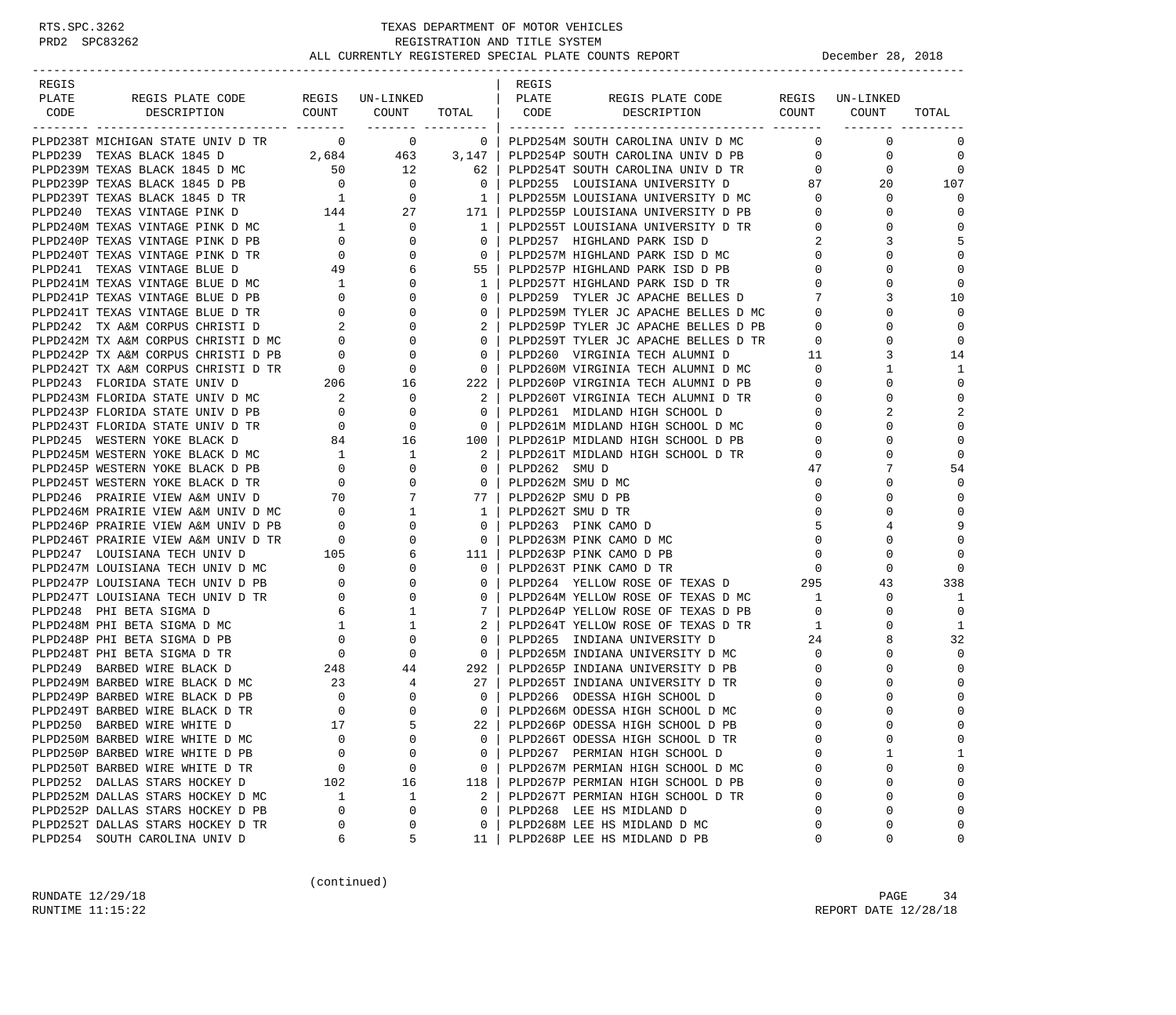-----------------------------------------------------------------------------------------------------------------------------------

| REGIS |  |  | REGIS |                                                                                                                                                                                                                                     |  |                         |
|-------|--|--|-------|-------------------------------------------------------------------------------------------------------------------------------------------------------------------------------------------------------------------------------------|--|-------------------------|
| PLATE |  |  |       |                                                                                                                                                                                                                                     |  |                         |
| CODE  |  |  |       |                                                                                                                                                                                                                                     |  | TOTAL                   |
|       |  |  |       | <b>EXAMPLE AND A SECRET CONTROL MONEY CONTROL MANUELE AND ASSESS TO A SECRET CONTROL MONEY CONTROL MONEY CONTROL MANUELE AND A SECRET CONTROL MONEY CONTROL MONEY CONTROL MANUELE AND A SECRET CONTROL MONEY CONTROL MONEY CONT</b> |  | $\Omega$                |
|       |  |  |       |                                                                                                                                                                                                                                     |  |                         |
|       |  |  |       |                                                                                                                                                                                                                                     |  | $\mathbf 0$<br>$\Omega$ |
|       |  |  |       |                                                                                                                                                                                                                                     |  |                         |
|       |  |  |       |                                                                                                                                                                                                                                     |  | 107<br>$\Omega$         |
|       |  |  |       |                                                                                                                                                                                                                                     |  | $\Omega$                |
|       |  |  |       |                                                                                                                                                                                                                                     |  | $\Omega$                |
|       |  |  |       |                                                                                                                                                                                                                                     |  |                         |
|       |  |  |       |                                                                                                                                                                                                                                     |  | $\Omega$                |
|       |  |  |       |                                                                                                                                                                                                                                     |  | $\Omega$                |
|       |  |  |       |                                                                                                                                                                                                                                     |  | $\cap$                  |
|       |  |  |       |                                                                                                                                                                                                                                     |  | 10                      |
|       |  |  |       |                                                                                                                                                                                                                                     |  | $\Omega$                |
|       |  |  |       |                                                                                                                                                                                                                                     |  |                         |
|       |  |  |       |                                                                                                                                                                                                                                     |  | $\Omega$                |
|       |  |  |       |                                                                                                                                                                                                                                     |  | 14                      |
|       |  |  |       |                                                                                                                                                                                                                                     |  | 1                       |
|       |  |  |       |                                                                                                                                                                                                                                     |  | $\Omega$                |
|       |  |  |       |                                                                                                                                                                                                                                     |  | $\mathbf 0$             |
|       |  |  |       |                                                                                                                                                                                                                                     |  | 2                       |
|       |  |  |       |                                                                                                                                                                                                                                     |  | $\Omega$                |
|       |  |  |       |                                                                                                                                                                                                                                     |  | $\Omega$                |
|       |  |  |       |                                                                                                                                                                                                                                     |  | $\Omega$                |
|       |  |  |       |                                                                                                                                                                                                                                     |  | 54                      |
|       |  |  |       |                                                                                                                                                                                                                                     |  | $\Omega$                |
|       |  |  |       |                                                                                                                                                                                                                                     |  | $\mathbf 0$             |
|       |  |  |       |                                                                                                                                                                                                                                     |  |                         |
|       |  |  |       |                                                                                                                                                                                                                                     |  | 9                       |
|       |  |  |       |                                                                                                                                                                                                                                     |  |                         |
|       |  |  |       |                                                                                                                                                                                                                                     |  | $\Omega$                |
|       |  |  |       |                                                                                                                                                                                                                                     |  |                         |
|       |  |  |       |                                                                                                                                                                                                                                     |  | 338                     |
|       |  |  |       |                                                                                                                                                                                                                                     |  | -1                      |
|       |  |  |       |                                                                                                                                                                                                                                     |  | $\mathbf 0$             |
|       |  |  |       |                                                                                                                                                                                                                                     |  | $\overline{1}$          |
|       |  |  |       |                                                                                                                                                                                                                                     |  | 32                      |
|       |  |  |       |                                                                                                                                                                                                                                     |  | $\Omega$                |
|       |  |  |       |                                                                                                                                                                                                                                     |  | $\Omega$                |
|       |  |  |       |                                                                                                                                                                                                                                     |  | $\Omega$                |
|       |  |  |       |                                                                                                                                                                                                                                     |  | $\Omega$                |
|       |  |  |       |                                                                                                                                                                                                                                     |  | $\Omega$                |
|       |  |  |       |                                                                                                                                                                                                                                     |  |                         |
|       |  |  |       |                                                                                                                                                                                                                                     |  | $\mathbf 0$             |
|       |  |  |       |                                                                                                                                                                                                                                     |  | $\mathbf{1}$            |
|       |  |  |       |                                                                                                                                                                                                                                     |  |                         |
|       |  |  |       |                                                                                                                                                                                                                                     |  |                         |
|       |  |  |       |                                                                                                                                                                                                                                     |  | $\Omega$                |
|       |  |  |       |                                                                                                                                                                                                                                     |  |                         |
|       |  |  |       |                                                                                                                                                                                                                                     |  | $\mathbf 0$             |
|       |  |  |       |                                                                                                                                                                                                                                     |  | $\Omega$                |

(continued)

RUNDATE  $12/29/18$  PAGE 34 RUNTIME 11:15:22 REPORT DATE 12/28/18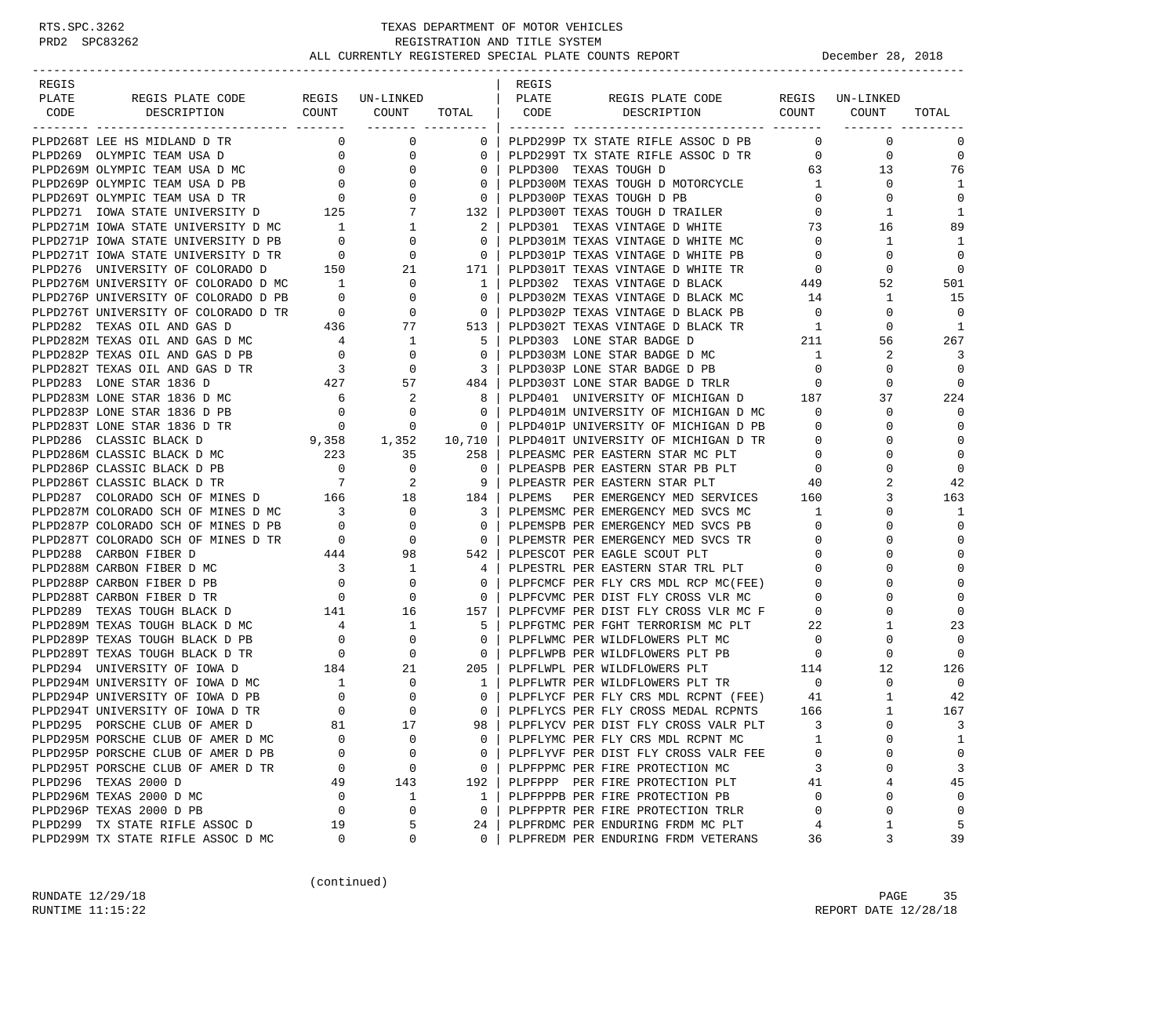| REGIS |                                                                                                                                                                                                                                              |                                       |                                  |                                                     | REGIS  |                                                                                    |                                     |                 |             |
|-------|----------------------------------------------------------------------------------------------------------------------------------------------------------------------------------------------------------------------------------------------|---------------------------------------|----------------------------------|-----------------------------------------------------|--------|------------------------------------------------------------------------------------|-------------------------------------|-----------------|-------------|
| PLATE | REGIS PLATE CODE                                                                                                                                                                                                                             |                                       | REGIS UN-LINKED                  |                                                     | PLATE  | REGIS PLATE CODE                                                                   |                                     | REGIS UN-LINKED |             |
| CODE  | DESCRIPTION                                                                                                                                                                                                                                  |                                       | COUNT COUNT                      | _______ ____________                                |        | TOTAL   CODE DESCRIPTION COUNT COUNT                                               |                                     |                 | TOTAL       |
|       | PLPD268T LEE HS MIDLAND D TR                                                                                                                                                                                                                 |                                       | $0 \qquad \qquad$<br>0           | $0-1$                                               |        | PLPD299P TX STATE RIFLE ASSOC D PB                                                 | $\overline{0}$                      | $\mathbf{0}$    | $\mathbf 0$ |
|       | PLPD269 OLYMPIC TEAM USA D<br>PLPD269M OLYMPIC TEAM USA D MC<br>PLPD269P OLYMPIC TEAM USA D PB 0 0 0<br>PLPD269T OLYMPIC TEAM USA D TR 0 0 0<br>PLPD271 IOWA STATE UNIVERSITY D 125 7                                                        |                                       |                                  | $\mathbf{0}$                                        |        | PLPD299T TX STATE RIFLE ASSOC D TR                                                 | $\overline{0}$                      | $\mathbf{0}$    | $\mathbf 0$ |
|       |                                                                                                                                                                                                                                              |                                       |                                  | $\mathbf{0}$                                        |        | PLPD300 TEXAS TOUGH D                                                              | 63 —                                | 13              | 76          |
|       |                                                                                                                                                                                                                                              |                                       |                                  | 0                                                   |        | PLPD300M TEXAS TOUGH D MOTORCYCLE 1                                                |                                     | $\mathbf{0}$    | 1           |
|       |                                                                                                                                                                                                                                              |                                       |                                  | $\mathbf{0}$                                        |        | PLPD300P TEXAS TOUGH D PB                                                          | $\overline{0}$                      | $\mathbf{0}$    | $\mathbf 0$ |
|       |                                                                                                                                                                                                                                              |                                       |                                  | 132                                                 |        | PLPD300T TEXAS TOUGH D TRAILER                                                     | $\overline{0}$                      | 1               | 1           |
|       | PLPD271M IOWA STATE UNIVERSITY D MC 1                                                                                                                                                                                                        |                                       | $\mathbf{1}$                     | 2                                                   |        | PLPD301 TEXAS VINTAGE D WHITE 73                                                   |                                     | 16              | 89          |
|       | PLPD271P IOWA STATE UNIVERSITY D PB                                                                                                                                                                                                          | $\overline{0}$                        | $\mathbf 0$                      | $\Omega$                                            |        | PLPD301M TEXAS VINTAGE D WHITE MC                                                  | $\overline{0}$                      | $\mathbf{1}$    | 1           |
|       | PLPD271T IOWA STATE UNIVERSITY D TR 0                                                                                                                                                                                                        |                                       | 0                                | $\Omega$                                            |        | PLPD301P TEXAS VINTAGE D WHITE PB                                                  | $\overline{0}$                      | $\mathbf 0$     | $\Omega$    |
|       | PLPD276 UNIVERSITY OF COLORADO D                                                                                                                                                                                                             | 150                                   | 21                               | 171                                                 |        | PLPD301T TEXAS VINTAGE D WHITE TR                                                  | $\overline{0}$                      | 0               | $\mathbf 0$ |
|       | PLPD276M UNIVERSITY OF COLORADO D MC                                                                                                                                                                                                         | $\overline{1}$                        | $\overline{\phantom{0}}$         | $\frac{1}{1}$                                       |        | PLPD302 TEXAS VINTAGE D BLACK                                                      | $\begin{array}{c}0\\449\end{array}$ | 52              | 501         |
|       | PLPD276P UNIVERSITY OF COLORADO D PB                                                                                                                                                                                                         | $\overline{0}$                        | $\mathbf 0$                      | $\overline{0}$                                      |        | PLPD302M TEXAS VINTAGE D BLACK MC                                                  | 14                                  | $\mathbf{1}$    | 15          |
|       | PLPD276T UNIVERSITY OF COLORADO D TR                                                                                                                                                                                                         | $\overline{0}$                        | $\mathbf 0$                      | $\overline{\phantom{0}}$ 0 $\overline{\phantom{0}}$ |        | PLPD302P TEXAS VINTAGE D BLACK PB                                                  | $\overline{0}$                      | 0               | $\Omega$    |
|       | PLPD282 TEXAS OIL AND GAS D                                                                                                                                                                                                                  |                                       | 436 77                           | 513                                                 |        | PLPD302T TEXAS VINTAGE D BLACK TR                                                  | $\overline{1}$                      | $\Omega$        | 1           |
|       | PLPD282M TEXAS OIL AND GAS D MC                                                                                                                                                                                                              |                                       | $\overline{1}$                   | 5                                                   |        | PLPD303 LONE STAR BADGE D                                                          | 211                                 | 56              | 267         |
|       | PLPD282P TEXAS OIL AND GAS D PB                                                                                                                                                                                                              | $\begin{array}{c} 4 \\ 0 \end{array}$ | $\overline{0}$                   | $\overline{0}$                                      |        | PLPD303M LONE STAR BADGE D MC                                                      | $\overline{1}$                      | 2               | 3           |
|       |                                                                                                                                                                                                                                              |                                       | $\overline{0}$                   | $\overline{\phantom{a}3}$                           |        | PLPD303P LONE STAR BADGE D PB                                                      | $\overline{0}$                      | $\mathbf 0$     | $\Omega$    |
|       | PLPD282T TEXAS OIL AND GAS D TR<br>PLPD283 LONE STAR 1836 D 427<br>PLPD283M LONE STAR 1836 D MC 6                                                                                                                                            |                                       | 57                               | 484                                                 |        | PLPD303T LONE STAR BADGE D TRLR                                                    | $\overline{0}$                      | 0               | $\Omega$    |
|       |                                                                                                                                                                                                                                              |                                       | $\overline{\phantom{a}}$         | 81                                                  |        | PLPD401 UNIVERSITY OF MICHIGAN D 187                                               |                                     | 37              | 224         |
|       | PLPD283P LONE STAR 1836 D PB                                                                                                                                                                                                                 | $\overline{0}$                        | $\mathbf 0$                      | $\mathbf{0}$                                        |        | PLPD401M UNIVERSITY OF MICHIGAN D MC                                               | $\overline{\mathbf{0}}$             | 0               | $\Omega$    |
|       |                                                                                                                                                                                                                                              |                                       |                                  | $\mathbf{0}$                                        |        | PLPD401P UNIVERSITY OF MICHIGAN D PB                                               | $\overline{\mathbf{0}}$             | $\Omega$        | $\mathbf 0$ |
|       |                                                                                                                                                                                                                                              |                                       |                                  | 10,710                                              |        | PLPD401T UNIVERSITY OF MICHIGAN D TR                                               | $\overline{\mathbf{0}}$             | $\Omega$        | $\mathbf 0$ |
|       |                                                                                                                                                                                                                                              |                                       |                                  | 258                                                 |        | PLPEASMC PER EASTERN STAR MC PLT                                                   | $\mathbf{0}$                        | $\Omega$        | $\Omega$    |
|       | PLPD283P LONE STAR 1836 D PB<br>PLPD283T LONE STAR 1836 D TR<br>PLPD286 CLASSIC BLACK D<br>PLPD286 CLASSIC BLACK D MC<br>PLPD286P CLASSIC BLACK D PB<br>PLPD286T CLASSIC BLACK D TR<br>PLPD287 COLORADO SCH OF MINES D<br>PLPD287 COLORADO S |                                       |                                  | 0                                                   |        | PLPEASPB PER EASTERN STAR PB PLT 0                                                 |                                     | $\Omega$        | $\Omega$    |
|       |                                                                                                                                                                                                                                              |                                       |                                  | 9                                                   |        | PLPEASTR PER EASTERN STAR PLT                                                      | 40                                  | 2               | 42          |
|       |                                                                                                                                                                                                                                              |                                       |                                  | 184                                                 | PLPEMS | PER EMERGENCY MED SERVICES 160                                                     |                                     | 3               | 163         |
|       | PLPD287M COLORADO SCH OF MINES D MC 3                                                                                                                                                                                                        |                                       |                                  | 3                                                   |        | PLPEMSMC PER EMERGENCY MED SVCS MC                                                 | $\overline{1}$                      | $\mathsf{O}$    | 1           |
|       | PLPD287P COLORADO SCH OF MINES D PB                                                                                                                                                                                                          | $\sim$ 0                              | $\begin{matrix}0\\0\end{matrix}$ | $\mathbf{0}$                                        |        | PLPEMSPB PER EMERGENCY MED SVCS PB                                                 | $\overline{0}$                      | $\Omega$        | $\Omega$    |
|       | PLPD287T COLORADO SCH OF MINES D TR                                                                                                                                                                                                          | $\overline{0}$                        | $\mathbf 0$                      | $\overline{0}$                                      |        | PLPEMSTR PER EMERGENCY MED SVCS TR                                                 | $\overline{\phantom{0}}$            | $\Omega$        | $\Omega$    |
|       | PLPD288 CARBON FIBER D                                                                                                                                                                                                                       | 444                                   | 98                               | 542                                                 |        | PLPESCOT PER EAGLE SCOUT PLT                                                       | $\overline{0}$                      | 0               | $\Omega$    |
|       | PLPD288M CARBON FIBER D MC                                                                                                                                                                                                                   | $\overline{\mathbf{3}}$               | $\overline{1}$                   | 4                                                   |        | PLPESTRL PER EASTERN STAR TRL PLT 0                                                |                                     | $\Omega$        | $\mathbf 0$ |
|       | PLPD288P CARBON FIBER D PB                                                                                                                                                                                                                   | $\overline{\mathbf{0}}$               | $\mathbf 0$                      | $\mathbf{0}$                                        |        | PLPFCMCF PER FLY CRS MDL RCP MC(FEE) 0                                             |                                     | $\Omega$        | $\Omega$    |
|       | PLPD288T CARBON FIBER D TR                                                                                                                                                                                                                   | $\overline{0}$                        | $\overline{0}$                   | $\mathbf{0}$                                        |        | PLPFCVMC PER DIST FLY CROSS VLR MC                                                 | $\mathbf{0}$                        |                 | $\Omega$    |
|       | 141<br>PLPD289 TEXAS TOUGH BLACK D                                                                                                                                                                                                           |                                       | 16                               | 157                                                 |        | PLPFCVMF PER DIST FLY CROSS VLR MC F 0                                             |                                     | $\Omega$        | $\Omega$    |
|       | PLPD289M TEXAS TOUGH BLACK D MC                                                                                                                                                                                                              |                                       | $\mathbf{1}$                     | 5                                                   |        | PLPFGTMC PER FGHT TERRORISM MC PLT 22                                              |                                     | 1               | 23          |
|       | PLPD289P TEXAS TOUGH BLACK D PB                                                                                                                                                                                                              | $\begin{array}{c} 4 \\ 0 \end{array}$ | $\mathbf 0$                      | $\mathbf{0}$                                        |        | PLPFLWMC PER WILDFLOWERS PLT MC                                                    | $\overline{0}$                      | $\Omega$        | $\Omega$    |
|       | PLPD289T TEXAS TOUGH BLACK D TR                                                                                                                                                                                                              | $\overline{\phantom{a}}$              | $\mathbf 0$                      | $\overline{0}$                                      |        | PLPFLWPB PER WILDFLOWERS PLT PB                                                    | $\overline{a}$                      | 0               | $\Omega$    |
|       | PLPD294 UNIVERSITY OF IOWA D                                                                                                                                                                                                                 | 184                                   | 21                               | 205                                                 |        | PLPFLWPL PER WILDFLOWERS PLT                                                       | 114                                 | 12              | 126         |
|       | PLPD294M UNIVERSITY OF IOWA D MC                                                                                                                                                                                                             | $\frac{1}{2}$                         | $\overline{0}$                   | $\overline{1}$                                      |        | PLPFLWTR PER WILDFLOWERS PLT TR                                                    | $\overline{0}$                      | $\mathbf 0$     | $\Omega$    |
|       | PLPD294P UNIVERSITY OF IOWA D PB                                                                                                                                                                                                             | $\overline{0}$                        | $\overline{0}$                   | 0                                                   |        |                                                                                    | 41                                  | 1               | 42          |
|       | PLPD294T UNIVERSITY OF IOWA D TR                                                                                                                                                                                                             | $\overline{0}$                        | $\mathbf 0$                      | $\Omega$                                            |        | PLPFLYCF PER FLY CRS MDL RCPNT (FEE) 41<br>PLPFLYCS PER FLY CROSS MEDAL RCPNTS 166 |                                     | $\mathbf{1}$    | 167         |
|       | PLPD295 PORSCHE CLUB OF AMER D                                                                                                                                                                                                               | 81                                    | 17                               | 98 <sup>1</sup>                                     |        | PLPFLYCV PER DIST FLY CROSS VALR PLT                                               | $\overline{3}$                      | $\Omega$        | 3           |
|       | PLPD295M PORSCHE CLUB OF AMER D MC                                                                                                                                                                                                           | $\Omega$                              | 0                                | 0                                                   |        | PLPFLYMC PER FLY CRS MDL RCPNT MC                                                  | 1                                   | 0               | 1           |
|       | PLPD295P PORSCHE CLUB OF AMER D PB                                                                                                                                                                                                           | O                                     | 0                                | 0                                                   |        | PLPFLYVF PER DIST FLY CROSS VALR FEE                                               | 0                                   | 0               | 0           |
|       | PLPD295T PORSCHE CLUB OF AMER D TR                                                                                                                                                                                                           | 0                                     | 0                                | $\mathbf 0$                                         |        | PLPFPPMC PER FIRE PROTECTION MC                                                    | 3                                   | 0               | 3           |
|       | PLPD296 TEXAS 2000 D                                                                                                                                                                                                                         | 49                                    | 143                              | 192                                                 |        | PLPFPPP PER FIRE PROTECTION PLT                                                    | 41                                  | 4               | 45          |
|       | PLPD296M TEXAS 2000 D MC                                                                                                                                                                                                                     | 0                                     | 1                                | $\mathbf{1}$                                        |        | PLPFPPPB PER FIRE PROTECTION PB                                                    | $\Omega$                            | 0               | $\Omega$    |
|       | PLPD296P TEXAS 2000 D PB                                                                                                                                                                                                                     | 0                                     | 0                                | $\mathbf{0}$                                        |        | PLPFPPTR PER FIRE PROTECTION TRLR                                                  | 0                                   | 0               | $\mathbf 0$ |
|       | PLPD299 TX STATE RIFLE ASSOC D                                                                                                                                                                                                               | 19                                    | 5                                | 24                                                  |        | PLPFRDMC PER ENDURING FRDM MC PLT                                                  | 4                                   | 1               | 5           |
|       | PLPD299M TX STATE RIFLE ASSOC D MC                                                                                                                                                                                                           | 0                                     | 0                                | $\Omega$                                            |        | PLPFREDM PER ENDURING FRDM VETERANS                                                | 36                                  | 3               | 39          |

(continued)

RUNDATE  $12/29/18$  PAGE 35 RUNTIME 11:15:22 REPORT DATE 12/28/18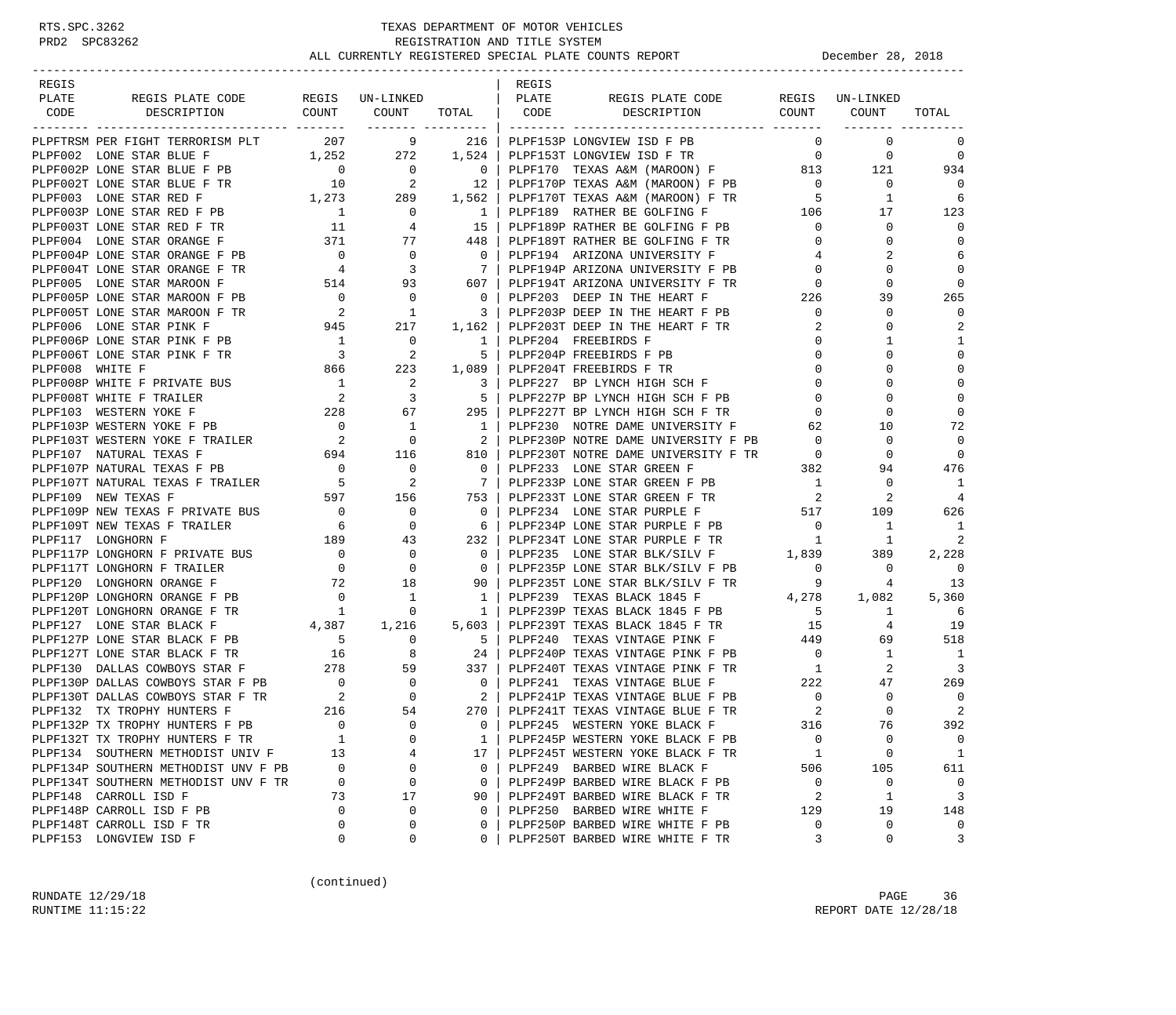| REGIS                                                                                                                                                                                                                                                                                                                                                                                                          |                      |                       |                          | REGIS |                                                                                  |                               |                   |                                  |
|----------------------------------------------------------------------------------------------------------------------------------------------------------------------------------------------------------------------------------------------------------------------------------------------------------------------------------------------------------------------------------------------------------------|----------------------|-----------------------|--------------------------|-------|----------------------------------------------------------------------------------|-------------------------------|-------------------|----------------------------------|
| PLATE<br>REGIS PLATE CODE REGIS UN-LINKED<br>DESCRIPTION COUNT COUNT TOTAL CODE DESCRIPTION                                                                                                                                                                                                                                                                                                                    |                      |                       |                          | PLATE | REGIS PLATE CODE REGIS UN-LINKED                                                 |                               | COUNT COUNT       |                                  |
| CODE                                                                                                                                                                                                                                                                                                                                                                                                           |                      |                       | ------- ---------        |       |                                                                                  |                               |                   | TOTAL                            |
| PLPFTRSM PER FIGHT TERRORISM PLT                                                                                                                                                                                                                                                                                                                                                                               |                      | $207$ 9 216           |                          |       | PLPF153P LONGVIEW ISD F PB                                                       | $\Omega$                      | $\overline{0}$    | 0                                |
| PLPF002 LONE STAR BLUE F                                                                                                                                                                                                                                                                                                                                                                                       |                      | $1,252$ $272$ $1,524$ |                          |       |                                                                                  |                               | $\mathbf{0}$      | $\overline{0}$                   |
|                                                                                                                                                                                                                                                                                                                                                                                                                |                      |                       |                          |       |                                                                                  |                               | 121               | 934                              |
|                                                                                                                                                                                                                                                                                                                                                                                                                |                      |                       |                          |       |                                                                                  |                               | $\mathbf{0}$      | $\bigcirc$                       |
|                                                                                                                                                                                                                                                                                                                                                                                                                |                      |                       |                          |       |                                                                                  |                               | $\mathbf{1}$      | 6                                |
|                                                                                                                                                                                                                                                                                                                                                                                                                |                      |                       |                          |       |                                                                                  |                               | 17                | 123                              |
|                                                                                                                                                                                                                                                                                                                                                                                                                |                      |                       |                          |       |                                                                                  |                               | $\mathbf 0$       | $\mathbf 0$                      |
|                                                                                                                                                                                                                                                                                                                                                                                                                |                      |                       |                          |       |                                                                                  |                               | $\mathbf 0$       | $\mathbf 0$                      |
| PLPF002P LONE STAR BLUE F PB<br>PLPF002P LONE STAR BLUE F PB<br>PLPF002P LONE STAR RED F PB<br>PLPF003 LONE STAR RED F TR<br>PLPF003 LONE STAR RED F TR<br>10 2 12 PLPF170P TEXAS A&M (MAROON) F PB<br>PLPF003T LONE STAR RED F TR<br>1 0 1                                                                                                                                                                    |                      |                       |                          |       |                                                                                  |                               | 2                 | 6                                |
|                                                                                                                                                                                                                                                                                                                                                                                                                |                      |                       |                          |       |                                                                                  |                               | 0                 | $\mathbf 0$                      |
|                                                                                                                                                                                                                                                                                                                                                                                                                |                      |                       |                          |       |                                                                                  |                               | $\Omega$          | $\mathbf 0$                      |
|                                                                                                                                                                                                                                                                                                                                                                                                                |                      |                       |                          |       |                                                                                  |                               | 39                | 265                              |
|                                                                                                                                                                                                                                                                                                                                                                                                                |                      |                       |                          |       |                                                                                  |                               | $\mathbf 0$       | $\mathbf 0$                      |
|                                                                                                                                                                                                                                                                                                                                                                                                                |                      |                       |                          |       |                                                                                  |                               | $\Omega$          | 2                                |
|                                                                                                                                                                                                                                                                                                                                                                                                                |                      |                       |                          |       |                                                                                  |                               | 1                 | 1                                |
|                                                                                                                                                                                                                                                                                                                                                                                                                |                      |                       |                          |       |                                                                                  |                               | $\Omega$          | $\mathbf 0$                      |
|                                                                                                                                                                                                                                                                                                                                                                                                                |                      |                       |                          |       |                                                                                  |                               | $\Omega$          | $\mathbf 0$                      |
|                                                                                                                                                                                                                                                                                                                                                                                                                |                      |                       |                          |       |                                                                                  |                               | $\Omega$          | $\mathbf 0$                      |
|                                                                                                                                                                                                                                                                                                                                                                                                                |                      |                       |                          |       |                                                                                  |                               | $\Omega$          | $\mathbf 0$                      |
|                                                                                                                                                                                                                                                                                                                                                                                                                |                      |                       |                          |       |                                                                                  |                               | 0                 | $\mathbf 0$                      |
|                                                                                                                                                                                                                                                                                                                                                                                                                |                      |                       |                          |       |                                                                                  |                               | 10                | 72                               |
|                                                                                                                                                                                                                                                                                                                                                                                                                |                      |                       |                          |       |                                                                                  |                               | $\mathbf 0$       | $\mathbf 0$                      |
|                                                                                                                                                                                                                                                                                                                                                                                                                |                      |                       |                          |       |                                                                                  |                               | $\mathbf 0$       | $\mathbf 0$                      |
| $\begin{tabular}{l c c c c c c c} \hline \texttt{PLPPOOSD}\texttt{LONE STR MARONN} & \texttt{FIR} & 0 & 93 & 607 &   \texttt{DLPP203} & \texttt{DEP194T} & \texttt{RICMONN UNINESTY} & \texttt{FTR} & 0 \\ \hline \texttt{PLPP005T}\texttt{LONE STR MARONN} & \texttt{PFB} & 2 & 1 & 3 &   \texttt{DLPP203} & \texttt{DEEP} & \texttt{IN THE HERART P} & \texttt{FER} \\ \hline \texttt{PLPP006T}\texttt{LONE$ |                      |                       |                          |       |                                                                                  |                               | 94                | 476                              |
|                                                                                                                                                                                                                                                                                                                                                                                                                |                      |                       |                          |       | 7   PLPF233P LONE STAR GREEN F PB $1$<br>753   PLPF233T LONE STAR GREEN F TR $2$ |                               | 0                 | - 1                              |
|                                                                                                                                                                                                                                                                                                                                                                                                                |                      |                       |                          |       |                                                                                  |                               | 2                 | 4                                |
|                                                                                                                                                                                                                                                                                                                                                                                                                |                      |                       |                          |       | PLPF234 LONE STAR PURPLE F 517                                                   |                               | 109               | 626                              |
| PLPF109P NEW TEXAS F PRIVATE BUS<br>PLPF109T NEW TEXAS F TRAILER<br>PLPF117 LONGHORN F PRIVATE BUS<br>PLPF117 LONGHORN F PRIVATE BUS<br>PLPF117T LONGHORN F TRAILER<br>0 0 0 0<br>PLPF117T LONGHORN F TRAILER<br>0 0 0 0                                                                                                                                                                                       |                      |                       |                          |       | 6   PLPF234P LONE STAR PURPLE F PB<br>232   PLPF234T LONE STAR PURPLE F TR<br>1  |                               | 1                 | 1                                |
|                                                                                                                                                                                                                                                                                                                                                                                                                |                      |                       |                          |       |                                                                                  |                               | <sup>1</sup>      | 2                                |
|                                                                                                                                                                                                                                                                                                                                                                                                                |                      |                       |                          |       | PLPF235 LONE STAR BLK/SILV F 1,839<br>PLPF235P LONE STAR BLK/SILV F PB 0         |                               | 389               | 2,228                            |
|                                                                                                                                                                                                                                                                                                                                                                                                                |                      |                       |                          |       |                                                                                  |                               | $\circ$           | $\overline{0}$                   |
| $\begin{tabular}{ccccc} P B & & & & & 18 \\ \text{PB} & & & & 0 & & 1 \\ \text{TR} & & & 1 & & 0 \\ \end{tabular}$<br>PLPF120 LONGHORN ORANGE F                                                                                                                                                                                                                                                                |                      |                       | 90                       |       |                                                                                  |                               |                   | 13                               |
| PLPF120P LONGHORN ORANGE F PB                                                                                                                                                                                                                                                                                                                                                                                  |                      |                       | 1 <sup>1</sup>           |       |                                                                                  |                               |                   | 5,360                            |
| PLPF120T LONGHORN ORANGE F TR                                                                                                                                                                                                                                                                                                                                                                                  |                      |                       | 1                        |       |                                                                                  |                               |                   | 6                                |
| $4,387$ 1, 216<br>PB 5 0<br>PLPF127 LONE STAR BLACK F                                                                                                                                                                                                                                                                                                                                                          |                      |                       | $\frac{1}{2}$<br>$5,603$ |       |                                                                                  |                               |                   | 19                               |
| PLPF127P LONE STAR BLACK F PB                                                                                                                                                                                                                                                                                                                                                                                  |                      |                       | 5 <sub>1</sub>           |       |                                                                                  |                               |                   | 518                              |
| PLPF127T LONE STAR BLACK F TR<br>PLPF130 DALLAS COWBOYS STAR F PB<br>PLPF130 DALLAS COWBOYS STAR F PB<br>PLPF130 DALLAS COWBOYS STAR F PB<br>PLPF130T DALLAS COWBOYS STAR F TR<br>PLPF130T DALLAS COWBOYS STAR F TR<br>PLPF130T DALLAS COW                                                                                                                                                                     |                      |                       |                          |       | PLPF240P TEXAS VINTAGE PINK F PB 0                                               |                               | $\mathbf{1}$      | $\overline{1}$                   |
|                                                                                                                                                                                                                                                                                                                                                                                                                |                      |                       |                          |       |                                                                                  | 1                             | 2                 | 3                                |
|                                                                                                                                                                                                                                                                                                                                                                                                                |                      |                       |                          |       |                                                                                  |                               | 47                | 269                              |
|                                                                                                                                                                                                                                                                                                                                                                                                                |                      |                       |                          |       |                                                                                  | $\overline{0}$                | $\mathbf 0$       | $\overline{0}$                   |
|                                                                                                                                                                                                                                                                                                                                                                                                                |                      |                       |                          |       |                                                                                  | $\overline{\phantom{0}}^2$    | $\Omega$          | 2                                |
| PLPF132P TX TROPHY HUNTERS F PB                                                                                                                                                                                                                                                                                                                                                                                | $\overline{0}$       | $\overline{0}$        | $\Omega$                 |       | PLPF245 WESTERN YOKE BLACK F                                                     | 316                           | 76                | 392                              |
| PLPF132T TX TROPHY HUNTERS F TR                                                                                                                                                                                                                                                                                                                                                                                | $\mathbf{1}$         | 0                     | 1                        |       | PLPF245P WESTERN YOKE BLACK F PB                                                 | $\mathbf 0$                   | $\mathbf 0$       | $\mathbf 0$                      |
| PLPF134 SOUTHERN METHODIST UNIV F                                                                                                                                                                                                                                                                                                                                                                              | 13                   | 4                     | 17                       |       | PLPF245T WESTERN YOKE BLACK F TR                                                 | - 1                           | $\mathbf 0$       | 1                                |
| PLPF134P SOUTHERN METHODIST UNV F PB                                                                                                                                                                                                                                                                                                                                                                           | $\overline{0}$       | 0                     | $\circ$                  |       | PLPF249 BARBED WIRE BLACK F                                                      | 506                           | 105               | 611                              |
| PLPF134T SOUTHERN METHODIST UNV F TR<br>PLPF148 CARROLL ISD F                                                                                                                                                                                                                                                                                                                                                  | $\overline{0}$<br>73 | 0                     | $\circ$                  |       | PLPF249P BARBED WIRE BLACK F PB<br>PLPF249T BARBED WIRE BLACK F TR               | $\overline{\phantom{0}}$<br>2 | 0<br>$\mathbf{1}$ | $\overline{0}$<br>$\overline{3}$ |
| PLPF148P CARROLL ISD F PB                                                                                                                                                                                                                                                                                                                                                                                      | $\mathbf 0$          | 17<br>$\mathbf 0$     | 90<br>$\circ$            |       | PLPF250 BARBED WIRE WHITE F                                                      | 129                           | 19                | 148                              |
| PLPF148T CARROLL ISD F TR                                                                                                                                                                                                                                                                                                                                                                                      | $\Omega$             | 0                     | 0                        |       | PLPF250P BARBED WIRE WHITE F PB                                                  | $\mathbf 0$                   | $\mathbf 0$       | $\overline{0}$                   |
| PLPF153 LONGVIEW ISD F                                                                                                                                                                                                                                                                                                                                                                                         | 0                    | 0                     | 0                        |       | PLPF250T BARBED WIRE WHITE F TR                                                  | 3                             | $\mathbf 0$       | 3                                |
|                                                                                                                                                                                                                                                                                                                                                                                                                |                      |                       |                          |       |                                                                                  |                               |                   |                                  |

(continued)

RUNDATE  $12/29/18$  PAGE 36 RUNTIME 11:15:22 REPORT DATE 12/28/18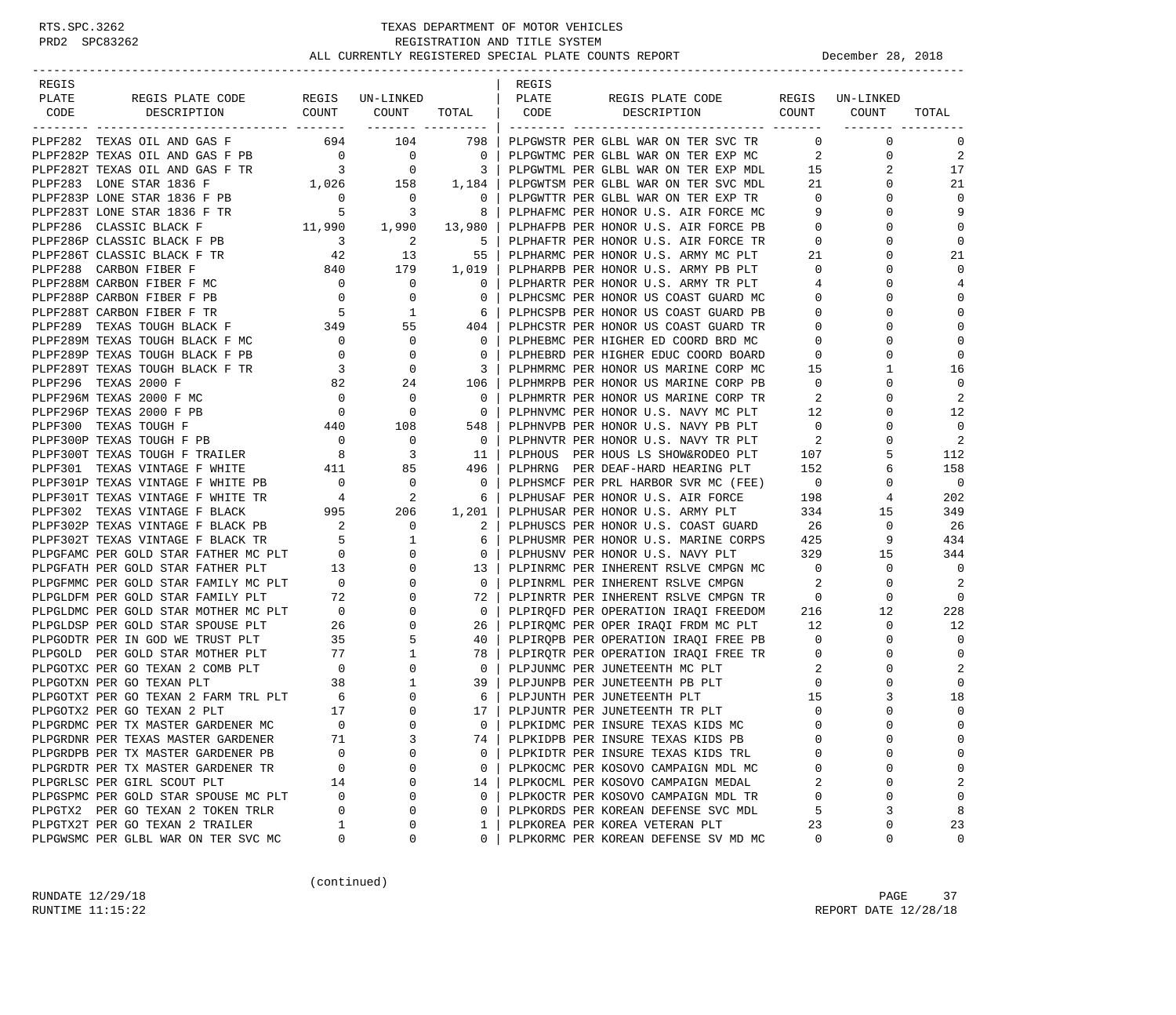| REGIS |                                                                                                                                                                                                                                          |                                              |                            |                                                     | REGIS |                                                                                        |                          |                                   |                |
|-------|------------------------------------------------------------------------------------------------------------------------------------------------------------------------------------------------------------------------------------------|----------------------------------------------|----------------------------|-----------------------------------------------------|-------|----------------------------------------------------------------------------------------|--------------------------|-----------------------------------|----------------|
| PLATE | -LATE REGISPLATE CODE REGIS UN-LINKED   PLATE REGISPLATE CODE REGISUN<br>CODE DESCRIPTION COUNT COUNT TOTAL   CODE DESCRIPTION COUNT                                                                                                     |                                              |                            |                                                     |       | REGIS PLATE CODE REGIS UN-LINKED                                                       |                          |                                   |                |
|       |                                                                                                                                                                                                                                          |                                              |                            |                                                     |       |                                                                                        |                          | COUNT                             | TOTAL          |
|       | PLPF282 TEXAS OIL AND GAS F                                                                                                                                                                                                              |                                              |                            |                                                     |       | 694 104 798   PLPGWSTR PER GLBL WAR ON TER SVC TR                                      |                          | $0 \qquad \qquad$<br>$\mathbf{0}$ | 0              |
|       |                                                                                                                                                                                                                                          |                                              |                            |                                                     |       | PLPGWTMC PER GLBL WAR ON TER EXP MC                                                    |                          | $\mathbf{2}$<br>0                 | 2              |
|       |                                                                                                                                                                                                                                          |                                              |                            |                                                     |       | 3   PLPGWTML PER GLBL WAR ON TER EXP MDL                                               | 15                       | 2                                 | 17             |
|       |                                                                                                                                                                                                                                          |                                              |                            |                                                     |       | PLPGWTSM PER GLBL WAR ON TER SVC MDL                                                   | 21                       | $\Omega$                          | 21             |
|       | PLPF283P LONE STAR 1836 F PB                                                                                                                                                                                                             |                                              |                            |                                                     |       |                                                                                        |                          | 0                                 | $\mathbf 0$    |
|       | PLPF283T LONE STAR 1836 F TR                                                                                                                                                                                                             |                                              |                            |                                                     |       | PLPGWTTR PER GLBL WAR ON TER EXP TR<br>PLPHAFMC PER HONOR U.S. AIR FORCE MC 9          |                          | $\Omega$                          | 9              |
|       | PLPF286 CLASSIC BLACK F                                                                                                                                                                                                                  |                                              |                            |                                                     |       | PLPHAFPB PER HONOR U.S. AIR FORCE PB                                                   | $\overline{0}$           | 0                                 | $\mathbf 0$    |
|       |                                                                                                                                                                                                                                          |                                              |                            | 5                                                   |       | PLPHAFTR PER HONOR U.S. AIR FORCE TR                                                   | $\overline{0}$           | $\Omega$                          | $\mathbf 0$    |
|       | PLPF286T CLASSIC BLACK F PB<br>PLPF286T CLASSIC BLACK F TR 42 13<br>PLPF288 CARRON FIDED F                                                                                                                                               |                                              |                            | 55                                                  |       | PLPHARMC PER HONOR U.S. ARMY MC PLT                                                    | 21                       | $\Omega$                          | 21             |
|       | PLPF288 CARBON FIBER F                                                                                                                                                                                                                   |                                              | 840 179 1,019              |                                                     |       | PLPHARPB PER HONOR U.S. ARMY PB PLT                                                    | $\overline{0}$           | 0                                 | $\Omega$       |
|       | PLPF288M CARBON FIBER F MC                                                                                                                                                                                                               | $\overline{0}$                               | $\overline{\phantom{0}}$   | $\overline{\phantom{0}}$                            |       | PLPHARTR PER HONOR U.S. ARMY TR PLT<br>PLPHARTR PER HONOR U.S. ARMY TR PLT             | $4\overline{ }$          | $\Omega$                          | 4              |
|       | PLPF288P CARBON FIBER F PB<br>PLPF288T CARBON FIBER F TR 5 1<br>PLPF289 TEXAS TOUGH BLACK F 349 55                                                                                                                                       |                                              |                            | $\mathbf{0}$                                        |       | PLPHCSMC PER HONOR US COAST GUARD MC                                                   | $\overline{0}$           | $\Omega$                          | $\mathbf 0$    |
|       |                                                                                                                                                                                                                                          |                                              |                            |                                                     |       | PLPHCSPB PER HONOR US COAST GUARD PB                                                   | $\mathbf{0}$             | $\Omega$                          | $\mathbf 0$    |
|       |                                                                                                                                                                                                                                          |                                              |                            | $\begin{array}{c c} 404 &   \\ 0 &   \end{array}$   |       | PLPHCSTR PER HONOR US COAST GUARD TR                                                   | $\overline{0}$           | $\Omega$                          | $\mathbf 0$    |
|       | PLPF289M TEXAS TOUGH BLACK F MC                                                                                                                                                                                                          |                                              |                            |                                                     |       | PLPHEBMC PER HIGHER ED COORD BRD MC                                                    | $\mathbf{0}$             | 0                                 | $\mathbf 0$    |
|       | PLPF289P TEXAS TOUGH BLACK F PB                                                                                                                                                                                                          |                                              |                            | $\overline{\phantom{0}}$                            |       | PLPHEBRD PER HIGHER EDUC COORD BOARD                                                   | $\overline{0}$           | $\Omega$                          | 0              |
|       | PLPF289T TEXAS TOUGH BLACK F TR                                                                                                                                                                                                          | $\sim$ 3                                     |                            | 3 <sup>1</sup>                                      |       | PLPHMRMC PER HONOR US MARINE CORP MC                                                   | 15                       | $\mathbf{1}$                      | 16             |
|       | PLPF296 TEXAS 2000 F                                                                                                                                                                                                                     |                                              |                            | $106$                                               |       | PLPHMRPB PER HONOR US MARINE CORP PB                                                   | $\overline{0}$           | $\Omega$                          | $\mathbf 0$    |
|       | $\begin{array}{ccc}\n & & & & 0 \\  & & & & & 0 \\  & & & & & 0 \\  & & & & & 440\n\end{array}$<br>PLPF296M TEXAS 2000 F MC                                                                                                              |                                              | $\overline{\phantom{0}}$   | $\overline{0}$                                      |       | PLPHMRTR PER HONOR US MARINE CORP TR                                                   | - 2                      | $\Omega$                          | 2              |
|       | PLPF296P TEXAS 2000 F PB                                                                                                                                                                                                                 |                                              | $\overline{0}$             | $\overline{0}$                                      |       | PLPHNVMC PER HONOR U.S. NAVY MC PLT                                                    | $\frac{12}{1}$           | 0                                 | 12             |
|       | PLPF300 TEXAS TOUGH F                                                                                                                                                                                                                    |                                              | 108                        | 548                                                 |       | PLPHNVPB PER HONOR U.S. NAVY PB PLT                                                    | $\overline{0}$           | $\Omega$                          | $\overline{0}$ |
|       |                                                                                                                                                                                                                                          |                                              | $\overline{0}$             | $\overline{\phantom{0}}$ 0 $\overline{\phantom{0}}$ |       | PLPHNVTR PER HONOR U.S. NAVY TR PLT                                                    | $\overline{\phantom{a}}$ | 0                                 | -2             |
|       |                                                                                                                                                                                                                                          |                                              | $\overline{\phantom{a}}$ 3 | 11                                                  |       | PLPHOUS PER HOUS LS SHOW&RODEO PLT                                                     | 107                      | 5                                 | 112            |
|       | PLPF300P TEXAS TOUGH F PB<br>PLPF300T TEXAS TOUGH F TRAILER 8<br>PLPF301 TEXAS VINTAGE F WHITE 411<br>PLPF301 TEXAS VINTAGE F WHITE 411                                                                                                  |                                              | 85                         | 496                                                 |       | PLPHRNG PER DEAF-HARD HEARING PLT 152                                                  |                          | 6                                 | 158            |
|       | PLPF301P TEXAS VINTAGE F WHITE PB $0$ 0 0<br>PLPF301T TEXAS VINTAGE F WHITE TR 4 2                                                                                                                                                       |                                              |                            | $\overline{0}$                                      |       | PLPHSMCF PER PRL HARBOR SVR MC (FEE) 0<br>PLPHUSAF PER HONOR U.S. AIR FORCE 198        |                          | 0                                 | $\overline{0}$ |
|       |                                                                                                                                                                                                                                          |                                              |                            | 6                                                   |       |                                                                                        |                          | 4                                 | 202            |
|       | PLPF302 TEXAS VINTAGE F BLACK                                                                                                                                                                                                            |                                              | 995 206                    | 1,201                                               |       | PLPHUSAR PER HONOR U.S. ARMY PLT 334                                                   |                          | 15                                | 349            |
|       | PLPF302P TEXAS VINTAGE F BLACK PB $2$ 0<br>PLPF302T TEXAS VINTAGE F BLACK TR $5$ 1                                                                                                                                                       |                                              |                            | 2                                                   |       | PLPHUSCS PER HONOR U.S. COAST GUARD                                                    | 26                       | 0                                 | 26             |
|       |                                                                                                                                                                                                                                          |                                              |                            |                                                     |       | PLPHUSMR PER HONOR U.S. MARINE CORPS 425                                               |                          | 9                                 | 434            |
|       | PLPGFAMC PER GOLD STAR FATHER MC PLT<br>PLPGFAMC PER GOLD STAR FATHER PLT 13                                                                                                                                                             |                                              | $\mathbf 0$                | $\overline{0}$                                      |       | PLPHUSNV PER HONOR U.S. NAVY PLT                                                       | 329                      | 15                                | 344            |
|       |                                                                                                                                                                                                                                          |                                              | $\mathbf{0}$               | 13                                                  |       | PLPINRMC PER INHERENT RSLVE CMPGN MC                                                   | $\overline{0}$           | 0                                 | $\overline{0}$ |
|       |                                                                                                                                                                                                                                          |                                              | $\overline{0}$             | $\overline{0}$                                      |       | PLPINRML PER INHERENT RSLVE CMPGN                                                      | $\overline{2}$           | 0                                 | 2              |
|       |                                                                                                                                                                                                                                          |                                              | $\mathbf 0$                | 72                                                  |       | PLPINRTR PER INHERENT RSLVE CMPGN TR                                                   | $\overline{0}$           | 0                                 | $\overline{0}$ |
|       |                                                                                                                                                                                                                                          |                                              | $\mathbf{0}$               | $\overline{0}$                                      |       | PLPIRQFD PER OPERATION IRAQI FREEDOM 216                                               |                          | 12                                | 228            |
|       |                                                                                                                                                                                                                                          |                                              | $\overline{0}$             | 26                                                  |       | PLPIRQMC PER OPER IRAQI FRDM MC PLT 12<br>PLPIRQPB PER OPERATION IRAQI FREE PB 0       |                          | $\mathbf{0}$                      | 12             |
|       | PLPGFAMC PER GOLD STAR FATHER MC PLT 0<br>PLPGFATH PER GOLD STAR FATHER PLT 13<br>PLPGFMMC PER GOLD STAR FAMILY MC PLT 0<br>PLPGLDFM PER GOLD STAR FAMILY PLT 72<br>PLPGLDMC PER GOLD STAR MOTHER MC PLT 0<br>PLPGLDSP PER GOLD STAR SPO |                                              | 5                          | 40                                                  |       |                                                                                        |                          | 0                                 | $\overline{0}$ |
|       | PLPGOLD PER GOLD STAR MOTHER PLT                                                                                                                                                                                                         | $\begin{array}{c} 77 \\ 0 \\ 38 \end{array}$ | $\mathbf{1}$               | 78                                                  |       | PLPIRQTR PER OPERATION IRAQI FREE TR                                                   |                          | 0                                 | $\mathbf 0$    |
|       | PLPGOTXC PER GO TEXAN 2 COMB PLT                                                                                                                                                                                                         | $\begin{matrix} 0 \\ 38 \end{matrix}$        | $\overline{0}$             | $\overline{0}$                                      |       | PLPJUNMC PER JUNETEENTH MC PLT 2<br>PLPJUNPB PER JUNETEENTH PB PLT 0                   |                          | $\Omega$                          | 2              |
|       | PLPGOTXN PER GO TEXAN PLT                                                                                                                                                                                                                |                                              | 1                          | 39                                                  |       |                                                                                        |                          | $\Omega$                          | 0              |
|       | PLPGOTXT PER GO TEXAN 2 FARM TRL PLT 6<br>-------- PLPGOTXT PER GO TEXAN 2 FARM TRL PLT 6<br>-------- PER GO TEXAN 2 PLT 17                                                                                                              |                                              | 0                          | 6                                                   |       | ELPJUNTR PER JUNETEENTH TR PLT<br>PLPJUNTR PER JUNETEENTH TR PLT<br>PLPKIDMG DED TILOT | 15                       | 3                                 | 18             |
|       |                                                                                                                                                                                                                                          |                                              | $\mathbf 0$                | 17                                                  |       |                                                                                        | $\mathbf{0}$             | $\Omega$                          | 0              |
|       | PLPGRDMC PER TX MASTER GARDENER MC                                                                                                                                                                                                       | $\Omega$                                     | $\Omega$                   | $\Omega$                                            |       | PLPKIDMC PER INSURE TEXAS KIDS MC                                                      | $\Omega$                 | $\Omega$                          | $\Omega$       |
|       | PLPGRDNR PER TEXAS MASTER GARDENER                                                                                                                                                                                                       | 71                                           | 3                          | 74                                                  |       | PLPKIDPB PER INSURE TEXAS KIDS PB                                                      | $\mathbf 0$              | $\Omega$                          | $\Omega$       |
|       | PLPGRDPB PER TX MASTER GARDENER PB                                                                                                                                                                                                       | $\Omega$                                     | 0                          | 0                                                   |       | PLPKIDTR PER INSURE TEXAS KIDS TRL                                                     | $\Omega$                 | $\Omega$                          | 0              |
|       | PLPGRDTR PER TX MASTER GARDENER TR                                                                                                                                                                                                       | 0                                            | 0                          | 0                                                   |       | PLPKOCMC PER KOSOVO CAMPAIGN MDL MC                                                    | 0                        | $\Omega$                          | 0              |
|       | PLPGRLSC PER GIRL SCOUT PLT                                                                                                                                                                                                              | 14                                           | 0                          | 14                                                  |       | PLPKOCML PER KOSOVO CAMPAIGN MEDAL                                                     | 2                        | $\Omega$                          | 2              |
|       | PLPGSPMC PER GOLD STAR SPOUSE MC PLT<br>PLPGTX2 PER GO TEXAN 2 TOKEN TRLR                                                                                                                                                                | 0<br>0                                       | 0<br>0                     | $\Omega$                                            |       | PLPKOCTR PER KOSOVO CAMPAIGN MDL TR                                                    | 0                        | $\Omega$                          | 0              |
|       |                                                                                                                                                                                                                                          |                                              |                            | 0                                                   |       | PLPKORDS PER KOREAN DEFENSE SVC MDL                                                    | 5                        | 3<br>$\Omega$                     | 8              |
|       | PLPGTX2T PER GO TEXAN 2 TRAILER<br>PLPGWSMC PER GLBL WAR ON TER SVC MC                                                                                                                                                                   | 0                                            | 0<br>0                     | 1<br>0                                              |       | PLPKOREA PER KOREA VETERAN PLT                                                         | 23<br>0                  | 0                                 | 23<br>0        |
|       |                                                                                                                                                                                                                                          |                                              |                            |                                                     |       | PLPKORMC PER KOREAN DEFENSE SV MD MC                                                   |                          |                                   |                |

(continued)

RUNDATE  $12/29/18$  PAGE 37 RUNTIME 11:15:22 REPORT DATE 12/28/18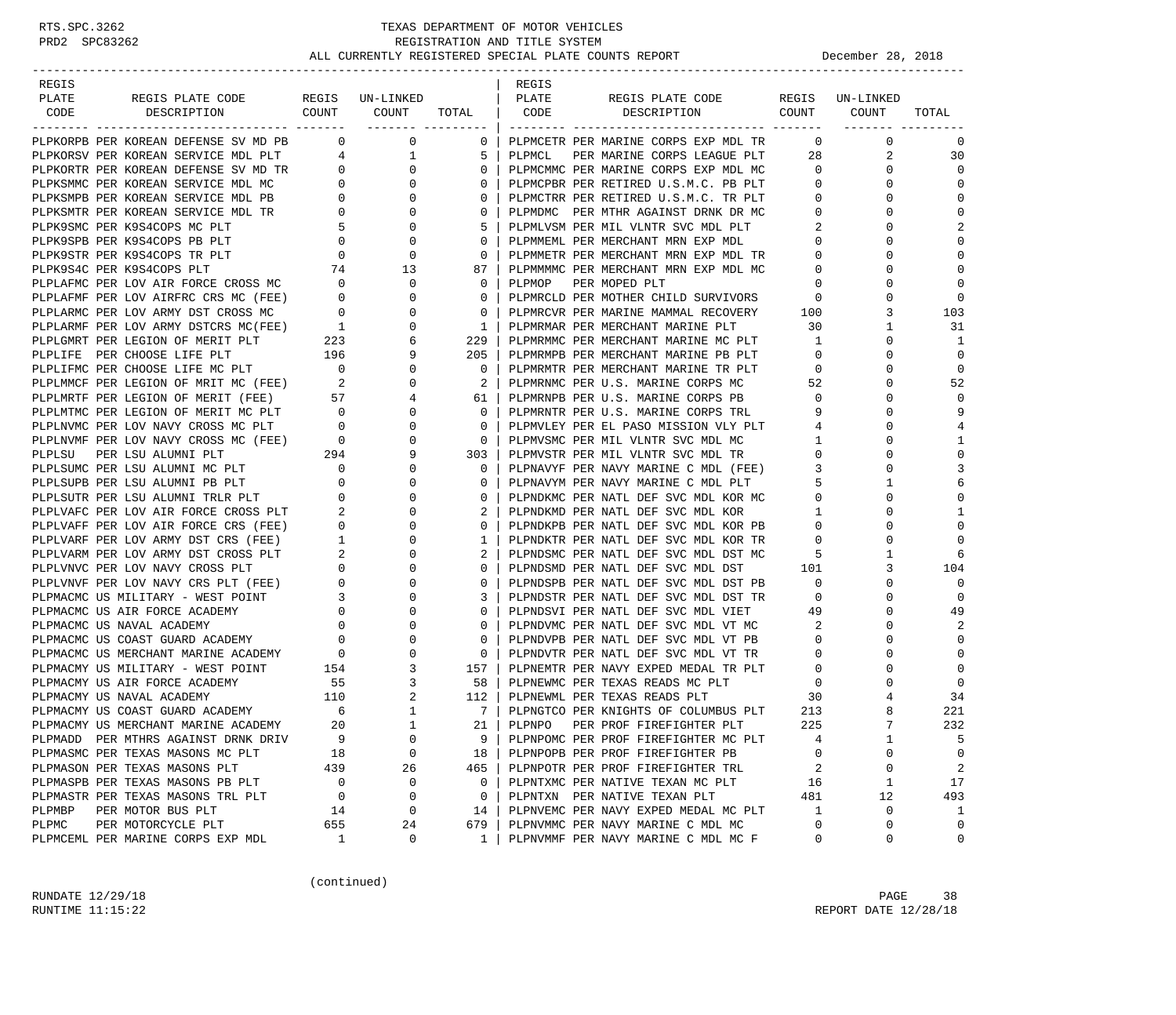| REGIS  |                                                                                                                                                                                                                               |                          |                                                                                                        |                          | REGIS  |                                                                                  |                                                         |                                |                |
|--------|-------------------------------------------------------------------------------------------------------------------------------------------------------------------------------------------------------------------------------|--------------------------|--------------------------------------------------------------------------------------------------------|--------------------------|--------|----------------------------------------------------------------------------------|---------------------------------------------------------|--------------------------------|----------------|
| PLATE  | REGIS PLATE CODE                                                                                                                                                                                                              |                          | REGIS UN-LINKED                                                                                        |                          | PLATE  | REGIS PLATE CODE                                                                 |                                                         | REGIS UN-LINKED                |                |
| CODE   | COUNT<br>DESCRIPTION                                                                                                                                                                                                          |                          | COUNT                                                                                                  | TOTAL CODE               |        | COUNT<br>DESCRIPTION                                                             |                                                         | COUNT                          | TOTAL          |
|        |                                                                                                                                                                                                                               |                          |                                                                                                        | ------- ---------        |        |                                                                                  |                                                         |                                |                |
|        | PLPKORPB PER KOREAN DEFENSE SV MD PB 0 0 0 0                                                                                                                                                                                  |                          |                                                                                                        | 0                        |        | PLPMCETR PER MARINE CORPS EXP MDL TR                                             |                                                         | $\overline{0}$<br>$\mathbf{0}$ | 0              |
|        |                                                                                                                                                                                                                               |                          |                                                                                                        | 5                        | PLPMCL | PER MARINE CORPS LEAGUE PLT                                                      |                                                         | 28<br>2                        | 30             |
|        | PLPKORSV PER KOREAN SERVICE MDL PLT $\begin{array}{ccc} 4 & 1 \\ 1 & 2 \end{array}$ PLPKORTR PER KOREAN DEFENSE SV MD TR $\begin{array}{ccc} 0 & 0 \\ 0 & 0 \end{array}$                                                      |                          |                                                                                                        | 0 <sup>1</sup>           |        | PLPMCMMC PER MARINE CORPS EXP MDL MC                                             | $\overline{0}$                                          | $\mathbf{0}$                   | $\Omega$       |
|        | PLPKSMMC PER KOREAN SERVICE MDL MC                                                                                                                                                                                            |                          | $\overline{0}$<br>NE NE 0 0 0<br>NC 0 0 0<br>PB 0 0 0<br>TR 0 0 0<br>5 0<br>0 0 0<br>74 13<br>SSMC 0 0 | $\overline{0}$           |        | PLPMCPBR PER RETIRED U.S.M.C. PB PLT 0                                           |                                                         | $\mathbf{0}$                   | $\Omega$       |
|        | PLPKSMPB PER KOREAN SERVICE MDL PB                                                                                                                                                                                            |                          |                                                                                                        | $\mathbf{0}$             |        | PLPMCTRR PER RETIRED U.S.M.C. TR PLT                                             | $\overline{0}$                                          | 0                              | $\Omega$       |
|        | PLPKSMTR PER KOREAN SERVICE MDL TR                                                                                                                                                                                            |                          |                                                                                                        | $\mathbf{0}$             |        | PLPMDMC PER MTHR AGAINST DRNK DR MC                                              | $\circ$                                                 | $\Omega$                       | $\Omega$       |
|        | PLPK9SMC PER K9S4COPS MC PLT                                                                                                                                                                                                  |                          |                                                                                                        | -5                       |        | PLPMLVSM PER MIL VLNTR SVC MDL PLT                                               | 2                                                       | 0                              | $\overline{2}$ |
|        | PLPK9SPB PER K9S4COPS PB PLT                                                                                                                                                                                                  |                          |                                                                                                        | $\mathbf{0}$             |        | PLPMMEML PER MERCHANT MRN EXP MDL                                                | $\overline{0}$                                          | $\Omega$                       | $\Omega$       |
|        | PLPK9STR PER K9S4COPS TR PLT                                                                                                                                                                                                  |                          |                                                                                                        | $\mathbf{0}$             |        | PLPMMETR PER MERCHANT MRN EXP MDL TR                                             | $\circ$                                                 | 0                              | $\Omega$       |
|        | PLPK9S4C PER K9S4COPS PLT                                                                                                                                                                                                     |                          |                                                                                                        | 87                       |        | PLPMMMMC PER MERCHANT MRN EXP MDL MC                                             | $\mathbf 0$                                             | 0                              | $\Omega$       |
|        | PLPLAFMC PER LOV AIR FORCE CROSS MC                                                                                                                                                                                           |                          |                                                                                                        | $\mathbf{0}$             | PLPMOP | PER MOPED PLT                                                                    | 0                                                       | $\Omega$                       | $\Omega$       |
|        | PLPLAFMF PER LOV AIRFRC CRS MC (FEE) 0<br>PLPLARMC PER LOV ARMY DST CROSS MC 0<br>PLPLARMF PER LOV ARMY DSTCRS MC (FEE) 1<br>PLPLARMF PER LEGION OF MERIT PLT 223<br>PLPLIFE PER CHOOSE LIFE PLT 196                          |                          | $\overline{0}$                                                                                         | $\mathbf{0}$             |        |                                                                                  |                                                         | 0                              | $\Omega$       |
|        |                                                                                                                                                                                                                               |                          | $\overline{0}$                                                                                         | $\mathbf{0}$             |        | PLPMRCLD PER MOTHER CHILD SURVIVORS 0<br>PLPMRCVR PER MARINE MAMMAL RECOVERY 100 |                                                         | 3                              | 103            |
|        |                                                                                                                                                                                                                               |                          | $\overline{0}$                                                                                         | $\overline{1}$           |        | PLPMRMAR PER MERCHANT MARINE PLT                                                 | 30                                                      | 1                              | 31             |
|        |                                                                                                                                                                                                                               |                          | 6                                                                                                      | 229                      |        | PLPMRMMC PER MERCHANT MARINE MC PLT                                              | $\mathbf{1}$                                            | 0                              | 1              |
|        |                                                                                                                                                                                                                               | LT 223<br>196            | 9                                                                                                      | 205                      |        | PLPMRMPB PER MERCHANT MARINE PB PLT                                              | $\overline{0}$                                          | $\Omega$                       | $\mathbf 0$    |
|        |                                                                                                                                                                                                                               |                          | $\mathbf{0}$                                                                                           | $\mathbf{0}$             |        |                                                                                  | $\overline{0}$                                          | 0                              | $\mathbf 0$    |
|        | PLPLIFMC PER CHOOSE LIFE MC PLT 0<br>PLPLMMCF PER LEGION OF MRIT MC (FEE) 2                                                                                                                                                   |                          | $\mathbf{0}$                                                                                           | $2 \mid$                 |        | PLPMRMTR PER MERCHANT MARINE TR PLT<br>PLPMRNMC PER U.S. MARINE CORPS MC         | 52                                                      | $\Omega$                       | 52             |
|        | PLPLMRTF PER LEGION OF MERIT (FEE) 57                                                                                                                                                                                         |                          | 4                                                                                                      | 61                       |        | PLPMRNPB PER U.S. MARINE CORPS PB                                                | $\overline{0}$                                          | 0                              | $\Omega$       |
|        |                                                                                                                                                                                                                               |                          | $\mathbf 0$                                                                                            | $\overline{0}$           |        | PLPMRNTR PER U.S. MARINE CORPS TRL                                               | 9                                                       | $\Omega$                       | 9              |
|        |                                                                                                                                                                                                                               |                          | $\overline{0}$                                                                                         | $\mathbf{0}$             |        | PLPMVLEY PER EL PASO MISSION VLY PLT                                             | 4                                                       | $\Omega$                       |                |
|        |                                                                                                                                                                                                                               |                          |                                                                                                        | $\overline{\phantom{0}}$ |        | PLPMVSMC PER MIL VLNTR SVC MDL MC                                                |                                                         | 0                              | 1              |
|        |                                                                                                                                                                                                                               |                          | $\begin{array}{c} 0 \\ 9 \end{array}$                                                                  | 303                      |        | PLPMVSTR PER MIL VLNTR SVC MDL TR                                                | $\begin{array}{c} 1 \\ 0 \end{array}$<br>$\overline{0}$ | $\Omega$                       | $\mathbf{0}$   |
|        | PLPLNVMC PER LOV NAVY CROSS MC PLT 0<br>PLPLNVMC PER LOV NAVY CROSS MC PLT 0<br>PLPLNVMF PER LOV NAVY CROSS MC (FEE) 0<br>PLPLSU PER LSU ALUMNI PLT 294<br>PLPLSUMC PER LSU ALUMNI MC PLT<br>PLPLSUMC PER LSU ALUMNI MC PLT 0 |                          | $\mathbf{0}$                                                                                           | $\overline{0}$           |        | PLPNAVYF PER NAVY MARINE C MDL (FEE) 3                                           |                                                         | 0                              | 3              |
|        | PLPLSUPB PER LSU ALUMNI PB PLT                                                                                                                                                                                                | $\overline{\phantom{0}}$ | $\mathbf 0$                                                                                            | $\mathbf{0}$             |        | PLPNAVYM PER NAVY MARINE C MDL PLT                                               | 5                                                       | $\mathbf{1}$                   | 6              |
|        | PLPLSUTR PER LSU ALUMNI TRLR PLT                                                                                                                                                                                              | $\overline{0}$           | $\Omega$                                                                                               | $\mathbf{0}$             |        | PLPNDKMC PER NATL DEF SVC MDL KOR MC                                             | $\overline{0}$                                          | $\Omega$                       | $\Omega$       |
|        |                                                                                                                                                                                                                               |                          | 0                                                                                                      | 2                        |        |                                                                                  |                                                         | 0                              | 1              |
|        | PLPLVAFC PER LOV AIR FORCE CROSS PLT 2<br>PLPLVAFF PER LOV AIR FORCE CRS (FEE) 0                                                                                                                                              |                          | $\mathbf 0$                                                                                            | $\overline{0}$           |        |                                                                                  |                                                         | $\Omega$                       | $\mathbf 0$    |
|        | PLPLVARF PER LOV ARMY DST CRS (FEE) 1<br>PLPLVARM PER LOV ARMY DST CROSS PLT 2<br>PLPLVNVC PER LOV NAVY CROSS PLT 0                                                                                                           |                          | $\mathbf 0$                                                                                            | $\mathbf{1}$             |        | PLPNDKTR PER NATL DEF SVC MDL KOR TR                                             | $\overline{0}$                                          | 0                              | $\Omega$       |
|        |                                                                                                                                                                                                                               |                          | $\mathbf 0$                                                                                            | 2                        |        | PLPNDSMC PER NATL DEF SVC MDL DST MC                                             | - 5                                                     | 1                              | 6              |
|        |                                                                                                                                                                                                                               |                          | 0                                                                                                      | $\mathbf{0}$             |        | PLPNDSMD PER NATL DEF SVC MDL DST 101                                            |                                                         | 3                              | 104            |
|        |                                                                                                                                                                                                                               |                          | $\mathbf 0$                                                                                            | $\mathbf{0}$             |        | PLPNDSPB PER NATL DEF SVC MDL DST PB                                             | $\overline{0}$                                          | $\mathbf{0}$                   | $\Omega$       |
|        | PLPLVNVF PER LOV NAVY CRS PLT (FEE) 0<br>PLPMACMC US MILITARY - WEST POINT 3                                                                                                                                                  |                          | 0                                                                                                      | $\mathbf{3}$             |        | PLPNDSTR PER NATL DEF SVC MDL DST TR                                             | $\overline{\phantom{0}}$                                | $\Omega$                       | $\mathbf 0$    |
|        | PLPMACMC US AIR FORCE ACADEMY                                                                                                                                                                                                 | $\overline{0}$           | $\mathbf 0$                                                                                            | $\mathbf{0}$             |        | PLPNDSVI PER NATL DEF SVC MDL VIET                                               | 49                                                      | $\mathbf 0$                    | 49             |
|        | PLPMACMC US NAVAL ACADEMY                                                                                                                                                                                                     | $\mathbf{0}$             | $\mathbf 0$                                                                                            | $\mathbf{0}$             |        | PLPNDVMC PER NATL DEF SVC MDL VT MC                                              | $\overline{\phantom{a}}^2$                              | 0                              | 2              |
|        | PLPMACMC US COAST GUARD ACADEMY                                                                                                                                                                                               | $\overline{0}$           | $\mathbf 0$                                                                                            | $\mathbf{0}$             |        | PLPNDVPB PER NATL DEF SVC MDL VT PB                                              | $\overline{0}$                                          | $\Omega$                       | $\Omega$       |
|        |                                                                                                                                                                                                                               |                          |                                                                                                        | $\sim$ 0                 |        | PLPNDVTR PER NATL DEF SVC MDL VT TR                                              | $\circ$                                                 | 0                              | $\Omega$       |
|        | PLPMACMC US MERCHANT MARINE ACADEMY 0<br>PLPMACMY US MILITARY - WEST POINT 154                                                                                                                                                |                          | $\frac{0}{3}$                                                                                          | 157                      |        | PLPNEMTR PER NAVY EXPED MEDAL TR PLT                                             | $\mathbf{0}$                                            | $\Omega$                       | $\mathbf 0$    |
|        | PLPMACMY US AIR FORCE ACADEMY                                                                                                                                                                                                 |                          | $3^{\circ}$                                                                                            | 58                       |        | PLPNEWMC PER TEXAS READS MC PLT                                                  | $\overline{0}$                                          | $\Omega$                       | $\Omega$       |
|        | PLPMACMY US NAVAL ACADEMY                                                                                                                                                                                                     | $\frac{55}{110}$         |                                                                                                        | 112 l                    |        | PLPNEWML PER TEXAS READS PLT                                                     | 30                                                      | 4                              | 34             |
|        | PLPMACMY US COAST GUARD ACADEMY                                                                                                                                                                                               | $\overline{6}$           | $\begin{array}{c} 2 \\ 1 \end{array}$                                                                  | 7 <sup>1</sup>           |        | PLPNGTCO PER KNIGHTS OF COLUMBUS PLT                                             | 213                                                     | 8                              | 221            |
|        | PLPMACMY US MERCHANT MARINE ACADEMY 20                                                                                                                                                                                        |                          | $\mathbf{1}$                                                                                           | 21                       |        | PLPNPO PER PROF FIREFIGHTER PLT                                                  | 225                                                     | 7                              | 232            |
|        | PLPMADD PER MTHRS AGAINST DRNK DRIV                                                                                                                                                                                           | 9                        | 0                                                                                                      | 9                        |        | PLPNPOMC PER PROF FIREFIGHTER MC PLT                                             | 4                                                       | 1                              | 5              |
|        | PLPMASMC PER TEXAS MASONS MC PLT                                                                                                                                                                                              | 18                       | 0                                                                                                      | 18                       |        | PLPNPOPB PER PROF FIREFIGHTER PB                                                 | 0                                                       | 0                              | $\mathbf 0$    |
|        | PLPMASON PER TEXAS MASONS PLT                                                                                                                                                                                                 | 439                      | 26                                                                                                     | 465                      |        | PLPNPOTR PER PROF FIREFIGHTER TRL                                                | 2                                                       | 0                              | 2              |
|        | PLPMASPB PER TEXAS MASONS PB PLT                                                                                                                                                                                              | 0                        | 0                                                                                                      | 0                        |        | PLPNTXMC PER NATIVE TEXAN MC PLT                                                 | 16                                                      | 1                              | 17             |
|        | PLPMASTR PER TEXAS MASONS TRL PLT                                                                                                                                                                                             | 0                        | 0                                                                                                      | 0                        |        | PLPNTXN PER NATIVE TEXAN PLT                                                     | 481                                                     | 12                             | 493            |
| PLPMBP | PER MOTOR BUS PLT                                                                                                                                                                                                             | 14                       | 0                                                                                                      | 14                       |        | PLPNVEMC PER NAVY EXPED MEDAL MC PLT                                             | 1                                                       | $\mathbf 0$                    | 1              |
| PLPMC  | PER MOTORCYCLE PLT                                                                                                                                                                                                            | 655                      | 24                                                                                                     | 679                      |        | PLPNVMMC PER NAVY MARINE C MDL MC                                                | 0                                                       | 0                              | $\mathbf 0$    |
|        | PLPMCEML PER MARINE CORPS EXP MDL                                                                                                                                                                                             | $\mathbf{1}$             | 0                                                                                                      | 1                        |        | PLPNVMMF PER NAVY MARINE C MDL MC F                                              | 0                                                       | 0                              | $\mathsf 0$    |

(continued)

RUNDATE  $12/29/18$  PAGE 38 RUNTIME 11:15:22 REPORT DATE 12/28/18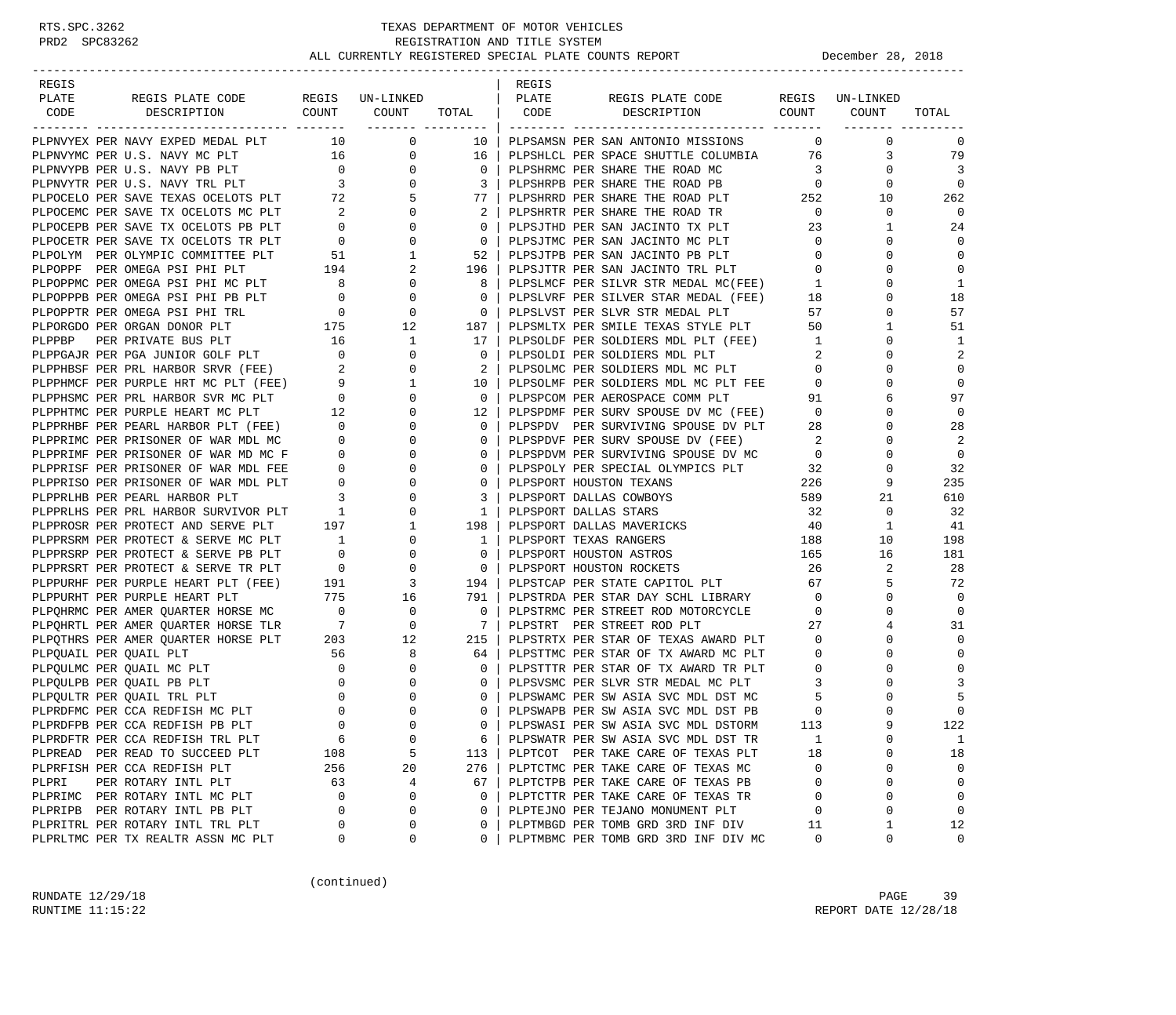| REGIS                                                                                                                                                                                                                                      |     |                 |                            | REGIS |                                                                                                                            |                                                  |                               |                |
|--------------------------------------------------------------------------------------------------------------------------------------------------------------------------------------------------------------------------------------------|-----|-----------------|----------------------------|-------|----------------------------------------------------------------------------------------------------------------------------|--------------------------------------------------|-------------------------------|----------------|
| PLATE<br>REGIS PLATE CODE                                                                                                                                                                                                                  |     | REGIS UN-LINKED |                            | PLATE | REGIS PLATE CODE REGIS UN-LINKED                                                                                           |                                                  |                               |                |
| CODE<br>DESCRIPTION                                                                                                                                                                                                                        |     | COUNT COUNT     | TOTAL CODE                 |       | DESCRIPTION COUNT COUNT                                                                                                    |                                                  | ________ ________             | TOTAL          |
| PLPNVYEX PER NAVY EXPED MEDAL PLT 10 0                                                                                                                                                                                                     |     |                 | 10                         |       | PLPSAMSN PER SAN ANTONIO MISSIONS                                                                                          |                                                  | $\overline{0}$<br>$\mathbf 0$ | 0              |
| PLPNVYEX PER NAVY EXPED MEDAL PLT 10 00<br>PLPNVYPB PER U.S. NAVY PB PLT 16 00<br>PLPNVYPB PER U.S. NAVY PB PLT 0 00<br>PLPNVYPB PER U.S. NAVY TRL PLT 3 00<br>PLPOCELO PER SAVE TEXAS OCELOTS PLT 72 5<br>PLPOCEMC PER SAVE TX OCELOTS    |     |                 | 16                         |       | PLPSHLCL PER SPACE SHUTTLE COLUMBIA 76                                                                                     |                                                  | 3                             | 79             |
|                                                                                                                                                                                                                                            |     |                 | $\overline{0}$             |       |                                                                                                                            |                                                  | 0                             | $\overline{3}$ |
|                                                                                                                                                                                                                                            |     |                 | $\overline{\mathbf{3}}$    |       | PLPSHRMC PER SHARE THE ROAD MC 3<br>PLPSHRPB PER SHARE THE ROAD PB 0                                                       |                                                  | $\Omega$                      | $\mathbf 0$    |
|                                                                                                                                                                                                                                            |     |                 | 77                         |       |                                                                                                                            |                                                  | 10                            | 262            |
|                                                                                                                                                                                                                                            |     |                 | 2                          |       | PLPSHRRD PER SHARE THE ROAD PLT 252<br>PLPSHRTR PER SHARE THE ROAD TR                                                      | $\overline{0}$                                   | 0                             | $\overline{0}$ |
|                                                                                                                                                                                                                                            |     |                 | $\mathbf{0}$               |       |                                                                                                                            |                                                  | $\mathbf{1}$                  | 24             |
|                                                                                                                                                                                                                                            |     |                 | $\overline{0}$             |       | PLPSJTHD PER SAN JACINTO TX PLT 23<br>PLPSJTMC PER SAN JACINTO MC PLT                                                      | $\overline{0}$                                   | $\Omega$                      | $\mathbf 0$    |
|                                                                                                                                                                                                                                            |     |                 | 52                         |       | PLPSJTPB PER SAN JACINTO PB PLT 0                                                                                          |                                                  | $\Omega$                      | $\mathbf 0$    |
|                                                                                                                                                                                                                                            |     |                 | 196                        |       |                                                                                                                            | $\overline{0}$                                   | 0                             | $\mathbf 0$    |
|                                                                                                                                                                                                                                            |     |                 | 8                          |       | PLPSJTTR PER SAN JACINTO TRL PLT 0<br>PLPSLMCF PER SILVR STR MEDAL MC(FEE) 1                                               |                                                  | $\Omega$                      | 1              |
|                                                                                                                                                                                                                                            |     |                 | $\mathbf{0}$               |       |                                                                                                                            | 18                                               | 0                             | 18             |
|                                                                                                                                                                                                                                            |     |                 | $\overline{0}$             |       | PLPSLVRF PER SILVER STAR MEDAL (FEE)                                                                                       | 57                                               | 0                             | 57             |
|                                                                                                                                                                                                                                            |     |                 | 187                        |       | PLPSLVST PER SLVR STR MEDAL PLT<br>PLPSMLTX PER SMILE TEXAS STYLE PLT                                                      | 50                                               | $\mathbf{1}$                  | 51             |
|                                                                                                                                                                                                                                            |     |                 | 17                         |       |                                                                                                                            |                                                  | 0                             | 1              |
|                                                                                                                                                                                                                                            |     |                 | $\overline{0}$             |       | PLPSOLDF PER SOLDIERS MDL PLT (FEE) 1<br>PLPSOLDI PER SOLDIERS MDL PLT 1                                                   |                                                  | $\Omega$                      | 2              |
|                                                                                                                                                                                                                                            |     |                 | $\overline{\phantom{0}}^2$ |       | PLPSOLDI PER SOLDIERS MDL PLT<br>PLPSOLMC PER SOLDIERS MDL MC PLT<br>PLPSOLMF PER SOLDIERS MDL MC PLT FEE 0<br>COMM PLT 91 |                                                  | $\Omega$                      | $\mathbf 0$    |
|                                                                                                                                                                                                                                            |     |                 | 10                         |       |                                                                                                                            |                                                  | $\Omega$                      | $\mathbf 0$    |
|                                                                                                                                                                                                                                            |     |                 | $\overline{0}$             |       |                                                                                                                            |                                                  | 6                             | 97             |
|                                                                                                                                                                                                                                            |     |                 | 12                         |       |                                                                                                                            |                                                  | 0                             | $\mathbf 0$    |
|                                                                                                                                                                                                                                            |     |                 | $\overline{0}$             |       | PLPSPDMF PER SURV SPOUSE DV MC (FEE) 0<br>PLPSPDV PER SURVIVING SPOUSE DV PLT 28                                           |                                                  | $\Omega$                      | 28             |
|                                                                                                                                                                                                                                            |     |                 | $\overline{0}$             |       |                                                                                                                            |                                                  | $\mathbf 0$                   | 2              |
|                                                                                                                                                                                                                                            |     |                 | $\mathbf 0$                |       |                                                                                                                            |                                                  | $\Omega$                      | $\mathbf 0$    |
| PLPORGDO PER ORGAN DONOR PLT 175 12<br>PLPPBP PER PRIVATE BUS PLT 16 1<br>PLPPBAT PER PGA JUNIOR GOLF PLT 16 0<br>DLPPHBSF PER PRI HARBOR SRVR (FEE) 2 0<br>PLPPHMCF PER PURPLE HRT MC PLT (FEE) 9 1<br>PLPPHWC PER PURPLE HEART MC PLT    |     |                 | $\mathbf{0}$               |       | PLPSPDVF PER SURV SPOUSE DV (FEE) 2<br>PLPSPDVM PER SURVIVING SPOUSE DV MC 0<br>PLPSPOLY PER SPECIAL OLYMPICS PLT 32       |                                                  | $\Omega$                      | 32             |
|                                                                                                                                                                                                                                            |     |                 | $\mathbf{0}$               |       | PLPSPORT HOUSTON TEXANS                                                                                                    |                                                  | 9                             | 235            |
|                                                                                                                                                                                                                                            |     |                 | $\overline{3}$             |       | PLPSPORT DALLAS COWBOYS                                                                                                    | $\begin{array}{c} 226 \\ 589 \end{array}$<br>589 | 21                            | 610            |
|                                                                                                                                                                                                                                            |     |                 | $\overline{1}$             |       | PLPSPORT DALLAS STARS                                                                                                      | 32                                               | 0                             | 32             |
|                                                                                                                                                                                                                                            |     |                 | 198                        |       | PLPSPORT DALLAS MAVERICKS                                                                                                  | 40                                               | $\mathbf{1}$                  | 41             |
|                                                                                                                                                                                                                                            |     |                 | $\overline{1}$             |       | 188<br>PLPSPORT TEXAS RANGERS                                                                                              |                                                  | 10                            | 198            |
|                                                                                                                                                                                                                                            |     |                 | $\overline{0}$             |       | PLPSPORT HOUSTON ASTROS                                                                                                    | 165                                              | 16                            | 181            |
|                                                                                                                                                                                                                                            |     |                 | $\overline{0}$             |       | PLPSPORT HOUSTON ROCKETS                                                                                                   | 26                                               | 2                             | 28             |
| PLPPURHF PER PURPLE HEART PLT (FEE) 191 3 194<br>PLPPURHT PER PURPLE HEART PLT 775 16 791<br>PLPQHRMC PER AMER QUARTER HORSE MC 0 0 0 0                                                                                                    |     |                 |                            |       | PLPSTCAP PER STATE CAPITOL PLT 67                                                                                          |                                                  | 5                             | 72             |
|                                                                                                                                                                                                                                            |     |                 |                            |       | PLPSTRDA PER STAR DAY SCHL LIBRARY                                                                                         | $\overline{0}$                                   | $\Omega$                      | $\mathbf 0$    |
|                                                                                                                                                                                                                                            |     |                 |                            |       | PLPSTRMC PER STREET ROD MOTORCYCLE 0                                                                                       |                                                  | $\Omega$                      | $\mathbf 0$    |
|                                                                                                                                                                                                                                            |     |                 | $7\phantom{0}$             |       | PLPSTRT PER STREET ROD PLT                                                                                                 | 27                                               | 4                             | 31             |
| PLPPURHT PER PURPLE HEART PLT<br>PLPQHRMC PER AMER QUARTER HORSE MC 0 0 0<br>PLPQHRTL PER AMER QUARTER HORSE TLR 7 0<br>PLPQTHRS PER AMER QUARTER HORSE PLT 203 12<br>PLPQUAIL PER QUAIL PLT 56 8<br>PLPQULMC PER QUAIL MC PLT 0 0 0<br>PL |     |                 | 215                        |       | PLPSTRTX PER STAR OF TEXAS AWARD PLT 0                                                                                     |                                                  | $\Omega$                      | $\mathbf 0$    |
|                                                                                                                                                                                                                                            |     |                 | 64                         |       | PLPSTTMC PER STAR OF TX AWARD MC PLT                                                                                       | $\overline{0}$                                   | $\mathbf 0$                   | $\mathbf 0$    |
|                                                                                                                                                                                                                                            |     |                 | $\overline{0}$             |       |                                                                                                                            |                                                  | $\Omega$                      | $\mathbf 0$    |
|                                                                                                                                                                                                                                            |     |                 | $\mathbf{0}$               |       | PLPSTTTR PER STAR OF TX AWARD TR PLT 0<br>PLPSVSMC PER SLVR STR MEDAL MC PLT 3                                             |                                                  | $\Omega$                      | 3              |
|                                                                                                                                                                                                                                            |     |                 | $\mathbf{0}$               |       | PLPSWAMC PER SW ASIA SVC MDL DST MC                                                                                        | $5^{\circ}$                                      | 0                             | 5              |
|                                                                                                                                                                                                                                            |     |                 | $\Omega$                   |       | PLPSWAPB PER SW ASIA SVC MDL DST PB                                                                                        | $\overline{0}$                                   | $\Omega$                      | $\mathbf 0$    |
| PLPRDFPB PER CCA REDFISH PB PLT                                                                                                                                                                                                            |     |                 | $\Omega$                   |       | PLPSWASI PER SW ASIA SVC MDL DSTORM                                                                                        | 113                                              |                               | 122            |
| PLPRDFTR PER CCA REDFISH TRL PLT                                                                                                                                                                                                           | 6   | 0               | 6                          |       | PLPSWATR PER SW ASIA SVC MDL DST TR                                                                                        | 1                                                | $\Omega$                      | $\mathbf{1}$   |
| PLPREAD PER READ TO SUCCEED PLT                                                                                                                                                                                                            | 108 | 5               | 113                        |       | PLPTCOT PER TAKE CARE OF TEXAS PLT                                                                                         | 18                                               | U                             | 18             |
| PLPRFISH PER CCA REDFISH PLT                                                                                                                                                                                                               | 256 | 20              | 276                        |       | PLPTCTMC PER TAKE CARE OF TEXAS MC                                                                                         | 0                                                | $\Omega$                      | 0              |
| PLPRI<br>PER ROTARY INTL PLT                                                                                                                                                                                                               | 63  | 4               | 67                         |       | PLPTCTPB PER TAKE CARE OF TEXAS PB                                                                                         | 0                                                | $\Omega$                      | $\mathsf 0$    |
| PLPRIMC PER ROTARY INTL MC PLT                                                                                                                                                                                                             | 0   | $\Omega$        | 0                          |       | PLPTCTTR PER TAKE CARE OF TEXAS TR                                                                                         | 0                                                | $\Omega$                      | 0              |
| PLPRIPB PER ROTARY INTL PB PLT                                                                                                                                                                                                             | 0   | $\Omega$        | 0                          |       | PLPTEJNO PER TEJANO MONUMENT PLT                                                                                           | 0                                                | $\Omega$                      | $\mathsf 0$    |
| PLPRITRL PER ROTARY INTL TRL PLT                                                                                                                                                                                                           | 0   | 0               | 0                          |       | PLPTMBGD PER TOMB GRD 3RD INF DIV                                                                                          | 11                                               | 1                             | 12             |
| PLPRLTMC PER TX REALTR ASSN MC PLT                                                                                                                                                                                                         | 0   | 0               | 0                          |       | PLPTMBMC PER TOMB GRD 3RD INF DIV MC                                                                                       | 0                                                | 0                             | 0              |
|                                                                                                                                                                                                                                            |     |                 |                            |       |                                                                                                                            |                                                  |                               |                |

(continued)

RUNDATE  $12/29/18$  PAGE 39 RUNTIME 11:15:22 REPORT DATE 12/28/18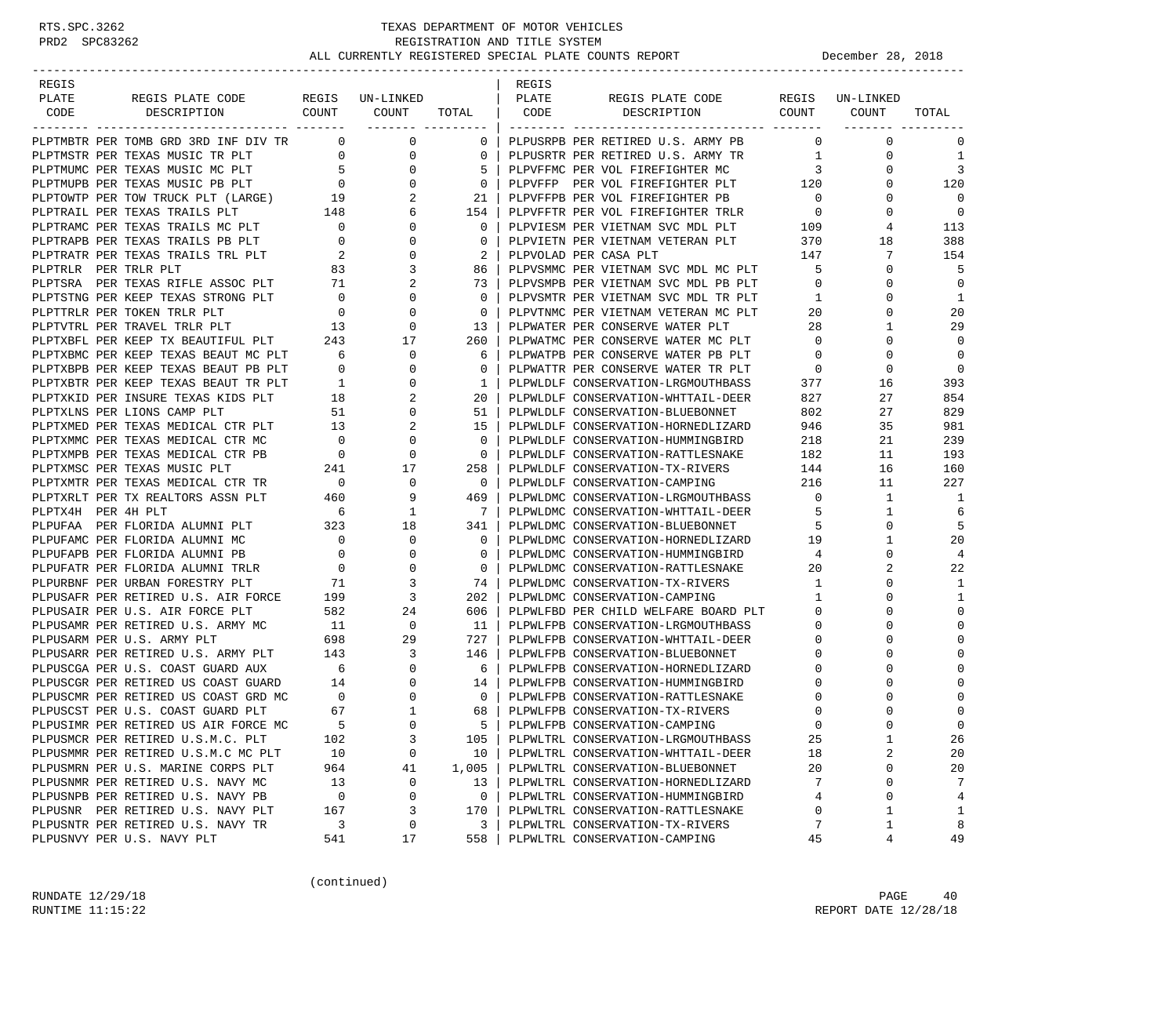| REGIS                |                                                                                                                                                                                          |                                                                |                                |                       | REGIS |                                                                  |                          |                 |                |
|----------------------|------------------------------------------------------------------------------------------------------------------------------------------------------------------------------------------|----------------------------------------------------------------|--------------------------------|-----------------------|-------|------------------------------------------------------------------|--------------------------|-----------------|----------------|
| PLATE                | REGIS PLATE CODE                                                                                                                                                                         |                                                                | REGIS UN-LINKED<br>COUNT COUNT | TOTAL   CODE          | PLATE | REGIS PLATE CODE                                                 | COUNT COUNT              | REGIS UN-LINKED |                |
| CODE                 | DESCRIPTION                                                                                                                                                                              |                                                                |                                |                       |       | DESCRIPTION                                                      |                          |                 | TOTAL          |
|                      | PLPTMBTR PER TOMB GRD 3RD INF DIV TR                                                                                                                                                     | $\overline{0}$                                                 | 0                              | $\mathbf{0}$          |       | PLPUSRPB PER RETIRED U.S. ARMY PB                                | $\Omega$                 | $\mathbf 0$     | 0              |
|                      | PLPTMSTR PER TEXAS MUSIC TR PLT                                                                                                                                                          |                                                                | $\overline{0}$<br>0            | 0                     |       | PLPUSRTR PER RETIRED U.S. ARMY TR                                | $\overline{1}$           | 0               | 1              |
|                      | PLETINUNG PER TEXAS MUSIC MC PLT<br>PLETMUPB PER TEXAS MUSIC PB PLT 0<br>PLETOWTP PER TOW TRUCK PLT (LARGE) 19<br>PLETRAIL PER TEXAS TRAILS PLT 148<br>PLETRAMC PER TEXAS TRAILS PLT 148 |                                                                | 0                              | 5                     |       | PLPVFFMC PER VOL FIREFIGHTER MC                                  | $\overline{\mathbf{3}}$  | 0               | 3              |
|                      |                                                                                                                                                                                          |                                                                | 0                              | 0                     |       | PLPVFFP PER VOL FIREFIGHTER PLT 120                              |                          | 0               | 120            |
|                      |                                                                                                                                                                                          |                                                                | 2                              | 21                    |       | PLPVFFPB PER VOL FIREFIGHTER PB                                  | $\overline{\phantom{0}}$ | 0               | $\Omega$       |
|                      |                                                                                                                                                                                          |                                                                | 6                              | 154                   |       | PLPVFFTR PER VOL FIREFIGHTER TRLR                                | $\overline{\phantom{0}}$ | $\Omega$        | $\mathbf 0$    |
|                      |                                                                                                                                                                                          |                                                                | $\mathbf{0}$                   | 0                     |       | PLPVIESM PER VIETNAM SVC MDL PLT                                 | 109                      | 4               | 113            |
|                      |                                                                                                                                                                                          |                                                                | 0                              | 0                     |       | PLPVIETN PER VIETNAM VETERAN PLT                                 | 370                      | 18              | 388            |
|                      | PLPTRATR PER TEXAS TRAILS TRL PLT                                                                                                                                                        | $\overline{a}$                                                 | 0                              | 2                     |       | PLPVOLAD PER CASA PLT                                            | 147                      | 7               | 154            |
| PLPTRLR PER TRLR PLT |                                                                                                                                                                                          | 83                                                             | 3                              | 86                    |       | PLPVSMMC PER VIETNAM SVC MDL MC PLT                              | 5                        | 0               | 5              |
|                      | PLPTSRA PER TEXAS RIFLE ASSOC PLT                                                                                                                                                        | 71                                                             | 2                              | 73                    |       | PLPVSMPB PER VIETNAM SVC MDL PB PLT                              | $\overline{0}$           | $\Omega$        | $\mathbf 0$    |
|                      | PLPTSTNG PER KEEP TEXAS STRONG PLT                                                                                                                                                       | $\overline{0}$                                                 | 0                              | $\Omega$              |       | PLPVSMTR PER VIETNAM SVC MDL TR PLT                              | $\overline{1}$           | 0               | 1              |
|                      | PLPTTRLR PER TOKEN TRLR PLT                                                                                                                                                              | $\overline{0}$                                                 | $\mathbf 0$                    | $\mathbf 0$           |       | PLPVTNMC PER VIETNAM VETERAN MC PLT                              | 20                       | 0               | 20             |
|                      | PLPTVTRL PER TRAVEL TRLR PLT                                                                                                                                                             | $\overline{13}$                                                | $\mathbf 0$                    | 13                    |       | PLPWATER PER CONSERVE WATER PLT                                  | 28                       | 1               | 29             |
|                      | PLPTXBFL PER KEEP TX BEAUTIFUL PLT                                                                                                                                                       | 243                                                            | 17                             | 260                   |       | PLPWATMC PER CONSERVE WATER MC PLT                               | $\overline{0}$           | 0               | $\Omega$       |
|                      | PLPTXBMC PER KEEP TEXAS BEAUT MC PLT                                                                                                                                                     | 6                                                              | $\mathbf 0$                    | 6                     |       | PLPWATPB PER CONSERVE WATER PB PLT                               | $\overline{0}$           | $\mathbf 0$     | $\mathbf 0$    |
|                      | PLPTXBPB PER KEEP TEXAS BEAUT PB PLT                                                                                                                                                     | $\overline{0}$                                                 | 0                              | $\mathbf 0$           |       | PLPWATTR PER CONSERVE WATER TR PLT                               | $\overline{\phantom{0}}$ | $\mathbf 0$     | $\mathbf 0$    |
|                      | PLPTXBTR PER KEEP TEXAS BEAUT TR PLT                                                                                                                                                     | $\overline{1}$<br>$\frac{1}{18}$                               | 0                              | $\mathbf{1}$          |       | PLPWLDLF CONSERVATION-LRGMOUTHBASS                               | 377                      | 16              | 393            |
|                      | PLPTXKID PER INSURE TEXAS KIDS PLT                                                                                                                                                       |                                                                | 2                              | 20                    |       | PLPWLDLF CONSERVATION-WHTTAIL-DEER                               | 827                      | 27              | 854            |
|                      | PLPTXLNS PER LIONS CAMP PLT                                                                                                                                                              | 51                                                             | 0                              | 51                    |       | PLPWLDLF CONSERVATION-BLUEBONNET                                 | 802                      | 27              | 829            |
|                      | PLPTXMED PER TEXAS MEDICAL CTR PLT                                                                                                                                                       | 13                                                             | 2                              | 15                    |       | PLPWLDLF CONSERVATION-HORNEDLIZARD                               | 946                      | 35              | 981            |
|                      | PLPTXMMC PER TEXAS MEDICAL CTR MC                                                                                                                                                        | $\overline{\phantom{0}}$                                       | 0                              | $\Omega$              |       | PLPWLDLF CONSERVATION-HUMMINGBIRD                                | 218                      | 21              | 239            |
|                      | PLPTXMPB PER TEXAS MEDICAL CTR PB                                                                                                                                                        | $\overline{0}$                                                 | $\mathbf 0$                    | $\overline{0}$        |       | PLPWLDLF CONSERVATION-RATTLESNAKE                                | 182                      | 11              | 193            |
|                      | PLPTXMSC PER TEXAS MUSIC PLT<br>PLPTXMTR PER TEXAS MEDICAL CTR TR                                                                                                                        | 241<br>$\sim$ 0                                                | 17<br>0                        | 258<br>$\overline{0}$ |       | PLPWLDLF CONSERVATION-TX-RIVERS<br>PLPWLDLF CONSERVATION-CAMPING | 144<br>216               | 16<br>11        | 160<br>227     |
|                      | PLPTXRLT PER TX REALTORS ASSN PLT                                                                                                                                                        | 460                                                            | 9                              | 469                   |       | PLPWLDMC CONSERVATION-LRGMOUTHBASS                               | $\overline{0}$           | $\mathbf{1}$    | 1              |
| PLPTX4H PER 4H PLT   |                                                                                                                                                                                          | 6                                                              | 1                              | $\overline{7}$        |       | PLPWLDMC CONSERVATION-WHTTAIL-DEER                               | 5                        | 1               | 6              |
|                      | PLPUFAA PER FLORIDA ALUMNI PLT                                                                                                                                                           | 323                                                            | 18                             | 341 I                 |       | PLPWLDMC CONSERVATION-BLUEBONNET                                 | -5                       | 0               | 5              |
|                      | PLPUFAMC PER FLORIDA ALUMNI MC                                                                                                                                                           | $\overline{\phantom{0}}$                                       | 0                              | $\Omega$              |       | PLPWLDMC CONSERVATION-HORNEDLIZARD                               | 19                       | 1               | 20             |
|                      | PLPUFAPB PER FLORIDA ALUMNI PB                                                                                                                                                           | $\overline{0}$                                                 | 0                              | 0                     |       | PLPWLDMC CONSERVATION-HUMMINGBIRD                                | 4                        | 0               | 4              |
|                      | PLPUFATR PER FLORIDA ALUMNI TRLR                                                                                                                                                         | $\overline{\mathbf{0}}$                                        | $\mathbf 0$                    | $\mathbf{0}$          |       | PLPWLDMC CONSERVATION-RATTLESNAKE                                | 20                       | 2               | 22             |
|                      | PLPURBNF PER URBAN FORESTRY PLT                                                                                                                                                          |                                                                | 3                              | 74                    |       | PLPWLDMC CONSERVATION-TX-RIVERS                                  | 1                        | 0               | 1              |
|                      | PLPUSAFR PER RETIRED U.S. AIR FORCE                                                                                                                                                      | $\begin{array}{cc}\n & 71 \\  \text{CE} & 199\n \end{array}$   | 3                              | $202$                 |       | PLPWLDMC CONSERVATION-CAMPING                                    | $\mathbf{1}$             | 0               | 1              |
|                      | PLPUSAIR PER U.S. AIR FORCE PLT                                                                                                                                                          | 582                                                            | 24                             | 606                   |       | PLPWLFBD PER CHILD WELFARE BOARD PLT                             | $\mathbf{0}$             | $\Omega$        | $\Omega$       |
|                      | PLPUSAMR PER RETIRED U.S. ARMY MC                                                                                                                                                        |                                                                | 0                              | - 11                  |       | PLPWLFPB CONSERVATION-LRGMOUTHBASS                               | 0                        | 0               | $\Omega$       |
|                      | PLPUSARM PER U.S. ARMY PLT                                                                                                                                                               | $\begin{array}{cc}\n\text{MC} & 11 \\ \text{698}\n\end{array}$ | 29                             | 727 I                 |       | PLPWLFPB CONSERVATION-WHTTAIL-DEER                               | 0                        | $\Omega$        | $\Omega$       |
|                      | PLPUSARR PER RETIRED U.S. ARMY PLT 143                                                                                                                                                   |                                                                | 3                              | 146                   |       | PLPWLFPB CONSERVATION-BLUEBONNET                                 | 0                        | $\Omega$        | $\Omega$       |
|                      | PLPUSCGA PER U.S. COAST GUARD AUX                                                                                                                                                        | $6\overline{6}$                                                | 0                              | 6                     |       | PLPWLFPB CONSERVATION-HORNEDLIZARD                               | 0                        |                 | $\Omega$       |
|                      | PLPUSCGR PER RETIRED US COAST GUARD 14                                                                                                                                                   |                                                                | $\Omega$                       | 14                    |       | PLPWLFPB CONSERVATION-HUMMINGBIRD                                | 0                        | $\Omega$        |                |
|                      | PLPUSCMR PER RETIRED US COAST GRD MC                                                                                                                                                     | $\begin{array}{c}0\\67\end{array}$                             | 0                              | $\mathbf{0}$          |       | PLPWLFPB CONSERVATION-RATTLESNAKE                                | 0                        | 0               | $\Omega$       |
|                      | PLPUSCST PER U.S. COAST GUARD PLT                                                                                                                                                        | 67                                                             | 1                              | 68                    |       | PLPWLFPB CONSERVATION-TX-RIVERS                                  | 0                        | $\Omega$        | $\mathbf{0}$   |
|                      | PLPUSIMR PER RETIRED US AIR FORCE MC                                                                                                                                                     | $-5$                                                           | $\Omega$                       | $5-1$                 |       | PLPWLFPB CONSERVATION-CAMPING                                    | $\Omega$                 | $\cap$          | $\Omega$       |
|                      | PLPUSMCR PER RETIRED U.S.M.C. PLT                                                                                                                                                        | 102                                                            | 3                              | 105                   |       | PLPWLTRL CONSERVATION-LRGMOUTHBASS                               | 25                       | $1\,$           | 26             |
|                      | PLPUSMMR PER RETIRED U.S.M.C MC PLT                                                                                                                                                      | 10                                                             | 0                              | 10                    |       | PLPWLTRL CONSERVATION-WHTTAIL-DEER                               | 18                       | 2               | 20             |
|                      | PLPUSMRN PER U.S. MARINE CORPS PLT                                                                                                                                                       | 964                                                            | 41                             | 1,005                 |       | PLPWLTRL CONSERVATION-BLUEBONNET                                 | 20                       | 0               | 20             |
|                      | PLPUSNMR PER RETIRED U.S. NAVY MC                                                                                                                                                        | 13                                                             | 0                              | 13                    |       | PLPWLTRL CONSERVATION-HORNEDLIZARD                               | 7                        | $\mathbf 0$     | 7              |
|                      | PLPUSNPB PER RETIRED U.S. NAVY PB                                                                                                                                                        | 0                                                              | 0                              | 0                     |       | PLPWLTRL CONSERVATION-HUMMINGBIRD                                | 4                        | 0               | $\overline{4}$ |
|                      | PLPUSNR PER RETIRED U.S. NAVY PLT                                                                                                                                                        | 167                                                            | 3                              | 170                   |       | PLPWLTRL CONSERVATION-RATTLESNAKE                                | 0                        | 1               | $1\,$          |
|                      | PLPUSNTR PER RETIRED U.S. NAVY TR                                                                                                                                                        | 3                                                              | 0                              | 3                     |       | PLPWLTRL CONSERVATION-TX-RIVERS                                  | 7                        | 1               | 8              |
|                      | PLPUSNVY PER U.S. NAVY PLT                                                                                                                                                               | 541                                                            | 17                             | 558                   |       | PLPWLTRL CONSERVATION-CAMPING                                    | 45                       | 4               | 49             |

(continued)

RUNDATE  $12/29/18$  PAGE 40 RUNTIME 11:15:22 REPORT DATE 12/28/18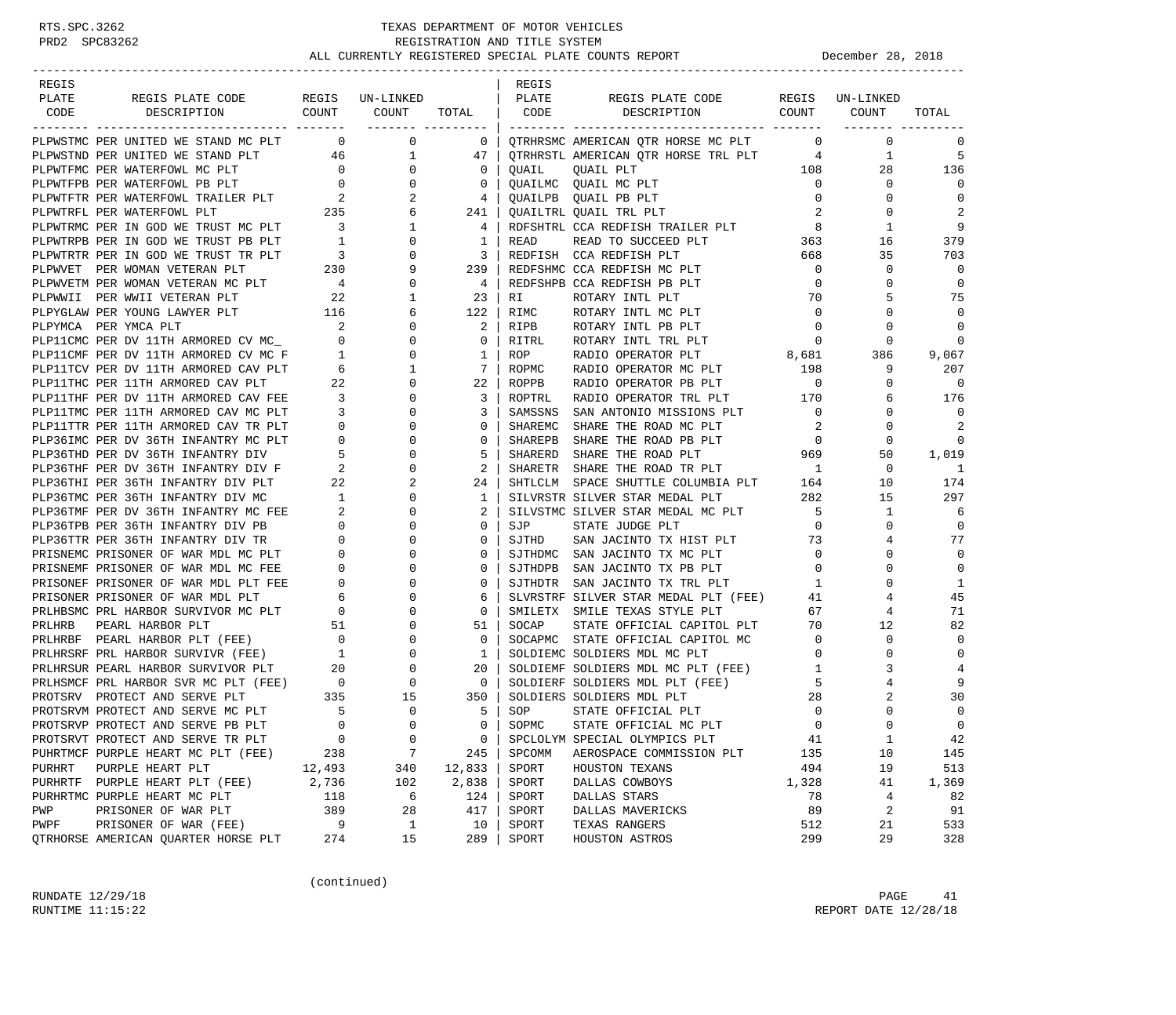| REGIS  |                                                                                                                                                                                                                                                                                                                                                                                                                                         |              |                |                                     | REGIS   |                                                                                                 |                            |                |                          |
|--------|-----------------------------------------------------------------------------------------------------------------------------------------------------------------------------------------------------------------------------------------------------------------------------------------------------------------------------------------------------------------------------------------------------------------------------------------|--------------|----------------|-------------------------------------|---------|-------------------------------------------------------------------------------------------------|----------------------------|----------------|--------------------------|
| PLATE  | REGIS PLATE CODE REGIS UN-LINKED                                                                                                                                                                                                                                                                                                                                                                                                        |              |                |                                     | PLATE   | REGIS PLATE CODE REGIS UN-LINKED                                                                |                            |                |                          |
| CODE   | DESCRIPTION COUNT COUNT                                                                                                                                                                                                                                                                                                                                                                                                                 |              |                | TOTAL   CODE                        |         | DESCRIPTION COUNT COUNT                                                                         |                            |                | TOTAL                    |
|        |                                                                                                                                                                                                                                                                                                                                                                                                                                         |              |                |                                     |         |                                                                                                 |                            |                |                          |
|        | PLPWSTMC PER UNITED WE STAND MC PLT 0<br>PLEWISTING PER UNITED WE STAND MC PLT $\begin{array}{cccccc} \texttt{PLPWSTND} & \texttt{PERWSTRID} & \texttt{NER} & \texttt{SNRNSN} & \texttt{OMERICAN} & \texttt{QTR} \\ \texttt{PLPWTFRD} & \texttt{PERWATER PUN} & \texttt{PERWATER PUN} & \texttt{1} & 0 & 0 & 0 & 0 \\ \texttt{PLWTFRD} & \texttt{PERWATER PUN} & \texttt{PE} & \texttt{PL} & 0 & 0 & 0 & 0 \\ \texttt{PLWTFRD} & \text$ |              | $\overline{0}$ | $\begin{array}{cc} 0 & \end{array}$ |         | QTRHRSMC AMERICAN QTR HORSE MC PLT                                                              | $\overline{0}$             | $\overline{0}$ | 0                        |
|        |                                                                                                                                                                                                                                                                                                                                                                                                                                         |              |                |                                     |         | QTRHRSTL AMERICAN QTR HORSE TRL PLT 4                                                           |                            | $\mathbf{1}$   | -5                       |
|        |                                                                                                                                                                                                                                                                                                                                                                                                                                         |              |                |                                     |         |                                                                                                 | 108                        | 28             | 136                      |
|        |                                                                                                                                                                                                                                                                                                                                                                                                                                         |              |                |                                     |         |                                                                                                 | $\overline{0}$             | $\mathbf{0}$   | $\Omega$                 |
|        |                                                                                                                                                                                                                                                                                                                                                                                                                                         |              |                |                                     |         |                                                                                                 | $\overline{0}$             | 0              | $\mathbf 0$              |
|        |                                                                                                                                                                                                                                                                                                                                                                                                                                         |              |                |                                     |         |                                                                                                 | $\overline{2}$             | $\mathbf 0$    | 2                        |
|        |                                                                                                                                                                                                                                                                                                                                                                                                                                         |              |                |                                     |         | RDFSHTRL CCA REDFISH TRAILER PLT 8                                                              |                            | 1              | 9                        |
|        |                                                                                                                                                                                                                                                                                                                                                                                                                                         |              |                |                                     |         | READ TO SUCCEED PLT                                                                             | 363                        | 16             | 379                      |
|        |                                                                                                                                                                                                                                                                                                                                                                                                                                         |              |                |                                     |         | REDFISH CCA REDFISH PLT                                                                         | 668                        | 35             | 703                      |
|        |                                                                                                                                                                                                                                                                                                                                                                                                                                         |              |                |                                     |         | 239   REDFSHMC CCA REDFISH MC PLT                                                               | $\overline{0}$             | 0              | $\overline{0}$           |
|        |                                                                                                                                                                                                                                                                                                                                                                                                                                         |              |                |                                     |         | 4   REDFSHPB CCA REDFISH PB PLT                                                                 | $\overline{0}$             | $\mathbf 0$    | $\mathbf 0$              |
|        |                                                                                                                                                                                                                                                                                                                                                                                                                                         |              |                |                                     |         | ROTARY INTL PLT                                                                                 | 70                         | 5              | 75                       |
|        |                                                                                                                                                                                                                                                                                                                                                                                                                                         |              |                |                                     |         | ROTARY INTL MC PLT                                                                              | $\overline{0}$             | $\Omega$       | $\overline{0}$           |
|        |                                                                                                                                                                                                                                                                                                                                                                                                                                         |              |                |                                     |         | ROTARY INTL PB PLT                                                                              | $\overline{0}$             | 0              | $\mathbf 0$              |
|        |                                                                                                                                                                                                                                                                                                                                                                                                                                         |              |                |                                     |         |                                                                                                 | $\mathbf{0}$               | 0              | $\mathbf 0$              |
|        |                                                                                                                                                                                                                                                                                                                                                                                                                                         |              |                |                                     |         | ROTARY INTL TRL PLT<br>RADIO OPERATOR PLT 8,681                                                 |                            |                |                          |
|        |                                                                                                                                                                                                                                                                                                                                                                                                                                         |              |                |                                     |         |                                                                                                 |                            | 386            | 9,067                    |
|        |                                                                                                                                                                                                                                                                                                                                                                                                                                         |              |                |                                     |         | RADIO OPERATOR MC PLT 198                                                                       |                            | 9              | 207                      |
|        |                                                                                                                                                                                                                                                                                                                                                                                                                                         |              |                |                                     |         |                                                                                                 |                            | $\mathbf{0}$   | $\overline{\phantom{0}}$ |
|        |                                                                                                                                                                                                                                                                                                                                                                                                                                         |              |                |                                     |         | EXALU OPERATOR PB PLT 0<br>RADIO OPERATOR TRL PLT 170<br>SAN ANTONIO MISSICI                    |                            | 6              | 176                      |
|        |                                                                                                                                                                                                                                                                                                                                                                                                                                         |              |                |                                     |         | SAN ANTONIO MISSIONS PLT                                                                        | $\overline{0}$             | $\mathbf{0}$   | $\overline{0}$           |
|        |                                                                                                                                                                                                                                                                                                                                                                                                                                         |              |                |                                     |         | SHARE THE ROAD MC PLT                                                                           | $\overline{\phantom{a}}$ 2 | 0              | 2                        |
|        |                                                                                                                                                                                                                                                                                                                                                                                                                                         |              | $\overline{0}$ | $\mathbf{0}$                        | SHAREPB | SHARE THE ROAD PB PLT                                                                           | $\overline{0}$             | 0              | 0                        |
|        | PLP36IMC PER DV 36TH INFANTRY MC PLT<br>PLP36IMC PER DV 36TH INFANTRY DIV 5<br>PLP36THF PER DV 36TH INFANTRY DIV F 2                                                                                                                                                                                                                                                                                                                    |              | $\mathbf{0}$   | 5 <sup>1</sup>                      | SHARERD | SHARE THE ROAD PB PLT 0<br>SHARE THE ROAD PLT 0969<br>SHARE THE ROAD TR PLT 1                   |                            | 50             | 1,019                    |
|        |                                                                                                                                                                                                                                                                                                                                                                                                                                         |              | $\mathbf{0}$   | $2-1$                               | SHARETR |                                                                                                 |                            | 0              | -1                       |
|        | PLP36THI PER 36TH INFANTRY DIV PLT 22<br>PLP36TMC PER 36TH INFANTRY DIV MC 1                                                                                                                                                                                                                                                                                                                                                            |              | 2              | $24$                                |         | SHARETR SHARE IN NOTE ---<br>SHTLCLM SPACE SHUTTLE COLUMBIA PLT 164<br>---- prm 282             |                            | 10             | 174                      |
|        |                                                                                                                                                                                                                                                                                                                                                                                                                                         |              | $\overline{0}$ | $1 \vert$                           |         | SILVRSTR SILVER STAR MEDAL PLT                                                                  | 282                        | 15             | 297                      |
|        |                                                                                                                                                                                                                                                                                                                                                                                                                                         |              | $\mathbf{0}$   | 2                                   |         | SILVSTMC SILVER STAR MEDAL MC PLT 5                                                             |                            | $\mathbf{1}$   | 6                        |
|        | PLP36TMF PER DV 36TH INFANTRY MC FEE<br>PLP36TPB PER 36TH INFANTRY DIV PB<br>PLP36TTR PER 36TH INFANTRY DIV TR<br>0<br>PLP36TTR PER 36TH INFANTRY DIV TR<br>0                                                                                                                                                                                                                                                                           |              | $\mathbf{0}$   | 0 <sup>1</sup>                      | SJP     | STATE JUDGE PLT                                                                                 | $\overline{0}$             | $\Omega$       | $\mathbf 0$              |
|        |                                                                                                                                                                                                                                                                                                                                                                                                                                         |              | $\mathbf{0}$   | $\mathbf 0$                         | SJTHD   | SAN JACINTO TX HIST PLT 73                                                                      |                            | 4              | 77                       |
|        | PRISNEME PRISONER OF WAR MDL MC PLT 0<br>PRISNEME PRISONER OF WAR MDL MC FEE 0<br>PRISONEF PRISONER OF WAR MDL PLT FEE 0<br>PRISONER PRISONER OF WAR MDL PLT 6<br>PRISONER PRISONER OF WAR MDL PLT 6<br>PRLHBSMC PRL HARBOR SURVIVOR MC                                                                                                                                                                                                 |              | 0              | 0                                   |         | SJTHDMC SAN JACINTO TX MC PLT                                                                   | $\overline{\mathbf{0}}$    | 0              | $\mathbf 0$              |
|        |                                                                                                                                                                                                                                                                                                                                                                                                                                         |              | $\mathbf{0}$   | $\mathbf{0}$                        |         | SJTHDPB SAN JACINTO TX PB PLT                                                                   | $\overline{0}$             | $\Omega$       | $\mathbf 0$              |
|        |                                                                                                                                                                                                                                                                                                                                                                                                                                         |              | $\mathbf{0}$   | $\mathbf{0}$                        |         | SJTHDTR SAN JACINTO TX TRL PLT                                                                  | $\mathbf{1}$               | 0              | 1                        |
|        |                                                                                                                                                                                                                                                                                                                                                                                                                                         |              | $\mathbf 0$    | 6                                   |         | SLVRSTRF SILVER STAR MEDAL PLT (FEE)                                                            | 41                         | 4              | 45                       |
|        |                                                                                                                                                                                                                                                                                                                                                                                                                                         |              | $\mathbf{0}$   | $\circ$                             |         | SMILETX SMILE TEXAS STYLE PLT                                                                   | 67                         | 4              | 71                       |
|        | PRIHRB PEARL HARBOR PLT 51 0<br>PRIHRBF PEARL HARBOR PLT 51 0<br>PRIHRSF PEARL HARBOR SURVIVR (FEE) 0 0 0<br>PRIHRSF PRI HARBOR SURVIVOR PLT 20 0<br>PRIHRSUR PEARL HARBOR SURVIVOR PLT 20 0<br>PRIHSMCF PRI HARBOR SVR MC PLT (FEE) 0 0                                                                                                                                                                                                |              |                | 51                                  | SOCAP   | STATE OFFICIAL CAPITOL PLT                                                                      | 70                         | 12             | 82                       |
|        |                                                                                                                                                                                                                                                                                                                                                                                                                                         |              |                | $\overline{0}$                      |         | SOCAPMC STATE OFFICIAL CAPITOL MC                                                               | $\overline{0}$             | 0              | $\mathbf 0$              |
|        |                                                                                                                                                                                                                                                                                                                                                                                                                                         |              |                | $\mathbf{1}$                        |         | SOLDIEMC SOLDIERS MDL MC PLT                                                                    | $\overline{0}$             | 0              | $\mathbf 0$              |
|        |                                                                                                                                                                                                                                                                                                                                                                                                                                         |              |                | 20                                  |         | SOLDIEMF SOLDIERS MDL MC PLT (FEE)                                                              | $\mathbf{1}$               | 3              | $\overline{4}$           |
|        |                                                                                                                                                                                                                                                                                                                                                                                                                                         |              |                | $\overline{0}$                      |         |                                                                                                 | 5                          |                | 9                        |
|        | PROTSRV PROTECT AND SERVE PLT                                                                                                                                                                                                                                                                                                                                                                                                           |              | 15             | 350                                 |         | SOLDIERF SOLDIERS MDL PLT (FEE)<br>SOLDIERF SOLDIERS MDL PLT (FEE)<br>SOLDIERS SOLDIERS MDL PLT | 28                         | 2              | 30                       |
|        | PROTSRVM PROTECT AND SERVE MC PLT                                                                                                                                                                                                                                                                                                                                                                                                       | $T$ 335<br>T | $\mathbf{0}$   | $5-1$                               | SOP     | STATE OFFICIAL PLT                                                                              | $\mathbf 0$                | $\Omega$       | $\mathbf 0$              |
|        | PROTSRVP PROTECT AND SERVE PB PLT                                                                                                                                                                                                                                                                                                                                                                                                       | $\Omega$     | $\Omega$       | $\Omega$                            | SOPMC   | STATE OFFICIAL MC PLT                                                                           | $\Omega$                   | $\Omega$       | $\Omega$                 |
|        | PROTSRVT PROTECT AND SERVE TR PLT                                                                                                                                                                                                                                                                                                                                                                                                       | $\mathbf 0$  | $\mathbf 0$    | 0                                   |         | SPCLOLYM SPECIAL OLYMPICS PLT                                                                   | 41                         | $1\,$          | 42                       |
|        |                                                                                                                                                                                                                                                                                                                                                                                                                                         | 238          | 7              |                                     | SPCOMM  |                                                                                                 | 135                        | 10             | 145                      |
|        | PUHRTMCF PURPLE HEART MC PLT (FEE)                                                                                                                                                                                                                                                                                                                                                                                                      |              |                | 245                                 | SPORT   | AEROSPACE COMMISSION PLT                                                                        | 494                        | 19             |                          |
| PURHRT | PURPLE HEART PLT                                                                                                                                                                                                                                                                                                                                                                                                                        | 12,493       | 340            | 12,833                              |         | HOUSTON TEXANS                                                                                  |                            |                | 513                      |
|        | PURHRTF PURPLE HEART PLT (FEE)                                                                                                                                                                                                                                                                                                                                                                                                          | 2,736        | 102            | 2,838                               | SPORT   | DALLAS COWBOYS                                                                                  | 1,328                      | 41             | 1,369                    |
|        | PURHRTMC PURPLE HEART MC PLT                                                                                                                                                                                                                                                                                                                                                                                                            | 118          | 6              | 124                                 | SPORT   | DALLAS STARS                                                                                    | 78                         | $\overline{4}$ | 82                       |
| PWP    | PRISONER OF WAR PLT                                                                                                                                                                                                                                                                                                                                                                                                                     | 389          | 28             | 417                                 | SPORT   | DALLAS MAVERICKS                                                                                | 89                         | 2              | 91                       |
| PWPF   | PRISONER OF WAR (FEE)                                                                                                                                                                                                                                                                                                                                                                                                                   | 9            | $\mathbf{1}$   | 10                                  | SPORT   | TEXAS RANGERS                                                                                   | 512                        | 21             | 533                      |
|        | QTRHORSE AMERICAN QUARTER HORSE PLT                                                                                                                                                                                                                                                                                                                                                                                                     | 274          | 15             | 289                                 | SPORT   | HOUSTON ASTROS                                                                                  | 299                        | 29             | 328                      |

(continued)

RUNDATE  $12/29/18$  PAGE 41 RUNTIME 11:15:22 REPORT DATE 12/28/18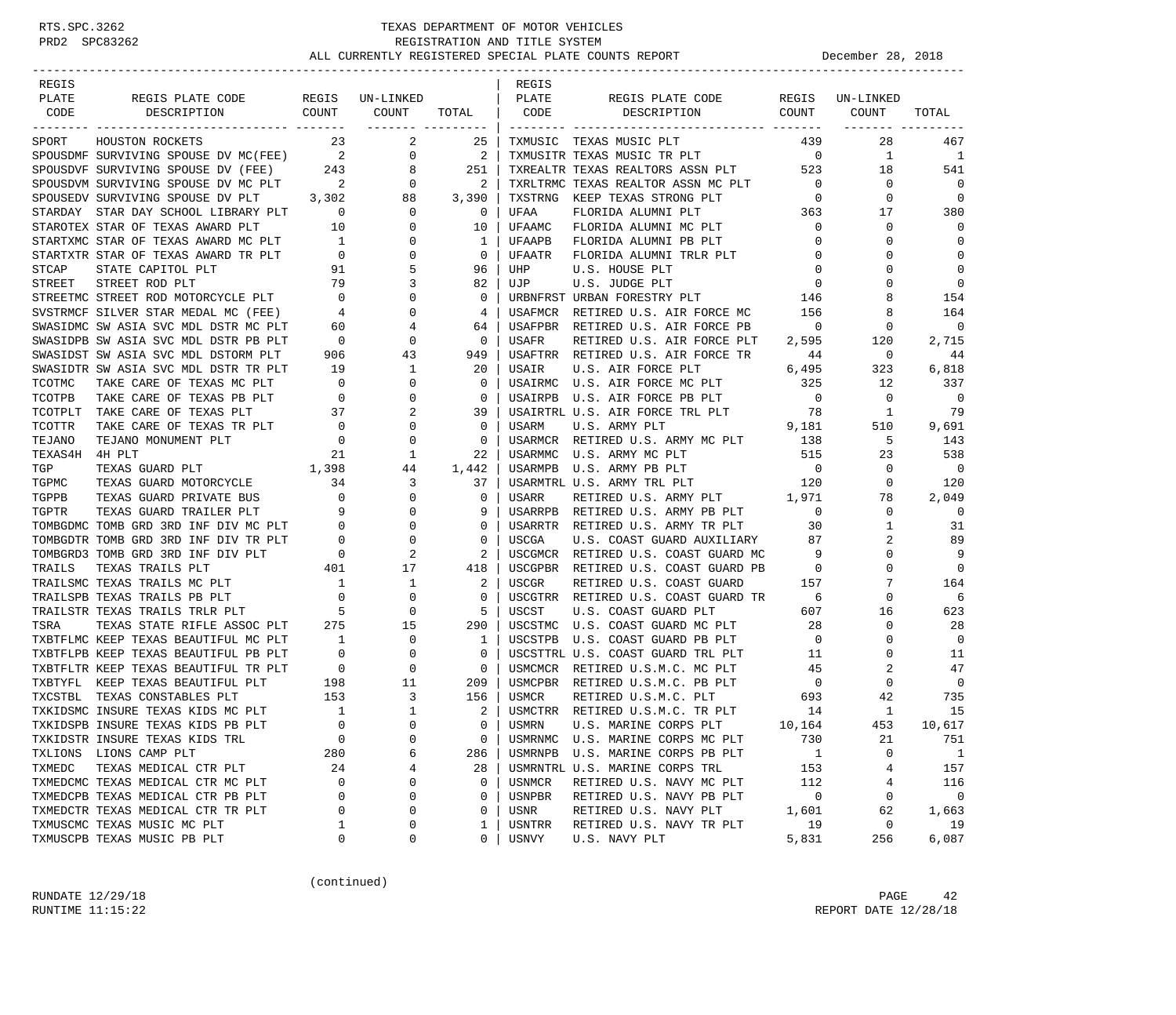| REGIS          |                                                                                                                                                                                                                                       |                                                          |                              |                | REGIS        |                                                                                                       |                                     |                 |                          |
|----------------|---------------------------------------------------------------------------------------------------------------------------------------------------------------------------------------------------------------------------------------|----------------------------------------------------------|------------------------------|----------------|--------------|-------------------------------------------------------------------------------------------------------|-------------------------------------|-----------------|--------------------------|
| PLATE          | REGIS PLATE CODE                                                                                                                                                                                                                      |                                                          | REGIS UN-LINKED              |                | PLATE        | REGIS PLATE CODE                                                                                      |                                     | REGIS UN-LINKED |                          |
| CODE           | COUNT<br>DESCRIPTION                                                                                                                                                                                                                  |                                                          | COUNT<br>___________________ | TOTAL          | CODE         | COUNT<br>DESCRIPTION                                                                                  |                                     | COUNT           | TOTAL                    |
|                | SPORT HOUSTON ROCKETS                                                                                                                                                                                                                 | 23                                                       | 2                            | 25             |              | TXMUSIC TEXAS MUSIC PLT                                                                               | 439                                 | 28              | 467                      |
|                |                                                                                                                                                                                                                                       |                                                          |                              |                |              |                                                                                                       |                                     | $\mathbf{1}$    | $\mathbf{1}$             |
|                |                                                                                                                                                                                                                                       |                                                          |                              |                |              | TXMUSITR TEXAS MUSIC TR PLT 0<br>TXREALTR TEXAS REALTORS ASSN PLT 523                                 |                                     | 18              | 541                      |
|                |                                                                                                                                                                                                                                       |                                                          |                              |                |              | TXRLTRMC TEXAS REALTOR ASSN MC PLT 0                                                                  |                                     | 0               | $\overline{0}$           |
|                | SPOUSDMF SURVIVING SPOUSE DV MC(FEE) 2 0 2<br>SPOUSDVF SURVIVING SPOUSE DV (FEE) 243 8 251<br>SPOUSDVM SURVIVING SPOUSE DV MC PLT 2 0 2<br>SPOUSEDV SURVIVING SPOUSE DV PLT 3,302 88 3,390<br>STAPDAY STAP DAY SCHOOL LIBRARY PLT 0 0 |                                                          |                              |                | TXSTRNG      | KEEP TEXAS STRONG PLT                                                                                 | $\overline{0}$                      | 0               | $\overline{0}$           |
|                | STARDAY STAR DAY SCHOOL LIBRARY PLT 0                                                                                                                                                                                                 |                                                          | $\mathbf{0}$                 | $\overline{0}$ | UFAA         | FLORIDA ALUMNI PLT                                                                                    | $\begin{array}{c}0\\363\end{array}$ | 17              | 380                      |
|                | STAROTEX STAR OF TEXAS AWARD PLT                                                                                                                                                                                                      | 10                                                       | $\overline{0}$               | 10             | UFAAMC       | FLORIDA ALUMNI MC PLT                                                                                 | $\overline{0}$                      | $\mathbf 0$     | 0                        |
|                |                                                                                                                                                                                                                                       |                                                          | $\overline{0}$               | 1              | UFAAPB       | FLORIDA ALUMNI PB PLT                                                                                 | $\overline{0}$                      | 0               | $\mathbf 0$              |
|                |                                                                                                                                                                                                                                       |                                                          | $\overline{0}$               | $\circ$        | UFAATR       | FLORIDA ALUMNI TRLR PLT                                                                               | $\overline{0}$                      | $\Omega$        | $\mathbf 0$              |
|                |                                                                                                                                                                                                                                       |                                                          | 5                            | 96             | UHP          | U.S. HOUSE PLT                                                                                        | $\mathbf 0$                         | 0               | $\mathbf 0$              |
|                |                                                                                                                                                                                                                                       |                                                          | $\mathbf{3}$                 | 82             | UJP          | U.S. JUDGE PLT                                                                                        | $\overline{0}$                      | $\Omega$        | $\mathbf 0$              |
|                | STREETMC STREET ROD MOTORCYCLE PLT 0<br>SVSTRMCF SILVER STAR MEDAL MC (FEE) 4<br>SWASIDMC SW ASIA SVC MDL DSTR MC PLT 60                                                                                                              |                                                          | $\overline{0}$               | $\mathbf{0}$   |              | URBNFRST URBAN FORESTRY PLT 146                                                                       |                                     | 8               | 154                      |
|                |                                                                                                                                                                                                                                       |                                                          | $\mathbf{0}$                 | 4              |              | USAFMCR RETIRED U.S. AIR FORCE MC                                                                     | 156                                 | 8               | 164                      |
|                |                                                                                                                                                                                                                                       | 60                                                       | 4                            | 64             |              | USAFPBR RETIRED U.S. AIR FORCE PB                                                                     | $\overline{0}$                      | 0               | $\overline{0}$           |
|                | SWASIDPB SW ASIA SVC MDL DSTR PB PLT                                                                                                                                                                                                  | $\overline{\phantom{0}}$                                 | $\overline{0}$               | $\mathbf 0$    | USAFR        | RETIRED U.S. AIR FORCE PLT                                                                            | 2,595                               | 120             | 2,715                    |
|                | SWASIDST SW ASIA SVC MDL DSTORM PLT                                                                                                                                                                                                   | 906                                                      | 43                           | 949            |              | USAFTRR RETIRED U.S. AIR FORCE TR                                                                     | 44                                  | 0               | 44                       |
|                | SWASIDTR SW ASIA SVC MDL DSTR TR PLT                                                                                                                                                                                                  | 19                                                       | $\mathbf{1}$                 | 20             | USAIR        | 6,495<br>U.S. AIR FORCE PLT                                                                           |                                     | 323             | 6,818                    |
| TCOTMC         | TAKE CARE OF TEXAS MC PLT                                                                                                                                                                                                             |                                                          | $\mathbf{0}$                 | $\mathbf 0$    |              |                                                                                                       | 325                                 | 12              | 337                      |
| TCOTPB         | TAKE CARE OF TEXAS PB PLT                                                                                                                                                                                                             | $\begin{array}{c} 0 \\ 0 \\ 27 \end{array}$              | $\mathbf{0}$                 | 0              |              | USAIRMC U.S. AIR FORCE MC PLT<br>USAIRPB U.S. AIR FORCE PB PLT                                        | $\overline{0}$                      | 0               | $\overline{0}$           |
| TCOTPLT        | TAKE CARE OF TEXAS PLT                                                                                                                                                                                                                |                                                          | 2                            | 39             |              |                                                                                                       |                                     | $\overline{1}$  | 79                       |
| TCOTTR         | TAKE CARE OF TEXAS TR PLT                                                                                                                                                                                                             | $\begin{array}{c} 37 \\ 0 \end{array}$<br>$\overline{0}$ | 0                            | $\mathbf{0}$   |              |                                                                                                       |                                     | 510             | 9,691                    |
| TEJANO         | TEJANO MONUMENT PLT                                                                                                                                                                                                                   | $\begin{array}{c} 0 \\ 0 \end{array}$                    | $\mathbf{0}$                 | $\mathbf 0$    |              | USARMCR RETIRED U.S. ARMY MC PLT 138                                                                  |                                     | 5               | 143                      |
| TEXAS4H 4H PLT |                                                                                                                                                                                                                                       | 21                                                       | 1                            | 22             | USARMMC      | U.S. ARMY MC PLT                                                                                      | 515                                 | 23              | 538                      |
| TGP            | 1,398<br>TEXAS GUARD PLT                                                                                                                                                                                                              |                                                          | 44                           | 1,442          | USARMPB      | U.S. ARMY PB PLT                                                                                      | $\overline{0}$                      | 0               | $\overline{0}$           |
| TGPMC          |                                                                                                                                                                                                                                       |                                                          | $\overline{\mathbf{3}}$      | 37             |              | USARMTRL U.S. ARMY TRL PLT                                                                            |                                     | $\mathbf{0}$    | 120                      |
|                | TEXAS GUARD MOTORCYCLE 34<br>TEXAS GUARD PRIVATE BUS 0                                                                                                                                                                                |                                                          | $\overline{0}$               | $\mathbf{0}$   | USARR        | U.S. ARMY TRL PLT 120<br>RETIRED U.S. ARMY PLT 1,971                                                  |                                     | 78              | 2,049                    |
|                |                                                                                                                                                                                                                                       |                                                          | $\overline{0}$               |                | USARRPB      | RETIRED U.S. ARMY PB PLT 0                                                                            |                                     | $\mathbf{0}$    | $\overline{\phantom{0}}$ |
|                | TGPPB TEXAS GUARD PRIVATE BUS<br>TGPTR TEXAS GUARD TRAILER PLT 9<br>TOMBGDMC TOMB GRD 3RD INF DIV MC PLT 0<br>TOMBGDTR TOMB GRD 3RD INF DIV TR PLT 0<br>TAMPO TOMB CPD 3RD INF DIV PLT 0                                              |                                                          | $\mathbf{0}$                 | $\mathbf 0$    |              | USARRTR RETIRED U.S. ARMY TR PLT                                                                      | 30                                  | $\mathbf{1}$    | 31                       |
|                |                                                                                                                                                                                                                                       |                                                          | 0                            | 0              | USCGA        | U.S. COAST GUARD AUXILIARY 87                                                                         |                                     | 2               | 89                       |
|                |                                                                                                                                                                                                                                       |                                                          | 2                            | 2              |              | USCGMCR RETIRED U.S. COAST GUARD MC                                                                   | 9                                   | 0               | 9                        |
| TRAILS         | TEXAS TRAILS PLT                                                                                                                                                                                                                      | $\begin{array}{c}0\\401\end{array}$                      | 17                           | 418            |              | USCGPBR RETIRED U.S. COAST GUARD PB                                                                   | $\overline{0}$                      | $\Omega$        | $\mathbf 0$              |
|                | TRAILSMC TEXAS TRAILS MC PLT                                                                                                                                                                                                          |                                                          | $\mathbf{1}$                 | 2              | USCGR        | RETIRED U.S. COAST GUARD                                                                              | 157                                 | 7               | 164                      |
|                | $\begin{array}{c} 1 \\ 0 \end{array}$<br>TRAILSPB TEXAS TRAILS PB PLT                                                                                                                                                                 |                                                          | $\mathbf{0}$                 | $\mathbf 0$    |              | USCGTRR RETIRED U.S. COAST GUARD TR                                                                   | 6                                   | 0               | 6                        |
|                | TRAILSTR TEXAS TRAILS TRLR PLT                                                                                                                                                                                                        | $\overline{5}$                                           | 0                            | 5              | USCST        | U.S. COAST GUARD PLT                                                                                  | 607                                 | 16              | 623                      |
| TSRA           | TEXAS STATE RIFLE ASSOC PLT 275                                                                                                                                                                                                       |                                                          | 15                           | 290            |              |                                                                                                       | 28                                  | 0               | 28                       |
|                | TXBTFLMC KEEP TEXAS BEAUTIFUL MC PLT                                                                                                                                                                                                  | $\overline{1}$                                           | 0                            | $\mathbf{1}$   |              | USCSTMC U.S. COAST GUARD MC PLT<br>USCSTPB U.S. COAST GUARD PB PLT<br>USCSTPB U.S. COAST GUARD PB PLT | $\overline{0}$                      | $\mathbf 0$     | $\overline{0}$           |
|                | TXBTFLPB KEEP TEXAS BEAUTIFUL PB PLT                                                                                                                                                                                                  | $\overline{\phantom{0}}$                                 | 0                            | $\circ$        |              | USCSTTRL U.S. COAST GUARD TRL PLT                                                                     | 11                                  | 0               | 11                       |
|                | TXBTFLTR KEEP TEXAS BEAUTIFUL TR PLT                                                                                                                                                                                                  | $\overline{0}$                                           | $\mathbf{0}$                 | $\overline{0}$ |              | USMCMCR RETIRED U.S.M.C. MC PLT                                                                       | 45                                  | 2               | 47                       |
|                | TXBTYFL KEEP TEXAS BEAUTIFUL PLT                                                                                                                                                                                                      | 198                                                      | 11                           | 209            |              | USMCPBR RETIRED U.S.M.C. PB PLT                                                                       | $\overline{0}$                      | 0               | $\overline{0}$           |
|                | TXCSTBL TEXAS CONSTABLES PLT                                                                                                                                                                                                          |                                                          | 3                            | 156            |              |                                                                                                       |                                     | 42              | 735                      |
|                | TXKIDSMC INSURE TEXAS KIDS MC PLT                                                                                                                                                                                                     | $\begin{array}{c} 153 \\ 1 \end{array}$                  | 1                            | 2              |              | USMCR RETIRED U.S.M.C. PLT 693<br>USMCTRR RETIRED U.S.M.C. TR PLT 14                                  |                                     | 1               | 15                       |
|                | TXKIDSPB INSURE TEXAS KIDS PB PLT                                                                                                                                                                                                     | $\Omega$                                                 | $\Omega$                     | $\Omega$       | <b>USMRN</b> | U.S. MARINE CORPS PLT                                                                                 | 10,164                              | 453             | 10,617                   |
|                | TXKIDSTR INSURE TEXAS KIDS TRL                                                                                                                                                                                                        | $\mathbf 0$                                              | $\mathsf 0$                  | 0              |              | USMRNMC U.S. MARINE CORPS MC PLT                                                                      | 730                                 | 21              | 751                      |
|                | TXLIONS LIONS CAMP PLT                                                                                                                                                                                                                | 280                                                      | 6                            | 286            | USMRNPB      | U.S. MARINE CORPS PB PLT                                                                              | 1                                   | 0               | $\overline{1}$           |
| TXMEDC         | TEXAS MEDICAL CTR PLT                                                                                                                                                                                                                 | 24                                                       | 4                            | 28             |              | USMRNTRL U.S. MARINE CORPS TRL                                                                        | 153                                 | 4               | 157                      |
|                | TXMEDCMC TEXAS MEDICAL CTR MC PLT                                                                                                                                                                                                     | 0                                                        | 0                            | $\mathbf 0$    | USNMCR       | RETIRED U.S. NAVY MC PLT                                                                              | 112                                 | 4               | 116                      |
|                | TXMEDCPB TEXAS MEDICAL CTR PB PLT                                                                                                                                                                                                     | 0                                                        | 0                            | 0              | USNPBR       | RETIRED U.S. NAVY PB PLT                                                                              | 0                                   | 0               | $\mathbf 0$              |
|                | TXMEDCTR TEXAS MEDICAL CTR TR PLT                                                                                                                                                                                                     | 0                                                        | 0                            | 0              | USNR         | RETIRED U.S. NAVY PLT                                                                                 | 1,601                               | 62              | 1,663                    |
|                | TXMUSCMC TEXAS MUSIC MC PLT                                                                                                                                                                                                           | 1                                                        | 0                            | 1              | USNTRR       | RETIRED U.S. NAVY TR PLT                                                                              | 19                                  | 0               | 19                       |
|                | TXMUSCPB TEXAS MUSIC PB PLT                                                                                                                                                                                                           | 0                                                        | 0                            | 0              | USNVY        | U.S. NAVY PLT                                                                                         | 5,831                               | 256             | 6,087                    |

(continued)

RUNDATE  $12/29/18$  PAGE 42 RUNTIME 11:15:22 REPORT DATE 12/28/18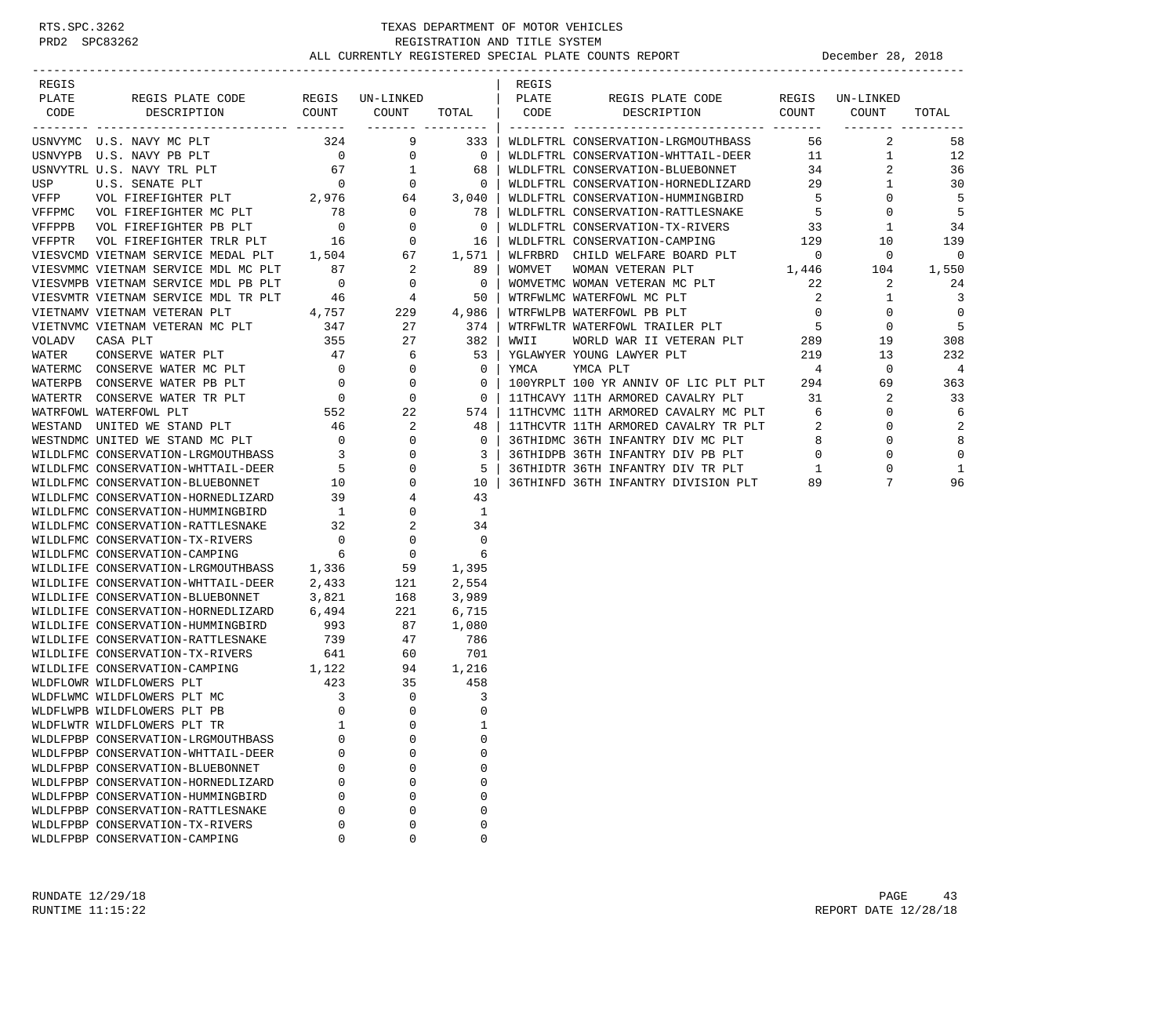| REGIS |                                                                                                                                                                                                                                            |          |             |   | REGIS |                                                             |  |       |
|-------|--------------------------------------------------------------------------------------------------------------------------------------------------------------------------------------------------------------------------------------------|----------|-------------|---|-------|-------------------------------------------------------------|--|-------|
| PLATE |                                                                                                                                                                                                                                            |          |             |   |       | REGIS PLATE CODE REGIS UN-LINKED<br>DESCRIPTION COUNT COUNT |  |       |
| CODE  |                                                                                                                                                                                                                                            |          |             |   |       |                                                             |  | TOTAL |
|       |                                                                                                                                                                                                                                            |          |             |   |       |                                                             |  |       |
|       |                                                                                                                                                                                                                                            |          |             |   |       |                                                             |  |       |
|       |                                                                                                                                                                                                                                            |          |             |   |       |                                                             |  |       |
|       |                                                                                                                                                                                                                                            |          |             |   |       |                                                             |  |       |
|       |                                                                                                                                                                                                                                            |          |             |   |       |                                                             |  |       |
|       |                                                                                                                                                                                                                                            |          |             |   |       |                                                             |  |       |
|       |                                                                                                                                                                                                                                            |          |             |   |       |                                                             |  |       |
|       |                                                                                                                                                                                                                                            |          |             |   |       |                                                             |  |       |
|       |                                                                                                                                                                                                                                            |          |             |   |       |                                                             |  |       |
|       |                                                                                                                                                                                                                                            |          |             |   |       |                                                             |  |       |
|       |                                                                                                                                                                                                                                            |          |             |   |       |                                                             |  |       |
|       |                                                                                                                                                                                                                                            |          |             |   |       |                                                             |  |       |
|       |                                                                                                                                                                                                                                            |          |             |   |       |                                                             |  |       |
|       |                                                                                                                                                                                                                                            |          |             |   |       |                                                             |  |       |
|       |                                                                                                                                                                                                                                            |          |             |   |       |                                                             |  |       |
|       |                                                                                                                                                                                                                                            |          |             |   |       |                                                             |  |       |
|       |                                                                                                                                                                                                                                            |          |             |   |       |                                                             |  |       |
|       |                                                                                                                                                                                                                                            |          |             |   |       |                                                             |  |       |
|       |                                                                                                                                                                                                                                            |          |             |   |       |                                                             |  |       |
|       |                                                                                                                                                                                                                                            |          |             |   |       |                                                             |  |       |
|       |                                                                                                                                                                                                                                            |          |             |   |       |                                                             |  |       |
|       |                                                                                                                                                                                                                                            |          |             |   |       |                                                             |  |       |
|       |                                                                                                                                                                                                                                            |          |             |   |       |                                                             |  |       |
|       |                                                                                                                                                                                                                                            |          |             |   |       |                                                             |  |       |
|       |                                                                                                                                                                                                                                            |          |             |   |       |                                                             |  |       |
|       |                                                                                                                                                                                                                                            |          |             |   |       |                                                             |  |       |
|       |                                                                                                                                                                                                                                            |          |             |   |       |                                                             |  |       |
|       |                                                                                                                                                                                                                                            |          |             |   |       |                                                             |  |       |
|       |                                                                                                                                                                                                                                            |          |             |   |       |                                                             |  |       |
|       |                                                                                                                                                                                                                                            |          |             |   |       |                                                             |  |       |
|       |                                                                                                                                                                                                                                            |          |             |   |       |                                                             |  |       |
|       |                                                                                                                                                                                                                                            |          |             |   |       |                                                             |  |       |
|       |                                                                                                                                                                                                                                            |          |             |   |       |                                                             |  |       |
|       |                                                                                                                                                                                                                                            |          |             |   |       |                                                             |  |       |
|       |                                                                                                                                                                                                                                            |          |             |   |       |                                                             |  |       |
|       |                                                                                                                                                                                                                                            |          |             |   |       |                                                             |  |       |
|       | WILDLIFE CONSERVATION-TX-RIVERS<br>WILDLIFE CONSERVATION-TX-RIVERS<br>WILDLIFE CONSERVATION-CAMPING<br>WILDFLOWR WILDFLOWERS PLT MC<br>WILDFLWPB WILDFLOWERS PLT PB 0 0 0 0<br>WILDFLWPB WILDFLOWERS PLT PB 0 0 0 0<br>WILDFLWTR WILDFLOWE |          |             |   |       |                                                             |  |       |
|       |                                                                                                                                                                                                                                            |          |             |   |       |                                                             |  |       |
|       |                                                                                                                                                                                                                                            |          |             |   |       |                                                             |  |       |
|       |                                                                                                                                                                                                                                            |          |             |   |       |                                                             |  |       |
|       |                                                                                                                                                                                                                                            |          |             |   |       |                                                             |  |       |
|       |                                                                                                                                                                                                                                            |          |             |   |       |                                                             |  |       |
|       | WLDLFPBP CONSERVATION-LRGMOUTHBASS                                                                                                                                                                                                         | 0        | $\mathbf 0$ | 0 |       |                                                             |  |       |
|       | WLDLFPBP CONSERVATION-WHTTAIL-DEER                                                                                                                                                                                                         | O        | 0           | 0 |       |                                                             |  |       |
|       | WLDLFPBP CONSERVATION-BLUEBONNET                                                                                                                                                                                                           | U        | 0           | 0 |       |                                                             |  |       |
|       | WLDLFPBP CONSERVATION-HORNEDLIZARD                                                                                                                                                                                                         | $\Omega$ | 0           | 0 |       |                                                             |  |       |
|       | WLDLFPBP CONSERVATION-HUMMINGBIRD                                                                                                                                                                                                          | O        | 0           | 0 |       |                                                             |  |       |
|       | WLDLFPBP CONSERVATION-RATTLESNAKE                                                                                                                                                                                                          | $\Omega$ | $\mathbf 0$ | 0 |       |                                                             |  |       |
|       | WLDLFPBP CONSERVATION-TX-RIVERS                                                                                                                                                                                                            | 0        | 0           | 0 |       |                                                             |  |       |
|       | WLDLFPBP CONSERVATION-CAMPING                                                                                                                                                                                                              | 0        | 0           | 0 |       |                                                             |  |       |